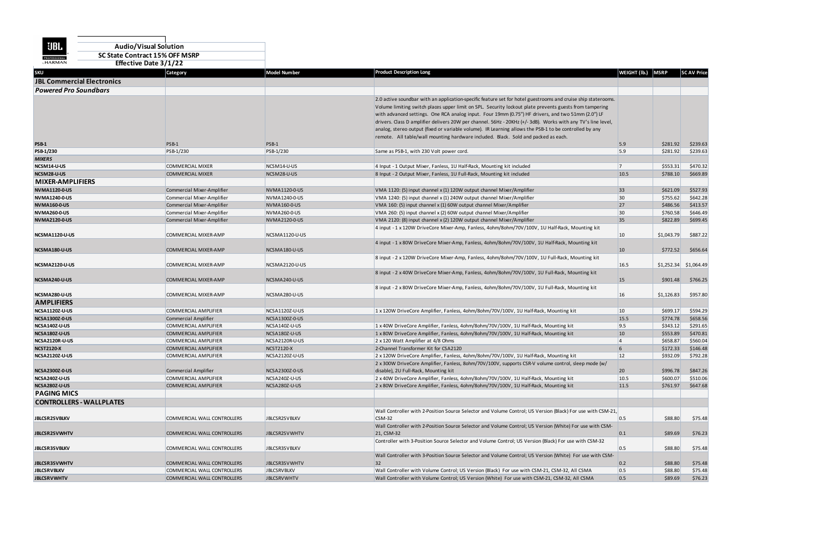| <b>UBL</b>                                  | <b>Audio/Visual Solution</b>   |                                                            |                                          |                                                                                                                                                                                                |                 |                      |                      |
|---------------------------------------------|--------------------------------|------------------------------------------------------------|------------------------------------------|------------------------------------------------------------------------------------------------------------------------------------------------------------------------------------------------|-----------------|----------------------|----------------------|
| <b>PROFESSIONAL</b>                         | SC State Contract 15% OFF MSRP |                                                            |                                          |                                                                                                                                                                                                |                 |                      |                      |
| <b>by HARMAN</b>                            | <b>Effective Date 3/1/22</b>   |                                                            |                                          |                                                                                                                                                                                                |                 |                      |                      |
| <b>SKU</b>                                  |                                | Category                                                   | <b>Model Number</b>                      | <b>Product Description Long</b>                                                                                                                                                                | WEIGHT (Ib.)    | <b>MSRP</b>          | <b>SC AV Price</b>   |
| <b>JBL Commercial Electronics</b>           |                                |                                                            |                                          |                                                                                                                                                                                                |                 |                      |                      |
| <b>Powered Pro Soundbars</b>                |                                |                                                            |                                          |                                                                                                                                                                                                |                 |                      |                      |
|                                             |                                |                                                            |                                          | 2.0 active soundbar with an application-specific feature set for hotel guestrooms and cruise ship staterooms.                                                                                  |                 |                      |                      |
|                                             |                                |                                                            |                                          | Volume limiting switch places upper limit on SPL. Security lockout plate prevents guests from tampering                                                                                        |                 |                      |                      |
|                                             |                                |                                                            |                                          | with advanced settings. One RCA analog input. Four 19mm (0.75") HF drivers, and two 51mm (2.0") LF                                                                                             |                 |                      |                      |
|                                             |                                |                                                            |                                          | drivers. Class D amplifier delivers 20W per channel. 56Hz - 20KHz (+/-3dB). Works with any TV's line level,                                                                                    |                 |                      |                      |
|                                             |                                |                                                            |                                          | analog, stereo output (fixed or variable volume). IR Learning allows the PSB-1 to be controlled by any                                                                                         |                 |                      |                      |
|                                             |                                |                                                            |                                          | remote. All table/wall mounting hardware included. Black. Sold and packed as each.                                                                                                             |                 |                      |                      |
| <b>PSB-1</b>                                |                                | PSB-1                                                      | PSB-1                                    |                                                                                                                                                                                                | 5.9             | \$281.92             | \$239.63             |
| PSB-1/230                                   |                                | PSB-1/230                                                  | PSB-1/230                                | Same as PSB-1, with 230 Volt power cord.                                                                                                                                                       | 5.9             | \$281.92             | \$239.63             |
| <b>MIXERS</b>                               |                                |                                                            |                                          |                                                                                                                                                                                                |                 |                      |                      |
| NCSM14-U-US                                 |                                | <b>COMMERCIAL MIXER</b>                                    | NCSM14-U-US                              | 4 Input - 1 Output Mixer, Fanless, 1U Half-Rack, Mounting kit included                                                                                                                         | 17              | \$553.31             | \$470.32             |
| NCSM28-U-US<br><b>MIXER-AMPLIFIERS</b>      |                                | <b>COMMERCIAL MIXER</b>                                    | NCSM28-U-US                              | 8 Input - 2 Output Mixer, Fanless, 1U Full-Rack, Mounting kit included                                                                                                                         | 10.5            | \$788.10             | \$669.89             |
|                                             |                                |                                                            |                                          |                                                                                                                                                                                                |                 |                      |                      |
| <b>NVMA1120-0-US</b>                        |                                | Commercial Mixer-Amplifier                                 | NVMA1120-0-US                            | VMA 1120: (5) input channel x (1) 120W output channel Mixer/Amplifier                                                                                                                          | 33 <sup>5</sup> | \$621.09             | \$527.93             |
| <b>NVMA1240-0-US</b><br><b>NVMA160-0-US</b> |                                | Commercial Mixer-Amplifier<br>Commercial Mixer-Amplifier   | NVMA1240-0-US<br><b>NVMA160-0-US</b>     | VMA 1240: (5) input channel x (1) 240W output channel Mixer/Amplifier<br>VMA 160: (5) input channel x (1) 60W output channel Mixer/Amplifier                                                   | 30<br>27        | \$755.62<br>\$486.56 | \$642.28<br>\$413.57 |
| <b>NVMA260-0-US</b>                         |                                | Commercial Mixer-Amplifier                                 | NVMA260-0-US                             | VMA 260: (5) input channel x (2) 60W output channel Mixer/Amplifier                                                                                                                            | 30              | \$760.58             | \$646.49             |
| <b>NVMA2120-0-US</b>                        |                                | Commercial Mixer-Amplifier                                 | NVMA2120-0-US                            | VMA 2120: (8) input channel x (2) 120W output channel Mixer/Amplifier                                                                                                                          | 35              | \$822.89             | \$699.45             |
|                                             |                                |                                                            |                                          | 4 input - 1 x 120W DriveCore Mixer-Amp, Fanless, 4ohm/8ohm/70V/100V, 1U Half-Rack, Mounting kit                                                                                                |                 |                      |                      |
| NCSMA1120-U-US                              |                                | COMMERCIAL MIXER-AMP                                       | NCSMA1120-U-US                           |                                                                                                                                                                                                | 10              | \$1,043.79           | \$887.22             |
|                                             |                                |                                                            |                                          | 4 input - 1 x 80W DriveCore Mixer-Amp, Fanless, 4ohm/8ohm/70V/100V, 1U Half-Rack, Mounting kit                                                                                                 |                 |                      |                      |
| NCSMA180-U-US                               |                                | COMMERCIAL MIXER-AMP                                       | NCSMA180-U-US                            |                                                                                                                                                                                                | 10              | \$772.52             | \$656.64             |
|                                             |                                |                                                            |                                          | 8 input - 2 x 120W DriveCore Mixer-Amp, Fanless, 4ohm/8ohm/70V/100V, 1U Full-Rack, Mounting kit                                                                                                |                 |                      |                      |
| NCSMA2120-U-US                              |                                | COMMERCIAL MIXER-AMP                                       | NCSMA2120-U-US                           |                                                                                                                                                                                                | 16.5            | \$1,252.34           | \$1,064.49           |
|                                             |                                |                                                            |                                          | 8 input - 2 x 40W DriveCore Mixer-Amp, Fanless, 4ohm/8ohm/70V/100V, 1U Full-Rack, Mounting kit                                                                                                 |                 |                      |                      |
| NCSMA240-U-US                               |                                | COMMERCIAL MIXER-AMP                                       | NCSMA240-U-US                            |                                                                                                                                                                                                | <b>15</b>       | \$901.48             | \$766.25             |
|                                             |                                |                                                            |                                          | 8 input - 2 x 80W DriveCore Mixer-Amp, Fanless, 4ohm/8ohm/70V/100V, 1U Full-Rack, Mounting kit                                                                                                 |                 |                      |                      |
| NCSMA280-U-US                               |                                | COMMERCIAL MIXER-AMP                                       | NCSMA280-U-US                            |                                                                                                                                                                                                | 16              | \$1,126.83           | \$957.80             |
| <b>AMPLIFIERS</b>                           |                                |                                                            |                                          |                                                                                                                                                                                                |                 |                      |                      |
| NCSA1120Z-U-US                              |                                | COMMERCIAL AMPLIFIER                                       | NCSA1120Z-U-US                           | 1 x 120W DriveCore Amplifier, Fanless, 4ohm/8ohm/70V/100V, 1U Half-Rack, Mounting kit                                                                                                          | 10              | \$699.17             | \$594.29             |
| <b>NCSA1300Z-0-US</b>                       |                                | Commercial Amplifier                                       | NCSA1300Z-0-US                           |                                                                                                                                                                                                | 15.5            | \$774.78<br>\$343.12 | \$658.56<br>\$291.65 |
| NCSA140Z-U-US<br>NCSA180Z-U-US              |                                | <b>COMMERCIAL AMPLIFIER</b><br><b>COMMERCIAL AMPLIFIER</b> | NCSA140Z-U-US<br>NCSA180Z-U-US           | 1 x 40W DriveCore Amplifier, Fanless, 4ohm/8ohm/70V/100V, 1U Half-Rack, Mounting kit<br>1 x 80W DriveCore Amplifier, Fanless, 4ohm/8ohm/70V/100V, 1U Half-Rack, Mounting kit                   | 9.5<br>10       | \$553.89             | \$470.81             |
| NCSA2120R-U-US                              |                                | <b>COMMERCIAL AMPLIFIER</b>                                | NCSA2120R-U-US                           | 2 x 120 Watt Amplifier at 4/8 Ohms                                                                                                                                                             | <b>4</b>        | \$658.87             | \$560.04             |
| <b>NCST2120-X</b>                           |                                | <b>COMMERCIAL AMPLIFIER</b>                                | <b>NCST2120-X</b>                        | 2-Channel Transformer Kit for CSA2120                                                                                                                                                          | 6               | \$172.33             | \$146.48             |
| NCSA2120Z-U-US                              |                                | COMMERCIAL AMPLIFIER                                       | NCSA2120Z-U-US                           | 2 x 120W DriveCore Amplifier, Fanless, 4ohm/8ohm/70V/100V, 1U Half-Rack, Mounting kit                                                                                                          | <b>12</b>       | \$932.09             | \$792.28             |
|                                             |                                |                                                            |                                          | 2 x 300W DriveCore Amplifier, Fanless, 8ohm/70V/100V, supports CSR-V volume control, sleep mode (w/                                                                                            |                 |                      |                      |
| <b>NCSA2300Z-0-US</b>                       |                                | Commercial Amplifier                                       | NCSA2300Z-0-US                           | disable), 2U Full-Rack, Mounting kit                                                                                                                                                           | 20              | \$996.78             | \$847.26             |
| NCSA240Z-U-US                               |                                | COMMERCIAL AMPLIFIER                                       | NCSA240Z-U-US                            | 2 x 40W DriveCore Amplifier, Fanless, 4ohm/8ohm/70V/100V, 1U Half-Rack, Mounting kit                                                                                                           | 10.5            | \$600.07             | \$510.06             |
| NCSA280Z-U-US                               |                                | <b>COMMERCIAL AMPLIFIER</b>                                | NCSA280Z-U-US                            | 2 x 80W DriveCore Amplifier, Fanless, 4ohm/8ohm/70V/100V, 1U Half-Rack, Mounting kit                                                                                                           | $11.5$          | \$761.97             | \$647.68             |
| <b>PAGING MICS</b>                          |                                |                                                            |                                          |                                                                                                                                                                                                |                 |                      |                      |
| <b>CONTROLLERS - WALLPLATES</b>             |                                |                                                            |                                          |                                                                                                                                                                                                |                 |                      |                      |
|                                             |                                |                                                            |                                          | Wall Controller with 2-Position Source Selector and Volume Control; US Version (Black) For use with CSM-21,                                                                                    |                 |                      |                      |
| <b>JBLCSR2SVBLKV</b>                        |                                | COMMERCIAL WALL CONTROLLERS                                | JBLCSR2SVBLKV                            | $CSM-32$                                                                                                                                                                                       | 0.5             | \$88.80              | \$75.48              |
|                                             |                                |                                                            |                                          | Wall Controller with 2-Position Source Selector and Volume Control; US Version (White) For use with CSM-                                                                                       |                 |                      |                      |
| <b>JBLCSR2SVWHTV</b>                        |                                | COMMERCIAL WALL CONTROLLERS                                | JBLCSR2SVWHTV                            | 21, CSM-32                                                                                                                                                                                     | 0.1             | \$89.69              | \$76.23              |
|                                             |                                |                                                            |                                          | Controller with 3-Position Source Selector and Volume Control; US Version (Black) For use with CSM-32                                                                                          |                 |                      |                      |
| <b>JBLCSR3SVBLKV</b>                        |                                | COMMERCIAL WALL CONTROLLERS                                | JBLCSR3SVBLKV                            |                                                                                                                                                                                                | 0.5             | \$88.80              | \$75.48              |
|                                             |                                |                                                            |                                          | Wall Controller with 3-Position Source Selector and Volume Control; US Version (White) For use with CSM-                                                                                       |                 |                      |                      |
| <b>JBLCSR3SVWHTV</b>                        |                                | COMMERCIAL WALL CONTROLLERS                                | JBLCSR3SVWHTV                            | 32 <sub>2</sub>                                                                                                                                                                                | 0.2             | \$88.80              | \$75.48              |
| <b>JBLCSRVBLKV</b><br><b>JBLCSRVWHTV</b>    |                                | COMMERCIAL WALL CONTROLLERS<br>COMMERCIAL WALL CONTROLLERS | <b>JBLCSRVBLKV</b><br><b>JBLCSRVWHTV</b> | Wall Controller with Volume Control; US Version (Black) For use with CSM-21, CSM-32, All CSMA<br>Wall Controller with Volume Control; US Version (White) For use with CSM-21, CSM-32, All CSMA | 0.5 <br> 0.5    | \$88.80<br>\$89.69   | \$75.48<br>\$76.23   |
|                                             |                                |                                                            |                                          |                                                                                                                                                                                                |                 |                      |                      |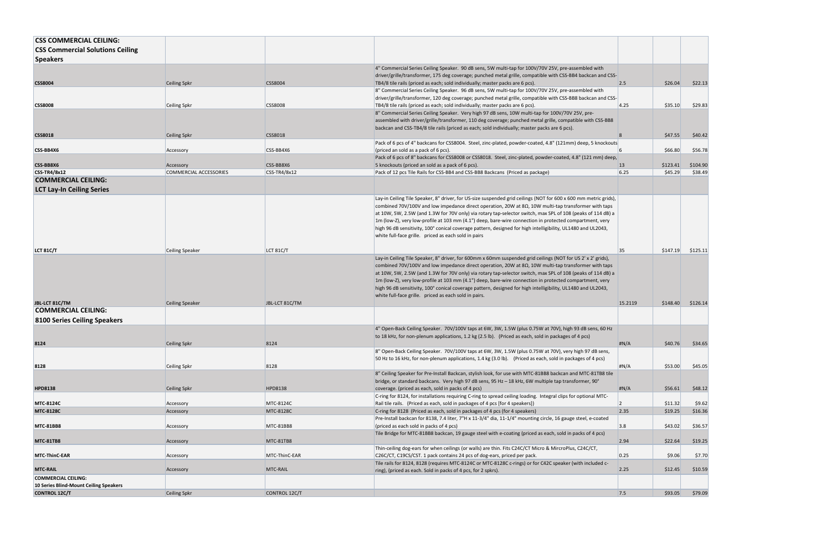| <b>CSS Commercial Solutions Ceiling</b><br><b>Speakers</b><br>4" Commercial Series Ceiling Speaker. 90 dB sens, 5W multi-tap for 100V/70V 25V, pre-assembled with<br>driver/grille/transformer, 175 deg coverage; punched metal grille, compatible with CSS-BB4 backcan and CSS-<br>\$26.04<br><b>CSS8004</b><br><b>Ceiling Spkr</b><br><b>CSS8004</b><br>2.5<br>\$22.13<br>TB4/8 tile rails (priced as each; sold individually; master packs are 6 pcs).<br>8" Commercial Series Ceiling Speaker. 96 dB sens, 5W multi-tap for 100V/70V 25V, pre-assembled with<br>driver/grille/transformer, 120 deg coverage; punched metal grille, compatible with CSS-BB8 backcan and CSS-<br><b>CSS8008</b><br>\$35.10<br>\$29.83<br><b>CSS8008</b><br>TB4/8 tile rails (priced as each; sold individually; master packs are 6 pcs).<br>4.25<br>Ceiling Spkr<br>8" Commercial Series Ceiling Speaker. Very high 97 dB sens, 10W multi-tap for 100V/70V 25V, pre-<br>assembled with driver/grille/transformer, 110 deg coverage; punched metal grille, compatible with CSS-BB8<br>backcan and CSS-TB4/8 tile rails (priced as each; sold individually; master packs are 6 pcs).<br><b>CSS8018</b><br>\$47.55<br>\$40.42<br><b>CSS8018</b><br>Ceiling Spkr<br>8<br>Pack of 6 pcs of 4" backcans for CSS8004. Steel, zinc-plated, powder-coated, 4.8" (121mm) deep, 5 knockouts<br>\$66.80<br>CSS-BB4X6<br>\$56.78<br>CSS-BB4X6<br>(priced an sold as a pack of 6 pcs).<br>Accessory<br>Pack of 6 pcs of 8" backcans for CSS8008 or CSS8018. Steel, zinc-plated, powder-coated, 4.8" (121 mm) deep,<br>CSS-BB8X6<br>CSS-BB8X6<br>5 knockouts (priced an sold as a pack of 6 pcs).<br>\$123.41<br>\$104.90<br><b>13</b><br>Accessory<br>6.25<br>\$45.29<br><b>CSS-TR4/8x12</b><br><b>COMMERCIAL ACCESSORIES</b><br>CSS-TR4/8x12<br>\$38.49<br>Pack of 12 pcs Tile Rails for CSS-BB4 and CSS-BB8 Backcans (Priced as package)<br><b>COMMERCIAL CEILING:</b><br><b>LCT Lay-In Ceiling Series</b><br>Lay-in Ceiling Tile Speaker, 8" driver, for US-size suspended grid ceilings (NOT for 600 x 600 mm metric grids),<br>combined 70V/100V and low impedance direct operation, 20W at 8Ω, 10W multi-tap transformer with taps<br>at 10W, 5W, 2.5W (and 1.3W for 70V only) via rotary tap-selector switch, max SPL of 108 (peaks of 114 dB) a<br>1m (low-Z), very low-profile at 103 mm (4.1") deep, bare-wire connection in protected compartment, very<br>high 96 dB sensitivity, 100° conical coverage pattern, designed for high intelligibility, UL1480 and UL2043,<br>white full-face grille. priced as each sold in pairs<br>\$147.19<br>LCT 81C/T<br>35<br>\$125.11<br><b>LCT 81C/T</b><br>Ceiling Speaker<br>Lay-in Ceiling Tile Speaker, 8" driver, for 600mm x 60mm suspended grid ceilings (NOT for US 2' x 2' grids),<br>combined 70V/100V and low impedance direct operation, 20W at 8 $\Omega$ , 10W multi-tap transformer with taps<br>at 10W, 5W, 2.5W (and 1.3W for 70V only) via rotary tap-selector switch, max SPL of 108 (peaks of 114 dB) a<br>1m (low-Z), very low-profile at 103 mm (4.1") deep, bare-wire connection in protected compartment, very<br>high 96 dB sensitivity, 100° conical coverage pattern, designed for high intelligibility, UL1480 and UL2043,<br>white full-face grille. priced as each sold in pairs.<br>JBL LCT 81C/TM<br>JBL-LCT 81C/TM<br>15.2119<br>\$148.40<br>\$126.14<br><b>Ceiling Speaker</b><br><b>COMMERCIAL CEILING:</b><br>8100 Series Ceiling Speakers<br>4" Open-Back Ceiling Speaker. 70V/100V taps at 6W, 3W, 1.5W (plus 0.75W at 70V), high 93 dB sens, 60 Hz<br>to 18 kHz, for non-plenum applications, 1.2 kg (2.5 lb). (Priced as each, sold in packages of 4 pcs)<br>H N/A<br>8124<br>Ceiling Spkr<br>8124<br>\$40.76<br>\$34.65<br>8" Open-Back Ceiling Speaker. 70V/100V taps at 6W, 3W, 1.5W (plus 0.75W at 70V), very high 97 dB sens,<br>50 Hz to 16 kHz, for non-plenum applications, 1.4 kg (3.0 lb). (Priced as each, sold in packages of 4 pcs)<br>#N/A<br>\$53.00<br>8128<br>\$45.05<br>8128<br>Ceiling Spkr<br>8" Ceiling Speaker for Pre-Install Backcan, stylish look, for use with MTC-81BB8 backcan and MTC-81TB8 tile<br>bridge, or standard backcans. Very high 97 dB sens, 95 Hz - 18 kHz, 6W multiple tap transformer, 90°<br>\$48.12<br><b>HPD8138</b><br>H N/A<br>\$56.61<br><b>HPD8138</b><br>Ceiling Spkr<br>coverage. (priced as each, sold in packs of 4 pcs)<br>C-ring for 8124, for installations requiring C-ring to spread ceiling loading. Integral clips for optional MTC-<br>Rail tile rails. (Priced as each, sold in packages of 4 pcs [for 4 speakers])<br>\$11.32<br>\$9.62<br><b>MTC-8124C</b><br>MTC-8124C<br>Accessory<br>\$16.36<br><b>MTC-8128C</b><br><b>MTC-8128C</b><br>C-ring for 8128 (Priced as each, sold in packages of 4 pcs (for 4 speakers)<br>2.35<br>\$19.25<br>Accessory<br>Pre-Install backcan for 8138, 7.4 liter, 7"H x 11-3/4" dia, 11-1/4" mounting circle, 16 gauge steel, e-coated<br>3.8<br>\$43.02<br>\$36.57<br>MTC-81BB8<br>(priced as each sold in packs of 4 pcs)<br><b>MTC 81BB8</b><br>Accessory<br>Tile Bridge for MTC-81BB8 backcan, 19 gauge steel with e-coating (priced as each, sold in packs of 4 pcs)<br>MTC-81TB8<br>2.94<br>\$22.64<br>\$19.25<br><b>MTC 81TB8</b><br>Accessory<br>Thin-ceiling dog-ears for when ceilings (or walls) are thin. Fits C24C/CT Micro & MircroPlus, C24C/CT,<br>\$9.06<br>\$7.70<br>MTC-ThinC-EAR<br>C26C/CT, C19CS/CST. 1 pack contains 24 pcs of dog-ears, priced per pack.<br> 0.25 <br><b>MTC ThinC EAR</b><br>Accessory<br>Tile rails for 8124, 8128 (requires MTC-8124C or MTC-8128C c-rings) or for C42C speaker (with included c-<br>\$10.59<br>MTC-RAIL<br>2.25<br>\$12.45<br><b>MTC-RAIL</b><br>Accessory<br>ring), (priced as each. Sold in packs of 4 pcs, for 2 spkrs).<br><b>COMMERCIAL CEILING:</b><br>10 Series Blind-Mount Ceiling Speakers<br>7.5<br>\$93.05<br>\$79.09<br><b>CONTROL 12C/T</b><br>Ceiling Spkr<br>CONTROL 12C/T | <b>CSS COMMERCIAL CEILING:</b> |  |  |  |
|----------------------------------------------------------------------------------------------------------------------------------------------------------------------------------------------------------------------------------------------------------------------------------------------------------------------------------------------------------------------------------------------------------------------------------------------------------------------------------------------------------------------------------------------------------------------------------------------------------------------------------------------------------------------------------------------------------------------------------------------------------------------------------------------------------------------------------------------------------------------------------------------------------------------------------------------------------------------------------------------------------------------------------------------------------------------------------------------------------------------------------------------------------------------------------------------------------------------------------------------------------------------------------------------------------------------------------------------------------------------------------------------------------------------------------------------------------------------------------------------------------------------------------------------------------------------------------------------------------------------------------------------------------------------------------------------------------------------------------------------------------------------------------------------------------------------------------------------------------------------------------------------------------------------------------------------------------------------------------------------------------------------------------------------------------------------------------------------------------------------------------------------------------------------------------------------------------------------------------------------------------------------------------------------------------------------------------------------------------------------------------------------------------------------------------------------------------------------------------------------------------------------------------------------------------------------------------------------------------------------------------------------------------------------------------------------------------------------------------------------------------------------------------------------------------------------------------------------------------------------------------------------------------------------------------------------------------------------------------------------------------------------------------------------------------------------------------------------------------------------------------------------------------------------------------------------------------------------------------------------------------------------------------------------------------------------------------------------------------------------------------------------------------------------------------------------------------------------------------------------------------------------------------------------------------------------------------------------------------------------------------------------------------------------------------------------------------------------------------------------------------------------------------------------------------------------------------------------------------------------------------------------------------------------------------------------------------------------------------------------------------------------------------------------------------------------------------------------------------------------------------------------------------------------------------------------------------------------------------------------------------------------------------------------------------------------------------------------------------------------------------------------------------------------------------------------------------------------------------------------------------------------------------------------------------------------------------------------------------------------------------------------------------------------------------------------------------------------------------------------------------------------------------------------------------------------------------------------------------------------------------------------------------------------------------------------------------------------------------------------------------------------------------------------------------------------------------------------------------------------------------------------------------------------------------------------------------------------------------------------------------------------------------------------------------------------------------------------------------------------------------------------------------------------------------------------------------------------------------------------------------------------------------------------------------------------------------------------------------------------------------------------------------------------------------------------------------------------------------------------------------------------------------------------------------------------------------------------------------------------------------------------------------------------------------------------------------------------------------------------------------------------|--------------------------------|--|--|--|
|                                                                                                                                                                                                                                                                                                                                                                                                                                                                                                                                                                                                                                                                                                                                                                                                                                                                                                                                                                                                                                                                                                                                                                                                                                                                                                                                                                                                                                                                                                                                                                                                                                                                                                                                                                                                                                                                                                                                                                                                                                                                                                                                                                                                                                                                                                                                                                                                                                                                                                                                                                                                                                                                                                                                                                                                                                                                                                                                                                                                                                                                                                                                                                                                                                                                                                                                                                                                                                                                                                                                                                                                                                                                                                                                                                                                                                                                                                                                                                                                                                                                                                                                                                                                                                                                                                                                                                                                                                                                                                                                                                                                                                                                                                                                                                                                                                                                                                                                                                                                                                                                                                                                                                                                                                                                                                                                                                                                                                                                                                                                                                                                                                                                                                                                                                                                                                                                                                                                                                                                                      |                                |  |  |  |
|                                                                                                                                                                                                                                                                                                                                                                                                                                                                                                                                                                                                                                                                                                                                                                                                                                                                                                                                                                                                                                                                                                                                                                                                                                                                                                                                                                                                                                                                                                                                                                                                                                                                                                                                                                                                                                                                                                                                                                                                                                                                                                                                                                                                                                                                                                                                                                                                                                                                                                                                                                                                                                                                                                                                                                                                                                                                                                                                                                                                                                                                                                                                                                                                                                                                                                                                                                                                                                                                                                                                                                                                                                                                                                                                                                                                                                                                                                                                                                                                                                                                                                                                                                                                                                                                                                                                                                                                                                                                                                                                                                                                                                                                                                                                                                                                                                                                                                                                                                                                                                                                                                                                                                                                                                                                                                                                                                                                                                                                                                                                                                                                                                                                                                                                                                                                                                                                                                                                                                                                                      |                                |  |  |  |
|                                                                                                                                                                                                                                                                                                                                                                                                                                                                                                                                                                                                                                                                                                                                                                                                                                                                                                                                                                                                                                                                                                                                                                                                                                                                                                                                                                                                                                                                                                                                                                                                                                                                                                                                                                                                                                                                                                                                                                                                                                                                                                                                                                                                                                                                                                                                                                                                                                                                                                                                                                                                                                                                                                                                                                                                                                                                                                                                                                                                                                                                                                                                                                                                                                                                                                                                                                                                                                                                                                                                                                                                                                                                                                                                                                                                                                                                                                                                                                                                                                                                                                                                                                                                                                                                                                                                                                                                                                                                                                                                                                                                                                                                                                                                                                                                                                                                                                                                                                                                                                                                                                                                                                                                                                                                                                                                                                                                                                                                                                                                                                                                                                                                                                                                                                                                                                                                                                                                                                                                                      |                                |  |  |  |
|                                                                                                                                                                                                                                                                                                                                                                                                                                                                                                                                                                                                                                                                                                                                                                                                                                                                                                                                                                                                                                                                                                                                                                                                                                                                                                                                                                                                                                                                                                                                                                                                                                                                                                                                                                                                                                                                                                                                                                                                                                                                                                                                                                                                                                                                                                                                                                                                                                                                                                                                                                                                                                                                                                                                                                                                                                                                                                                                                                                                                                                                                                                                                                                                                                                                                                                                                                                                                                                                                                                                                                                                                                                                                                                                                                                                                                                                                                                                                                                                                                                                                                                                                                                                                                                                                                                                                                                                                                                                                                                                                                                                                                                                                                                                                                                                                                                                                                                                                                                                                                                                                                                                                                                                                                                                                                                                                                                                                                                                                                                                                                                                                                                                                                                                                                                                                                                                                                                                                                                                                      |                                |  |  |  |
|                                                                                                                                                                                                                                                                                                                                                                                                                                                                                                                                                                                                                                                                                                                                                                                                                                                                                                                                                                                                                                                                                                                                                                                                                                                                                                                                                                                                                                                                                                                                                                                                                                                                                                                                                                                                                                                                                                                                                                                                                                                                                                                                                                                                                                                                                                                                                                                                                                                                                                                                                                                                                                                                                                                                                                                                                                                                                                                                                                                                                                                                                                                                                                                                                                                                                                                                                                                                                                                                                                                                                                                                                                                                                                                                                                                                                                                                                                                                                                                                                                                                                                                                                                                                                                                                                                                                                                                                                                                                                                                                                                                                                                                                                                                                                                                                                                                                                                                                                                                                                                                                                                                                                                                                                                                                                                                                                                                                                                                                                                                                                                                                                                                                                                                                                                                                                                                                                                                                                                                                                      |                                |  |  |  |
|                                                                                                                                                                                                                                                                                                                                                                                                                                                                                                                                                                                                                                                                                                                                                                                                                                                                                                                                                                                                                                                                                                                                                                                                                                                                                                                                                                                                                                                                                                                                                                                                                                                                                                                                                                                                                                                                                                                                                                                                                                                                                                                                                                                                                                                                                                                                                                                                                                                                                                                                                                                                                                                                                                                                                                                                                                                                                                                                                                                                                                                                                                                                                                                                                                                                                                                                                                                                                                                                                                                                                                                                                                                                                                                                                                                                                                                                                                                                                                                                                                                                                                                                                                                                                                                                                                                                                                                                                                                                                                                                                                                                                                                                                                                                                                                                                                                                                                                                                                                                                                                                                                                                                                                                                                                                                                                                                                                                                                                                                                                                                                                                                                                                                                                                                                                                                                                                                                                                                                                                                      |                                |  |  |  |
|                                                                                                                                                                                                                                                                                                                                                                                                                                                                                                                                                                                                                                                                                                                                                                                                                                                                                                                                                                                                                                                                                                                                                                                                                                                                                                                                                                                                                                                                                                                                                                                                                                                                                                                                                                                                                                                                                                                                                                                                                                                                                                                                                                                                                                                                                                                                                                                                                                                                                                                                                                                                                                                                                                                                                                                                                                                                                                                                                                                                                                                                                                                                                                                                                                                                                                                                                                                                                                                                                                                                                                                                                                                                                                                                                                                                                                                                                                                                                                                                                                                                                                                                                                                                                                                                                                                                                                                                                                                                                                                                                                                                                                                                                                                                                                                                                                                                                                                                                                                                                                                                                                                                                                                                                                                                                                                                                                                                                                                                                                                                                                                                                                                                                                                                                                                                                                                                                                                                                                                                                      |                                |  |  |  |
|                                                                                                                                                                                                                                                                                                                                                                                                                                                                                                                                                                                                                                                                                                                                                                                                                                                                                                                                                                                                                                                                                                                                                                                                                                                                                                                                                                                                                                                                                                                                                                                                                                                                                                                                                                                                                                                                                                                                                                                                                                                                                                                                                                                                                                                                                                                                                                                                                                                                                                                                                                                                                                                                                                                                                                                                                                                                                                                                                                                                                                                                                                                                                                                                                                                                                                                                                                                                                                                                                                                                                                                                                                                                                                                                                                                                                                                                                                                                                                                                                                                                                                                                                                                                                                                                                                                                                                                                                                                                                                                                                                                                                                                                                                                                                                                                                                                                                                                                                                                                                                                                                                                                                                                                                                                                                                                                                                                                                                                                                                                                                                                                                                                                                                                                                                                                                                                                                                                                                                                                                      |                                |  |  |  |
|                                                                                                                                                                                                                                                                                                                                                                                                                                                                                                                                                                                                                                                                                                                                                                                                                                                                                                                                                                                                                                                                                                                                                                                                                                                                                                                                                                                                                                                                                                                                                                                                                                                                                                                                                                                                                                                                                                                                                                                                                                                                                                                                                                                                                                                                                                                                                                                                                                                                                                                                                                                                                                                                                                                                                                                                                                                                                                                                                                                                                                                                                                                                                                                                                                                                                                                                                                                                                                                                                                                                                                                                                                                                                                                                                                                                                                                                                                                                                                                                                                                                                                                                                                                                                                                                                                                                                                                                                                                                                                                                                                                                                                                                                                                                                                                                                                                                                                                                                                                                                                                                                                                                                                                                                                                                                                                                                                                                                                                                                                                                                                                                                                                                                                                                                                                                                                                                                                                                                                                                                      |                                |  |  |  |
|                                                                                                                                                                                                                                                                                                                                                                                                                                                                                                                                                                                                                                                                                                                                                                                                                                                                                                                                                                                                                                                                                                                                                                                                                                                                                                                                                                                                                                                                                                                                                                                                                                                                                                                                                                                                                                                                                                                                                                                                                                                                                                                                                                                                                                                                                                                                                                                                                                                                                                                                                                                                                                                                                                                                                                                                                                                                                                                                                                                                                                                                                                                                                                                                                                                                                                                                                                                                                                                                                                                                                                                                                                                                                                                                                                                                                                                                                                                                                                                                                                                                                                                                                                                                                                                                                                                                                                                                                                                                                                                                                                                                                                                                                                                                                                                                                                                                                                                                                                                                                                                                                                                                                                                                                                                                                                                                                                                                                                                                                                                                                                                                                                                                                                                                                                                                                                                                                                                                                                                                                      |                                |  |  |  |
|                                                                                                                                                                                                                                                                                                                                                                                                                                                                                                                                                                                                                                                                                                                                                                                                                                                                                                                                                                                                                                                                                                                                                                                                                                                                                                                                                                                                                                                                                                                                                                                                                                                                                                                                                                                                                                                                                                                                                                                                                                                                                                                                                                                                                                                                                                                                                                                                                                                                                                                                                                                                                                                                                                                                                                                                                                                                                                                                                                                                                                                                                                                                                                                                                                                                                                                                                                                                                                                                                                                                                                                                                                                                                                                                                                                                                                                                                                                                                                                                                                                                                                                                                                                                                                                                                                                                                                                                                                                                                                                                                                                                                                                                                                                                                                                                                                                                                                                                                                                                                                                                                                                                                                                                                                                                                                                                                                                                                                                                                                                                                                                                                                                                                                                                                                                                                                                                                                                                                                                                                      |                                |  |  |  |
|                                                                                                                                                                                                                                                                                                                                                                                                                                                                                                                                                                                                                                                                                                                                                                                                                                                                                                                                                                                                                                                                                                                                                                                                                                                                                                                                                                                                                                                                                                                                                                                                                                                                                                                                                                                                                                                                                                                                                                                                                                                                                                                                                                                                                                                                                                                                                                                                                                                                                                                                                                                                                                                                                                                                                                                                                                                                                                                                                                                                                                                                                                                                                                                                                                                                                                                                                                                                                                                                                                                                                                                                                                                                                                                                                                                                                                                                                                                                                                                                                                                                                                                                                                                                                                                                                                                                                                                                                                                                                                                                                                                                                                                                                                                                                                                                                                                                                                                                                                                                                                                                                                                                                                                                                                                                                                                                                                                                                                                                                                                                                                                                                                                                                                                                                                                                                                                                                                                                                                                                                      |                                |  |  |  |
|                                                                                                                                                                                                                                                                                                                                                                                                                                                                                                                                                                                                                                                                                                                                                                                                                                                                                                                                                                                                                                                                                                                                                                                                                                                                                                                                                                                                                                                                                                                                                                                                                                                                                                                                                                                                                                                                                                                                                                                                                                                                                                                                                                                                                                                                                                                                                                                                                                                                                                                                                                                                                                                                                                                                                                                                                                                                                                                                                                                                                                                                                                                                                                                                                                                                                                                                                                                                                                                                                                                                                                                                                                                                                                                                                                                                                                                                                                                                                                                                                                                                                                                                                                                                                                                                                                                                                                                                                                                                                                                                                                                                                                                                                                                                                                                                                                                                                                                                                                                                                                                                                                                                                                                                                                                                                                                                                                                                                                                                                                                                                                                                                                                                                                                                                                                                                                                                                                                                                                                                                      |                                |  |  |  |
|                                                                                                                                                                                                                                                                                                                                                                                                                                                                                                                                                                                                                                                                                                                                                                                                                                                                                                                                                                                                                                                                                                                                                                                                                                                                                                                                                                                                                                                                                                                                                                                                                                                                                                                                                                                                                                                                                                                                                                                                                                                                                                                                                                                                                                                                                                                                                                                                                                                                                                                                                                                                                                                                                                                                                                                                                                                                                                                                                                                                                                                                                                                                                                                                                                                                                                                                                                                                                                                                                                                                                                                                                                                                                                                                                                                                                                                                                                                                                                                                                                                                                                                                                                                                                                                                                                                                                                                                                                                                                                                                                                                                                                                                                                                                                                                                                                                                                                                                                                                                                                                                                                                                                                                                                                                                                                                                                                                                                                                                                                                                                                                                                                                                                                                                                                                                                                                                                                                                                                                                                      |                                |  |  |  |
|                                                                                                                                                                                                                                                                                                                                                                                                                                                                                                                                                                                                                                                                                                                                                                                                                                                                                                                                                                                                                                                                                                                                                                                                                                                                                                                                                                                                                                                                                                                                                                                                                                                                                                                                                                                                                                                                                                                                                                                                                                                                                                                                                                                                                                                                                                                                                                                                                                                                                                                                                                                                                                                                                                                                                                                                                                                                                                                                                                                                                                                                                                                                                                                                                                                                                                                                                                                                                                                                                                                                                                                                                                                                                                                                                                                                                                                                                                                                                                                                                                                                                                                                                                                                                                                                                                                                                                                                                                                                                                                                                                                                                                                                                                                                                                                                                                                                                                                                                                                                                                                                                                                                                                                                                                                                                                                                                                                                                                                                                                                                                                                                                                                                                                                                                                                                                                                                                                                                                                                                                      |                                |  |  |  |
|                                                                                                                                                                                                                                                                                                                                                                                                                                                                                                                                                                                                                                                                                                                                                                                                                                                                                                                                                                                                                                                                                                                                                                                                                                                                                                                                                                                                                                                                                                                                                                                                                                                                                                                                                                                                                                                                                                                                                                                                                                                                                                                                                                                                                                                                                                                                                                                                                                                                                                                                                                                                                                                                                                                                                                                                                                                                                                                                                                                                                                                                                                                                                                                                                                                                                                                                                                                                                                                                                                                                                                                                                                                                                                                                                                                                                                                                                                                                                                                                                                                                                                                                                                                                                                                                                                                                                                                                                                                                                                                                                                                                                                                                                                                                                                                                                                                                                                                                                                                                                                                                                                                                                                                                                                                                                                                                                                                                                                                                                                                                                                                                                                                                                                                                                                                                                                                                                                                                                                                                                      |                                |  |  |  |
|                                                                                                                                                                                                                                                                                                                                                                                                                                                                                                                                                                                                                                                                                                                                                                                                                                                                                                                                                                                                                                                                                                                                                                                                                                                                                                                                                                                                                                                                                                                                                                                                                                                                                                                                                                                                                                                                                                                                                                                                                                                                                                                                                                                                                                                                                                                                                                                                                                                                                                                                                                                                                                                                                                                                                                                                                                                                                                                                                                                                                                                                                                                                                                                                                                                                                                                                                                                                                                                                                                                                                                                                                                                                                                                                                                                                                                                                                                                                                                                                                                                                                                                                                                                                                                                                                                                                                                                                                                                                                                                                                                                                                                                                                                                                                                                                                                                                                                                                                                                                                                                                                                                                                                                                                                                                                                                                                                                                                                                                                                                                                                                                                                                                                                                                                                                                                                                                                                                                                                                                                      |                                |  |  |  |
|                                                                                                                                                                                                                                                                                                                                                                                                                                                                                                                                                                                                                                                                                                                                                                                                                                                                                                                                                                                                                                                                                                                                                                                                                                                                                                                                                                                                                                                                                                                                                                                                                                                                                                                                                                                                                                                                                                                                                                                                                                                                                                                                                                                                                                                                                                                                                                                                                                                                                                                                                                                                                                                                                                                                                                                                                                                                                                                                                                                                                                                                                                                                                                                                                                                                                                                                                                                                                                                                                                                                                                                                                                                                                                                                                                                                                                                                                                                                                                                                                                                                                                                                                                                                                                                                                                                                                                                                                                                                                                                                                                                                                                                                                                                                                                                                                                                                                                                                                                                                                                                                                                                                                                                                                                                                                                                                                                                                                                                                                                                                                                                                                                                                                                                                                                                                                                                                                                                                                                                                                      |                                |  |  |  |
|                                                                                                                                                                                                                                                                                                                                                                                                                                                                                                                                                                                                                                                                                                                                                                                                                                                                                                                                                                                                                                                                                                                                                                                                                                                                                                                                                                                                                                                                                                                                                                                                                                                                                                                                                                                                                                                                                                                                                                                                                                                                                                                                                                                                                                                                                                                                                                                                                                                                                                                                                                                                                                                                                                                                                                                                                                                                                                                                                                                                                                                                                                                                                                                                                                                                                                                                                                                                                                                                                                                                                                                                                                                                                                                                                                                                                                                                                                                                                                                                                                                                                                                                                                                                                                                                                                                                                                                                                                                                                                                                                                                                                                                                                                                                                                                                                                                                                                                                                                                                                                                                                                                                                                                                                                                                                                                                                                                                                                                                                                                                                                                                                                                                                                                                                                                                                                                                                                                                                                                                                      |                                |  |  |  |
|                                                                                                                                                                                                                                                                                                                                                                                                                                                                                                                                                                                                                                                                                                                                                                                                                                                                                                                                                                                                                                                                                                                                                                                                                                                                                                                                                                                                                                                                                                                                                                                                                                                                                                                                                                                                                                                                                                                                                                                                                                                                                                                                                                                                                                                                                                                                                                                                                                                                                                                                                                                                                                                                                                                                                                                                                                                                                                                                                                                                                                                                                                                                                                                                                                                                                                                                                                                                                                                                                                                                                                                                                                                                                                                                                                                                                                                                                                                                                                                                                                                                                                                                                                                                                                                                                                                                                                                                                                                                                                                                                                                                                                                                                                                                                                                                                                                                                                                                                                                                                                                                                                                                                                                                                                                                                                                                                                                                                                                                                                                                                                                                                                                                                                                                                                                                                                                                                                                                                                                                                      |                                |  |  |  |
|                                                                                                                                                                                                                                                                                                                                                                                                                                                                                                                                                                                                                                                                                                                                                                                                                                                                                                                                                                                                                                                                                                                                                                                                                                                                                                                                                                                                                                                                                                                                                                                                                                                                                                                                                                                                                                                                                                                                                                                                                                                                                                                                                                                                                                                                                                                                                                                                                                                                                                                                                                                                                                                                                                                                                                                                                                                                                                                                                                                                                                                                                                                                                                                                                                                                                                                                                                                                                                                                                                                                                                                                                                                                                                                                                                                                                                                                                                                                                                                                                                                                                                                                                                                                                                                                                                                                                                                                                                                                                                                                                                                                                                                                                                                                                                                                                                                                                                                                                                                                                                                                                                                                                                                                                                                                                                                                                                                                                                                                                                                                                                                                                                                                                                                                                                                                                                                                                                                                                                                                                      |                                |  |  |  |
|                                                                                                                                                                                                                                                                                                                                                                                                                                                                                                                                                                                                                                                                                                                                                                                                                                                                                                                                                                                                                                                                                                                                                                                                                                                                                                                                                                                                                                                                                                                                                                                                                                                                                                                                                                                                                                                                                                                                                                                                                                                                                                                                                                                                                                                                                                                                                                                                                                                                                                                                                                                                                                                                                                                                                                                                                                                                                                                                                                                                                                                                                                                                                                                                                                                                                                                                                                                                                                                                                                                                                                                                                                                                                                                                                                                                                                                                                                                                                                                                                                                                                                                                                                                                                                                                                                                                                                                                                                                                                                                                                                                                                                                                                                                                                                                                                                                                                                                                                                                                                                                                                                                                                                                                                                                                                                                                                                                                                                                                                                                                                                                                                                                                                                                                                                                                                                                                                                                                                                                                                      |                                |  |  |  |
|                                                                                                                                                                                                                                                                                                                                                                                                                                                                                                                                                                                                                                                                                                                                                                                                                                                                                                                                                                                                                                                                                                                                                                                                                                                                                                                                                                                                                                                                                                                                                                                                                                                                                                                                                                                                                                                                                                                                                                                                                                                                                                                                                                                                                                                                                                                                                                                                                                                                                                                                                                                                                                                                                                                                                                                                                                                                                                                                                                                                                                                                                                                                                                                                                                                                                                                                                                                                                                                                                                                                                                                                                                                                                                                                                                                                                                                                                                                                                                                                                                                                                                                                                                                                                                                                                                                                                                                                                                                                                                                                                                                                                                                                                                                                                                                                                                                                                                                                                                                                                                                                                                                                                                                                                                                                                                                                                                                                                                                                                                                                                                                                                                                                                                                                                                                                                                                                                                                                                                                                                      |                                |  |  |  |
|                                                                                                                                                                                                                                                                                                                                                                                                                                                                                                                                                                                                                                                                                                                                                                                                                                                                                                                                                                                                                                                                                                                                                                                                                                                                                                                                                                                                                                                                                                                                                                                                                                                                                                                                                                                                                                                                                                                                                                                                                                                                                                                                                                                                                                                                                                                                                                                                                                                                                                                                                                                                                                                                                                                                                                                                                                                                                                                                                                                                                                                                                                                                                                                                                                                                                                                                                                                                                                                                                                                                                                                                                                                                                                                                                                                                                                                                                                                                                                                                                                                                                                                                                                                                                                                                                                                                                                                                                                                                                                                                                                                                                                                                                                                                                                                                                                                                                                                                                                                                                                                                                                                                                                                                                                                                                                                                                                                                                                                                                                                                                                                                                                                                                                                                                                                                                                                                                                                                                                                                                      |                                |  |  |  |
|                                                                                                                                                                                                                                                                                                                                                                                                                                                                                                                                                                                                                                                                                                                                                                                                                                                                                                                                                                                                                                                                                                                                                                                                                                                                                                                                                                                                                                                                                                                                                                                                                                                                                                                                                                                                                                                                                                                                                                                                                                                                                                                                                                                                                                                                                                                                                                                                                                                                                                                                                                                                                                                                                                                                                                                                                                                                                                                                                                                                                                                                                                                                                                                                                                                                                                                                                                                                                                                                                                                                                                                                                                                                                                                                                                                                                                                                                                                                                                                                                                                                                                                                                                                                                                                                                                                                                                                                                                                                                                                                                                                                                                                                                                                                                                                                                                                                                                                                                                                                                                                                                                                                                                                                                                                                                                                                                                                                                                                                                                                                                                                                                                                                                                                                                                                                                                                                                                                                                                                                                      |                                |  |  |  |
|                                                                                                                                                                                                                                                                                                                                                                                                                                                                                                                                                                                                                                                                                                                                                                                                                                                                                                                                                                                                                                                                                                                                                                                                                                                                                                                                                                                                                                                                                                                                                                                                                                                                                                                                                                                                                                                                                                                                                                                                                                                                                                                                                                                                                                                                                                                                                                                                                                                                                                                                                                                                                                                                                                                                                                                                                                                                                                                                                                                                                                                                                                                                                                                                                                                                                                                                                                                                                                                                                                                                                                                                                                                                                                                                                                                                                                                                                                                                                                                                                                                                                                                                                                                                                                                                                                                                                                                                                                                                                                                                                                                                                                                                                                                                                                                                                                                                                                                                                                                                                                                                                                                                                                                                                                                                                                                                                                                                                                                                                                                                                                                                                                                                                                                                                                                                                                                                                                                                                                                                                      |                                |  |  |  |
|                                                                                                                                                                                                                                                                                                                                                                                                                                                                                                                                                                                                                                                                                                                                                                                                                                                                                                                                                                                                                                                                                                                                                                                                                                                                                                                                                                                                                                                                                                                                                                                                                                                                                                                                                                                                                                                                                                                                                                                                                                                                                                                                                                                                                                                                                                                                                                                                                                                                                                                                                                                                                                                                                                                                                                                                                                                                                                                                                                                                                                                                                                                                                                                                                                                                                                                                                                                                                                                                                                                                                                                                                                                                                                                                                                                                                                                                                                                                                                                                                                                                                                                                                                                                                                                                                                                                                                                                                                                                                                                                                                                                                                                                                                                                                                                                                                                                                                                                                                                                                                                                                                                                                                                                                                                                                                                                                                                                                                                                                                                                                                                                                                                                                                                                                                                                                                                                                                                                                                                                                      |                                |  |  |  |
|                                                                                                                                                                                                                                                                                                                                                                                                                                                                                                                                                                                                                                                                                                                                                                                                                                                                                                                                                                                                                                                                                                                                                                                                                                                                                                                                                                                                                                                                                                                                                                                                                                                                                                                                                                                                                                                                                                                                                                                                                                                                                                                                                                                                                                                                                                                                                                                                                                                                                                                                                                                                                                                                                                                                                                                                                                                                                                                                                                                                                                                                                                                                                                                                                                                                                                                                                                                                                                                                                                                                                                                                                                                                                                                                                                                                                                                                                                                                                                                                                                                                                                                                                                                                                                                                                                                                                                                                                                                                                                                                                                                                                                                                                                                                                                                                                                                                                                                                                                                                                                                                                                                                                                                                                                                                                                                                                                                                                                                                                                                                                                                                                                                                                                                                                                                                                                                                                                                                                                                                                      |                                |  |  |  |
|                                                                                                                                                                                                                                                                                                                                                                                                                                                                                                                                                                                                                                                                                                                                                                                                                                                                                                                                                                                                                                                                                                                                                                                                                                                                                                                                                                                                                                                                                                                                                                                                                                                                                                                                                                                                                                                                                                                                                                                                                                                                                                                                                                                                                                                                                                                                                                                                                                                                                                                                                                                                                                                                                                                                                                                                                                                                                                                                                                                                                                                                                                                                                                                                                                                                                                                                                                                                                                                                                                                                                                                                                                                                                                                                                                                                                                                                                                                                                                                                                                                                                                                                                                                                                                                                                                                                                                                                                                                                                                                                                                                                                                                                                                                                                                                                                                                                                                                                                                                                                                                                                                                                                                                                                                                                                                                                                                                                                                                                                                                                                                                                                                                                                                                                                                                                                                                                                                                                                                                                                      |                                |  |  |  |
|                                                                                                                                                                                                                                                                                                                                                                                                                                                                                                                                                                                                                                                                                                                                                                                                                                                                                                                                                                                                                                                                                                                                                                                                                                                                                                                                                                                                                                                                                                                                                                                                                                                                                                                                                                                                                                                                                                                                                                                                                                                                                                                                                                                                                                                                                                                                                                                                                                                                                                                                                                                                                                                                                                                                                                                                                                                                                                                                                                                                                                                                                                                                                                                                                                                                                                                                                                                                                                                                                                                                                                                                                                                                                                                                                                                                                                                                                                                                                                                                                                                                                                                                                                                                                                                                                                                                                                                                                                                                                                                                                                                                                                                                                                                                                                                                                                                                                                                                                                                                                                                                                                                                                                                                                                                                                                                                                                                                                                                                                                                                                                                                                                                                                                                                                                                                                                                                                                                                                                                                                      |                                |  |  |  |
|                                                                                                                                                                                                                                                                                                                                                                                                                                                                                                                                                                                                                                                                                                                                                                                                                                                                                                                                                                                                                                                                                                                                                                                                                                                                                                                                                                                                                                                                                                                                                                                                                                                                                                                                                                                                                                                                                                                                                                                                                                                                                                                                                                                                                                                                                                                                                                                                                                                                                                                                                                                                                                                                                                                                                                                                                                                                                                                                                                                                                                                                                                                                                                                                                                                                                                                                                                                                                                                                                                                                                                                                                                                                                                                                                                                                                                                                                                                                                                                                                                                                                                                                                                                                                                                                                                                                                                                                                                                                                                                                                                                                                                                                                                                                                                                                                                                                                                                                                                                                                                                                                                                                                                                                                                                                                                                                                                                                                                                                                                                                                                                                                                                                                                                                                                                                                                                                                                                                                                                                                      |                                |  |  |  |
|                                                                                                                                                                                                                                                                                                                                                                                                                                                                                                                                                                                                                                                                                                                                                                                                                                                                                                                                                                                                                                                                                                                                                                                                                                                                                                                                                                                                                                                                                                                                                                                                                                                                                                                                                                                                                                                                                                                                                                                                                                                                                                                                                                                                                                                                                                                                                                                                                                                                                                                                                                                                                                                                                                                                                                                                                                                                                                                                                                                                                                                                                                                                                                                                                                                                                                                                                                                                                                                                                                                                                                                                                                                                                                                                                                                                                                                                                                                                                                                                                                                                                                                                                                                                                                                                                                                                                                                                                                                                                                                                                                                                                                                                                                                                                                                                                                                                                                                                                                                                                                                                                                                                                                                                                                                                                                                                                                                                                                                                                                                                                                                                                                                                                                                                                                                                                                                                                                                                                                                                                      |                                |  |  |  |
|                                                                                                                                                                                                                                                                                                                                                                                                                                                                                                                                                                                                                                                                                                                                                                                                                                                                                                                                                                                                                                                                                                                                                                                                                                                                                                                                                                                                                                                                                                                                                                                                                                                                                                                                                                                                                                                                                                                                                                                                                                                                                                                                                                                                                                                                                                                                                                                                                                                                                                                                                                                                                                                                                                                                                                                                                                                                                                                                                                                                                                                                                                                                                                                                                                                                                                                                                                                                                                                                                                                                                                                                                                                                                                                                                                                                                                                                                                                                                                                                                                                                                                                                                                                                                                                                                                                                                                                                                                                                                                                                                                                                                                                                                                                                                                                                                                                                                                                                                                                                                                                                                                                                                                                                                                                                                                                                                                                                                                                                                                                                                                                                                                                                                                                                                                                                                                                                                                                                                                                                                      |                                |  |  |  |
|                                                                                                                                                                                                                                                                                                                                                                                                                                                                                                                                                                                                                                                                                                                                                                                                                                                                                                                                                                                                                                                                                                                                                                                                                                                                                                                                                                                                                                                                                                                                                                                                                                                                                                                                                                                                                                                                                                                                                                                                                                                                                                                                                                                                                                                                                                                                                                                                                                                                                                                                                                                                                                                                                                                                                                                                                                                                                                                                                                                                                                                                                                                                                                                                                                                                                                                                                                                                                                                                                                                                                                                                                                                                                                                                                                                                                                                                                                                                                                                                                                                                                                                                                                                                                                                                                                                                                                                                                                                                                                                                                                                                                                                                                                                                                                                                                                                                                                                                                                                                                                                                                                                                                                                                                                                                                                                                                                                                                                                                                                                                                                                                                                                                                                                                                                                                                                                                                                                                                                                                                      |                                |  |  |  |
|                                                                                                                                                                                                                                                                                                                                                                                                                                                                                                                                                                                                                                                                                                                                                                                                                                                                                                                                                                                                                                                                                                                                                                                                                                                                                                                                                                                                                                                                                                                                                                                                                                                                                                                                                                                                                                                                                                                                                                                                                                                                                                                                                                                                                                                                                                                                                                                                                                                                                                                                                                                                                                                                                                                                                                                                                                                                                                                                                                                                                                                                                                                                                                                                                                                                                                                                                                                                                                                                                                                                                                                                                                                                                                                                                                                                                                                                                                                                                                                                                                                                                                                                                                                                                                                                                                                                                                                                                                                                                                                                                                                                                                                                                                                                                                                                                                                                                                                                                                                                                                                                                                                                                                                                                                                                                                                                                                                                                                                                                                                                                                                                                                                                                                                                                                                                                                                                                                                                                                                                                      |                                |  |  |  |
|                                                                                                                                                                                                                                                                                                                                                                                                                                                                                                                                                                                                                                                                                                                                                                                                                                                                                                                                                                                                                                                                                                                                                                                                                                                                                                                                                                                                                                                                                                                                                                                                                                                                                                                                                                                                                                                                                                                                                                                                                                                                                                                                                                                                                                                                                                                                                                                                                                                                                                                                                                                                                                                                                                                                                                                                                                                                                                                                                                                                                                                                                                                                                                                                                                                                                                                                                                                                                                                                                                                                                                                                                                                                                                                                                                                                                                                                                                                                                                                                                                                                                                                                                                                                                                                                                                                                                                                                                                                                                                                                                                                                                                                                                                                                                                                                                                                                                                                                                                                                                                                                                                                                                                                                                                                                                                                                                                                                                                                                                                                                                                                                                                                                                                                                                                                                                                                                                                                                                                                                                      |                                |  |  |  |
|                                                                                                                                                                                                                                                                                                                                                                                                                                                                                                                                                                                                                                                                                                                                                                                                                                                                                                                                                                                                                                                                                                                                                                                                                                                                                                                                                                                                                                                                                                                                                                                                                                                                                                                                                                                                                                                                                                                                                                                                                                                                                                                                                                                                                                                                                                                                                                                                                                                                                                                                                                                                                                                                                                                                                                                                                                                                                                                                                                                                                                                                                                                                                                                                                                                                                                                                                                                                                                                                                                                                                                                                                                                                                                                                                                                                                                                                                                                                                                                                                                                                                                                                                                                                                                                                                                                                                                                                                                                                                                                                                                                                                                                                                                                                                                                                                                                                                                                                                                                                                                                                                                                                                                                                                                                                                                                                                                                                                                                                                                                                                                                                                                                                                                                                                                                                                                                                                                                                                                                                                      |                                |  |  |  |
|                                                                                                                                                                                                                                                                                                                                                                                                                                                                                                                                                                                                                                                                                                                                                                                                                                                                                                                                                                                                                                                                                                                                                                                                                                                                                                                                                                                                                                                                                                                                                                                                                                                                                                                                                                                                                                                                                                                                                                                                                                                                                                                                                                                                                                                                                                                                                                                                                                                                                                                                                                                                                                                                                                                                                                                                                                                                                                                                                                                                                                                                                                                                                                                                                                                                                                                                                                                                                                                                                                                                                                                                                                                                                                                                                                                                                                                                                                                                                                                                                                                                                                                                                                                                                                                                                                                                                                                                                                                                                                                                                                                                                                                                                                                                                                                                                                                                                                                                                                                                                                                                                                                                                                                                                                                                                                                                                                                                                                                                                                                                                                                                                                                                                                                                                                                                                                                                                                                                                                                                                      |                                |  |  |  |
|                                                                                                                                                                                                                                                                                                                                                                                                                                                                                                                                                                                                                                                                                                                                                                                                                                                                                                                                                                                                                                                                                                                                                                                                                                                                                                                                                                                                                                                                                                                                                                                                                                                                                                                                                                                                                                                                                                                                                                                                                                                                                                                                                                                                                                                                                                                                                                                                                                                                                                                                                                                                                                                                                                                                                                                                                                                                                                                                                                                                                                                                                                                                                                                                                                                                                                                                                                                                                                                                                                                                                                                                                                                                                                                                                                                                                                                                                                                                                                                                                                                                                                                                                                                                                                                                                                                                                                                                                                                                                                                                                                                                                                                                                                                                                                                                                                                                                                                                                                                                                                                                                                                                                                                                                                                                                                                                                                                                                                                                                                                                                                                                                                                                                                                                                                                                                                                                                                                                                                                                                      |                                |  |  |  |
|                                                                                                                                                                                                                                                                                                                                                                                                                                                                                                                                                                                                                                                                                                                                                                                                                                                                                                                                                                                                                                                                                                                                                                                                                                                                                                                                                                                                                                                                                                                                                                                                                                                                                                                                                                                                                                                                                                                                                                                                                                                                                                                                                                                                                                                                                                                                                                                                                                                                                                                                                                                                                                                                                                                                                                                                                                                                                                                                                                                                                                                                                                                                                                                                                                                                                                                                                                                                                                                                                                                                                                                                                                                                                                                                                                                                                                                                                                                                                                                                                                                                                                                                                                                                                                                                                                                                                                                                                                                                                                                                                                                                                                                                                                                                                                                                                                                                                                                                                                                                                                                                                                                                                                                                                                                                                                                                                                                                                                                                                                                                                                                                                                                                                                                                                                                                                                                                                                                                                                                                                      |                                |  |  |  |
|                                                                                                                                                                                                                                                                                                                                                                                                                                                                                                                                                                                                                                                                                                                                                                                                                                                                                                                                                                                                                                                                                                                                                                                                                                                                                                                                                                                                                                                                                                                                                                                                                                                                                                                                                                                                                                                                                                                                                                                                                                                                                                                                                                                                                                                                                                                                                                                                                                                                                                                                                                                                                                                                                                                                                                                                                                                                                                                                                                                                                                                                                                                                                                                                                                                                                                                                                                                                                                                                                                                                                                                                                                                                                                                                                                                                                                                                                                                                                                                                                                                                                                                                                                                                                                                                                                                                                                                                                                                                                                                                                                                                                                                                                                                                                                                                                                                                                                                                                                                                                                                                                                                                                                                                                                                                                                                                                                                                                                                                                                                                                                                                                                                                                                                                                                                                                                                                                                                                                                                                                      |                                |  |  |  |
|                                                                                                                                                                                                                                                                                                                                                                                                                                                                                                                                                                                                                                                                                                                                                                                                                                                                                                                                                                                                                                                                                                                                                                                                                                                                                                                                                                                                                                                                                                                                                                                                                                                                                                                                                                                                                                                                                                                                                                                                                                                                                                                                                                                                                                                                                                                                                                                                                                                                                                                                                                                                                                                                                                                                                                                                                                                                                                                                                                                                                                                                                                                                                                                                                                                                                                                                                                                                                                                                                                                                                                                                                                                                                                                                                                                                                                                                                                                                                                                                                                                                                                                                                                                                                                                                                                                                                                                                                                                                                                                                                                                                                                                                                                                                                                                                                                                                                                                                                                                                                                                                                                                                                                                                                                                                                                                                                                                                                                                                                                                                                                                                                                                                                                                                                                                                                                                                                                                                                                                                                      |                                |  |  |  |
|                                                                                                                                                                                                                                                                                                                                                                                                                                                                                                                                                                                                                                                                                                                                                                                                                                                                                                                                                                                                                                                                                                                                                                                                                                                                                                                                                                                                                                                                                                                                                                                                                                                                                                                                                                                                                                                                                                                                                                                                                                                                                                                                                                                                                                                                                                                                                                                                                                                                                                                                                                                                                                                                                                                                                                                                                                                                                                                                                                                                                                                                                                                                                                                                                                                                                                                                                                                                                                                                                                                                                                                                                                                                                                                                                                                                                                                                                                                                                                                                                                                                                                                                                                                                                                                                                                                                                                                                                                                                                                                                                                                                                                                                                                                                                                                                                                                                                                                                                                                                                                                                                                                                                                                                                                                                                                                                                                                                                                                                                                                                                                                                                                                                                                                                                                                                                                                                                                                                                                                                                      |                                |  |  |  |
|                                                                                                                                                                                                                                                                                                                                                                                                                                                                                                                                                                                                                                                                                                                                                                                                                                                                                                                                                                                                                                                                                                                                                                                                                                                                                                                                                                                                                                                                                                                                                                                                                                                                                                                                                                                                                                                                                                                                                                                                                                                                                                                                                                                                                                                                                                                                                                                                                                                                                                                                                                                                                                                                                                                                                                                                                                                                                                                                                                                                                                                                                                                                                                                                                                                                                                                                                                                                                                                                                                                                                                                                                                                                                                                                                                                                                                                                                                                                                                                                                                                                                                                                                                                                                                                                                                                                                                                                                                                                                                                                                                                                                                                                                                                                                                                                                                                                                                                                                                                                                                                                                                                                                                                                                                                                                                                                                                                                                                                                                                                                                                                                                                                                                                                                                                                                                                                                                                                                                                                                                      |                                |  |  |  |
|                                                                                                                                                                                                                                                                                                                                                                                                                                                                                                                                                                                                                                                                                                                                                                                                                                                                                                                                                                                                                                                                                                                                                                                                                                                                                                                                                                                                                                                                                                                                                                                                                                                                                                                                                                                                                                                                                                                                                                                                                                                                                                                                                                                                                                                                                                                                                                                                                                                                                                                                                                                                                                                                                                                                                                                                                                                                                                                                                                                                                                                                                                                                                                                                                                                                                                                                                                                                                                                                                                                                                                                                                                                                                                                                                                                                                                                                                                                                                                                                                                                                                                                                                                                                                                                                                                                                                                                                                                                                                                                                                                                                                                                                                                                                                                                                                                                                                                                                                                                                                                                                                                                                                                                                                                                                                                                                                                                                                                                                                                                                                                                                                                                                                                                                                                                                                                                                                                                                                                                                                      |                                |  |  |  |
|                                                                                                                                                                                                                                                                                                                                                                                                                                                                                                                                                                                                                                                                                                                                                                                                                                                                                                                                                                                                                                                                                                                                                                                                                                                                                                                                                                                                                                                                                                                                                                                                                                                                                                                                                                                                                                                                                                                                                                                                                                                                                                                                                                                                                                                                                                                                                                                                                                                                                                                                                                                                                                                                                                                                                                                                                                                                                                                                                                                                                                                                                                                                                                                                                                                                                                                                                                                                                                                                                                                                                                                                                                                                                                                                                                                                                                                                                                                                                                                                                                                                                                                                                                                                                                                                                                                                                                                                                                                                                                                                                                                                                                                                                                                                                                                                                                                                                                                                                                                                                                                                                                                                                                                                                                                                                                                                                                                                                                                                                                                                                                                                                                                                                                                                                                                                                                                                                                                                                                                                                      |                                |  |  |  |
|                                                                                                                                                                                                                                                                                                                                                                                                                                                                                                                                                                                                                                                                                                                                                                                                                                                                                                                                                                                                                                                                                                                                                                                                                                                                                                                                                                                                                                                                                                                                                                                                                                                                                                                                                                                                                                                                                                                                                                                                                                                                                                                                                                                                                                                                                                                                                                                                                                                                                                                                                                                                                                                                                                                                                                                                                                                                                                                                                                                                                                                                                                                                                                                                                                                                                                                                                                                                                                                                                                                                                                                                                                                                                                                                                                                                                                                                                                                                                                                                                                                                                                                                                                                                                                                                                                                                                                                                                                                                                                                                                                                                                                                                                                                                                                                                                                                                                                                                                                                                                                                                                                                                                                                                                                                                                                                                                                                                                                                                                                                                                                                                                                                                                                                                                                                                                                                                                                                                                                                                                      |                                |  |  |  |
|                                                                                                                                                                                                                                                                                                                                                                                                                                                                                                                                                                                                                                                                                                                                                                                                                                                                                                                                                                                                                                                                                                                                                                                                                                                                                                                                                                                                                                                                                                                                                                                                                                                                                                                                                                                                                                                                                                                                                                                                                                                                                                                                                                                                                                                                                                                                                                                                                                                                                                                                                                                                                                                                                                                                                                                                                                                                                                                                                                                                                                                                                                                                                                                                                                                                                                                                                                                                                                                                                                                                                                                                                                                                                                                                                                                                                                                                                                                                                                                                                                                                                                                                                                                                                                                                                                                                                                                                                                                                                                                                                                                                                                                                                                                                                                                                                                                                                                                                                                                                                                                                                                                                                                                                                                                                                                                                                                                                                                                                                                                                                                                                                                                                                                                                                                                                                                                                                                                                                                                                                      |                                |  |  |  |
|                                                                                                                                                                                                                                                                                                                                                                                                                                                                                                                                                                                                                                                                                                                                                                                                                                                                                                                                                                                                                                                                                                                                                                                                                                                                                                                                                                                                                                                                                                                                                                                                                                                                                                                                                                                                                                                                                                                                                                                                                                                                                                                                                                                                                                                                                                                                                                                                                                                                                                                                                                                                                                                                                                                                                                                                                                                                                                                                                                                                                                                                                                                                                                                                                                                                                                                                                                                                                                                                                                                                                                                                                                                                                                                                                                                                                                                                                                                                                                                                                                                                                                                                                                                                                                                                                                                                                                                                                                                                                                                                                                                                                                                                                                                                                                                                                                                                                                                                                                                                                                                                                                                                                                                                                                                                                                                                                                                                                                                                                                                                                                                                                                                                                                                                                                                                                                                                                                                                                                                                                      |                                |  |  |  |
|                                                                                                                                                                                                                                                                                                                                                                                                                                                                                                                                                                                                                                                                                                                                                                                                                                                                                                                                                                                                                                                                                                                                                                                                                                                                                                                                                                                                                                                                                                                                                                                                                                                                                                                                                                                                                                                                                                                                                                                                                                                                                                                                                                                                                                                                                                                                                                                                                                                                                                                                                                                                                                                                                                                                                                                                                                                                                                                                                                                                                                                                                                                                                                                                                                                                                                                                                                                                                                                                                                                                                                                                                                                                                                                                                                                                                                                                                                                                                                                                                                                                                                                                                                                                                                                                                                                                                                                                                                                                                                                                                                                                                                                                                                                                                                                                                                                                                                                                                                                                                                                                                                                                                                                                                                                                                                                                                                                                                                                                                                                                                                                                                                                                                                                                                                                                                                                                                                                                                                                                                      |                                |  |  |  |
|                                                                                                                                                                                                                                                                                                                                                                                                                                                                                                                                                                                                                                                                                                                                                                                                                                                                                                                                                                                                                                                                                                                                                                                                                                                                                                                                                                                                                                                                                                                                                                                                                                                                                                                                                                                                                                                                                                                                                                                                                                                                                                                                                                                                                                                                                                                                                                                                                                                                                                                                                                                                                                                                                                                                                                                                                                                                                                                                                                                                                                                                                                                                                                                                                                                                                                                                                                                                                                                                                                                                                                                                                                                                                                                                                                                                                                                                                                                                                                                                                                                                                                                                                                                                                                                                                                                                                                                                                                                                                                                                                                                                                                                                                                                                                                                                                                                                                                                                                                                                                                                                                                                                                                                                                                                                                                                                                                                                                                                                                                                                                                                                                                                                                                                                                                                                                                                                                                                                                                                                                      |                                |  |  |  |
|                                                                                                                                                                                                                                                                                                                                                                                                                                                                                                                                                                                                                                                                                                                                                                                                                                                                                                                                                                                                                                                                                                                                                                                                                                                                                                                                                                                                                                                                                                                                                                                                                                                                                                                                                                                                                                                                                                                                                                                                                                                                                                                                                                                                                                                                                                                                                                                                                                                                                                                                                                                                                                                                                                                                                                                                                                                                                                                                                                                                                                                                                                                                                                                                                                                                                                                                                                                                                                                                                                                                                                                                                                                                                                                                                                                                                                                                                                                                                                                                                                                                                                                                                                                                                                                                                                                                                                                                                                                                                                                                                                                                                                                                                                                                                                                                                                                                                                                                                                                                                                                                                                                                                                                                                                                                                                                                                                                                                                                                                                                                                                                                                                                                                                                                                                                                                                                                                                                                                                                                                      |                                |  |  |  |
|                                                                                                                                                                                                                                                                                                                                                                                                                                                                                                                                                                                                                                                                                                                                                                                                                                                                                                                                                                                                                                                                                                                                                                                                                                                                                                                                                                                                                                                                                                                                                                                                                                                                                                                                                                                                                                                                                                                                                                                                                                                                                                                                                                                                                                                                                                                                                                                                                                                                                                                                                                                                                                                                                                                                                                                                                                                                                                                                                                                                                                                                                                                                                                                                                                                                                                                                                                                                                                                                                                                                                                                                                                                                                                                                                                                                                                                                                                                                                                                                                                                                                                                                                                                                                                                                                                                                                                                                                                                                                                                                                                                                                                                                                                                                                                                                                                                                                                                                                                                                                                                                                                                                                                                                                                                                                                                                                                                                                                                                                                                                                                                                                                                                                                                                                                                                                                                                                                                                                                                                                      |                                |  |  |  |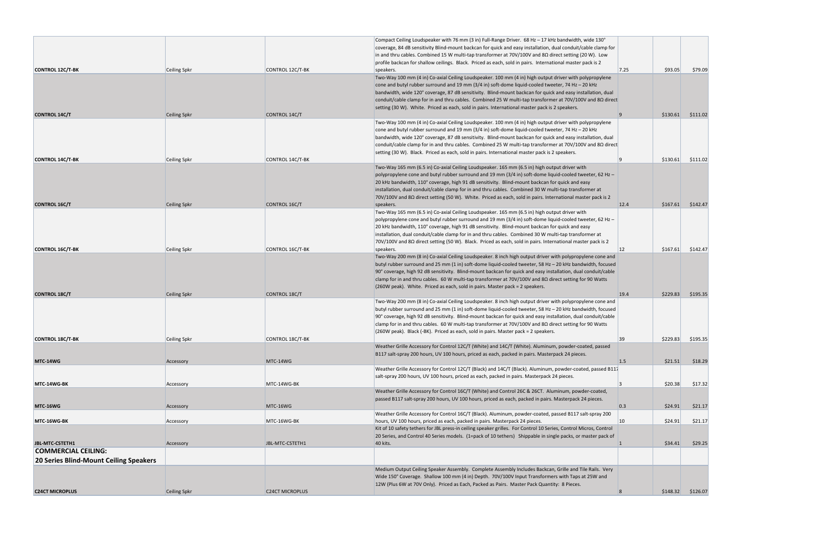|                                               |                     |                        | Compact Ceiling Loudspeaker with 76 mm (3 in) Full-Range Driver. 68 Hz - 17 kHz bandwidth, wide 130°              |              |          |          |
|-----------------------------------------------|---------------------|------------------------|-------------------------------------------------------------------------------------------------------------------|--------------|----------|----------|
|                                               |                     |                        | coverage, 84 dB sensitivity Blind-mount backcan for quick and easy installation, dual conduit/cable clamp for     |              |          |          |
|                                               |                     |                        | in and thru cables. Combined 15 W multi-tap transformer at 70V/100V and 8 $\Omega$ direct setting (20 W). Low     |              |          |          |
|                                               |                     |                        | profile backcan for shallow ceilings. Black. Priced as each, sold in pairs. International master pack is 2        |              |          |          |
| <b>CONTROL 12C/T-BK</b>                       | Ceiling Spkr        | CONTROL 12C/T-BK       | speakers.                                                                                                         | 7.25         | \$93.05  | \$79.09  |
|                                               |                     |                        | Two-Way 100 mm (4 in) Co-axial Ceiling Loudspeaker. 100 mm (4 in) high output driver with polypropylene           |              |          |          |
|                                               |                     |                        | cone and butyl rubber surround and 19 mm $(3/4 \text{ in})$ soft-dome liquid-cooled tweeter, 74 Hz - 20 kHz       |              |          |          |
|                                               |                     |                        | bandwidth, wide 120° coverage, 87 dB sensitivity. Blind-mount backcan for quick and easy installation, dual       |              |          |          |
|                                               |                     |                        | conduit/cable clamp for in and thru cables. Combined 25 W multi-tap transformer at 70V/100V and 8Ω direct         |              |          |          |
|                                               |                     |                        | setting (30 W). White. Priced as each, sold in pairs. International master pack is 2 speakers.                    |              |          |          |
| <b>CONTROL 14C/T</b>                          | Ceiling Spkr        | CONTROL 14C/T          |                                                                                                                   | <u>9</u>     | \$130.61 | \$111.02 |
|                                               |                     |                        | Two-Way 100 mm (4 in) Co-axial Ceiling Loudspeaker. 100 mm (4 in) high output driver with polypropylene           |              |          |          |
|                                               |                     |                        | cone and butyl rubber surround and 19 mm (3/4 in) soft-dome liquid-cooled tweeter, 74 Hz - 20 kHz                 |              |          |          |
|                                               |                     |                        | bandwidth, wide 120° coverage, 87 dB sensitivity. Blind-mount backcan for quick and easy installation, dual       |              |          |          |
|                                               |                     |                        | conduit/cable clamp for in and thru cables. Combined 25 W multi-tap transformer at 70V/100V and 8Ω direct         |              |          |          |
|                                               |                     |                        | setting (30 W). Black. Priced as each, sold in pairs. International master pack is 2 speakers.                    |              |          |          |
|                                               |                     |                        |                                                                                                                   |              |          |          |
| <b>CONTROL 14C/T-BK</b>                       | <b>Ceiling Spkr</b> | CONTROL 14C/T-BK       |                                                                                                                   |              | \$130.61 | \$111.02 |
|                                               |                     |                        | Two-Way 165 mm (6.5 in) Co-axial Ceiling Loudspeaker. 165 mm (6.5 in) high output driver with                     |              |          |          |
|                                               |                     |                        | polypropylene cone and butyl rubber surround and 19 mm (3/4 in) soft-dome liquid-cooled tweeter, 62 Hz –          |              |          |          |
|                                               |                     |                        | 20 kHz bandwidth, 110° coverage, high 91 dB sensitivity. Blind-mount backcan for quick and easy                   |              |          |          |
|                                               |                     |                        | installation, dual conduit/cable clamp for in and thru cables. Combined 30 W multi-tap transformer at             |              |          |          |
|                                               |                     |                        | 70V/100V and 8Ω direct setting (50 W). White. Priced as each, sold in pairs. International master pack is 2       |              |          |          |
| <b>CONTROL 16C/T</b>                          | Ceiling Spkr        | CONTROL 16C/T          | speakers.                                                                                                         | 12.4         | \$167.61 | \$142.47 |
|                                               |                     |                        | Two-Way 165 mm (6.5 in) Co-axial Ceiling Loudspeaker. 165 mm (6.5 in) high output driver with                     |              |          |          |
|                                               |                     |                        | polypropylene cone and butyl rubber surround and 19 mm (3/4 in) soft-dome liquid-cooled tweeter, 62 Hz -          |              |          |          |
|                                               |                     |                        | 20 kHz bandwidth, 110° coverage, high 91 dB sensitivity. Blind-mount backcan for quick and easy                   |              |          |          |
|                                               |                     |                        | installation, dual conduit/cable clamp for in and thru cables. Combined 30 W multi-tap transformer at             |              |          |          |
|                                               |                     |                        | 70V/100V and 8Ω direct setting (50 W). Black. Priced as each, sold in pairs. International master pack is 2       |              |          |          |
| <b>CONTROL 16C/T-BK</b>                       | <b>Ceiling Spkr</b> | CONTROL 16C/T-BK       | speakers.                                                                                                         | $ 12\rangle$ | \$167.61 | \$142.47 |
|                                               |                     |                        | Two-Way 200 mm (8 in) Co-axial Ceiling Loudspeaker. 8 inch high output driver with polypropylene cone and         |              |          |          |
|                                               |                     |                        |                                                                                                                   |              |          |          |
|                                               |                     |                        | butyl rubber surround and 25 mm (1 in) soft-dome liquid-cooled tweeter, 58 Hz $-$ 20 kHz bandwidth, focused       |              |          |          |
|                                               |                     |                        | 90° coverage, high 92 dB sensitivity. Blind-mount backcan for quick and easy installation, dual conduit/cable     |              |          |          |
|                                               |                     |                        | clamp for in and thru cables. 60 W multi-tap transformer at 70V/100V and 8 $\Omega$ direct setting for 90 Watts   |              |          |          |
|                                               |                     |                        | (260W peak). White. Priced as each, sold in pairs. Master pack = 2 speakers.                                      |              |          |          |
| <b>CONTROL 18C/T</b>                          | Ceiling Spkr        | CONTROL 18C/T          |                                                                                                                   | 19.4         | \$229.83 | \$195.35 |
|                                               |                     |                        | Two-Way 200 mm (8 in) Co-axial Ceiling Loudspeaker. 8 inch high output driver with polypropylene cone and         |              |          |          |
|                                               |                     |                        | butyl rubber surround and 25 mm (1 in) soft-dome liquid-cooled tweeter, 58 Hz - 20 kHz bandwidth, focused         |              |          |          |
|                                               |                     |                        | 90° coverage, high 92 dB sensitivity. Blind-mount backcan for quick and easy installation, dual conduit/cable     |              |          |          |
|                                               |                     |                        | clamp for in and thru cables. 60 W multi-tap transformer at 70V/100V and 8Ω direct setting for 90 Watts           |              |          |          |
|                                               |                     |                        | (260W peak). Black (-BK). Priced as each, sold in pairs. Master pack = 2 speakers.                                |              |          |          |
| <b>CONTROL 18C/T-BK</b>                       | Ceiling Spkr        | CONTROL 18C/T-BK       |                                                                                                                   | 39           | \$229.83 | \$195.35 |
|                                               |                     |                        | Weather Grille Accessory for Control 12C/T (White) and 14C/T (White). Aluminum, powder-coated, passed             |              |          |          |
|                                               |                     |                        | B117 salt-spray 200 hours, UV 100 hours, priced as each, packed in pairs. Masterpack 24 pieces.                   |              |          |          |
| <b>MTC-14WG</b>                               | Accessory           | MTC-14WG               |                                                                                                                   | 1.5          | \$21.51  | \$18.29  |
|                                               |                     |                        | Weather Grille Accessory for Control 12C/T (Black) and 14C/T (Black). Aluminum, powder-coated, passed B117        |              |          |          |
|                                               |                     |                        | salt-spray 200 hours, UV 100 hours, priced as each, packed in pairs. Masterpack 24 pieces.                        |              |          |          |
| MTC-14WG-BK                                   | Accessory           | MTC-14WG-BK            |                                                                                                                   |              | \$20.38  | \$17.32  |
|                                               |                     |                        | Weather Grille Accessory for Control 16C/T (White) and Control 26C & 26CT. Aluminum, powder-coated,               |              |          |          |
|                                               |                     |                        | passed B117 salt-spray 200 hours, UV 100 hours, priced as each, packed in pairs. Masterpack 24 pieces.            |              |          |          |
| MTC-16WG                                      | Accessory           | MTC-16WG               |                                                                                                                   | 0.3          | \$24.91  | \$21.17  |
|                                               |                     |                        | Weather Grille Accessory for Control 16C/T (Black). Aluminum, powder-coated, passed B117 salt-spray 200           |              |          |          |
|                                               |                     |                        | hours, UV 100 hours, priced as each, packed in pairs. Masterpack 24 pieces.                                       |              |          |          |
| MTC 16WG BK                                   | Accessory           | MTC-16WG-BK            |                                                                                                                   | 10           | \$24.91  | \$21.17  |
|                                               |                     |                        | Kit of 10 safety tethers for JBL press-in ceiling speaker grilles. For Control 10 Series, Control Micros, Control |              |          |          |
|                                               |                     |                        | 20 Series, and Control 40 Series models. (1=pack of 10 tethers) Shippable in single packs, or master pack of      |              |          |          |
| <b>JBL-MTC-CSTETH1</b>                        | Accessory           | JBL-MTC-CSTETH1        | 40 kits.                                                                                                          |              | \$34.41  | \$29.25  |
| <b>COMMERCIAL CEILING:</b>                    |                     |                        |                                                                                                                   |              |          |          |
| <b>20 Series Blind-Mount Ceiling Speakers</b> |                     |                        |                                                                                                                   |              |          |          |
|                                               |                     |                        | Medium Output Ceiling Speaker Assembly. Complete Assembly Includes Backcan, Grille and Tile Rails. Very           |              |          |          |
|                                               |                     |                        | Wide 150° Coverage. Shallow 100 mm (4 in) Depth. 70V/100V Input Transformers with Taps at 25W and                 |              |          |          |
|                                               |                     |                        | 12W (Plus 6W at 70V Only). Priced as Each, Packed as Pairs. Master Pack Quantity: 8 Pieces.                       |              |          |          |
|                                               |                     |                        |                                                                                                                   |              |          |          |
| <b>C24CT MICROPLUS</b>                        | Ceiling Spkr        | <b>C24CT MICROPLUS</b> |                                                                                                                   |              | \$148.32 | \$126.07 |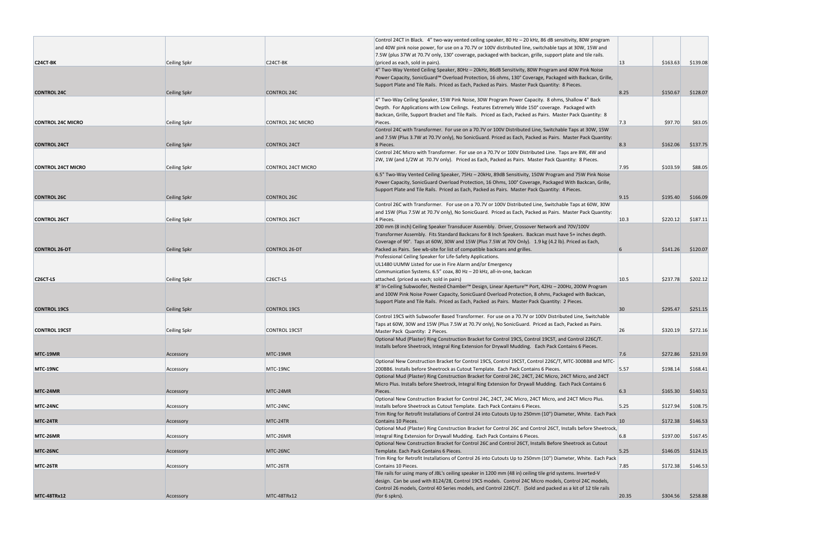|                           |                     |                           | Control 24CT in Black. 4" two-way vented ceiling speaker, 80 Hz - 20 kHz, 86 dB sensitivity, 80W program                                                                                                            |                 |          |                     |
|---------------------------|---------------------|---------------------------|---------------------------------------------------------------------------------------------------------------------------------------------------------------------------------------------------------------------|-----------------|----------|---------------------|
|                           |                     |                           | and 40W pink noise power, for use on a 70.7V or 100V distributed line, switchable taps at 30W, 15W and                                                                                                              |                 |          |                     |
| <b>C24CT-BK</b>           | <b>Ceiling Spkr</b> | C <sub>24</sub> CT-BK     | 7.5W (plus 37W at 70.7V only, 130° coverage, packaged with backcan, grille, support plate and tile rails.                                                                                                           | 13              | \$163.63 | \$139.08            |
|                           |                     |                           | (priced as each, sold in pairs).<br>4" Two-Way Vented Ceiling Speaker, 80Hz - 20kHz, 86dB Sensitivity, 80W Program and 40W Pink Noise                                                                               |                 |          |                     |
|                           |                     |                           | Power Capacity, SonicGuard™ Overload Protection, 16 ohms, 130° Coverage, Packaged with Backcan, Grille,                                                                                                             |                 |          |                     |
|                           |                     |                           | Support Plate and Tile Rails. Priced as Each, Packed as Pairs. Master Pack Quantity: 8 Pieces.                                                                                                                      |                 |          |                     |
| <b>CONTROL 24C</b>        | <b>Ceiling Spkr</b> | <b>CONTROL 24C</b>        |                                                                                                                                                                                                                     | 8.25            | \$150.67 | \$128.07            |
|                           |                     |                           | 4" Two-Way Ceiling Speaker, 15W Pink Noise, 30W Program Power Capacity. 8 ohms, Shallow 4" Back                                                                                                                     |                 |          |                     |
|                           |                     |                           | Depth. For Applications with Low Ceilings. Features Extremely Wide 150° coverage. Packaged with                                                                                                                     |                 |          |                     |
|                           |                     |                           | Backcan, Grille, Support Bracket and Tile Rails. Priced as Each, Packed as Pairs. Master Pack Quantity: 8                                                                                                           |                 |          |                     |
| <b>CONTROL 24C MICRO</b>  | Ceiling Spkr        | <b>CONTROL 24C MICRO</b>  | Pieces.                                                                                                                                                                                                             | 7.3             | \$97.70  | \$83.05             |
|                           |                     |                           | Control 24C with Transformer. For use on a 70.7V or 100V Distributed Line, Switchable Taps at 30W, 15W<br>and 7.5W (Plus 3.7W at 70.7V only), No SonicGuard. Priced as Each, Packed as Pairs. Master Pack Quantity: |                 |          |                     |
| <b>CONTROL 24CT</b>       | <b>Ceiling Spkr</b> | <b>CONTROL 24CT</b>       | 8 Pieces.                                                                                                                                                                                                           | 8.3             | \$162.06 | \$137.75            |
|                           |                     |                           | Control 24C Micro with Transformer. For use on a 70.7V or 100V Distributed Line. Taps are 8W, 4W and                                                                                                                |                 |          |                     |
|                           |                     |                           | 2W, 1W (and 1/2W at 70.7V only). Priced as Each, Packed as Pairs. Master Pack Quantity: 8 Pieces.                                                                                                                   |                 |          |                     |
| <b>CONTROL 24CT MICRO</b> | Ceiling Spkr        | <b>CONTROL 24CT MICRO</b> |                                                                                                                                                                                                                     | 7.95            | \$103.59 | \$88.05             |
|                           |                     |                           | 6.5" Two-Way Vented Ceiling Speaker, 75Hz - 20kHz, 89dB Sensitivity, 150W Program and 75W Pink Noise                                                                                                                |                 |          |                     |
|                           |                     |                           | Power Capacity, SonicGuard Overload Protection, 16 Ohms, 100° Coverage, Packaged With Backcan, Grille,                                                                                                              |                 |          |                     |
|                           |                     |                           | Support Plate and Tile Rails. Priced as Each, Packed as Pairs. Master Pack Quantity: 4 Pieces.                                                                                                                      |                 |          |                     |
| <b>CONTROL 26C</b>        | Ceiling Spkr        | <b>CONTROL 26C</b>        |                                                                                                                                                                                                                     | 9.15            | \$195.40 | \$166.09            |
|                           |                     |                           | Control 26C with Transformer. For use on a 70.7V or 100V Distributed Line, Switchable Taps at 60W, 30W<br>and 15W (Plus 7.5W at 70.7V only), No SonicGuard. Priced as Each, Packed as Pairs. Master Pack Quantity:  |                 |          |                     |
| <b>CONTROL 26CT</b>       | Ceiling Spkr        | <b>CONTROL 26CT</b>       | 4 Pieces.                                                                                                                                                                                                           | 10.3            | \$220.12 | \$187.11            |
|                           |                     |                           | 200 mm (8 inch) Ceiling Speaker Transducer Assembly. Driver, Crossover Network and 70V/100V                                                                                                                         |                 |          |                     |
|                           |                     |                           | Transformer Assembly. Fits Standard Backcans for 8 Inch Speakers. Backcan must have 5+ inches depth.                                                                                                                |                 |          |                     |
|                           |                     |                           | Coverage of 90°. Taps at 60W, 30W and 15W (Plus 7.5W at 70V Only). 1.9 kg (4.2 lb). Priced as Each,                                                                                                                 |                 |          |                     |
| <b>CONTROL 26-DT</b>      | <b>Ceiling Spkr</b> | <b>CONTROL 26-DT</b>      | Packed as Pairs. See wb-site for list of compatible backcans and grilles.                                                                                                                                           | 6               | \$141.26 | \$120.07            |
|                           |                     |                           | Professional Ceiling Speaker for Life-Safety Applications.                                                                                                                                                          |                 |          |                     |
|                           |                     |                           | UL1480 UUMW Listed for use in Fire Alarm and/or Emergency                                                                                                                                                           |                 |          |                     |
|                           |                     |                           | Communication Systems. 6.5" coax, 80 Hz - 20 kHz, all-in-one, backcan                                                                                                                                               |                 |          |                     |
| C <sub>26</sub> CT-LS     | <b>Ceiling Spkr</b> | C <sub>26</sub> CT-LS     | attached. (priced as each; sold in pairs)                                                                                                                                                                           | 10.5            | \$237.78 | \$202.12            |
|                           |                     |                           | 8" In-Ceiling Subwoofer, Nested Chamber™ Design, Linear Aperture™ Port, 42Hz - 200Hz, 200W Program<br>and 100W Pink Noise Power Capacity, SonicGuard Overload Protection, 8 ohms, Packaged with Backcan,            |                 |          |                     |
|                           |                     |                           | Support Plate and Tile Rails. Priced as Each, Packed as Pairs. Master Pack Quantity: 2 Pieces.                                                                                                                      |                 |          |                     |
| <b>CONTROL 19CS</b>       | <b>Ceiling Spkr</b> | <b>CONTROL 19CS</b>       |                                                                                                                                                                                                                     | 30 <sup>°</sup> | \$295.47 | \$251.15            |
|                           |                     |                           | Control 19CS with Subwoofer Based Transformer. For use on a 70.7V or 100V Distributed Line, Switchable                                                                                                              |                 |          |                     |
|                           |                     |                           | Taps at 60W, 30W and 15W (Plus 7.5W at 70.7V only), No SonicGuard. Priced as Each, Packed as Pairs.                                                                                                                 |                 |          |                     |
| <b>CONTROL 19CST</b>      | Ceiling Spkr        | <b>CONTROL 19CST</b>      | Master Pack Quantity: 2 Pieces.                                                                                                                                                                                     | 26              | \$320.19 | \$272.16            |
|                           |                     |                           | Optional Mud (Plaster) Ring Construction Bracket for Control 19CS, Control 19CST, and Control 226C/T.                                                                                                               |                 |          |                     |
|                           |                     |                           | Installs before Sheetrock, Integral Ring Extension for Drywall Mudding. Each Pack Contains 6 Pieces.                                                                                                                |                 |          |                     |
| MTC-19MR                  | Accessory           | MTC-19MR                  |                                                                                                                                                                                                                     | 7.6             | \$272.86 | \$231.93            |
| MTC-19NC                  | Accessory           | MTC-19NC                  | Optional New Construction Bracket for Control 19CS, Control 19CST, Control 226C/T, MTC-300BB8 and MTC-<br>200BB6. Installs before Sheetrock as Cutout Template. Each Pack Contains 6 Pieces.                        | 5.57            | \$198.14 | \$168.41            |
|                           |                     |                           | Optional Mud (Plaster) Ring Construction Bracket for Control 24C, 24CT, 24C Micro, 24CT Micro, and 24CT                                                                                                             |                 |          |                     |
|                           |                     |                           | Micro Plus. Installs before Sheetrock, Integral Ring Extension for Drywall Mudding. Each Pack Contains 6                                                                                                            |                 |          |                     |
| MTC-24MR                  | Accessory           | MTC-24MR                  | Pieces.                                                                                                                                                                                                             | 6.3             | \$165.30 | \$140.51            |
|                           |                     |                           | Optional New Construction Bracket for Control 24C, 24CT, 24C Micro, 24CT Micro, and 24CT Micro Plus.                                                                                                                |                 |          |                     |
| MTC-24NC                  | Accessory           | MTC-24NC                  | Installs before Sheetrock as Cutout Template. Each Pack Contains 6 Pieces.                                                                                                                                          | 5.25            | \$127.94 | \$108.75            |
|                           |                     |                           | Trim Ring for Retrofit Installations of Control 24 into Cutouts Up to 250mm (10") Diameter, White. Each Pack                                                                                                        |                 |          |                     |
| MTC-24TR                  | Accessory           | MTC-24TR                  | Contains 10 Pieces.                                                                                                                                                                                                 | <b>10</b>       | \$172.38 | \$146.53            |
| MTC-26MR                  |                     | MTC-26MR                  | Optional Mud (Plaster) Ring Construction Bracket for Control 26C and Control 26CT, Installs before Sheetrock,<br>Integral Ring Extension for Drywall Mudding. Each Pack Contains 6 Pieces.                          | 6.8             | \$197.00 | \$167.45            |
|                           | Accessory           |                           | Optional New Construction Bracket for Control 26C and Control 26CT, Installs Before Sheetrock as Cutout                                                                                                             |                 |          |                     |
| MTC-26NC                  | Accessory           | MTC-26NC                  | Template. Each Pack Contains 6 Pieces.                                                                                                                                                                              | 5.25            | \$146.05 | \$124.15            |
|                           |                     |                           | Trim Ring for Retrofit Installations of Control 26 into Cutouts Up to 250mm (10") Diameter, White. Each Pack                                                                                                        |                 |          |                     |
| MTC-26TR                  | Accessory           | MTC-26TR                  | Contains 10 Pieces.                                                                                                                                                                                                 | 7.85            | \$172.38 | \$146.53            |
|                           |                     |                           | Tile rails for using many of JBL's ceiling speaker in 1200 mm (48 in) ceiling tile grid systems. Inverted-V                                                                                                         |                 |          |                     |
|                           |                     |                           | design. Can be used with 8124/28, Control 19CS models. Control 24C Micro models, Control 24C models,                                                                                                                |                 |          |                     |
|                           |                     |                           | Control 26 models, Control 40 Series models, and Control 226C/T. (Sold and packed as a kit of 12 tile rails                                                                                                         |                 |          |                     |
| <b>MTC-48TRx12</b>        | Accessory           | MTC-48TRx12               | (for $6$ spkrs).                                                                                                                                                                                                    | 20.35           |          | $$304.56$ $$258.88$ |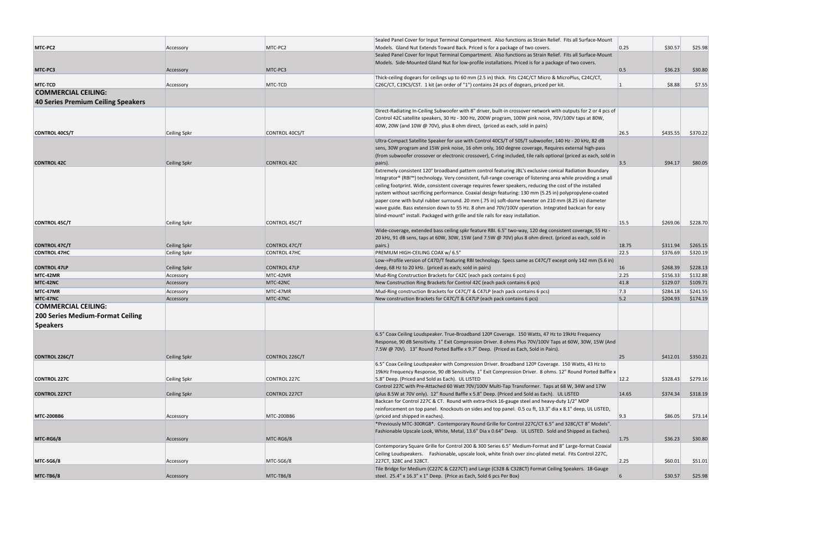|                                         |                     |                      | Sealed Panel Cover for Input Terminal Compartment. Also functions as Strain Relief. Fits all Surface-Mount                                                                                         |           |          |          |
|-----------------------------------------|---------------------|----------------------|----------------------------------------------------------------------------------------------------------------------------------------------------------------------------------------------------|-----------|----------|----------|
| MTC-PC2                                 | Accessory           | MTC-PC2              | Models. Gland Nut Extends Toward Back. Priced is for a package of two covers.                                                                                                                      | 0.25      | \$30.57  | \$25.98  |
|                                         |                     |                      | Sealed Panel Cover for Input Terminal Compartment. Also functions as Strain Relief. Fits all Surface-Mount                                                                                         |           |          |          |
|                                         |                     |                      | Models. Side-Mounted Gland Nut for low-profile installations. Priced is for a package of two covers.                                                                                               |           |          |          |
| MTC-PC3                                 | Accessory           | MTC-PC3              |                                                                                                                                                                                                    | 0.5       | \$36.23  | \$30.80  |
| <b>MTC TCD</b>                          |                     | MTC-TCD              | Thick-ceiling dogears for ceilings up to 60 mm (2.5 in) thick. Fits C24C/CT Micro & MicroPlus, C24C/CT,<br>C26C/CT, C19CS/CST. 1 kit (an order of "1") contains 24 pcs of dogears, priced per kit. |           | \$8.88   | \$7.55   |
| <b>COMMERCIAL CEILING:</b>              | Accessory           |                      |                                                                                                                                                                                                    |           |          |          |
|                                         |                     |                      |                                                                                                                                                                                                    |           |          |          |
| 40 Series Premium Ceiling Speakers      |                     |                      |                                                                                                                                                                                                    |           |          |          |
|                                         |                     |                      | Direct-Radiating In-Ceiling Subwoofer with 8" driver, built-in crossover network with outputs for 2 or 4 pcs of                                                                                    |           |          |          |
|                                         |                     |                      | Control 42C satellite speakers, 30 Hz - 300 Hz, 200W program, 100W pink noise, 70V/100V taps at 80W,                                                                                               |           |          |          |
|                                         |                     |                      | 40W, 20W (and 10W @ 70V), plus 8 ohm direct, (priced as each, sold in pairs)                                                                                                                       |           |          |          |
| <b>CONTROL 40CS/T</b>                   | <b>Ceiling Spkr</b> | CONTROL 40CS/T       | Ultra-Compact Satellite Speaker for use with Control 40CS/T of 50S/T subwoofer, 140 Hz - 20 kHz, 82 dB                                                                                             | 26.5      | \$435.55 | \$370.22 |
|                                         |                     |                      | sens, 30W program and 15W pink noise, 16 ohm only, 160 degree coverage, Requires external high-pass                                                                                                |           |          |          |
|                                         |                     |                      | (from subwoofer crossover or electronic crossover), C-ring included, tile rails optional (priced as each, sold in                                                                                  |           |          |          |
| <b>CONTROL 42C</b>                      | <b>Ceiling Spkr</b> | <b>CONTROL 42C</b>   | pairs).                                                                                                                                                                                            | 3.5       | \$94.17  | \$80.05  |
|                                         |                     |                      | Extremely consistent 120° broadband pattern control featuring JBL's exclusive conical Radiation Boundary                                                                                           |           |          |          |
|                                         |                     |                      | Integrator® (RBI™) technology. Very consistent, full-range coverage of listening area while providing a small                                                                                      |           |          |          |
|                                         |                     |                      | ceiling footprint. Wide, consistent coverage requires fewer speakers, reducing the cost of the installed                                                                                           |           |          |          |
|                                         |                     |                      | system without sacrificing performance. Coaxial design featuring: 130 mm (5.25 in) polypropylene-coated                                                                                            |           |          |          |
|                                         |                     |                      | paper cone with butyl rubber surround. 20 mm (.75 in) soft-dome tweeter on 210 mm (8.25 in) diameter                                                                                               |           |          |          |
|                                         |                     |                      | wave guide. Bass extension down to 55 Hz. 8 ohm and 70V/100V operation. Integrated backcan for easy                                                                                                |           |          |          |
|                                         |                     |                      | blind-mount" install. Packaged with grille and tile rails for easy installation.                                                                                                                   |           |          |          |
| <b>CONTROL 45C/T</b>                    | <b>Ceiling Spkr</b> | CONTROL 45C/T        |                                                                                                                                                                                                    | 15.5      | \$269.06 | \$228.70 |
|                                         |                     |                      | Wide-coverage, extended bass ceiling spkr feature RBI. 6.5" two-way, 120 deg consistent coverage, 55 Hz -                                                                                          |           |          |          |
|                                         |                     |                      | 20 kHz, 91 dB sens, taps at 60W, 30W, 15W (and 7.5W @ 70V) plus 8 ohm direct. (priced as each, sold in                                                                                             |           |          |          |
| <b>CONTROL 47C/T</b>                    | <b>Ceiling Spkr</b> | CONTROL 47C/T        | pairs.)                                                                                                                                                                                            | 18.75     | \$311.94 | \$265.15 |
| <b>CONTROL 47HC</b>                     | <b>Ceiling Spkr</b> | CONTROL 47HC         | PREMIUM HIGH-CEILING COAX w/ 6.5"                                                                                                                                                                  | 22.5      | \$376.69 | \$320.19 |
|                                         |                     |                      | Low-=Profile version of C47D/T featuring RBI technology. Specs same as C47C/T except only 142 mm (5.6 in)                                                                                          |           |          |          |
| <b>CONTROL 47LP</b>                     | <b>Ceiling Spkr</b> | <b>CONTROL 47LP</b>  | deep, 68 Hz to 20 kHz. (priced as each; sold in pairs)                                                                                                                                             | <b>16</b> | \$268.39 | \$228.13 |
| MTC-42MR                                | Accessory           | MTC-42MR             | Mud-Ring Construction Brackets for C42C (each pack contains 6 pcs)                                                                                                                                 | 2.25      | \$156.33 | \$132.88 |
| MTC 42NC                                | Accessory           | MTC-42NC             | New Construction Ring Brackets for Control 42C (each pack contains 6 pcs)                                                                                                                          | 41.8      | \$129.07 | \$109.71 |
| MTC-47MR                                | Accessory           | MTC-47MR             | Mud-Ring construction Brackets for C47C/T & C47LP (each pack contains 6 pcs)                                                                                                                       | 7.3       | \$284.18 | \$241.55 |
| MTC 47NC                                | Accessory           | MTC-47NC             | New construction Brackets for C47C/T & C47LP (each pack contains 6 pcs)                                                                                                                            | 5.2       | \$204.93 | \$174.19 |
| <b>COMMERCIAL CEILING:</b>              |                     |                      |                                                                                                                                                                                                    |           |          |          |
| <b>200 Series Medium-Format Ceiling</b> |                     |                      |                                                                                                                                                                                                    |           |          |          |
| <b>Speakers</b>                         |                     |                      |                                                                                                                                                                                                    |           |          |          |
|                                         |                     |                      | 6.5" Coax Ceiling Loudspeaker. True-Broadband 120º Coverage. 150 Watts, 47 Hz to 19kHz Frequency                                                                                                   |           |          |          |
|                                         |                     |                      | Response, 90 dB Sensitivity. 1" Exit Compression Driver. 8 ohms Plus 70V/100V Taps at 60W, 30W, 15W (And                                                                                           |           |          |          |
|                                         |                     |                      | 7.5W @ 70V). 13" Round Ported Baffle x 9.7" Deep. (Priced as Each, Sold in Pairs).                                                                                                                 |           |          |          |
| <b>CONTROL 226C/T</b>                   | <b>Ceiling Spkr</b> | CONTROL 226C/T       |                                                                                                                                                                                                    | 25        | \$412.01 | \$350.21 |
|                                         |                     |                      | 6.5" Coax Ceiling Loudspeaker with Compression Driver. Broadband 120º Coverage. 150 Watts, 43 Hz to                                                                                                |           |          |          |
|                                         |                     |                      | 19kHz Frequency Response, 90 dB Sensitivity. 1" Exit Compression Driver. 8 ohms. 12" Round Ported Baffle x                                                                                         |           |          |          |
| <b>CONTROL 227C</b>                     | <b>Ceiling Spkr</b> | CONTROL 227C         | 5.8" Deep. (Priced and Sold as Each). UL LISTED                                                                                                                                                    | 12.2      | \$328.43 | \$279.16 |
|                                         |                     |                      | Control 227C with Pre-Attached 60 Watt 70V/100V Multi-Tap Transformer. Taps at 68 W, 34W and 17W                                                                                                   |           |          |          |
| <b>CONTROL 227CT</b>                    | <b>Ceiling Spkr</b> | <b>CONTROL 227CT</b> | (plus 8.5W at 70V only). 12" Round Baffle x 5.8" Deep. (Priced and Sold as Each). UL LISTED                                                                                                        | 14.65     | \$374.34 | \$318.19 |
|                                         |                     |                      | Backcan for Control 227C & CT. Round with extra-thick 16-gauge steel and heavy-duty 1/2" MDP                                                                                                       |           |          |          |
|                                         |                     |                      | reinforcement on top panel. Knockouts on sides and top panel. 0.5 cu ft, 13.3" dia x 8.1" deep, UL LISTED,                                                                                         |           |          |          |
| <b>MTC-200BB6</b>                       | Accessory           | MTC-200BB6           | (priced and shipped in eaches).                                                                                                                                                                    | 9.3       | \$86.05  | \$73.14  |
|                                         |                     |                      | *Previously MTC-300RG8*. Contemporary Round Grille for Control 227C/CT 6.5" and 328C/CT 8" Models".                                                                                                |           |          |          |
|                                         |                     |                      | Fashionable Upscale Look, White, Metal, 13.6" Dia x 0.64" Deep. UL LISTED. Sold and Shipped as Eaches).                                                                                            |           |          |          |
| MTC-RG6/8                               | Accessory           | MTC-RG6/8            |                                                                                                                                                                                                    | 1.75      | \$36.23  | \$30.80  |
|                                         |                     |                      | Contemporary Square Grille for Control 200 & 300 Series 6.5" Medium-Format and 8" Large-format Coaxial                                                                                             |           |          |          |
|                                         |                     |                      | Ceiling Loudspeakers. Fashionable, upscale look, white finish over zinc-plated metal. Fits Control 227C,                                                                                           |           |          |          |
| MTC-SG6/8                               | Accessory           | MTC-SG6/8            | 227CT, 328C and 328CT.                                                                                                                                                                             | 2.25      | \$60.01  | \$51.01  |
|                                         |                     |                      | Tile Bridge for Medium (C227C & C227CT) and Large (C328 & C328CT) Format Ceiling Speakers. 18-Gauge                                                                                                |           |          |          |
| MTC-TB6/8                               | Accessory           | MTC-TB6/8            | steel. 25.4" x 16.3" x 1" Deep. (Price as Each, Sold 6 pcs Per Box)                                                                                                                                | 6         | \$30.57  | \$25.98  |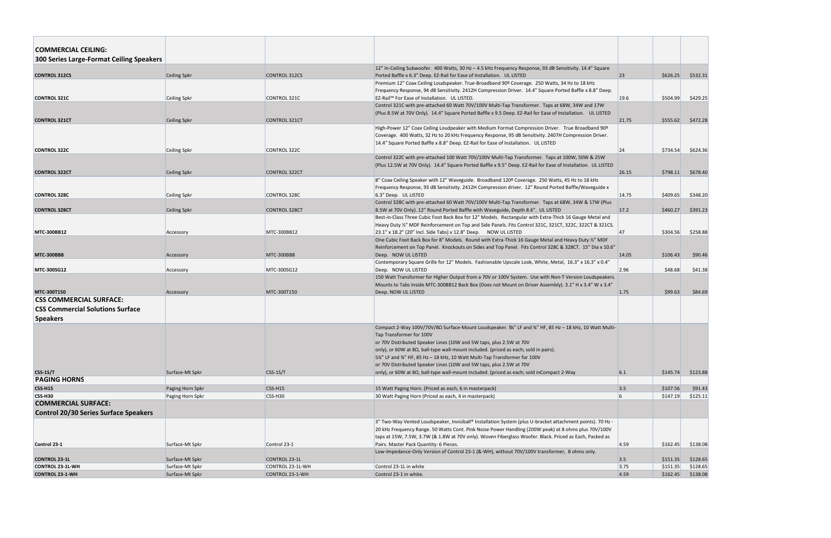| <b>COMMERCIAL CEILING:</b>                   |                     |                        |                                                                                                                                                                          |              |                      |                     |
|----------------------------------------------|---------------------|------------------------|--------------------------------------------------------------------------------------------------------------------------------------------------------------------------|--------------|----------------------|---------------------|
|                                              |                     |                        |                                                                                                                                                                          |              |                      |                     |
| 300 Series Large-Format Ceiling Speakers     |                     |                        |                                                                                                                                                                          |              |                      |                     |
|                                              |                     |                        | 12" In-Ceiling Subwoofer. 400 Watts, 30 Hz - 4.5 kHz Frequency Response, 93 dB Sensitivity. 14.4" Square                                                                 |              |                      |                     |
| <b>CONTROL 312CS</b>                         | <b>Ceiling Spkr</b> | <b>CONTROL 312CS</b>   | Ported Baffle x 6.3" Deep. EZ-Rail for Ease of Installation. UL LISTED<br>Premium 12" Coax Ceiling Loudspeaker. True-Broadband 90º Coverage. 250 Watts, 34 Hz to 18 kHz  | $ 23\rangle$ | \$626.25             | \$532.31            |
|                                              |                     |                        | Frequency Response, 94 dB Sensitivity. 2412H Compression Driver. 14.4" Square Ported Baffle x 8.8" Deep.                                                                 |              |                      |                     |
| <b>CONTROL 321C</b>                          | <b>Ceiling Spkr</b> | CONTROL 321C           | EZ-Rail™ For Ease of Installation. UL LISTED.                                                                                                                            | 19.6         | \$504.99             | \$429.25            |
|                                              |                     |                        | Control 321C with pre-attached 60 Watt 70V/100V Multi-Tap Transformer. Taps at 68W, 34W and 17W                                                                          |              |                      |                     |
|                                              |                     |                        | (Plus 8.5W at 70V Only). 14.4" Square Ported Baffle x 9.5 Deep. EZ-Rail for Ease of Installation. UL LISTED                                                              |              |                      |                     |
| <b>CONTROL 321CT</b>                         | Ceiling Spkr        | <b>CONTROL 321CT</b>   |                                                                                                                                                                          | 21.75        | \$555.62             | \$472.28            |
|                                              |                     |                        | High-Power 12" Coax Ceiling Loudpeaker with Medium Format Compression Driver. True Broadband 90º                                                                         |              |                      |                     |
|                                              |                     |                        | Coverage. 400 Watts, 32 Hz to 20 kHz Frequency Response, 95 dB Sensitivity. 2407H Compression Driver.                                                                    |              |                      |                     |
|                                              |                     |                        | 14.4" Square Ported Baffle x 8.8" Deep. EZ-Rail for Ease of Installation. UL LISTED                                                                                      |              |                      |                     |
| <b>CONTROL 322C</b>                          | <b>Ceiling Spkr</b> | CONTROL 322C           |                                                                                                                                                                          | 24           | \$734.54             | \$624.36            |
|                                              |                     |                        | Control 322C with pre-attached 100 Watt 70V/100V Multi-Tap Transformer. Taps at 100W, 50W & 25W                                                                          |              |                      |                     |
|                                              |                     |                        | (Plus 12.5W at 70V Only). 14.4" Square Ported Baffle x 9.5" Deep. EZ-Rail for Ease of Installation. UL LISTED                                                            |              |                      |                     |
| <b>CONTROL 322CT</b>                         | <b>Ceiling Spkr</b> | <b>CONTROL 322CT</b>   |                                                                                                                                                                          | 26.15        | \$798.11             | \$678.40            |
|                                              |                     |                        | 8" Coax Ceiling Speaker with 12" Waveguide. Broadband 120º Coverage. 250 Watts, 45 Hz to 18 kHz                                                                          |              |                      |                     |
|                                              |                     |                        | Frequency Response, 93 dB Sensitivity. 2412H Compression driver. 12" Round Ported Baffle/Waveguide x                                                                     |              |                      |                     |
| <b>CONTROL 328C</b>                          | <b>Ceiling Spkr</b> | CONTROL 328C           | 6.3" Deep. UL LISTED                                                                                                                                                     | 14.75        | \$409.65             | \$348.20            |
|                                              |                     |                        | Control 328C with pre-attached 60 Watt 70V/100V Multi-Tap Transformer. Taps at 68W, 34W & 17W (Plus                                                                      |              |                      |                     |
| <b>CONTROL 328CT</b>                         | <b>Ceiling Spkr</b> | <b>CONTROL 328CT</b>   | 8.5W at 70V Only). 12" Round Ported Baffle with Waveguide, Depth 8.6". UL LISTED                                                                                         | 17.2         | \$460.27             | \$391.23            |
|                                              |                     |                        | Best-in-Class Three Cubic Foot Back Box for 12" Models. Rectangular with Extra-Thick 16 Gauge Metal and                                                                  |              |                      |                     |
|                                              |                     |                        | Heavy Duty 1/2" MDF Reinforcement on Top and Side Panels. Fits Control 321C, 321CT, 322C, 322CT & 321CS.                                                                 |              |                      |                     |
| <b>MTC 300BB12</b>                           | Accessory           | MTC-300BB12            | $ 23.1"$ x 18.2" (20" Incl. Side Tabs) x 12.8" Deep. NOW UL LISTED                                                                                                       | 47           | \$304.56             | \$258.88            |
|                                              |                     |                        | One Cubic Foot Back Box for 8" Models. Round with Extra-Thick 16 Gauge Metal and Heavy Duty 1/2" MDF                                                                     |              |                      |                     |
|                                              |                     | <b>MTC-300BB8</b>      | Reinforcement on Top Panel. Knockouts on Sides and Top Panel. Fits Control 328C & 328CT. 15" Dia x 10.6"                                                                 | 14.05        | \$106.43             | \$90.46             |
| <b>MTC 300BB8</b>                            | Accessory           |                        | Deep. NOW UL LISTED<br>Contemporary Square Grille for 12" Models. Fashionable Upscale Look, White, Metal, 16.3" x 16.3" x 0.4"                                           |              |                      |                     |
| <b>MTC-300SG12</b>                           | Accessory           | MTC-300SG12            | Deep. NOW UL LISTED                                                                                                                                                      | 2.96         | \$48.68              | \$41.38             |
|                                              |                     |                        | 150 Watt Transformer for Higher Output from a 70V or 100V System. Use with Non-T Version Loudspeakers.                                                                   |              |                      |                     |
|                                              |                     |                        | Mounts to Tabs Inside MTC-300BB12 Back Box (Does not Mount on Driver Assembly). 3.1" H x 3.4" W x 3.4"                                                                   |              |                      |                     |
| <b>MTC-300T150</b>                           | Accessory           | MTC-300T150            | Deep. NOW UL LISTED                                                                                                                                                      | 1.75         | \$99.63              | \$84.69             |
| <b>CSS COMMERCIAL SURFACE:</b>               |                     |                        |                                                                                                                                                                          |              |                      |                     |
| <b>CSS Commercial Solutions Surface</b>      |                     |                        |                                                                                                                                                                          |              |                      |                     |
|                                              |                     |                        |                                                                                                                                                                          |              |                      |                     |
| <b>Speakers</b>                              |                     |                        |                                                                                                                                                                          |              |                      |                     |
|                                              |                     |                        | Compact 2-Way 100V/70V/8Ω Surface-Mount Loudspeaker. 5⁄4" LF and 3⁄4" HF, 85 Hz - 18 kHz, 10 Watt Multi-                                                                 |              |                      |                     |
|                                              |                     |                        | Tap Transformer for 100V                                                                                                                                                 |              |                      |                     |
|                                              |                     |                        | or 70V Distributed Speaker Lines (10W and 5W taps, plus 2.5W at 70V                                                                                                      |              |                      |                     |
|                                              |                     |                        | only), or 60W at 8 $\Omega$ , ball-type wall-mount included. (priced as each; sold in pairs).                                                                            |              |                      |                     |
|                                              |                     |                        | 5¼" LF and 3¼" HF, 85 Hz - 18 kHz, 10 Watt Multi-Tap Transformer for 100V                                                                                                |              |                      |                     |
| $CSS-1S/T$                                   | Surface-Mt Spkr     | $CSS-1S/T$             | or 70V Distributed Speaker Lines (10W and 5W taps, plus 2.5W at 70V<br>only), or 60W at $8\Omega$ , ball-type wall-mount included. (priced as each; sold inCompact 2-Way | 6.1          | \$145.74             | \$123.88            |
| <b>PAGING HORNS</b>                          |                     |                        |                                                                                                                                                                          |              |                      |                     |
|                                              |                     |                        |                                                                                                                                                                          |              |                      |                     |
| <b>CSS-H15</b><br><b>CSS-H30</b>             | Paging Horn Spkr    | $CSS-H15$<br>$CSS-H30$ | 15 Watt Paging Horn. (Priced as each, 6 in masterpack)<br>30 Watt Paging Horn (Priced as each, 4 in masterpack)                                                          | 3.5<br>6     | \$107.56<br>\$147.19 | \$91.43<br>\$125.11 |
| <b>COMMERCIAL SURFACE:</b>                   | Paging Horn Spkr    |                        |                                                                                                                                                                          |              |                      |                     |
|                                              |                     |                        |                                                                                                                                                                          |              |                      |                     |
| <b>Control 20/30 Series Surface Speakers</b> |                     |                        |                                                                                                                                                                          |              |                      |                     |
|                                              |                     |                        | 3" Two-Way Vented Loudspeaker, Invisiball® Installation System (plus U-bracket attachment points). 70 Hz -                                                               |              |                      |                     |
|                                              |                     |                        | 20 kHz Frequency Range. 50 Watts Cont. Pink Noise Power Handling (200W peak) at 8 ohms plus 70V/100V                                                                     |              |                      |                     |
|                                              |                     |                        | taps at 15W, 7.5W, 3.7W (& 1.8W at 70V only). Woven Fiberglass Woofer. Black. Priced as Each, Packed as                                                                  |              |                      |                     |
| Control 23-1                                 | Surface-Mt Spkr     | Control 23-1           | Pairs. Master Pack Quantity: 6 Pieces.                                                                                                                                   | 4.59         | \$162.45             | \$138.08            |
|                                              |                     |                        | Low-Impedance-Only Version of Control 23-1 (&-WH), without 70V/100V transformer, 8 ohms only.                                                                            |              |                      |                     |
| <b>CONTROL 23-1L</b>                         | Surface-Mt Spkr     | CONTROL 23-1L          |                                                                                                                                                                          | 3.5          | \$151.35             | \$128.65            |
| <b>CONTROL 23-1L-WH</b>                      | Surface-Mt Spkr     | CONTROL 23-1L-WH       | Control 23-1L in white                                                                                                                                                   | 3.75<br>4.59 | \$151.35             | \$128.65            |
| <b>CONTROL 23-1-WH</b>                       | Surface-Mt Spkr     | CONTROL 23-1-WH        | Control 23-1 in white.                                                                                                                                                   |              | \$162.45             | \$138.08            |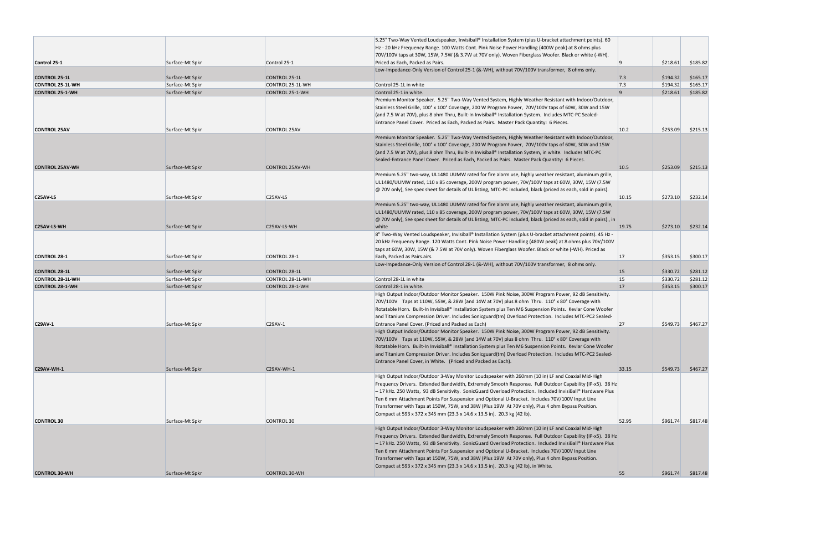|                                   |                 |                        | 5.25" Two-Way Vented Loudspeaker, Invisiball® Installation System (plus U-bracket attachment points). 60<br>Hz - 20 kHz Frequency Range. 100 Watts Cont. Pink Noise Power Handling (400W peak) at 8 ohms plus<br>70V/100V taps at 30W, 15W, 7.5W (& 3.7W at 70V only). Woven Fiberglass Woofer. Black or white (-WH). |                |          |          |
|-----------------------------------|-----------------|------------------------|-----------------------------------------------------------------------------------------------------------------------------------------------------------------------------------------------------------------------------------------------------------------------------------------------------------------------|----------------|----------|----------|
| Control 25-1                      | Surface-Mt Spkr | Control 25-1           | Priced as Each, Packed as Pairs.                                                                                                                                                                                                                                                                                      |                | \$218.61 | \$185.82 |
|                                   |                 |                        | Low-Impedance-Only Version of Control 25-1 (&-WH), without 70V/100V transformer, 8 ohms only.                                                                                                                                                                                                                         |                |          |          |
| <b>CONTROL 25-1L</b>              | Surface-Mt Spkr | CONTROL 25-1L          |                                                                                                                                                                                                                                                                                                                       | 7.3            | \$194.32 | \$165.17 |
| <b>CONTROL 25-1L-WH</b>           | Surface-Mt Spkr | CONTROL 25-1L-WH       | Control 25-1L in white                                                                                                                                                                                                                                                                                                | 7.3            | \$194.32 | \$165.17 |
| <b>CONTROL 25-1-WH</b>            | Surface-Mt Spkr | CONTROL 25-1-WH        | Control 25-1 in white.                                                                                                                                                                                                                                                                                                | $\overline{9}$ | \$218.61 | \$185.82 |
|                                   |                 |                        | Premium Monitor Speaker. 5.25" Two-Way Vented System, Highly Weather Resistant with Indoor/Outdoor,                                                                                                                                                                                                                   |                |          |          |
|                                   |                 |                        | Stainless Steel Grille, 100° x 100° Coverage, 200 W Program Power, 70V/100V taps of 60W, 30W and 15W<br>(and 7.5 W at 70V), plus 8 ohm Thru, Built-In Invisiball® Installation System. Includes MTC-PC Sealed-                                                                                                        |                |          |          |
|                                   |                 |                        | Entrance Panel Cover. Priced as Each, Packed as Pairs. Master Pack Quantity: 6 Pieces.                                                                                                                                                                                                                                |                |          |          |
| <b>CONTROL 25AV</b>               | Surface-Mt Spkr | <b>CONTROL 25AV</b>    |                                                                                                                                                                                                                                                                                                                       | 10.2           | \$253.09 | \$215.13 |
|                                   |                 |                        | Premium Monitor Speaker. 5.25" Two-Way Vented System, Highly Weather Resistant with Indoor/Outdoor,                                                                                                                                                                                                                   |                |          |          |
|                                   |                 |                        | Stainless Steel Grille, 100° x 100° Coverage, 200 W Program Power, 70V/100V taps of 60W, 30W and 15W                                                                                                                                                                                                                  |                |          |          |
|                                   |                 |                        | (and 7.5 W at 70V), plus 8 ohm Thru, Built-In Invisiball® Installation System, in white. Includes MTC-PC                                                                                                                                                                                                              |                |          |          |
|                                   |                 |                        | Sealed-Entrance Panel Cover. Priced as Each, Packed as Pairs. Master Pack Quantity: 6 Pieces.                                                                                                                                                                                                                         |                |          |          |
| <b>CONTROL 25AV-WH</b>            | Surface-Mt Spkr | <b>CONTROL 25AV-WH</b> |                                                                                                                                                                                                                                                                                                                       | 10.5           | \$253.09 | \$215.13 |
|                                   |                 |                        | Premium 5.25" two-way, UL1480 UUMW rated for fire alarm use, highly weather resistant, aluminum grille,                                                                                                                                                                                                               |                |          |          |
|                                   |                 |                        | UL1480/UUMW rated, 110 x 85 coverage, 200W program power, 70V/100V taps at 60W, 30W, 15W (7.5W                                                                                                                                                                                                                        |                |          |          |
|                                   |                 |                        | $\varphi$ 70V only), See spec sheet for details of UL listing, MTC-PC included, black (priced as each, sold in pairs).                                                                                                                                                                                                |                |          |          |
| C <sub>25</sub> AV-L <sub>S</sub> | Surface-Mt Spkr | C25AV-LS               |                                                                                                                                                                                                                                                                                                                       | 10.15          | \$273.10 | \$232.14 |
|                                   |                 |                        | Premium 5.25" two-way, UL1480 UUMW rated for fire alarm use, highly weather resistant, aluminum grille,                                                                                                                                                                                                               |                |          |          |
|                                   |                 |                        | UL1480/UUMW rated, 110 x 85 coverage, 200W program power, 70V/100V taps at 60W, 30W, 15W (7.5W                                                                                                                                                                                                                        |                |          |          |
|                                   |                 |                        | @ 70V only), See spec sheet for details of UL listing, MTC-PC included, black (priced as each, sold in pairs)., in                                                                                                                                                                                                    |                |          |          |
| <b>C25AV LS WH</b>                | Surface-Mt Spkr | C25AV-LS-WH            | white                                                                                                                                                                                                                                                                                                                 | 19.75          | \$273.10 | \$232.14 |
|                                   |                 |                        | 8" Two-Way Vented Loudspeaker, Invisiball® Installation System (plus U-bracket attachment points). 45 Hz -                                                                                                                                                                                                            |                |          |          |
|                                   |                 |                        | 20 kHz Frequency Range. 120 Watts Cont. Pink Noise Power Handling (480W peak) at 8 ohms plus 70V/100V                                                                                                                                                                                                                 |                |          |          |
|                                   |                 |                        | taps at 60W, 30W, 15W (& 7.5W at 70V only). Woven Fiberglass Woofer. Black or white (-WH). Priced as                                                                                                                                                                                                                  |                |          |          |
| <b>CONTROL 28-1</b>               | Surface-Mt Spkr | CONTROL 28-1           | Each, Packed as Pairs.airs.<br>Low-Impedance-Only Version of Control 28-1 (&-WH), without 70V/100V transformer, 8 ohms only.                                                                                                                                                                                          | 17             | \$353.15 | \$300.17 |
| <b>CONTROL 28-1L</b>              | Surface-Mt Spkr | CONTROL 28-1L          |                                                                                                                                                                                                                                                                                                                       | 15             | \$330.72 | \$281.12 |
| <b>CONTROL 28-1L-WH</b>           | Surface-Mt Spkr | CONTROL 28-1L-WH       | Control 28-1L in white                                                                                                                                                                                                                                                                                                | <b>15</b>      | \$330.72 | \$281.12 |
| <b>CONTROL 28-1-WH</b>            | Surface-Mt Spkr | CONTROL 28-1-WH        | Control 28-1 in white.                                                                                                                                                                                                                                                                                                | <b>17</b>      | \$353.15 | \$300.17 |
|                                   |                 |                        | High Output Indoor/Outdoor Monitor Speaker. 150W Pink Noise, 300W Program Power, 92 dB Sensitivity.                                                                                                                                                                                                                   |                |          |          |
|                                   |                 |                        | 70V/100V Taps at 110W, 55W, & 28W (and 14W at 70V) plus 8 ohm Thru. 110° x 80° Coverage with                                                                                                                                                                                                                          |                |          |          |
|                                   |                 |                        | Rotatable Horn. Built-In Invisiball® Installation System plus Ten M6 Suspension Points. Kevlar Cone Woofer                                                                                                                                                                                                            |                |          |          |
|                                   |                 |                        | and Titanium Compression Driver. Includes Sonicguard(tm) Overload Protection. Includes MTC-PC2 Sealed-                                                                                                                                                                                                                |                |          |          |
| <b>C29AV-1</b>                    | Surface-Mt Spkr | C29AV-1                | Entrance Panel Cover. (Priced and Packed as Each)                                                                                                                                                                                                                                                                     | 27             | \$549.73 | \$467.27 |
|                                   |                 |                        | High Output Indoor/Outdoor Monitor Speaker. 150W Pink Noise, 300W Program Power, 92 dB Sensitivity.                                                                                                                                                                                                                   |                |          |          |
|                                   |                 |                        | 70V/100V Taps at 110W, 55W, & 28W (and 14W at 70V) plus 8 ohm Thru. 110° x 80° Coverage with                                                                                                                                                                                                                          |                |          |          |
|                                   |                 |                        | Rotatable Horn. Built-In Invisiball® Installation System plus Ten M6 Suspension Points. Kevlar Cone Woofer                                                                                                                                                                                                            |                |          |          |
|                                   |                 |                        | and Titanium Compression Driver. Includes Sonicguard(tm) Overload Protection. Includes MTC-PC2 Sealed-                                                                                                                                                                                                                |                |          |          |
|                                   |                 |                        | Entrance Panel Cover, in White. (Priced and Packed as Each).                                                                                                                                                                                                                                                          |                |          |          |
| <b>C29AV-WH-1</b>                 | Surface-Mt Spkr | C29AV-WH-1             |                                                                                                                                                                                                                                                                                                                       | 33.15          | \$549.73 | \$467.27 |
|                                   |                 |                        | High Output Indoor/Outdoor 3-Way Monitor Loudspeaker with 260mm (10 in) LF and Coaxial Mid-High                                                                                                                                                                                                                       |                |          |          |
|                                   |                 |                        | Frequency Drivers. Extended Bandwidth, Extremely Smooth Response. Full Outdoor Capability (IP-x5). 38 Hz                                                                                                                                                                                                              |                |          |          |
|                                   |                 |                        | -17 kHz. 250 Watts, 93 dB Sensitivity. SonicGuard Overload Protection. Included InvisiBall® Hardware Plus                                                                                                                                                                                                             |                |          |          |
|                                   |                 |                        | Ten 6 mm Attachment Points For Suspension and Optional U-Bracket. Includes 70V/100V Input Line                                                                                                                                                                                                                        |                |          |          |
|                                   |                 |                        | Transformer with Taps at 150W, 75W, and 38W (Plus 19W At 70V only), Plus 4 ohm Bypass Position.                                                                                                                                                                                                                       |                |          |          |
| <b>CONTROL 30</b>                 | Surface-Mt Spkr | <b>CONTROL 30</b>      | Compact at 593 x 372 x 345 mm (23.3 x 14.6 x 13.5 in). 20.3 kg (42 lb).                                                                                                                                                                                                                                               | 52.95          | \$961.74 | \$817.48 |
|                                   |                 |                        | High Output Indoor/Outdoor 3-Way Monitor Loudspeaker with 260mm (10 in) LF and Coaxial Mid-High                                                                                                                                                                                                                       |                |          |          |
|                                   |                 |                        | Frequency Drivers. Extended Bandwidth, Extremely Smooth Response. Full Outdoor Capability (IP-x5). 38 Hz                                                                                                                                                                                                              |                |          |          |
|                                   |                 |                        | -17 kHz. 250 Watts, 93 dB Sensitivity. SonicGuard Overload Protection. Included InvisiBall® Hardware Plus                                                                                                                                                                                                             |                |          |          |
|                                   |                 |                        | Ten 6 mm Attachment Points For Suspension and Optional U-Bracket. Includes 70V/100V Input Line                                                                                                                                                                                                                        |                |          |          |
|                                   |                 |                        | Transformer with Taps at 150W, 75W, and 38W (Plus 19W At 70V only), Plus 4 ohm Bypass Position.                                                                                                                                                                                                                       |                |          |          |
|                                   |                 |                        | Compact at 593 x 372 x 345 mm (23.3 x 14.6 x 13.5 in). 20.3 kg (42 lb), in White.                                                                                                                                                                                                                                     |                |          |          |
| <b>CONTROL 30-WH</b>              | Surface-Mt Spkr | <b>CONTROL 30-WH</b>   |                                                                                                                                                                                                                                                                                                                       | 55             | \$961.74 | \$817.48 |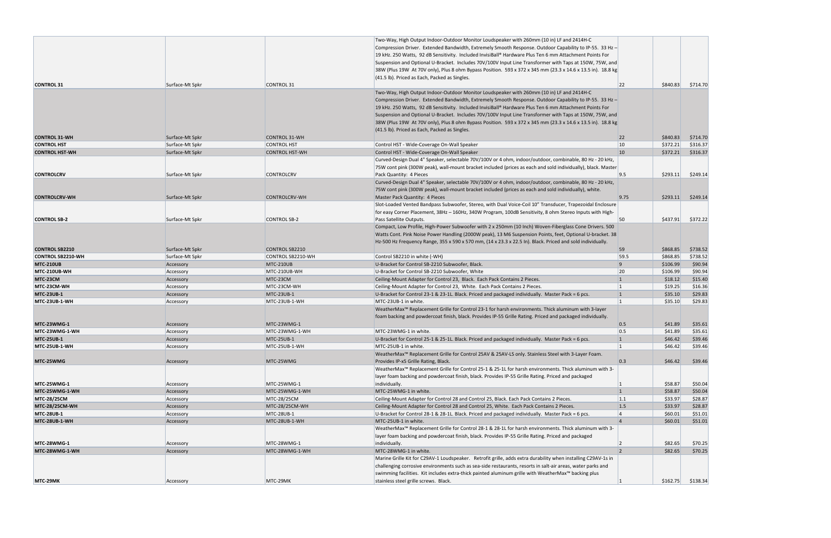|                          |                 |                       | Two-Way, High Output Indoor-Outdoor Monitor Loudspeaker with 260mm (10 in) LF and 2414H-C<br>Compression Driver. Extended Bandwidth, Extremely Smooth Response. Outdoor Capability to IP-55. 33 Hz-<br>19 kHz. 250 Watts, 92 dB Sensitivity. Included InvisiBall® Hardware Plus Ten 6 mm Attachment Points For<br>Suspension and Optional U-Bracket. Includes 70V/100V Input Line Transformer with Taps at 150W, 75W, and<br>[38W (Plus 19W At 70V only), Plus 8 ohm Bypass Position. 593 x 372 x 345 mm (23.3 x 14.6 x 13.5 in). 18.8 kg<br>(41.5 lb). Priced as Each, Packed as Singles. |                 |          |          |
|--------------------------|-----------------|-----------------------|--------------------------------------------------------------------------------------------------------------------------------------------------------------------------------------------------------------------------------------------------------------------------------------------------------------------------------------------------------------------------------------------------------------------------------------------------------------------------------------------------------------------------------------------------------------------------------------------|-----------------|----------|----------|
| <b>CONTROL 31</b>        | Surface-Mt Spkr | <b>CONTROL 31</b>     |                                                                                                                                                                                                                                                                                                                                                                                                                                                                                                                                                                                            | 22              | \$840.83 | \$714.70 |
|                          |                 |                       | Two-Way, High Output Indoor-Outdoor Monitor Loudspeaker with 260mm (10 in) LF and 2414H-C<br>Compression Driver. Extended Bandwidth, Extremely Smooth Response. Outdoor Capability to IP-55. 33 Hz-<br>19 kHz. 250 Watts, 92 dB Sensitivity. Included InvisiBall® Hardware Plus Ten 6 mm Attachment Points For<br>Suspension and Optional U-Bracket. Includes 70V/100V Input Line Transformer with Taps at 150W, 75W, and<br>38W (Plus 19W At 70V only), Plus 8 ohm Bypass Position. 593 x 372 x 345 mm (23.3 x 14.6 x 13.5 in). 18.8 kg<br>(41.5 lb). Priced as Each, Packed as Singles.  |                 |          |          |
| <b>CONTROL 31-WH</b>     | Surface-Mt Spkr | <b>CONTROL 31-WH</b>  |                                                                                                                                                                                                                                                                                                                                                                                                                                                                                                                                                                                            | 22              | \$840.83 | \$714.70 |
| <b>CONTROL HST</b>       | Surface-Mt Spkr | <b>CONTROL HST</b>    | Control HST - Wide-Coverage On-Wall Speaker                                                                                                                                                                                                                                                                                                                                                                                                                                                                                                                                                | 10              | \$372.21 | \$316.37 |
| <b>CONTROL HST-WH</b>    | Surface-Mt Spkr | <b>CONTROL HST-WH</b> | Control HST - Wide-Coverage On-Wall Speaker                                                                                                                                                                                                                                                                                                                                                                                                                                                                                                                                                | 10              | \$372.21 | \$316.37 |
| <b>CONTROLCRV</b>        | Surface-Mt Spkr | <b>CONTROLCRV</b>     | Curved-Design Dual 4" Speaker, selectable 70V/100V or 4 ohm, indoor/outdoor, combinable, 80 Hz - 20 kHz,<br>75W cont pink (300W peak), wall-mount bracket included (prices as each and sold individually), black. Master<br>Pack Quantity: 4 Pieces<br>Curved-Design Dual 4" Speaker, selectable 70V/100V or 4 ohm, indoor/outdoor, combinable, 80 Hz - 20 kHz,                                                                                                                                                                                                                            | 9.5             | \$293.11 | \$249.14 |
|                          |                 |                       | 75W cont pink (300W peak), wall-mount bracket included (prices as each and sold individually), white.                                                                                                                                                                                                                                                                                                                                                                                                                                                                                      |                 |          |          |
| <b>CONTROLCRV-WH</b>     | Surface-Mt Spkr | <b>CONTROLCRV-WH</b>  | Master Pack Quantity: 4 Pieces                                                                                                                                                                                                                                                                                                                                                                                                                                                                                                                                                             | 9.75            | \$293.11 | \$249.14 |
| <b>CONTROL SB-2</b>      | Surface-Mt Spkr | <b>CONTROL SB-2</b>   | Slot-Loaded Vented Bandpass Subwoofer, Stereo, with Dual Voice-Coil 10" Transducer, Trapezoidal Enclosure<br>for easy Corner Placement, 38Hz - 160Hz, 340W Program, 100dB Sensitivity, 8 ohm Stereo Inputs with High-<br>Pass Satellite Outputs.                                                                                                                                                                                                                                                                                                                                           | 50              | \$437.91 | \$372.22 |
|                          |                 |                       | Compact, Low Profile, High-Power Subwoofer with 2 x 250mm (10 Inch) Woven-Fiberglass Cone Drivers. 500<br>Watts Cont. Pink Noise Power Handling (2000W peak), 13 M6 Suspension Points, feet, Optional U-bracket. 38<br>Hz-500 Hz Frequency Range, 355 x 590 x 570 mm, (14 x 23.3 x 22.5 ln). Black. Priced and sold individually.                                                                                                                                                                                                                                                          |                 |          |          |
| <b>CONTROL SB2210</b>    | Surface-Mt Spkr | <b>CONTROL SB2210</b> |                                                                                                                                                                                                                                                                                                                                                                                                                                                                                                                                                                                            | 59              | \$868.85 | \$738.52 |
| <b>CONTROL SB2210-WH</b> | Surface-Mt Spkr | CONTROL SB2210-WH     | Control SB2210 in white (-WH)                                                                                                                                                                                                                                                                                                                                                                                                                                                                                                                                                              | 59.5            | \$868.85 | \$738.52 |
| <b>MTC 210UB</b>         | Accessory       | MTC-210UB             | U-Bracket for Control SB-2210 Subwoofer, Black.                                                                                                                                                                                                                                                                                                                                                                                                                                                                                                                                            | $\overline{9}$  | \$106.99 | \$90.94  |
| MTC-210UB-WH             | Accessory       | MTC-210UB-WH          | U-Bracket for Control SB-2210 Subwoofer, White                                                                                                                                                                                                                                                                                                                                                                                                                                                                                                                                             | 20              | \$106.99 | \$90.94  |
| MTC-23CM                 | Accessory       | MTC-23CM              | Ceiling-Mount Adapter for Control 23, Black. Each Pack Contains 2 Pieces.                                                                                                                                                                                                                                                                                                                                                                                                                                                                                                                  | $\mathbf{1}$    | \$18.12  | \$15.40  |
| MTC-23CM-WH              | Accessory       | MTC-23CM-WH           | Ceiling-Mount Adapter for Control 23, White. Each Pack Contains 2 Pieces.                                                                                                                                                                                                                                                                                                                                                                                                                                                                                                                  |                 | \$19.25  | \$16.36  |
| <b>MTC-23UB-1</b>        | Accessory       | <b>MTC-23UB-1</b>     | U-Bracket for Control 23-1 & 23-1L. Black. Priced and packaged individually. Master Pack = 6 pcs.                                                                                                                                                                                                                                                                                                                                                                                                                                                                                          | $\vert$ 1       | \$35.10  | \$29.83  |
| <b>MTC-23UB-1-WH</b>     | Accessory       | MTC-23UB-1-WH         | MTC-23UB-1 in white.<br>WeatherMax <sup>™</sup> Replacement Grille for Control 23-1 for harsh environments. Thick aluminum with 3-layer<br>foam backing and powdercoat finish, black. Provides IP-55 Grille Rating. Priced and packaged individually.                                                                                                                                                                                                                                                                                                                                      | $\overline{1}$  | \$35.10  | \$29.83  |
| <b>MTC-23WMG-1</b>       | Accessory       | MTC-23WMG-1           |                                                                                                                                                                                                                                                                                                                                                                                                                                                                                                                                                                                            | 0.5             | \$41.89  | \$35.61  |
| MTC-23WMG-1-WH           | Accessory       | MTC-23WMG-1-WH        | MTC-23WMG-1 in white.                                                                                                                                                                                                                                                                                                                                                                                                                                                                                                                                                                      | 0.5             | \$41.89  | \$35.61  |
| <b>MTC-25UB-1</b>        | Accessory       | <b>MTC-25UB-1</b>     | U-Bracket for Control 25-1 & 25-1L. Black. Priced and packaged individually. Master Pack = 6 pcs.                                                                                                                                                                                                                                                                                                                                                                                                                                                                                          | $\mathbf{1}$    | \$46.42  | \$39.46  |
| <b>MTC-25UB-1-WH</b>     | Accessory       | MTC-25UB-1-WH         | MTC-25UB-1 in white.<br>WeatherMax™ Replacement Grille for Control 25AV & 25AV-LS only. Stainless Steel with 3-Layer Foam.                                                                                                                                                                                                                                                                                                                                                                                                                                                                 | $\overline{1}$  | \$46.42  | \$39.46  |
| MTC-25WMG                | Accessory       | MTC-25WMG             | Provides IP-x5 Grille Rating, Black.<br>WeatherMax™ Replacement Grille for Control 25-1 & 25-1L for harsh environments. Thick aluminum with 3-<br>layer foam backing and powdercoat finish, black. Provides IP-55 Grille Rating. Priced and packaged                                                                                                                                                                                                                                                                                                                                       | 0.3             | \$46.42  | \$39.46  |
| <b>MTC-25WMG-1</b>       | Accessory       | MTC-25WMG-1           | individually.                                                                                                                                                                                                                                                                                                                                                                                                                                                                                                                                                                              |                 | \$58.87  | \$50.04  |
| MTC-25WMG-1-WH           | Accessory       | MTC-25WMG-1-WH        | MTC-25WMG-1 in white.                                                                                                                                                                                                                                                                                                                                                                                                                                                                                                                                                                      | $\overline{1}$  | \$58.87  | \$50.04  |
| <b>MTC-28/25CM</b>       | Accessory       | MTC-28/25CM           | Ceiling-Mount Adapter for Control 28 and Control 25, Black. Each Pack Contains 2 Pieces.                                                                                                                                                                                                                                                                                                                                                                                                                                                                                                   | 1.1             | \$33.97  | \$28.87  |
| <b>MTC-28/25CM-WH</b>    | Accessory       | MTC-28/25CM-WH        | Ceiling-Mount Adapter for Control 28 and Control 25, White. Each Pack Contains 2 Pieces.                                                                                                                                                                                                                                                                                                                                                                                                                                                                                                   | 1.5             | \$33.97  | \$28.87  |
| <b>MTC-28UB-1</b>        | Accessory       | <b>MTC-28UB-1</b>     | U-Bracket for Control 28-1 & 28-1L. Black. Priced and packaged individually. Master Pack = 6 pcs.                                                                                                                                                                                                                                                                                                                                                                                                                                                                                          | IΔ              | \$60.01  | \$51.01  |
| <b>MTC-28UB-1-WH</b>     | Accessory       | MTC-28UB-1-WH         | MTC-25UB-1 in white.                                                                                                                                                                                                                                                                                                                                                                                                                                                                                                                                                                       | $\vert 4 \vert$ | \$60.01  | \$51.01  |
|                          |                 |                       | WeatherMax™ Replacement Grille for Control 28-1 & 28-1L for harsh environments. Thick aluminum with 3-<br>layer foam backing and powdercoat finish, black. Provides IP-55 Grille Rating. Priced and packaged                                                                                                                                                                                                                                                                                                                                                                               |                 |          |          |
| <b>MTC-28WMG-1</b>       | Accessory       | MTC-28WMG-1           | individually.                                                                                                                                                                                                                                                                                                                                                                                                                                                                                                                                                                              |                 | \$82.65  | \$70.25  |
| MTC-28WMG-1-WH           | Accessory       | MTC-28WMG-1-WH        | MTC-28WMG-1 in white.<br>Marine Grille Kit for C29AV-1 Loudspeaker. Retrofit grille, adds extra durability when installing C29AV-1s in<br>challenging corrosive environments such as sea-side restaurants, resorts in salt-air areas, water parks and<br>swimming facilities. Kit includes extra-thick painted aluminum grille with WeatherMax <sup>™</sup> backing plus                                                                                                                                                                                                                   | $\overline{2}$  | \$82.65  | \$70.25  |
| MTC-29MK                 | Accessory       | MTC-29MK              | stainless steel grille screws. Black.                                                                                                                                                                                                                                                                                                                                                                                                                                                                                                                                                      |                 | \$162.75 | \$138.34 |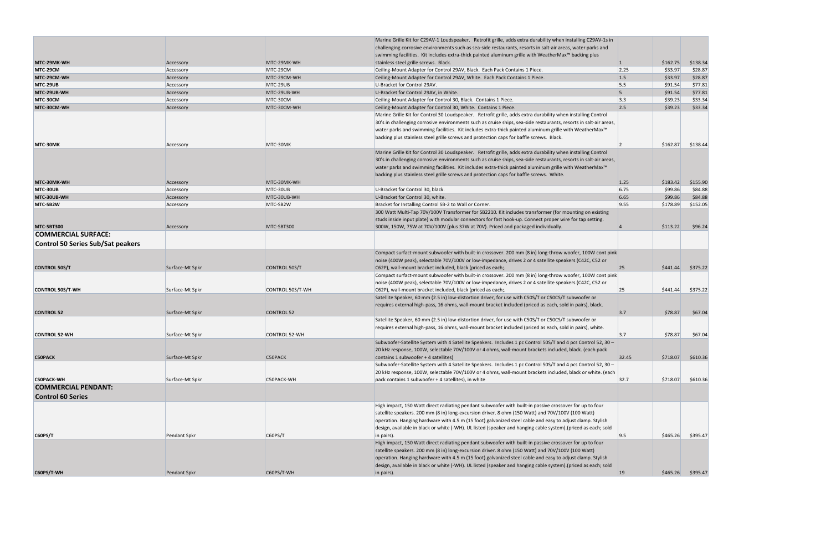|                                          |                 |                      | Marine Grille Kit for C29AV-1 Loudspeaker. Retrofit grille, adds extra durability when installing C29AV-1s in      |                |          |          |
|------------------------------------------|-----------------|----------------------|--------------------------------------------------------------------------------------------------------------------|----------------|----------|----------|
|                                          |                 |                      | challenging corrosive environments such as sea-side restaurants, resorts in salt-air areas, water parks and        |                |          |          |
|                                          |                 |                      | swimming facilities. Kit includes extra-thick painted aluminum grille with WeatherMax <sup>™</sup> backing plus    |                |          |          |
| MTC-29MK-WH                              | Accessory       | MTC-29MK-WH          | stainless steel grille screws. Black.                                                                              | $\mathbf{1}$   | \$162.75 | \$138.34 |
| MTC-29CM                                 | Accessory       | MTC-29CM             | Ceiling-Mount Adapter for Control 29AV, Black. Each Pack Contains 1 Piece.                                         | 2.25           | \$33.97  | \$28.87  |
| MTC-29CM-WH                              | Accessory       | MTC-29CM-WH          | Ceiling-Mount Adapter for Control 29AV, White. Each Pack Contains 1 Piece.                                         | 1.5            | \$33.97  | \$28.87  |
| MTC-29UB                                 | Accessory       | MTC-29UB             | U-Bracket for Control 29AV.                                                                                        | 5.5            | \$91.54  | \$77.81  |
| MTC-29UB-WH                              | Accessory       | MTC-29UB-WH          | U-Bracket for Control 29AV, in White.                                                                              | 5 <sup>5</sup> | \$91.54  | \$77.81  |
| MTC-30CM                                 | Accessory       | MTC-30CM             | Ceiling-Mount Adapter for Control 30, Black. Contains 1 Piece.                                                     | 3.3            | \$39.23  | \$33.34  |
| MTC-30CM-WH                              | Accessory       | MTC-30CM-WH          | Ceiling-Mount Adapter for Control 30, White. Contains 1 Piece.                                                     | 2.5            | \$39.23  | \$33.34  |
|                                          |                 |                      | Marine Grille Kit for Control 30 Loudspeaker. Retrofit grille, adds extra durability when installing Control       |                |          |          |
|                                          |                 |                      | 30's in challenging corrosive environments such as cruise ships, sea-side restaurants, resorts in salt-air areas,  |                |          |          |
|                                          |                 |                      | water parks and swimming facilities. Kit includes extra-thick painted aluminum grille with WeatherMax <sup>™</sup> |                |          |          |
|                                          |                 |                      | backing plus stainless steel grille screws and protection caps for baffle screws. Black.                           |                |          |          |
|                                          |                 | MTC-30MK             |                                                                                                                    |                |          |          |
| MTC 30MK                                 | Accessory       |                      |                                                                                                                    |                | \$162.87 | \$138.44 |
|                                          |                 |                      | Marine Grille Kit for Control 30 Loudspeaker. Retrofit grille, adds extra durability when installing Control       |                |          |          |
|                                          |                 |                      | 30's in challenging corrosive environments such as cruise ships, sea-side restaurants, resorts in salt-air areas,  |                |          |          |
|                                          |                 |                      | water parks and swimming facilities. Kit includes extra-thick painted aluminum grille with WeatherMax <sup>™</sup> |                |          |          |
|                                          |                 |                      | backing plus stainless steel grille screws and protection caps for baffle screws. White.                           |                |          |          |
| MTC-30MK-WH                              | Accessory       | MTC-30MK-WH          |                                                                                                                    | 1.25           | \$183.42 | \$155.90 |
| MTC-30UB                                 | Accessory       | MTC-30UB             | U-Bracket for Control 30, black.                                                                                   | 6.75           | \$99.86  | \$84.88  |
| MTC-30UB-WH                              | Accessory       | MTC-30UB-WH          | U-Bracket for Control 30, white.                                                                                   | 6.65           | \$99.86  | \$84.88  |
| MTC-SB2W                                 | Accessory       | MTC-SB2W             | Bracket for Installing Control SB-2 to Wall or Corner.                                                             | 9.55           | \$178.89 | \$152.05 |
|                                          |                 |                      | 300 Watt Multi-Tap 70V/100V Transformer for SB2210. Kit includes transformer (for mounting on existing             |                |          |          |
|                                          |                 |                      | studs inside input plate) with modular connectors for fast hook-up. Connect proper wire for tap setting.           |                |          |          |
| MTC-SBT300                               | Accessory       | MTC-SBT300           | 300W, 150W, 75W at 70V/100V (plus 37W at 70V). Priced and packaged individually.                                   |                | \$113.22 | \$96.24  |
| <b>COMMERCIAL SURFACE:</b>               |                 |                      |                                                                                                                    |                |          |          |
| <b>Control 50 Series Sub/Sat peakers</b> |                 |                      |                                                                                                                    |                |          |          |
|                                          |                 |                      | Compact surfact-mount subwoofer with built-in crossover. 200 mm (8 in) long-throw woofer, 100W cont pink           |                |          |          |
|                                          |                 |                      |                                                                                                                    |                |          |          |
|                                          |                 |                      | noise (400W peak), selectable 70V/100V or low-impedance, drives 2 or 4 satellite speakers (C42C, C52 or            |                |          |          |
| <b>CONTROL 50S/T</b>                     | Surface-Mt Spkr | <b>CONTROL 50S/T</b> | C62P), wall-mount bracket included, black (priced as each;                                                         | 25             | \$441.44 | \$375.22 |
|                                          |                 |                      | Compact surfact-mount subwoofer with built-in crossover. 200 mm (8 in) long-throw woofer, 100W cont pink           |                |          |          |
|                                          |                 |                      | noise (400W peak), selectable 70V/100V or low-impedance, drives 2 or 4 satellite speakers (C42C, C52 or            |                |          |          |
| <b>CONTROL 50S/T-WH</b>                  | Surface-Mt Spkr | CONTROL 50S/T-WH     | C62P), wall-mount bracket included, black (priced as each;                                                         | 25             | \$441.44 | \$375.22 |
|                                          |                 |                      | Satellite Speaker, 60 mm (2.5 in) low-distortion driver, for use with C50S/T or C50CS/T subwoofer or               |                |          |          |
|                                          |                 |                      | requires external high-pass, 16 ohms, wall-mount bracket included (priced as each, sold in pairs), black.          |                |          |          |
| <b>CONTROL 52</b>                        | Surface-Mt Spkr | <b>CONTROL 52</b>    |                                                                                                                    | 3.7            | \$78.87  | \$67.04  |
|                                          |                 |                      | Satellite Speaker, 60 mm (2.5 in) low-distortion driver, for use with C50S/T or C50CS/T subwoofer or               |                |          |          |
|                                          |                 |                      | requires external high-pass, 16 ohms, wall-mount bracket included (priced as each, sold in pairs), white.          |                |          |          |
| <b>CONTROL 52-WH</b>                     | Surface-Mt Spkr | <b>CONTROL 52-WH</b> |                                                                                                                    | 3.7            | \$78.87  | \$67.04  |
|                                          |                 |                      | Subwoofer-Satellite System with 4 Satellite Speakers. Includes 1 pc Control 50S/T and 4 pcs Control 52, 30 -       |                |          |          |
|                                          |                 |                      | 20 kHz response, 100W, selectable 70V/100V or 4 ohms, wall-mount brackets included, black. (each pack              |                |          |          |
| <b>C50PACK</b>                           | Surface-Mt Spkr | C50PACK              | contains 1 subwoofer + 4 satellites)                                                                               | 32.45          | \$718.07 | \$610.36 |
|                                          |                 |                      | Subwoofer-Satellite System with 4 Satellite Speakers. Includes 1 pc Control 50S/T and 4 pcs Control 52, 30 -       |                |          |          |
|                                          |                 |                      | 20 kHz response, 100W, selectable 70V/100V or 4 ohms, wall-mount brackets included, black or white. (each          |                |          |          |
| <b>C50PACK-WH</b>                        | Surface-Mt Spkr | C50PACK-WH           | pack contains 1 subwoofer + 4 satellites), in white                                                                | 32.7           | \$718.07 | \$610.36 |
| <b>COMMERCIAL PENDANT:</b>               |                 |                      |                                                                                                                    |                |          |          |
| <b>Control 60 Series</b>                 |                 |                      |                                                                                                                    |                |          |          |
|                                          |                 |                      |                                                                                                                    |                |          |          |
|                                          |                 |                      | High impact, 150 Watt direct radiating pendant subwoofer with built-in passive crossover for up to four            |                |          |          |
|                                          |                 |                      | satellite speakers. 200 mm (8 in) long-excursion driver. 8 ohm (150 Watt) and 70V/100V (100 Watt)                  |                |          |          |
|                                          |                 |                      | operation. Hanging hardware with 4.5 m (15 foot) galvanized steel cable and easy to adjust clamp. Stylish          |                |          |          |
|                                          |                 |                      | design, available in black or white (-WH). UL listed (speaker and hanging cable system). (priced as each; sold     |                |          |          |
| C60PS/T                                  | Pendant Spkr    | C60PS/T              | in pairs).                                                                                                         | 9.5            | \$465.26 | \$395.47 |
|                                          |                 |                      | High impact, 150 Watt direct radiating pendant subwoofer with built-in passive crossover for up to four            |                |          |          |
|                                          |                 |                      | satellite speakers. 200 mm (8 in) long-excursion driver. 8 ohm (150 Watt) and 70V/100V (100 Watt)                  |                |          |          |
|                                          |                 |                      | operation. Hanging hardware with 4.5 m (15 foot) galvanized steel cable and easy to adjust clamp. Stylish          |                |          |          |
|                                          |                 |                      | design, available in black or white (-WH). UL listed (speaker and hanging cable system). (priced as each; sold     |                |          |          |
| C60PS/T-WH                               | Pendant Spkr    | C60PS/T-WH           | in pairs).                                                                                                         | <b>19</b>      | \$465.26 | \$395.47 |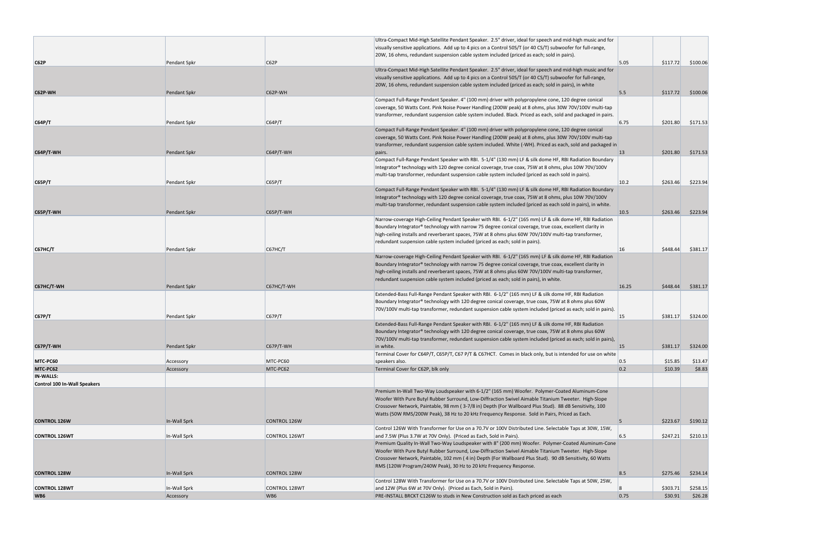|                                                              |                     |                     | Ultra-Compact Mid-High Satellite Pendant Speaker. 2.5" driver, ideal for speech and mid-high music and for<br>visually sensitive applications. Add up to 4 pics on a Control 50S/T (or 40 CS/T) subwoofer for full-range,<br>20W, 16 ohms, redundant suspension cable system included (priced as each; sold in pairs).                                                                    |              |          |          |
|--------------------------------------------------------------|---------------------|---------------------|-------------------------------------------------------------------------------------------------------------------------------------------------------------------------------------------------------------------------------------------------------------------------------------------------------------------------------------------------------------------------------------------|--------------|----------|----------|
| CG2P                                                         | Pendant Spkr        | C62P                |                                                                                                                                                                                                                                                                                                                                                                                           | 5.05         | \$117.72 | \$100.06 |
| C62P-WH                                                      | Pendant Spkr        | C62P-WH             | Ultra-Compact Mid-High Satellite Pendant Speaker. 2.5" driver, ideal for speech and mid-high music and for<br>visually sensitive applications. Add up to 4 pics on a Control 50S/T (or 40 CS/T) subwoofer for full-range,<br>20W, 16 ohms, redundant suspension cable system included (priced as each; sold in pairs), in white                                                           | 5.5          | \$117.72 | \$100.06 |
|                                                              |                     |                     | Compact Full-Range Pendant Speaker. 4" (100 mm) driver with polypropylene cone, 120 degree conical                                                                                                                                                                                                                                                                                        |              |          |          |
| CG4P/T                                                       | Pendant Spkr        | CG4P/T              | coverage, 50 Watts Cont. Pink Noise Power Handling (200W peak) at 8 ohms, plus 30W 70V/100V multi-tap<br>transformer, redundant suspension cable system included. Black. Priced as each, sold and packaged in pairs.                                                                                                                                                                      | 6.75         | \$201.80 | \$171.53 |
| <b>C64P/T-WH</b>                                             | Pendant Spkr        | $C64P/T-WH$         | Compact Full-Range Pendant Speaker. 4" (100 mm) driver with polypropylene cone, 120 degree conical<br>coverage, 50 Watts Cont. Pink Noise Power Handling (200W peak) at 8 ohms, plus 30W 70V/100V multi-tap<br>transformer, redundant suspension cable system included. White (-WH). Priced as each, sold and packaged in                                                                 | $ 13\rangle$ | \$201.80 | \$171.53 |
|                                                              |                     |                     | pairs.<br>Compact Full-Range Pendant Speaker with RBI. 5-1/4" (130 mm) LF & silk dome HF, RBI Radiation Boundary                                                                                                                                                                                                                                                                          |              |          |          |
|                                                              |                     |                     | Integrator® technology with 120 degree conical coverage, true coax, 75W at 8 ohms, plus 10W 70V/100V<br>multi-tap transformer, redundant suspension cable system included (priced as each sold in pairs).                                                                                                                                                                                 |              |          |          |
| C65P/T                                                       | Pendant Spkr        | C65P/T              | Compact Full-Range Pendant Speaker with RBI. 5-1/4" (130 mm) LF & silk dome HF, RBI Radiation Boundary                                                                                                                                                                                                                                                                                    | 10.2         | \$263.46 | \$223.94 |
|                                                              |                     |                     | Integrator® technology with 120 degree conical coverage, true coax, 75W at 8 ohms, plus 10W 70V/100V<br>multi-tap transformer, redundant suspension cable system included (priced as each sold in pairs), in white.                                                                                                                                                                       |              |          |          |
| $C65P/T-WH$                                                  | <b>Pendant Spkr</b> | $C65P/T-WH$         | Narrow-coverage High-Ceiling Pendant Speaker with RBI. 6-1/2" (165 mm) LF & silk dome HF, RBI Radiation                                                                                                                                                                                                                                                                                   | 10.5         | \$263.46 | \$223.94 |
|                                                              |                     |                     | Boundary Integrator® technology with narrow 75 degree conical coverage, true coax, excellent clarity in<br>high-ceiling installs and reverberant spaces, 75W at 8 ohms plus 60W 70V/100V multi-tap transformer,<br>redundant suspension cable system included (priced as each; sold in pairs).                                                                                            |              |          |          |
| <b>C67HC/T</b>                                               | Pendant Spkr        | C67HC/T             | Narrow-coverage High-Ceiling Pendant Speaker with RBI. 6-1/2" (165 mm) LF & silk dome HF, RBI Radiation                                                                                                                                                                                                                                                                                   | 16           | \$448.44 | \$381.17 |
|                                                              |                     |                     | Boundary Integrator® technology with narrow 75 degree conical coverage, true coax, excellent clarity in<br>high-ceiling installs and reverberant spaces, 75W at 8 ohms plus 60W 70V/100V multi-tap transformer,<br>redundant suspension cable system included (priced as each; sold in pairs), in white.                                                                                  |              |          |          |
| C67HC/T-WH                                                   | <b>Pendant Spkr</b> | C67HC/T-WH          | Extended-Bass Full-Range Pendant Speaker with RBI. 6-1/2" (165 mm) LF & silk dome HF, RBI Radiation                                                                                                                                                                                                                                                                                       | 16.25        | \$448.44 | \$381.17 |
| C67P/T                                                       | <b>Pendant Spkr</b> | C67P/T              | Boundary Integrator® technology with 120 degree conical coverage, true coax, 75W at 8 ohms plus 60W<br>70V/100V multi-tap transformer, redundant suspension cable system included (priced as each; sold in pairs).                                                                                                                                                                        | 15           | \$381.17 | \$324.00 |
|                                                              |                     |                     | Extended-Bass Full-Range Pendant Speaker with RBI. 6-1/2" (165 mm) LF & silk dome HF, RBI Radiation                                                                                                                                                                                                                                                                                       |              |          |          |
| $C67P/T-WH$                                                  | Pendant Spkr        | $C67P/T-WH$         | Boundary Integrator® technology with 120 degree conical coverage, true coax, 75W at 8 ohms plus 60W<br>70V/100V multi-tap transformer, redundant suspension cable system included (priced as each; sold in pairs),<br>in white.                                                                                                                                                           | 15           | \$381.17 | \$324.00 |
|                                                              |                     |                     | Terminal Cover for C64P/T, C65P/T, C67 P/T & C67HCT. Comes in black only, but is intended for use on white                                                                                                                                                                                                                                                                                |              |          |          |
| MTC PC60                                                     | Accessory           | MTC-PC60            | speakers also.                                                                                                                                                                                                                                                                                                                                                                            | 0.5          | \$15.85  | \$13.47  |
| MTC-PC62<br><b>IN-WALLS:</b><br>Control 100 In-Wall Speakers | Accessory           | MTC-PC62            | Terminal Cover for C62P, blk only                                                                                                                                                                                                                                                                                                                                                         | 0.2          | \$10.39  | \$8.83   |
|                                                              |                     |                     | Premium In-Wall Two-Way Loudspeaker with 6-1/2" (165 mm) Woofer. Polymer-Coated Aluminum-Cone<br>Woofer With Pure Butyl Rubber Surround, Low-Diffraction Swivel Aimable Titanium Tweeter. High-Slope<br>Crossover Network, Paintable, 98 mm (3-7/8 in) Depth (For Wallboard Plus Stud). 88 dB Sensitivity, 100                                                                            |              |          |          |
| <b>CONTROL 126W</b>                                          | In-Wall Sprk        | <b>CONTROL 126W</b> | Watts (50W RMS/200W Peak), 38 Hz to 20 kHz Frequency Response. Sold in Pairs, Priced as Each.                                                                                                                                                                                                                                                                                             | 5            | \$223.67 | \$190.12 |
| <b>CONTROL 126WT</b>                                         | In-Wall Sprk        | CONTROL 126WT       | Control 126W With Transformer for Use on a 70.7V or 100V Distributed Line. Selectable Taps at 30W, 15W,<br>and 7.5W (Plus 3.7W at 70V Only). (Priced as Each, Sold in Pairs).                                                                                                                                                                                                             | 6.5          | \$247.21 | \$210.13 |
|                                                              |                     |                     | Premium Quality In-Wall Two-Way Loudspeaker with 8" (200 mm) Woofer. Polymer-Coated Aluminum-Cone<br>Woofer With Pure Butyl Rubber Surround, Low-Diffraction Swivel Aimable Titanium Tweeter. High-Slope<br>Crossover Network, Paintable, 102 mm (4 in) Depth (For Wallboard Plus Stud). 90 dB Sensitivity, 60 Watts<br>RMS (120W Program/240W Peak), 30 Hz to 20 kHz Frequency Response. |              |          |          |
| <b>CONTROL 128W</b>                                          | In-Wall Sprk        | <b>CONTROL 128W</b> |                                                                                                                                                                                                                                                                                                                                                                                           | 8.5          | \$275.46 | \$234.14 |
| <b>CONTROL 128WT</b>                                         | In-Wall Sprk        | CONTROL 128WT       | Control 128W With Transformer for Use on a 70.7V or 100V Distributed Line. Selectable Taps at 50W, 25W,<br>and 12W (Plus 6W at 70V Only). (Priced as Each, Sold in Pairs).                                                                                                                                                                                                                |              | \$303.71 | \$258.15 |
| WB <sub>6</sub>                                              | Accessory           | WB6                 | PRE-INSTALL BRCKT C126W to studs in New Construction sold as Each priced as each                                                                                                                                                                                                                                                                                                          | 0.75         | \$30.91  | \$26.28  |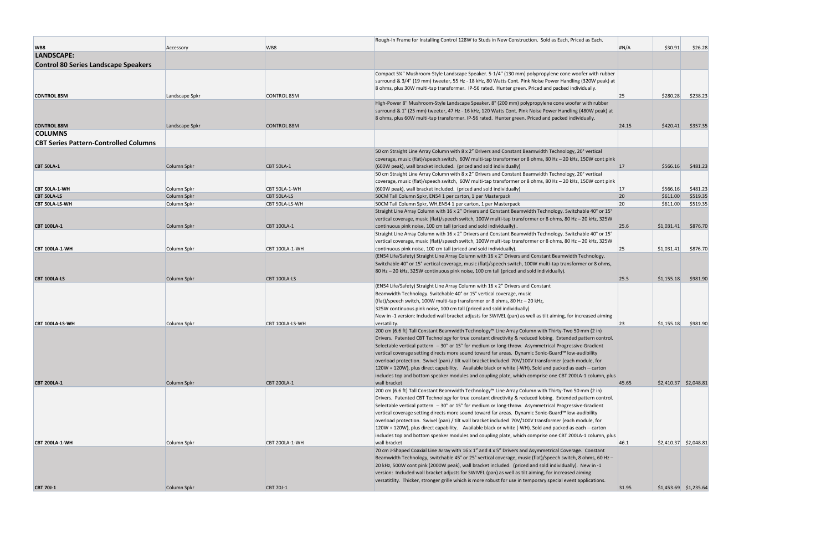|                                              |                    |                       | Rough-In Frame for Installing Control 128W to Studs in New Construction. Sold as Each, Priced as Each.                                              |           |                         |          |
|----------------------------------------------|--------------------|-----------------------|-----------------------------------------------------------------------------------------------------------------------------------------------------|-----------|-------------------------|----------|
| WB8                                          | Accessory          | WB8                   |                                                                                                                                                     | H N/A     | \$30.91                 | \$26.28  |
| LANDSCAPE:                                   |                    |                       |                                                                                                                                                     |           |                         |          |
| <b>Control 80 Series Landscape Speakers</b>  |                    |                       |                                                                                                                                                     |           |                         |          |
|                                              |                    |                       | Compact 5¼" Mushroom-Style Landscape Speaker. 5-1/4" (130 mm) polypropylene cone woofer with rubber                                                 |           |                         |          |
|                                              |                    |                       | surround & 3/4" (19 mm) tweeter, 55 Hz - 18 kHz, 80 Watts Cont. Pink Noise Power Handling (320W peak) at                                            |           |                         |          |
|                                              |                    |                       | 8 ohms, plus 30W multi-tap transformer. IP-56 rated. Hunter green. Priced and packed individually.                                                  |           |                         |          |
| <b>CONTROL 85M</b>                           | Landscape Spkr     | <b>CONTROL 85M</b>    |                                                                                                                                                     | <b>25</b> | \$280.28                | \$238.23 |
|                                              |                    |                       | High-Power 8" Mushroom-Style Landscape Speaker. 8" (200 mm) polypropylene cone woofer with rubber                                                   |           |                         |          |
|                                              |                    |                       | surround & 1" (25 mm) tweeter, 47 Hz - 16 kHz, 120 Watts Cont. Pink Noise Power Handling (480W peak) at                                             |           |                         |          |
|                                              |                    |                       | 8 ohms, plus 60W multi-tap transformer. IP-56 rated. Hunter green. Priced and packed individually.                                                  |           |                         |          |
| <b>CONTROL 88M</b>                           | Landscape Spkr     | <b>CONTROL 88M</b>    |                                                                                                                                                     | 24.15     | \$420.41                | \$357.35 |
| <b>COLUMNS</b>                               |                    |                       |                                                                                                                                                     |           |                         |          |
| <b>CBT Series Pattern-Controlled Columns</b> |                    |                       |                                                                                                                                                     |           |                         |          |
|                                              |                    |                       | 50 cm Straight Line Array Column with 8 x 2" Drivers and Constant Beamwidth Technology, 20° vertical                                                |           |                         |          |
|                                              |                    |                       | coverage, music (flat)/speech switch, 60W multi-tap transformer or 8 ohms, 80 Hz - 20 kHz, 150W cont pink                                           |           |                         |          |
| <b>CBT 50LA-1</b>                            | Column Spkr        | <b>CBT 50LA-1</b>     | (600W peak), wall bracket included. (priced and sold individually)                                                                                  | 17        | \$566.16                | \$481.23 |
|                                              |                    |                       | 50 cm Straight Line Array Column with 8 x 2" Drivers and Constant Beamwidth Technology, 20° vertical                                                |           |                         |          |
|                                              |                    |                       | coverage, music (flat)/speech switch, 60W multi-tap transformer or 8 ohms, 80 Hz - 20 kHz, 150W cont pink                                           |           |                         |          |
| CBT 50LA-1-WH                                | Column Spkr        | CBT 50LA-1-WH         | (600W peak), wall bracket included. (priced and sold individually)                                                                                  | <b>17</b> | \$566.16                | \$481.23 |
| <b>CBT 50LA-LS</b>                           | Column Spkr        | <b>CBT 50LA-LS</b>    | 50CM Tall Column Spkr, EN54 1 per carton, 1 per Masterpack                                                                                          | 20        | \$611.00                | \$519.35 |
| <b>CBT 50LA-LS-WH</b>                        | Column Spkr        | CBT 50LA-LS-WH        | 50CM Tall Column Spkr, WH, EN54 1 per carton, 1 per Masterpack                                                                                      | <b>20</b> | \$611.00                | \$519.35 |
|                                              |                    |                       | Straight Line Array Column with 16 x 2" Drivers and Constant Beamwidth Technology. Switchable 40° or 15°                                            |           |                         |          |
|                                              |                    |                       | vertical coverage, music (flat)/speech switch, 100W multi-tap transformer or 8 ohms, 80 Hz - 20 kHz, 325W                                           |           |                         |          |
| <b>CBT 100LA-1</b>                           | Column Spkr        | <b>CBT 100LA-1</b>    | continuous pink noise, 100 cm tall (priced and sold individually).                                                                                  | 25.6      | \$1,031.41              | \$876.70 |
|                                              |                    |                       | Straight Line Array Column with 16 x 2" Drivers and Constant Beamwidth Technology. Switchable 40° or 15°                                            |           |                         |          |
|                                              |                    |                       | vertical coverage, music (flat)/speech switch, 100W multi-tap transformer or 8 ohms, 80 Hz - 20 kHz, 325W                                           |           |                         |          |
| CBT 100LA-1-WH                               | Column Spkr        | CBT 100LA-1-WH        | continuous pink noise, 100 cm tall (priced and sold individually).                                                                                  | 25        | \$1,031.41              | \$876.70 |
|                                              |                    |                       | (EN54 Life/Safety) Straight Line Array Column with 16 x 2" Drivers and Constant Beamwidth Technology.                                               |           |                         |          |
|                                              |                    |                       | Switchable 40° or 15° vertical coverage, music (flat)/speech switch, 100W multi-tap transformer or 8 ohms,                                          |           |                         |          |
|                                              |                    |                       | 80 Hz - 20 kHz, 325W continuous pink noise, 100 cm tall (priced and sold individually).                                                             |           |                         |          |
| CBT 100LA-LS                                 | <b>Column Spkr</b> | CBT 100LA-LS          |                                                                                                                                                     | 25.5      | \$1,155.18              | \$981.90 |
|                                              |                    |                       | (EN54 Life/Safety) Straight Line Array Column with 16 x 2" Drivers and Constant                                                                     |           |                         |          |
|                                              |                    |                       | Beamwidth Technology. Switchable 40° or 15° vertical coverage, music<br>(flat)/speech switch, 100W multi-tap transformer or 8 ohms, 80 Hz - 20 kHz, |           |                         |          |
|                                              |                    |                       | 325W continuous pink noise, 100 cm tall (priced and sold individually)                                                                              |           |                         |          |
|                                              |                    |                       | New in -1 version: Included wall bracket adjusts for SWIVEL (pan) as well as tilt aiming, for increased aiming                                      |           |                         |          |
| CBT 100LA-LS-WH                              | Column Spkr        | CBT 100LA-LS-WH       | versatility.                                                                                                                                        | 23        | \$1,155.18              | \$981.90 |
|                                              |                    |                       | 200 cm (6.6 ft) Tall Constant Beamwidth Technology™ Line Array Column with Thirty-Two 50 mm (2 in)                                                  |           |                         |          |
|                                              |                    |                       | Drivers. Patented CBT Technology for true constant directivity & reduced lobing. Extended pattern control.                                          |           |                         |          |
|                                              |                    |                       | Selectable vertical pattern - 30° or 15° for medium or long-throw. Asymmetrical Progressive-Gradient                                                |           |                         |          |
|                                              |                    |                       | vertical coverage setting directs more sound toward far areas. Dynamic Sonic-Guard™ low-audibility                                                  |           |                         |          |
|                                              |                    |                       | overload protection. Swivel (pan) / tilt wall bracket included 70V/100V transformer (each module, for                                               |           |                         |          |
|                                              |                    |                       | 120W + 120W), plus direct capability. Available black or white (-WH). Sold and packed as each -- carton                                             |           |                         |          |
|                                              |                    |                       | includes top and bottom speaker modules and coupling plate, which comprise one CBT 200LA-1 column, plus                                             |           |                         |          |
| <b>CBT 200LA-1</b>                           | Column Spkr        | <b>CBT 200LA-1</b>    | wall bracket                                                                                                                                        | 45.65     | $$2,410.37$ $$2,048.81$ |          |
|                                              |                    |                       | 200 cm (6.6 ft) Tall Constant Beamwidth Technology™ Line Array Column with Thirty-Two 50 mm (2 in)                                                  |           |                         |          |
|                                              |                    |                       | Drivers. Patented CBT Technology for true constant directivity & reduced lobing. Extended pattern control.                                          |           |                         |          |
|                                              |                    |                       | Selectable vertical pattern $-30^{\circ}$ or 15° for medium or long-throw. Asymmetrical Progressive-Gradient                                        |           |                         |          |
|                                              |                    |                       | vertical coverage setting directs more sound toward far areas. Dynamic Sonic-Guard™ low-audibility                                                  |           |                         |          |
|                                              |                    |                       | overload protection. Swivel (pan) / tilt wall bracket included 70V/100V transformer (each module, for                                               |           |                         |          |
|                                              |                    |                       | 120W + 120W), plus direct capability. Available black or white (-WH). Sold and packed as each -- carton                                             |           |                         |          |
|                                              |                    | <b>CBT 200LA-1-WH</b> | includes top and bottom speaker modules and coupling plate, which comprise one CBT 200LA-1 column, plus<br>wall bracket                             | 46.1      | $$2,410.37$ $$2,048.81$ |          |
| CBT 200LA-1-WH                               | Column Spkr        |                       | 70 cm J-Shaped Coaxial Line Array with 16 x 1" and 4 x 5" Drivers and Asymmetrical Coverage. Constant                                               |           |                         |          |
|                                              |                    |                       | Beamwidth Technology, switchable 45° or 25° vertical coverage, music (flat)/speech switch, 8 ohms, 60 Hz -                                          |           |                         |          |
|                                              |                    |                       | 20 kHz, 500W cont pink (2000W peak), wall bracket included. (priced and sold individually). New in -1                                               |           |                         |          |
|                                              |                    |                       | version: Included wall bracket adjusts for SWIVEL (pan) as well as tilt aiming, for increased aiming                                                |           |                         |          |
|                                              |                    |                       | versatitlity. Thicker, stronger grille which is more robust for use in temporary special event applications.                                        |           |                         |          |
| <b>CBT 70J-1</b>                             | Column Spkr        | CBT 70J-1             |                                                                                                                                                     | 31.95     | $$1,453.69$ $$1,235.64$ |          |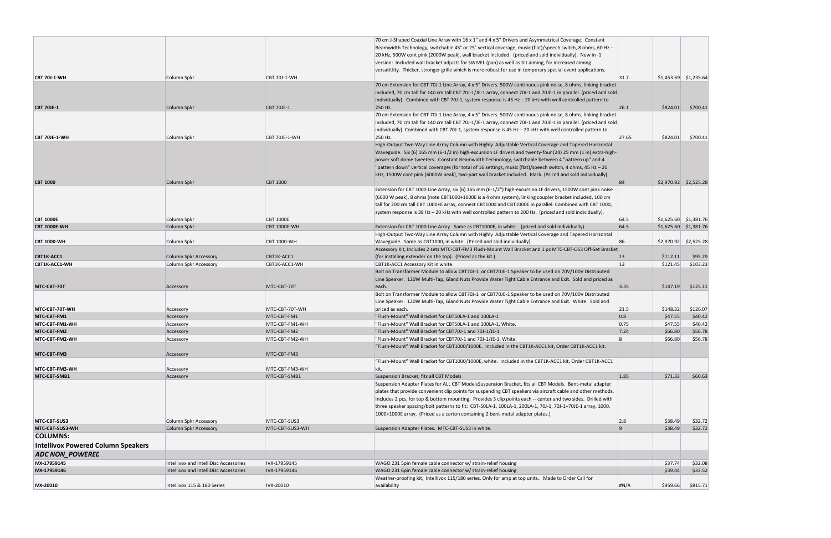|                                           |                                        |                     | 70 cm J-Shaped Coaxial Line Array with 16 x 1" and 4 x 5" Drivers and Asymmetrical Coverage. Constant             |                         |                         |          |
|-------------------------------------------|----------------------------------------|---------------------|-------------------------------------------------------------------------------------------------------------------|-------------------------|-------------------------|----------|
|                                           |                                        |                     | Beamwidth Technology, switchable 45° or 25° vertical coverage, music (flat)/speech switch, 8 ohms, 60 Hz –        |                         |                         |          |
|                                           |                                        |                     | 20 kHz, 500W cont pink (2000W peak), wall bracket included. (priced and sold individually). New in -1             |                         |                         |          |
|                                           |                                        |                     | version: Included wall bracket adjusts for SWIVEL (pan) as well as tilt aiming, for increased aiming              |                         |                         |          |
|                                           |                                        |                     | versatitlity. Thicker, stronger grille which is more robust for use in temporary special event applications.      |                         |                         |          |
| <b>CBT 70J-1-WH</b>                       | Column Spkr                            | <b>CBT 70J-1-WH</b> |                                                                                                                   | 31.7                    | $$1,453.69$ $$1,235.64$ |          |
|                                           |                                        |                     | 70 cm Extension for CBT 70J-1 Line Array, 4 x 5" Drivers. 500W continuous pink noise, 8 ohms, linking bracket     |                         |                         |          |
|                                           |                                        |                     | included, 70 cm tall for 140 cm tall CBT 70J-1/JE-1 array, connect 70J-1 and 70JE-1 in parallel. (priced and sold |                         |                         |          |
|                                           |                                        |                     | individually). Combined with CBT 70J-1, system response is $45$ Hz $-$ 20 kHz with well controlled pattern to     |                         |                         |          |
| <b>CBT 70JE-1</b>                         |                                        | <b>CBT 70JE-1</b>   |                                                                                                                   | 26.1                    | \$824.01                |          |
|                                           | Column Spkr                            |                     | 250 Hz.                                                                                                           |                         |                         | \$700.41 |
|                                           |                                        |                     | 70 cm Extension for CBT 70J-1 Line Array, 4 x 5" Drivers. 500W continuous pink noise, 8 ohms, linking bracket     |                         |                         |          |
|                                           |                                        |                     | included, 70 cm tall for 140 cm tall CBT 70J-1/JE-1 array, connect 70J-1 and 70JE-1 in parallel. (priced and sold |                         |                         |          |
|                                           |                                        |                     | individually). Combined with CBT 70J-1, system response is 45 Hz - 20 kHz with well controlled pattern to         |                         |                         |          |
| <b>CBT 70JE 1-WH</b>                      | Column Spkr                            | CBT 70JE-1-WH       | 250 Hz.                                                                                                           | 27.65                   | \$824.01                | \$700.41 |
|                                           |                                        |                     | High-Output Two-Way Line Array Column with Highly Adjustable Vertical Coverage and Tapered Horizontal             |                         |                         |          |
|                                           |                                        |                     | Waveguide. Six (6) 165 mm (6-1/2 in) high-excursion LF drivers and twenty-four (24) 25 mm (1 in) extra-high-      |                         |                         |          |
|                                           |                                        |                     | power soft dome tweeters. . Constant Beamwidth Technology, switchable between 4 "pattern up" and 4                |                         |                         |          |
|                                           |                                        |                     | "pattern down" vertical coverages (for total of 16 settings, music (flat)/speech switch, 4 ohms, 45 Hz - 20       |                         |                         |          |
|                                           |                                        |                     | kHz, 1500W cont pink (6000W peak), two-part wall bracket included. Black. (Priced and sold individually).         |                         |                         |          |
| <b>CBT 1000</b>                           | Column Spkr                            | <b>CBT 1000</b>     |                                                                                                                   | 84                      | $$2,970.92$ $$2,525.28$ |          |
|                                           |                                        |                     | Extension for CBT 1000 Line Array, six (6) 165 mm (6-1/2") high-excursion LF drivers, 1500W cont pink noise       |                         |                         |          |
|                                           |                                        |                     | (6000 W peak), 8 ohms (note CBT1000+1000E is a 4 ohm system), linking coupler bracket included, 100 cm            |                         |                         |          |
|                                           |                                        |                     | tall for 200 cm tall CBT 1000+E array, connect CBT1000 and CBT1000E in parallel. Combined with CBT 1000,          |                         |                         |          |
|                                           |                                        |                     | system response is 38 Hz - 20 kHz with well controlled pattern to 200 Hz. (priced and sold individually).         |                         |                         |          |
| <b>CBT 1000E</b>                          | Column Spkr                            | <b>CBT 1000E</b>    |                                                                                                                   | 64.5                    | $$1,625.60$ $$1,381.76$ |          |
| <b>CBT 1000E-WH</b>                       | Column Spkr                            | <b>CBT 1000E-WH</b> | Extension for CBT 1000 Line Array. Same as CBT1000E, in white. (priced and sold individually).                    | 64.5                    | $$1,625.60$ $$1,381.76$ |          |
|                                           |                                        |                     | High-Output Two-Way Line Array Column with Highly Adjustable Vertical Coverage and Tapered Horizontal             |                         |                         |          |
| <b>CBT 1000-WH</b>                        | Column Spkr                            | <b>CBT 1000-WH</b>  | Waveguide. Same as CBT1000, in white. (Priced and sold individually).                                             | 86                      | $$2,970.92$ $$2,525.28$ |          |
|                                           |                                        |                     | Accessory Kit, Includes 2 sets MTC-CBT-FM3 Flush-Mount Wall Bracket and 1 pc MTC-CBT-OS3 Off-Set Bracket          |                         |                         |          |
| <b>CBT1K-ACC1</b>                         | <b>Column Spkr Accessory</b>           | CBT1K-ACC1          | (for installing extender on the top). (Priced as the kit.)                                                        | <sup>13</sup>           | \$112.11                | \$95.29  |
| CBT1K-ACC1-WH                             | Column Spkr Accessory                  | CBT1K-ACC1-WH       | CBT1K-ACC1 Accessory Kit in white.                                                                                | 13                      | \$121.45                | \$103.23 |
|                                           |                                        |                     | Bolt on Transformer Module to allow CBT70J-1 or CBT70JE-1 Speaker to be used on 70V/100V Distributed              |                         |                         |          |
|                                           |                                        |                     | Line Speaker. 120W Multi-Tap, Gland Nuts Provide Water Tight Cable Entrance and Exit. Sold and priced as          |                         |                         |          |
|                                           |                                        | MTC-CBT-70T         |                                                                                                                   |                         |                         |          |
| MTC-CBT-70T                               | Accessory                              |                     | each.                                                                                                             | 3.35                    | \$147.19                | \$125.11 |
|                                           |                                        |                     | Bolt on Transformer Module to allow CBT70J-1 or CBT70JE-1 Speaker to be used on 70V/100V Distributed              |                         |                         |          |
|                                           |                                        |                     | Line Speaker. 120W Multi-Tap, Gland Nuts Provide Water Tight Cable Entrance and Exit. White. Sold and             |                         |                         |          |
| MTC-CBT-70T-WH                            | Accessory                              | MTC-CBT-70T-WH      | priced as each.                                                                                                   | 21.5                    | \$148.32                | \$126.07 |
| MTC-CBT-FM1                               | Accessory                              | MTC-CBT-FM1         | "Flush-Mount" Wall Bracket for CBT50LA-1 and 100LA-1                                                              | 0.8                     | \$47.55                 | \$40.42  |
| MTC-CBT-FM1-WH                            | Accessory                              | MTC-CBT-FM1-WH      | "Flush-Mount" Wall Bracket for CBT50LA-1 and 100LA-1, White.                                                      | 0.75                    | \$47.55                 | \$40.42  |
| MTC-CBT-FM2                               | Accessory                              | MTC-CBT-FM2         | "Flush-Mount" Wall Bracket for CBT70J-1 and 70J-1/JE-1                                                            | 7.24                    | \$66.80                 | \$56.78  |
| MTC-CBT-FM2-WH                            | Accessory                              | MTC-CBT-FM2-WH      | "Flush-Mount" Wall Bracket for CBT70J-1 and 70J-1/JE-1, White.                                                    | $\overline{\mathbf{8}}$ | \$66.80                 | \$56.78  |
|                                           |                                        |                     | "Flush-Mount" Wall Bracket for CBT1000/1000E. Included in the CBT1K-ACC1 kit, Order CBT1K-ACC1 kit.               |                         |                         |          |
| MTC-CBT-FM3                               | Accessory                              | MTC-CBT-FM3         |                                                                                                                   |                         |                         |          |
|                                           |                                        |                     | "Flush-Mount" Wall Bracket for CBT1000/1000E, white. Included in the CBT1K-ACC1 kit, Order CBT1K-ACC1             |                         |                         |          |
| MTC-CBT-FM3-WH                            | Accessory                              | MTC-CBT-FM3-WH      | kit.                                                                                                              |                         |                         |          |
| MTC-CBT-SMB1                              | Accessory                              | MTC-CBT-SMB1        | Suspension Bracket, fits all CBT Models                                                                           | 1.85                    | \$71.33                 | \$60.63  |
|                                           |                                        |                     | Suspension Adapter Plates for ALL CBT ModelsSuspension Bracket, fits all CBT Models. Bent-metal adapter           |                         |                         |          |
|                                           |                                        |                     | plates that provide convenient clip points for suspending CBT speakers via aircraft cable and other methods.      |                         |                         |          |
|                                           |                                        |                     | Includes 2 pcs, for top & bottom mounting. Provides 3 clip points each -- center and two sides. Drilled with      |                         |                         |          |
|                                           |                                        |                     | three speaker spacing/bolt patterns to fit: CBT-50LA-1, 100LA-1, 200LA-1, 70J-1, 70J-1+70JE-1 array, 1000,        |                         |                         |          |
|                                           |                                        |                     | 1000+1000E array. (Priced as a carton containing 2 bent-metal adapter plates.)                                    |                         |                         |          |
| MTC-CBT-SUS3                              | Column Spkr Accessory                  | MTC-CBT-SUS3        |                                                                                                                   | 2.8                     | \$38.49                 | \$32.72  |
| MTC-CBT-SUS3-WH                           | <b>Column Spkr Accessory</b>           | MTC-CBT-SUS3-WH     | Suspension Adapter Plates. MTC-CBT-SUS3 in white.                                                                 | $\overline{9}$          | \$38.49                 | \$32.72  |
| <b>COLUMNS:</b>                           |                                        |                     |                                                                                                                   |                         |                         |          |
|                                           |                                        |                     |                                                                                                                   |                         |                         |          |
| <b>Intellivox Powered Column Speakers</b> |                                        |                     |                                                                                                                   |                         |                         |          |
| <b>ADC NON_POWERED</b>                    |                                        |                     |                                                                                                                   |                         |                         |          |
| IVX-17959145                              | Intellivox and IntelliDisc Accessories | IVX-17959145        | WAGO 231 5pin female cable connector w/ strain-relief housing                                                     |                         | \$37.74                 | \$32.08  |
| IVX-17959146                              | Intellivox and IntelliDisc Accessories | IVX-17959146        | WAGO 231 6pin female cable connector w/ strain-relief housing                                                     |                         | \$39.44                 | \$33.52  |
|                                           |                                        |                     | Weather-proofing kit, Intellivox 115/180 series. Only for amp at top units Made to Order Call for                 |                         |                         |          |
| <b>IVX-20010</b>                          | Intellivox 115 & 180 Series            | IVX-20010           | availability                                                                                                      | #N/A                    | \$959.66                | \$815.71 |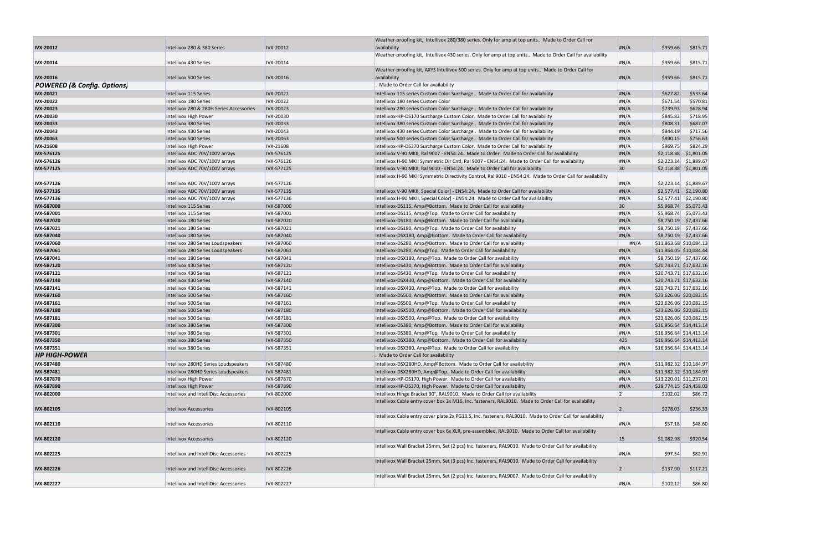|                                        |                                          |                  | Weather-proofing kit, Intellivox 280/380 series. Only for amp at top units Made to Order Call for           |                 |                                 |                         |
|----------------------------------------|------------------------------------------|------------------|-------------------------------------------------------------------------------------------------------------|-----------------|---------------------------------|-------------------------|
| <b>IVX-20012</b>                       | Intellivox 280 & 380 Series              | IVX-20012        | availability                                                                                                | H N/A           | \$959.66                        | \$815.71                |
|                                        |                                          |                  | Weather-proofing kit, Intellivox 430 series. Only for amp at top units Made to Order Call for availability  |                 |                                 |                         |
| <b>IVX-20014</b>                       | Intellivox 430 Series                    | IVX-20014        |                                                                                                             | H N/A           | \$959.66                        | \$815.71                |
|                                        |                                          |                  | Weather-proofing kit, AXYS Intellivox 500 series. Only for amp at top units Made to Order Call for          |                 |                                 |                         |
| <b>IVX-20016</b>                       | Intellivox 500 Series                    | IVX-20016        | availability                                                                                                | H N/A           | \$959.66                        | \$815.71                |
| <b>POWERED (&amp; Config. Options)</b> |                                          |                  | Made to Order Call for availability                                                                         |                 |                                 |                         |
| <b>IVX-20021</b>                       | Intellivox 115 Series                    | IVX-20021        | Intellivox 115 series Custom Color Surcharge . Made to Order Call for availability                          | H N/A           | \$627.82                        | \$533.64                |
| <b>IVX-20022</b>                       | Intellivox 180 Series                    | <b>IVX-20022</b> | Intellivox 180 series Custom Color                                                                          | H N/A           | \$671.54                        | \$570.81                |
| <b>IVX-20023</b>                       | Intellivox 280 & 280H Series Accessories | <b>IVX-20023</b> | Intellivox 280 series Custom Color Surcharge . Made to Order Call for availability                          | H N/A           | \$739.93                        | \$628.94                |
| <b>IVX-20030</b>                       | Intellivox High Power                    | <b>IVX-20030</b> | Intellivox-HP-DS170 Surcharge Custom Color. Made to Order Call for availability                             | H N/A           | \$845.82                        | \$718.95                |
| <b>IVX-20033</b>                       | Intellivox 380 Series                    | <b>IVX-20033</b> | Intellivox 380 series Custom Color Surcharge . Made to Order Call for availability                          | H N/A           | \$808.31                        | \$687.07                |
| <b>IVX-20043</b>                       | Intellivox 430 Series                    | <b>IVX-20043</b> | Intellivox 430 series Custom Color Surcharge . Made to Order Call for availability                          | H N/A           | \$844.19                        | \$717.56                |
| <b>IVX-20063</b>                       | Intellivox 500 Series                    | <b>IVX-20063</b> | Intellivox 500 series Custom Color Surcharge . Made to Order Call for availability                          | H N/A           | \$890.15                        | \$756.63                |
| <b>IVX-21608</b>                       | Intellivox High Power                    | <b>IVX-21608</b> | Intellivox-HP-DS370 Surcharge Custom Color. Made to Order Call for availability                             | H N/A           | \$969.75                        | \$824.29                |
| <b>IVX-576125</b>                      | Intellivox ADC 70V/100V arrays           | IVX-576125       | Intellivox V-90 MKII, Ral 9007 - EN54:24. Made to Order. Made to Order Call for availability                | H N/A           |                                 | \$2,118.88 \$1,801.05   |
| <b>IVX 576126</b>                      | Intellivox ADC 70V/100V arrays           | IVX-576126       | Intellivox H-90 MKII Symmetric Dir Cntl, Ral 9007 - EN54:24. Made to Order Call for availability            | H N/A           |                                 | $$2,223.14$ $$1,889.67$ |
| <b>IVX-577125</b>                      | Intellivox ADC 70V/100V arrays           | IVX-577125       | Intellivox V-90 MKII, Ral 9010 - EN54:24. Made to Order Call for availability                               | 30 <sup>°</sup> |                                 | $$2,118.88$ $$1,801.05$ |
|                                        |                                          |                  | Intellivox H-90 MKII Symmetric Directivity Control, Ral 9010 - EN54:24. Made to Order Call for availability |                 |                                 |                         |
| <b>IVX 577126</b>                      | Intellivox ADC 70V/100V arrays           | IVX-577126       |                                                                                                             | H N/A           |                                 | $$2,223.14$ $$1,889.67$ |
| <b>IVX-577135</b>                      | Intellivox ADC 70V/100V arrays           | IVX-577135       | Intellivox V-90 MKII, Special Color] - EN54:24. Made to Order Call for availability                         | H N/A           |                                 | $$2,577.41$ \$2,190.80  |
| <b>IVX-577136</b>                      | Intellivox ADC 70V/100V arrays           | IVX-577136       | Intellivox H-90 MKII, Special Color] - EN54:24. Made to Order Call for availability                         | H N/A           |                                 | $$2,577.41$ $$2,190.80$ |
| <b>IVX-587000</b>                      | Intellivox 115 Series                    | IVX-587000       | Intellivox-DS115, Amp@Bottom. Made to Order Call for availability                                           | 30 <sup>°</sup> |                                 | \$5,968.74 \$5,073.43   |
| IVX-587001                             | Intellivox 115 Series                    | IVX-587001       | Intellivox-DS115, Amp@Top. Made to Order Call for availability                                              | H N/A           |                                 | \$5,968.74 \$5,073.43   |
| <b>IVX-587020</b>                      | Intellivox 180 Series                    | IVX-587020       | Intellivox-DS180, Amp@Bottom. Made to Order Call for availability                                           | H N/A           |                                 | $$8,750.19$ $$7,437.66$ |
| <b>IVX-587021</b>                      | Intellivox 180 Series                    | IVX-587021       | Intellivox-DS180, Amp@Top. Made to Order Call for availability                                              | H N/A           |                                 | $$8,750.19$ $$7,437.66$ |
| <b>IVX-587040</b>                      | Intellivox 180 Series                    | IVX-587040       | Intellivox-DSX180, Amp@Bottom. Made to Order Call for availability                                          | H N/A           |                                 | $$8,750.19$ $$7,437.66$ |
| <b>IVX-587060</b>                      | Intellivox 280 Series Loudspeakers       | IVX-587060       | Intellivox-DS280, Amp@Bottom. Made to Order Call for availability                                           | #N/A            | $\vert$ \$11,863.68 \$10,084.13 |                         |
| <b>IVX-587061</b>                      | Intellivox 280 Series Loudspeakers       | IVX-587061       | Intellivox-DS280, Amp@Top. Made to Order Call for availability                                              | H N/A           | \$11,864.05 \$10,084.44         |                         |
| <b>IVX-587041</b>                      | Intellivox 180 Series                    | IVX-587041       | Intellivox-DSX180, Amp@Top. Made to Order Call for availability                                             | H N/A           |                                 | $$8,750.19$ $$7,437.66$ |
| <b>IVX-587120</b>                      | Intellivox 430 Series                    | IVX-587120       | Intellivox-DS430, Amp@Bottom. Made to Order Call for availability                                           | H N/A           | \$20,743.71 \$17,632.16         |                         |
| <b>IVX-587121</b>                      | Intellivox 430 Series                    | IVX-587121       | Intellivox-DS430, Amp@Top. Made to Order Call for availability                                              | H N/A           | \$20,743.71 \$17,632.16         |                         |
| <b>IVX-587140</b>                      | Intellivox 430 Series                    | IVX-587140       | Intellivox-DSX430, Amp@Bottom. Made to Order Call for availability                                          | H N/A           | \$20,743.71 \$17,632.16         |                         |
| <b>IVX-587141</b>                      | Intellivox 430 Series                    | IVX-587141       | Intellivox-DSX430, Amp@Top. Made to Order Call for availability                                             | H N/A           | \$20,743.71 \$17,632.16         |                         |
| <b>IVX-587160</b>                      | Intellivox 500 Series                    | IVX-587160       | Intellivox-DS500, Amp@Bottom. Made to Order Call for availability                                           | H N/A           | \$23,626.06 \$20,082.15         |                         |
| <b>IVX-587161</b>                      | Intellivox 500 Series                    | IVX-587161       | Intellivox-DS500, Amp@Top. Made to Order Call for availability                                              | H N/A           | \$23,626.06 \$20,082.15         |                         |
| <b>IVX-587180</b>                      | Intellivox 500 Series                    | IVX-587180       | Intellivox-DSX500, Amp@Bottom. Made to Order Call for availability                                          | H N/A           | \$23,626.06 \$20,082.15         |                         |
| <b>IVX-587181</b>                      | Intellivox 500 Series                    | IVX-587181       | Intellivox-DSX500, Amp@Top. Made to Order Call for availability                                             | H N/A           | \$23,626.06 \$20,082.15         |                         |
| <b>IVX-587300</b>                      | Intellivox 380 Series                    | IVX-587300       | Intellivox-DS380, Amp@Bottom. Made to Order Call for availability                                           | H N/A           | \$16,956.64 \$14,413.14         |                         |
| <b>IVX-587301</b>                      | Intellivox 380 Series                    | IVX-587301       | Intellivox-DS380, Amp@Top. Made to Order Call for availability                                              | H N/A           | \$16,956.64 \$14,413.14         |                         |
| IVX-587350                             | Intellivox 380 Series                    | IVX-587350       | Intellivox-DSX380, Amp@Bottom. Made to Order Call for availability                                          | 425             | \$16,956.64 \$14,413.14         |                         |
| <b>IVX-587351</b>                      | Intellivox 380 Series                    | IVX-587351       | Intellivox-DSX380, Amp@Top. Made to Order Call for availability                                             | H N/A           | $\vert$ \$16,956.64 \$14,413.14 |                         |
| <b>HP HIGH-POWER</b>                   |                                          |                  | . Made to Order Call for availability                                                                       |                 |                                 |                         |
| <b>IVX-587480</b>                      | Intellivox 280HD Series Loudspeakers     | IVX-587480       | Intellivox-DSX280HD, Amp@Bottom. Made to Order Call for availability                                        | H N/A           | \$11,982.32 \$10,184.97         |                         |
| <b>IVX-587481</b>                      | Intellivox 280HD Series Loudspeakers     | IVX-587481       | Intellivox-DSX280HD, Amp@Top. Made to Order Call for availability                                           | H N/A           | \$11,982.32 \$10,184.97         |                         |
| <b>IVX-587870</b>                      | Intellivox High Power                    | IVX-587870       | Intellivox-HP-DS170, High Power. Made to Order Call for availability                                        | H N/A           | \$13,220.01 \$11,237.01         |                         |
| <b>IVX-587890</b>                      | Intellivox High Power                    | IVX-587890       | Intellivox-HP-DS370, High Power. Made to Order Call for availability                                        | H N/A           | \$28,774.15 \$24,458.03         |                         |
| <b>IVX-802000</b>                      | Intellivox and IntelliDisc Accessories   | IVX-802000       | Intellivox Hinge Bracket 90°, RAL9010. Made to Order Call for availability                                  | 2               | \$102.02                        | \$86.72                 |
|                                        |                                          |                  | Intellivox Cable entry cover box 2x M16, Inc. fasteners, RAL9010. Made to Order Call for availability       |                 |                                 |                         |
| <b>IVX-802105</b>                      | <b>Intellivox Accessories</b>            | IVX-802105       |                                                                                                             | 2               | \$278.03                        | \$236.33                |
|                                        |                                          |                  | Intellivox Cable entry cover plate 2x PG13.5, Inc. fasteners, RAL9010. Made to Order Call for availability  |                 |                                 |                         |
| IVX-802110                             | <b>Intellivox Accessories</b>            | IVX-802110       |                                                                                                             | H N/A           | \$57.18                         | \$48.60                 |
|                                        |                                          |                  | Intellivox Cable entry cover box 6x XLR, pre-assembled, RAL9010. Made to Order Call for availability        |                 |                                 |                         |
| <b>IVX-802120</b>                      | <b>Intellivox Accessories</b>            | IVX-802120       |                                                                                                             | 15              | \$1,082.98                      | \$920.54                |
|                                        |                                          |                  | Intellivox Wall Bracket 25mm, Set (2 pcs) Inc. fasteners, RAL9010. Made to Order Call for availability      |                 |                                 |                         |
| IVX-802225                             | Intellivox and IntelliDisc Accessories   | IVX-802225       |                                                                                                             | H N/A           | \$97.54                         | \$82.91                 |
|                                        |                                          |                  | Intellivox Wall Bracket 25mm, Set (3 pcs) Inc. fasteners, RAL9010. Made to Order Call for availability      |                 |                                 |                         |
| <b>IVX-802226</b>                      | Intellivox and IntelliDisc Accessories   | IVX-802226       |                                                                                                             | 2               | \$137.90                        | \$117.21                |
|                                        |                                          |                  | Intellivox Wall Bracket 25mm, Set (2 pcs) Inc. fasteners, RAL9007. Made to Order Call for availability      |                 |                                 |                         |
| <b>IVX-802227</b>                      | Intellivox and IntelliDisc Accessories   | IVX-802227       |                                                                                                             | H N/A           | \$102.12                        | \$86.80                 |

|   | #N/A           | \$959.66             | \$815.71                |
|---|----------------|----------------------|-------------------------|
| l |                |                      |                         |
|   | #N/A           | \$959.66             | \$815.71                |
|   |                |                      |                         |
|   | #N/A           | \$959.66             | \$815.71                |
|   |                |                      |                         |
|   | #N/A           | \$627.82             | \$533.64                |
|   | #N/A           | \$671.54             | \$570.81                |
|   | #N/A           | \$739.93             | \$628.94                |
|   | #N/A<br>#N/A   | \$845.82<br>\$808.31 | \$718.95<br>\$687.07    |
|   | #N/A           | \$844.19             | \$717.56                |
|   | #N/A           | \$890.15             | \$756.63                |
|   | #N/A           | \$969.75             | \$824.29                |
|   | #N/A           | \$2,118.88           | \$1,801.05              |
|   | #N/A           | \$2,223.14           | \$1,889.67              |
|   | 30             | \$2,118.88           | \$1,801.05              |
| y |                |                      |                         |
|   | #N/A           | \$2,223.14           | \$1,889.67              |
|   | #N/A           | \$2,577.41           | \$2,190.80              |
|   | #N/A           | \$2,577.41           | \$2,190.80              |
|   | 30             | \$5,968.74           | \$5,073.43              |
|   | #N/A           | \$5,968.74           | \$5,073.43              |
|   | #N/A           | \$8,750.19           | \$7,437.66              |
|   | #N/A           | \$8,750.19           | \$7,437.66              |
|   | #N/A           | \$8,750.19           | \$7,437.66              |
|   | #N/A           | \$11,863.68          | \$10,084.13             |
|   | #N/A           | \$11,864.05          | \$10,084.44             |
|   | #N/A           | \$8,750.19           | \$7,437.66              |
|   | #N/A           | \$20,743.71          | \$17,632.16             |
|   | #N/A           | \$20,743.71          | \$17,632.16             |
|   | #N/A           | \$20,743.71          | \$17,632.16             |
|   | #N/A           | \$20,743.71          | \$17,632.16             |
|   | #N/A           | \$23,626.06          | \$20,082.15             |
|   | #N/A           | \$23,626.06          | \$20,082.15             |
|   | #N/A           | \$23,626.06          | \$20,082.15             |
|   | #N/A           | \$23,626.06          | \$20,082.15             |
|   | #N/A           | \$16,956.64          | \$14,413.14             |
|   | #N/A           | \$16,956.64          | \$14,413.14             |
|   | 425            | \$16,956.64          | \$14,413.14             |
|   | #N/A           |                      | \$16,956.64 \$14,413.14 |
|   |                |                      |                         |
|   | #N/A           | \$11,982.32          | \$10,184.97             |
|   | #N/A           | \$11,982.32          | \$10,184.97             |
|   | #N/A           | \$13,220.01          | \$11,237.01             |
|   | #N/A           | \$28,774.15          | \$24,458.03             |
|   | 2              | \$102.02             | \$86.72                 |
|   | $\overline{c}$ | \$278.03             | \$236.33                |
|   | #N/A           | \$57.18              | \$48.60                 |
|   | 15             | \$1,082.98           | \$920.54                |
|   | #N/A           | \$97.54              | \$82.91                 |
|   | 2              | \$137.90             | \$117.21                |
|   | #N/A           | \$102.12             | \$86.80                 |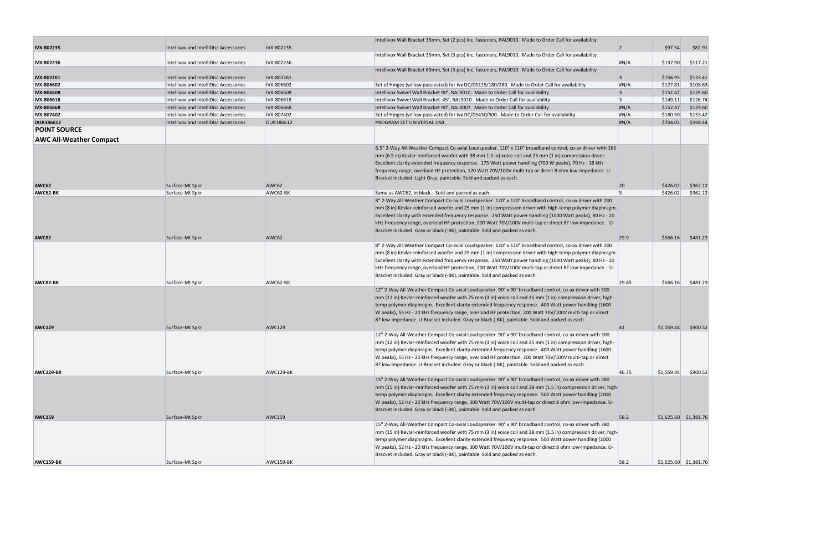|                                |                                        |                  | Intellivox Wall Bracket 35mm, Set (2 pcs) Inc. fasteners, RAL9010. Made to Order Call for availability        |                |                         |          |
|--------------------------------|----------------------------------------|------------------|---------------------------------------------------------------------------------------------------------------|----------------|-------------------------|----------|
| <b>IVX-802235</b>              | Intellivox and IntelliDisc Accessories | IVX-802235       |                                                                                                               | $\overline{2}$ | \$97.54                 | \$82.91  |
|                                |                                        |                  | Intellivox Wall Bracket 35mm, Set (3 pcs) Inc. fasteners, RAL9010. Made to Order Call for availability        |                |                         |          |
| <b>IVX-802236</b>              | Intellivox and IntelliDisc Accessories | IVX-802236       |                                                                                                               | H N/A          | \$137.90                | \$117.21 |
| <b>IVX-802261</b>              | Intellivox and IntelliDisc Accessories | IVX-802261       | Intellivox Wall Bracket 60mm, Set (3 pcs) Inc. fasteners, RAL9010. Made to Order Call for availability        | $\overline{3}$ | \$156.95                | \$133.41 |
| <b>IVX-806602</b>              | Intellivox and IntelliDisc Accessories | IVX-806602       | Set of Hinges (yellow passivated) for Ivx DC/DS115/180/280. Made to Order Call for availability               | #N/A           | \$127.81                | \$108.63 |
| <b>IVX-806608</b>              | Intellivox and IntelliDisc Accessories | IVX-806608       | Intellivox Swivel Wall Bracket 90°, RAL9010. Made to Order Call for availability                              | $\overline{3}$ | \$152.47                | \$129.60 |
| <b>IVX-806618</b>              | Intellivox and IntelliDisc Accessories | IVX-806618       | Intellivox Swivel Wall Bracket 45°, RAL9010. Made to Order Call for availability                              | 3              | \$149.11                | \$126.74 |
| <b>IVX-806668</b>              | Intellivox and IntelliDisc Accessories | IVX-806668       | Intellivox Swivel Wall Bracket 90°, RAL9007. Made to Order Call for availability                              | H N/A          | \$152.47                | \$129.60 |
| <b>IVX-807402</b>              | Intellivox and IntelliDisc Accessories | IVX-807402       | Set of Hinges (yellow passivated) for lvx DC/DS430/500. Made to Order Call for availability                   | H N/A          | \$180.50                | \$153.42 |
| <b>DUR386612</b>               | Intellivox and IntelliDisc Accessories | <b>DUR386612</b> | PROGRAM SET UNIVERSAL USB.                                                                                    | H N/A          | \$704.05                | \$598.44 |
| <b>POINT SOURCE</b>            |                                        |                  |                                                                                                               |                |                         |          |
| <b>AWC All-Weather Compact</b> |                                        |                  |                                                                                                               |                |                         |          |
|                                |                                        |                  |                                                                                                               |                |                         |          |
|                                |                                        |                  | 6.5" 2-Way All-Weather Compact Co-axial Loudspeaker. 110° x 110° broadband control, co-ax driver with 165     |                |                         |          |
|                                |                                        |                  | mm (6.5 in) Kevlar-reinforced woofer with 38 mm 1.5 in) voice coil and 25 mm (1 in) compression driver.       |                |                         |          |
|                                |                                        |                  | Excellent clarity extended frequency response. 175 Watt power handling (700 W peaks), 70 Hz - 18 kHz          |                |                         |          |
|                                |                                        |                  | frequency range, overload HF protection, 120 Watt 70V/100V multi-tap or direct 8 ohm low-impedance. U-        |                |                         |          |
| AWC62                          | Surface-Mt Spkr                        | AWC62            | Bracket included. Light Gray, paintable. Sold and packed as each.                                             | 20             | \$426.02                | \$362.12 |
| AWC62-BK                       | Surface-Mt Spkr                        | AWC62-BK         | Same as AWC62, in black. Sold and packed as each.                                                             | Is.            | \$426.02                | \$362.12 |
|                                |                                        |                  | 8" 2-Way All-Weather Compact Co-axial Loudspeaker. 120° x 120° broadband control, co-ax driver with 200       |                |                         |          |
|                                |                                        |                  | mm (8 in) Kevlar-reinforced woofer and 25 mm (1 in) compression driver with high-temp polymer diaphragm.      |                |                         |          |
|                                |                                        |                  | Excellent clarity with extended frequency response. 250 Watt power handling (1000 Watt peaks), 80 Hz - 20     |                |                         |          |
|                                |                                        |                  | kHz frequency range, overload HF protection, 200 Watt 70V/100V multi-tap or direct 8? low-impedance. U-       |                |                         |          |
|                                |                                        |                  | Bracket included. Gray or black (-BK), paintable. Sold and packed as each.                                    |                |                         |          |
| AWC82                          | Surface-Mt Spkr                        | AWC82            |                                                                                                               | 29.9           | \$566.16                | \$481.23 |
|                                |                                        |                  | 8" 2-Way All-Weather Compact Co-axial Loudspeaker. 120° x 120° broadband control, co-ax driver with 200       |                |                         |          |
|                                |                                        |                  | mm (8 in) Kevlar-reinforced woofer and 25 mm (1 in) compression driver with high-temp polymer diaphragm.      |                |                         |          |
|                                |                                        |                  | Excellent clarity with extended frequency response. 250 Watt power handling (1000 Watt peaks), 80 Hz - 20     |                |                         |          |
|                                |                                        |                  | kHz frequency range, overload HF protection, 200 Watt 70V/100V multi-tap or direct 8? low-impedance. U-       |                |                         |          |
|                                |                                        |                  | Bracket included. Gray or black (-BK), paintable. Sold and packed as each.                                    |                |                         |          |
| AWC82-BK                       | Surface-Mt Spkr                        | AWC82-BK         |                                                                                                               | 29.85          | \$566.16                | \$481.23 |
|                                |                                        |                  | 12" 2-Way All-Weather Compact Co-axial Loudspeaker. 90° x 90° broadband control, co-ax driver with 300        |                |                         |          |
|                                |                                        |                  | mm (12 in) Kevlar-reinforced woofer with 75 mm (3 in) voice coil and 25 mm (1 in) compression driver, high-   |                |                         |          |
|                                |                                        |                  | temp polymer diaphragm. Excellent clarity extended frequency response. 400 Watt power handling (1600          |                |                         |          |
|                                |                                        |                  | W peaks), 55 Hz - 20 kHz frequency range, overload HF protection, 200 Watt 70V/100V multi-tap or direct       |                |                         |          |
|                                |                                        |                  | 8? Iow-impedance. U-Bracket included. Gray or black (-BK), paintable. Sold and packed as each.                |                |                         |          |
| <b>AWC129</b>                  | Surface-Mt Spkr                        | <b>AWC129</b>    |                                                                                                               | 41             | \$1,059.44              | \$900.52 |
|                                |                                        |                  | 12" 2-Way All-Weather Compact Co-axial Loudspeaker. 90° x 90° broadband control, co-ax driver with 300        |                |                         |          |
|                                |                                        |                  | mm (12 in) Kevlar-reinforced woofer with 75 mm (3 in) voice coil and 25 mm (1 in) compression driver, high-   |                |                         |          |
|                                |                                        |                  | temp polymer diaphragm. Excellent clarity extended frequency response. 400 Watt power handling (1600          |                |                         |          |
|                                |                                        |                  | W peaks), 55 Hz - 20 kHz frequency range, overload HF protection, 200 Watt 70V/100V multi-tap or direct       |                |                         |          |
| AWC129-BK                      | Surface-Mt Spkr                        | AWC129-BK        | 8? low-impedance. U-Bracket included. Gray or black (-BK), paintable. Sold and packed as each.                | 46.75          | \$1,059.44              | \$900.52 |
|                                |                                        |                  | 15" 2-Way All-Weather Compact Co-axial Loudspeaker. 90° x 90° broadband control, co-ax driver with 380        |                |                         |          |
|                                |                                        |                  | mm (15 in) Kevlar-reinforced woofer with 75 mm (3 in) voice coil and 38 mm (1.5 in) compression driver, high- |                |                         |          |
|                                |                                        |                  | temp polymer diaphragm. Excellent clarity extended frequency response. 500 Watt power handling (2000          |                |                         |          |
|                                |                                        |                  | W peaks), 52 Hz - 20 kHz frequency range, 300 Watt 70V/100V multi-tap or direct 8 ohm low-impedance. U-       |                |                         |          |
|                                |                                        |                  | Bracket included. Gray or black (-BK), paintable. Sold and packed as each.                                    |                |                         |          |
| <b>AWC159</b>                  | Surface-Mt Spkr                        | <b>AWC159</b>    |                                                                                                               | 58.2           | $$1,625.60$ $$1,381.76$ |          |
|                                |                                        |                  | 15" 2-Way All-Weather Compact Co-axial Loudspeaker. 90° x 90° broadband control, co-ax driver with 380        |                |                         |          |
|                                |                                        |                  | mm (15 in) Kevlar-reinforced woofer with 75 mm (3 in) voice coil and 38 mm (1.5 in) compression driver, high- |                |                         |          |
|                                |                                        |                  | temp polymer diaphragm. Excellent clarity extended frequency response. 500 Watt power handling (2000          |                |                         |          |
|                                |                                        |                  | W peaks), 52 Hz - 20 kHz frequency range, 300 Watt 70V/100V multi-tap or direct 8 ohm low-impedance. U-       |                |                         |          |
|                                |                                        |                  | Bracket included. Gray or black (-BK), paintable. Sold and packed as each.                                    |                |                         |          |
| AWC159-BK                      | Surface-Mt Spkr                        | AWC159-BK        |                                                                                                               | 58.2           | $$1,625.60$ $$1,381.76$ |          |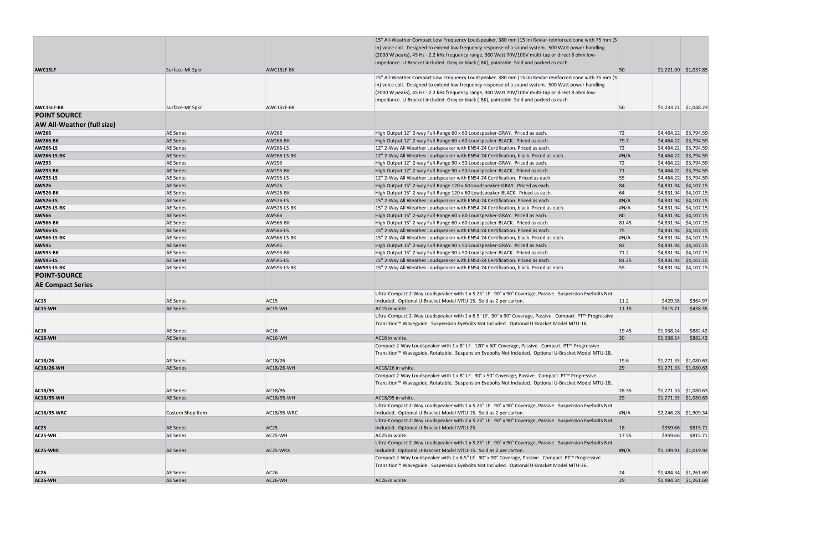|                                   |                  |                    | 15" All-Weather Compact Low Frequency Loudspeaker. 380 mm (15 in) Kevlar-reinforced cone with 75 mm (3                                                                                                         |       |            |                         |
|-----------------------------------|------------------|--------------------|----------------------------------------------------------------------------------------------------------------------------------------------------------------------------------------------------------------|-------|------------|-------------------------|
|                                   |                  |                    | in) voice coil. Designed to extend low frequency response of a sound system. 500 Watt power handling                                                                                                           |       |            |                         |
|                                   |                  |                    | (2000 W peaks), 45 Hz - 2.2 kHz frequency range, 300 Watt 70V/100V multi-tap or direct 8 ohm low-                                                                                                              |       |            |                         |
|                                   |                  |                    | impedance. U-Bracket included. Gray or black (-BK), paintable. Sold and packed as each.                                                                                                                        |       |            |                         |
| AWC15LF                           | Surface-Mt Spkr  | AWC15LF-BK         |                                                                                                                                                                                                                | 50    |            | $$1,221.00$ $$1,037.85$ |
|                                   |                  |                    | 15" All-Weather Compact Low Frequency Loudspeaker. 380 mm (15 in) Kevlar-reinforced cone with 75 mm (3<br>in) voice coil. Designed to extend low frequency response of a sound system. 500 Watt power handling |       |            |                         |
|                                   |                  |                    | (2000 W peaks), 45 Hz - 2.2 kHz frequency range, 300 Watt 70V/100V multi-tap or direct 8 ohm low-                                                                                                              |       |            |                         |
|                                   |                  |                    | impedance. U-Bracket included. Gray or black (-BK), paintable. Sold and packed as each.                                                                                                                        |       |            |                         |
| AWC15LF-BK                        | Surface-Mt Spkr  | AWC15LF-BK         |                                                                                                                                                                                                                | 50    |            | $$1,233.21$ $$1,048.23$ |
| <b>POINT SOURCE</b>               |                  |                    |                                                                                                                                                                                                                |       |            |                         |
| <b>AW All-Weather (full size)</b> |                  |                    |                                                                                                                                                                                                                |       |            |                         |
| AW266                             | <b>AE Series</b> | AW266              |                                                                                                                                                                                                                | 72    |            | $$4,464.22$ $$3,794.59$ |
| <b>AW266-BK</b>                   | <b>AE Series</b> | <b>AW266-BK</b>    | High Output 12" 2-way Full-Range 60 x 60 Loudspeaker-GRAY. Priced as each.<br>High Output 12" 2-way Full-Range 60 x 60 Loudspeaker-BLACK. Priced as each.                                                      | 79.7  |            | $$4,464.22$ $$3,794.59$ |
| <b>AW266-LS</b>                   | <b>AE Series</b> | AW266-LS           | 12" 2-Way All Weather Loudspeaker with EN54-24 Certification. Priced as each.                                                                                                                                  | 72    |            | $$4,464.22$ $$3,794.59$ |
| <b>AW266-LS-BK</b>                | <b>AE Series</b> | <b>AW266-LS-BK</b> | 12" 2-Way All Weather Loudspeaker with EN54-24 Certification, black. Priced as each.                                                                                                                           | H N/A |            | $$4,464.22$ $$3,794.59$ |
| <b>AW295</b>                      | <b>AE Series</b> | AW295              | High Output 12" 2-way Full-Range 90 x 50 Loudspeaker-GRAY. Priced as each.                                                                                                                                     | 72    |            | $$4,464.22$ $$3,794.59$ |
| <b>AW295-BK</b>                   | <b>AE Series</b> | <b>AW295-BK</b>    | High Output 12" 2-way Full-Range 90 x 50 Loudspeaker-BLACK. Priced as each.                                                                                                                                    | 71    |            | $$4,464.22$ $$3,794.59$ |
| <b>AW295-LS</b>                   | <b>AE Series</b> | AW295-LS           | 12" 2-Way All Weather Loudspeaker with EN54-24 Certification. Priced as each.                                                                                                                                  | 55    |            | $$4,464.22$ $$3,794.59$ |
| <b>AW526</b>                      | <b>AE Series</b> | AW526              | High Output 15" 2-way Full-Range 120 x 60 Loudspeaker-GRAY. Priced as each.                                                                                                                                    | 84    |            | $$4,831.94$ $$4,107.15$ |
| <b>AW526-BK</b>                   | <b>AE Series</b> | <b>AW526-BK</b>    | High Output 15" 2-way Full-Range 120 x 60 Loudspeaker-BLACK. Priced as each.                                                                                                                                   | 64    |            | $$4,831.94$ $$4,107.15$ |
| <b>AW526-LS</b>                   | <b>AE Series</b> | <b>AW526-LS</b>    | 15" 2-Way All Weather Loudspeaker with EN54-24 Certification. Priced as each.                                                                                                                                  | H N/A |            | $$4,831.94$ $$4,107.15$ |
| <b>AW526-LS-BK</b>                | <b>AE Series</b> | <b>AW526-LS-BK</b> | 15" 2-Way All Weather Loudspeaker with EN54-24 Certification, black. Priced as each.                                                                                                                           | H N/A |            | $$4,831.94$ $$4,107.15$ |
| <b>AW566</b>                      | <b>AE Series</b> | AW566              | High Output 15" 2-way Full-Range 60 x 60 Loudspeaker-GRAY. Priced as each.                                                                                                                                     | 80    |            | $$4,831.94$ $$4,107.15$ |
| <b>AW566-BK</b>                   | <b>AE Series</b> | <b>AW566-BK</b>    | High Output 15" 2-way Full-Range 60 x 60 Loudspeaker-BLACK. Priced as each.                                                                                                                                    | 81.45 |            | $$4,831.94$ $$4,107.15$ |
| <b>AW566-LS</b>                   | <b>AE Series</b> | AW566-LS           | 15" 2-Way All Weather Loudspeaker with EN54-24 Certification. Priced as each.                                                                                                                                  | 75    |            | $$4,831.94$ $$4,107.15$ |
| <b>AW566-LS-BK</b>                | <b>AE Series</b> | AW566-LS-BK        | 15" 2-Way All Weather Loudspeaker with EN54-24 Certification, black. Priced as each.                                                                                                                           | H N/A |            | $$4,831.94$ $$4,107.15$ |
| <b>AW595</b>                      | <b>AE Series</b> | AW595              | High Output 15" 2-way Full-Range 90 x 50 Loudspeaker-GRAY. Priced as each.                                                                                                                                     | 82    |            | $$4,831.94$ $$4,107.15$ |
| <b>AW595-BK</b>                   | <b>AE Series</b> | <b>AW595-BK</b>    | High Output 15" 2-way Full-Range 90 x 50 Loudspeaker-BLACK. Priced as each.                                                                                                                                    | 71.2  |            | $$4,831.94$ $$4,107.15$ |
| <b>AW595-LS</b>                   | <b>AE Series</b> | <b>AW595-LS</b>    | 15" 2-Way All Weather Loudspeaker with EN54-24 Certification. Priced as each.                                                                                                                                  | 81.25 |            | $$4,831.94$ $$4,107.15$ |
| <b>AW595-LS-BK</b>                | <b>AE Series</b> | AW595-LS-BK        | 15" 2-Way All Weather Loudspeaker with EN54-24 Certification, black. Priced as each.                                                                                                                           | 55    |            | $$4,831.94$ $$4,107.15$ |
| <b>POINT-SOURCE</b>               |                  |                    |                                                                                                                                                                                                                |       |            |                         |
| <b>AE Compact Series</b>          |                  |                    |                                                                                                                                                                                                                |       |            |                         |
|                                   |                  |                    | Ultra-Compact 2-Way Loudspeaker with 1 x 5.25" LF. 90° x 90° Coverage, Passive. Suspension Eyebolts Not                                                                                                        |       |            |                         |
| <b>AC15</b>                       | <b>AE Series</b> | AC15               | Included. Optional U-Bracket Model MTU-15. Sold as 2 per carton.                                                                                                                                               | 11.2  | \$429.38   | \$364.97                |
| AC15-WH                           | <b>AE Series</b> | AC15-WH            | AC15 in white.                                                                                                                                                                                                 | 11.15 | \$515.71   | \$438.35                |
|                                   |                  |                    | Ultra-Compact 2-Way Loudspeaker with 1 x 6.5" LF. 90° x 90° Coverage, Passive. Compact PT™ Progressive                                                                                                         |       |            |                         |
|                                   |                  |                    | Transition™ Waveguide. Suspension Eyebolts Not Included. Optional U-Bracket Model MTU-16.                                                                                                                      |       |            |                         |
| <b>AC16</b>                       | <b>AE Series</b> | AC16               |                                                                                                                                                                                                                | 19.45 | \$1,038.14 | \$882.42                |
| AC16-WH                           | <b>AE Series</b> | AC16-WH            | AC16 in white.                                                                                                                                                                                                 | 20    |            | $$1,038.14$ $$882.42$   |
|                                   |                  |                    | Compact 2-Way Loudspeaker with 1 x 8" LF. 120° x 60° Coverage, Passive. Compact PT™ Progressive<br>Transition™ Waveguide, Rotatable. Suspension Eyebolts Not Included. Optional U-Bracket Model MTU-18.        |       |            |                         |
| AC18/26                           | <b>AE Series</b> | AC18/26            |                                                                                                                                                                                                                | 19.6  |            | $$1,271.33$ $$1,080.63$ |
| <b>AC18/26-WH</b>                 | <b>AE Series</b> | AC18/26-WH         | AC18/26 in white.                                                                                                                                                                                              | 29    |            | $$1,271.33$ $$1,080.63$ |
|                                   |                  |                    | Compact 2-Way Loudspeaker with 1 x 8" LF. 90° x 50° Coverage, Passive. Compact PT™ Progressive                                                                                                                 |       |            |                         |
|                                   |                  |                    | Transition™ Waveguide, Rotatable. Suspension Eyebolts Not Included. Optional U-Bracket Model MTU-18.                                                                                                           |       |            |                         |
| AC18/95                           | <b>AE Series</b> | AC18/95            |                                                                                                                                                                                                                | 28.35 |            | $$1,271.33$ $$1,080.63$ |
| <b>AC18/95-WH</b>                 | <b>AE Series</b> | AC18/95-WH         | AC18/95 in white.                                                                                                                                                                                              | 29    |            | $$1,271.33$ $$1,080.63$ |
|                                   |                  |                    | Ultra-Compact 2-Way Loudspeaker with 1 x 5.25" LF. 90° x 90° Coverage, Passive. Suspension Eyebolts Not                                                                                                        |       |            |                         |
| <b>AC18/95 WRC</b>                | Custom Shop Item | AC18/95-WRC        | Included. Optional U-Bracket Model MTU-15. Sold as 2 per carton.                                                                                                                                               | H N/A |            | $$2,246.28$ $$1,909.34$ |
|                                   |                  |                    | Ultra-Compact 2-Way Loudspeaker with 2 x 5.25" LF. 90° x 90° Coverage, Passive. Suspension Eyebolts Not                                                                                                        |       |            |                         |
| <b>AC25</b>                       | <b>AE Series</b> | AC <sub>25</sub>   | Included. Optional U-Bracket Model MTU-25.                                                                                                                                                                     | 18    | \$959.66   | \$815.71                |
| AC25-WH                           | <b>AE Series</b> | AC25-WH            | AC25 in white.                                                                                                                                                                                                 | 17.55 | \$959.66   | \$815.71                |
|                                   |                  |                    | Ultra-Compact 2-Way Loudspeaker with 1 x 5.25" LF. 90° x 90° Coverage, Passive. Suspension Eyebolts Not                                                                                                        |       |            |                         |
| AC25-WRX                          | <b>AE Series</b> | AC25-WRX           | Included. Optional U-Bracket Model MTU-15. Sold as 2 per carton.                                                                                                                                               | H N/A |            | $$1,199.91$ $$1,019.92$ |
|                                   |                  |                    | Compact 2-Way Loudspeaker with 2 x 6.5" LF. 90° x 90° Coverage, Passive. Compact PT™ Progressive                                                                                                               |       |            |                         |
|                                   |                  |                    | Transition™ Waveguide. Suspension Eyebolts Not Included. Optional U-Bracket Model MTU-26.                                                                                                                      |       |            |                         |
| <b>AC26</b>                       | <b>AE Series</b> | AC <sub>26</sub>   |                                                                                                                                                                                                                | 24    |            | $$1,484.34$ $$1,261.69$ |
| AC26-WH                           | <b>AE Series</b> | AC26-WH            | AC26 in white.                                                                                                                                                                                                 | 29    |            | $$1,484.34$ $$1,261.69$ |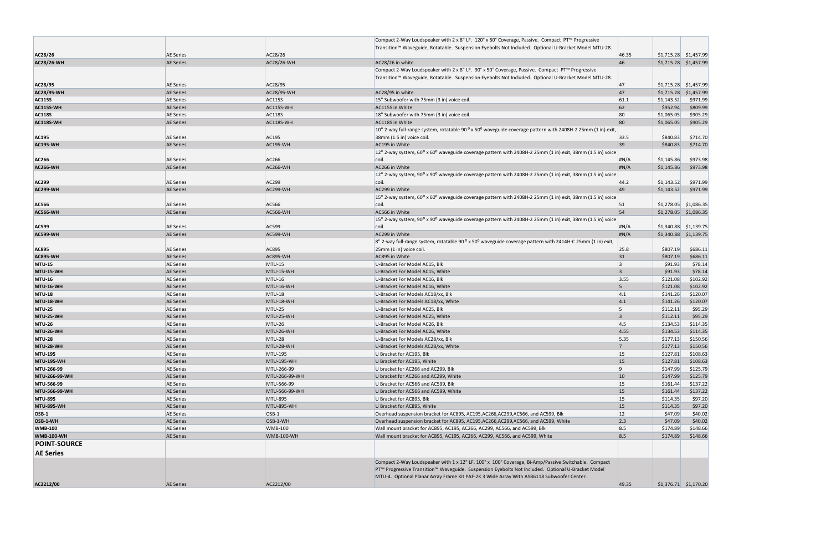|                     |                  |                            | Compact 2-Way Loudspeaker with 2 x 8" LF. 120° x 60° Coverage, Passive. Compact PT™ Progressive                                      |                |            |                         |
|---------------------|------------------|----------------------------|--------------------------------------------------------------------------------------------------------------------------------------|----------------|------------|-------------------------|
|                     |                  |                            | Transition™ Waveguide, Rotatable. Suspension Eyebolts Not Included. Optional U-Bracket Model MTU-28.                                 |                |            |                         |
| AC28/26             | <b>AE Series</b> | AC28/26                    |                                                                                                                                      | 46.35          |            | $$1,715.28$ $$1,457.99$ |
| <b>AC28/26-WH</b>   | <b>AE Series</b> | AC28/26-WH                 | AC28/26 in white.                                                                                                                    | 46             |            | $$1,715.28$ $$1,457.99$ |
|                     |                  |                            | Compact 2-Way Loudspeaker with 2 x 8" LF. 90° x 50° Coverage, Passive. Compact PT™ Progressive                                       |                |            |                         |
|                     |                  |                            | Transition™ Waveguide, Rotatable. Suspension Eyebolts Not Included. Optional U-Bracket Model MTU-28.                                 |                |            |                         |
| AC28/95             | <b>AE Series</b> | AC28/95                    |                                                                                                                                      | 47             |            | $$1,715.28$ $$1,457.99$ |
|                     | <b>AE Series</b> |                            |                                                                                                                                      | 47             |            |                         |
| <b>AC28/95-WH</b>   |                  | AC28/95-WH                 | AC28/95 in white.                                                                                                                    |                |            | $$1,715.28$ $$1,457.99$ |
| <b>AC115S</b>       | <b>AE Series</b> | <b>AC115S</b><br>AC115S-WH | 15" Subwoofer with 75mm (3 in) voice coil.                                                                                           | 61.1<br>62     | \$1,143.52 | \$971.99                |
| <b>AC115S-WH</b>    | <b>AE Series</b> |                            | AC115S in White                                                                                                                      |                | \$952.94   | \$809.99                |
| <b>AC118S</b>       | <b>AE Series</b> | <b>AC118S</b>              | 18" Subwoofer with 75mm (3 in) voice coil.                                                                                           | 80             | \$1,065.05 | \$905.29                |
| AC118S-WH           | <b>AE Series</b> | AC118S-WH                  | AC118S in White                                                                                                                      | 80             | \$1,065.05 | \$905.29                |
|                     |                  |                            | 10" 2-way full-range system, rotatable 90° x 50° waveguide coverage pattern with 2408H-2 25mm (1 in) exit,                           |                |            |                         |
| <b>AC195</b>        | <b>AE Series</b> | AC195                      | 38mm (1.5 in) voice coil.                                                                                                            | 33.5           | \$840.83   | \$714.70                |
| <b>AC195-WH</b>     | <b>AE Series</b> | <b>AC195-WH</b>            | AC195 in White                                                                                                                       | 39             | \$840.83   | \$714.70                |
|                     |                  |                            | $12$ " 2-way system, 60 <sup>o</sup> x 60 <sup>o</sup> waveguide coverage pattern with 2408H-2 25mm (1 in) exit, 38mm (1.5 in) voice |                |            |                         |
| <b>AC266</b>        | <b>AE Series</b> | AC266                      | coil.                                                                                                                                | H N/A          | \$1,145.86 | \$973.98                |
| <b>AC266-WH</b>     | <b>AE Series</b> | <b>AC266-WH</b>            | AC266 in White                                                                                                                       | H N/A          | \$1,145.86 | \$973.98                |
|                     |                  |                            | 12" 2-way system, 90° x 90° waveguide coverage pattern with 2408H-2 25mm (1 in) exit, 38mm (1.5 in) voice                            |                |            |                         |
| <b>AC299</b>        | <b>AE Series</b> | AC299                      | coil.                                                                                                                                | 44.2           | \$1,143.52 | \$971.99                |
| <b>AC299-WH</b>     | <b>AE Series</b> | <b>AC299-WH</b>            | AC299 in White                                                                                                                       | 49             | \$1,143.52 | \$971.99                |
|                     |                  |                            | 15" 2-way system, $60^{\circ}$ x $60^{\circ}$ waveguide coverage pattern with 2408H-2 25mm (1 in) exit, 38mm (1.5 in) voice          |                |            |                         |
| <b>AC566</b>        | <b>AE Series</b> | AC566                      | coil.                                                                                                                                | 51             |            | $$1,278.05$ $$1,086.35$ |
| <b>AC566-WH</b>     | <b>AE Series</b> | <b>AC566-WH</b>            | AC566 in White                                                                                                                       | 54             |            | $$1,278.05$ $$1,086.35$ |
|                     |                  |                            | 15" 2-way system, 90° x 90° waveguide coverage pattern with 2408H-2 25mm (1 in) exit, 38mm (1.5 in) voice                            |                |            |                         |
| <b>AC599</b>        | <b>AE Series</b> | AC599                      | coil.                                                                                                                                | H N/A          |            | $$1,340.88$ $$1,139.75$ |
| <b>AC599-WH</b>     | <b>AE Series</b> | <b>AC599-WH</b>            | AC299 in White                                                                                                                       | H N/A          |            | $$1,340.88$ $$1,139.75$ |
|                     |                  |                            | 8" 2-way full-range system, rotatable 90 ° x 50° waveguide coverage pattern with 2414H-C 25mm (1 in) exit,                           |                |            |                         |
| <b>AC895</b>        | <b>AE Series</b> | AC895                      | 25mm (1 in) voice coil.                                                                                                              | 25.8           | \$807.19   | \$686.11                |
| <b>AC895-WH</b>     | <b>AE Series</b> | <b>AC895-WH</b>            | AC895 in White                                                                                                                       | 31             | \$807.19   | \$686.11                |
| <b>MTU-15</b>       | <b>AE Series</b> | $MTU-15$                   | U-Bracket For Model AC15, Blk                                                                                                        | 3              | \$91.93    | \$78.14                 |
| <b>MTU-15-WH</b>    | <b>AE Series</b> | MTU-15-WH                  | U-Bracket For Model AC15, White                                                                                                      | $\overline{3}$ | \$91.93    | \$78.14                 |
| <b>MTU-16</b>       | <b>AE Series</b> | <b>MTU-16</b>              | U-Bracket For Model AC16, Blk                                                                                                        | 3.55           | \$121.08   | \$102.92                |
| <b>MTU-16-WH</b>    | <b>AE Series</b> | MTU-16-WH                  | U-Bracket For Model AC16, White                                                                                                      | 5 <sup>5</sup> | \$121.08   | \$102.92                |
| <b>MTU-18</b>       | <b>AE Series</b> | <b>MTU-18</b>              | U-Bracket For Models AC18/xx, Blk                                                                                                    | 4.1            | \$141.26   | \$120.07                |
| <b>MTU-18-WH</b>    | <b>AE Series</b> | MTU-18-WH                  | U-Bracket For Models AC18/xx, White                                                                                                  | 4.1            | \$141.26   | \$120.07                |
| <b>MTU-25</b>       | <b>AE Series</b> | MTU-25                     | U-Bracket For Model AC25, Blk                                                                                                        | 5              | \$112.11   | \$95.29                 |
| <b>MTU-25-WH</b>    | <b>AE Series</b> | MTU-25-WH                  | U-Bracket For Model AC25, White                                                                                                      | $\overline{3}$ | \$112.11   | \$95.29                 |
| <b>MTU-26</b>       | <b>AE Series</b> | <b>MTU-26</b>              | U-Bracket For Model AC26, Blk                                                                                                        | 4.5            | \$134.53   | \$114.35                |
| <b>MTU-26-WH</b>    | <b>AE Series</b> | MTU-26-WH                  | U-Bracket For Model AC26, White                                                                                                      | 4.55           | \$134.53   | \$114.35                |
| <b>MTU-28</b>       | <b>AE Series</b> | <b>MTU-28</b>              | U-Bracket For Models AC28/xx, Blk                                                                                                    | 5.35           | \$177.13   | \$150.56                |
| <b>MTU-28-WH</b>    | <b>AE Series</b> | MTU-28-WH                  | U-Bracket For Models AC28/xx, White                                                                                                  | $\overline{7}$ | \$177.13   | \$150.56                |
| <b>MTU-195</b>      | <b>AE Series</b> | <b>MTU-195</b>             | U Bracket for AC195, Blk                                                                                                             | 15             | \$127.81   | \$108.63                |
| <b>MTU-195-WH</b>   | <b>AE Series</b> | <b>MTU-195-WH</b>          | U Bracket for AC195, White                                                                                                           | <b>15</b>      | \$127.81   | \$108.63                |
| MTU-266-99          | <b>AE Series</b> | MTU-266-99                 | U bracket for AC266 and AC299, Blk                                                                                                   | 9              | \$147.99   | \$125.79                |
| MTU-266-99-WH       | <b>AE Series</b> | MTU-266-99-WH              | U bracket for AC266 and AC299, White                                                                                                 | 10             | \$147.99   | \$125.79                |
| MTU-566-99          | <b>AE Series</b> | MTU-566-99                 | U Bracket for AC566 and AC599, Blk                                                                                                   | <b>15</b>      | \$161.44   | \$137.22                |
| MTU-566-99-WH       | <b>AE Series</b> | MTU-566-99-WH              | U Bracket for AC566 and AC599, White                                                                                                 | 15             | \$161.44   | \$137.22                |
| <b>MTU-895</b>      | <b>AE Series</b> | <b>MTU-895</b>             | U Bracket for AC895, Blk                                                                                                             | <b>15</b>      | \$114.35   | \$97.20                 |
| <b>MTU-895-WH</b>   | <b>AE Series</b> | <b>MTU-895-WH</b>          | U Bracket for AC895, White                                                                                                           | <b>15</b>      | \$114.35   | \$97.20                 |
| <b>OSB-1</b>        | <b>AE Series</b> | $OSB-1$                    | Overhead suspension bracket for AC895, AC195, AC266, AC299, AC566, and AC599, Blk                                                    | <b>12</b>      | \$47.09    | \$40.02                 |
| OSB-1-WH            | <b>AE Series</b> | OSB-1-WH                   | Overhead suspension bracket for AC895, AC195, AC266, AC299, AC566, and AC599, White                                                  | 2.3            | \$47.09    | \$40.02                 |
| <b>WMB-100</b>      | <b>AE Series</b> | <b>WMB-100</b>             | Wall mount bracket for AC895, AC195, AC266, AC299, AC566, and AC599, Blk                                                             | 8.5            | \$174.89   | \$148.66                |
| <b>WMB-100-WH</b>   | <b>AE Series</b> | <b>WMB-100-WH</b>          | Wall mount bracket for AC895, AC195, AC266, AC299, AC566, and AC599, White                                                           | 8.5            | \$174.89   | \$148.66                |
| <b>POINT-SOURCE</b> |                  |                            |                                                                                                                                      |                |            |                         |
|                     |                  |                            |                                                                                                                                      |                |            |                         |
| <b>AE Series</b>    |                  |                            |                                                                                                                                      |                |            |                         |
|                     |                  |                            | Compact 2-Way Loudspeaker with 1 x 12" LF. 100° x 100° Coverage, Bi-Amp/Passive Switchable. Compact                                  |                |            |                         |
|                     |                  |                            | PT™ Progressive Transition™ Waveguide. Suspension Eyebolts Not Included. Optional U-Bracket Model                                    |                |            |                         |
|                     |                  |                            | MTU-4. Optional Planar Array Frame Kit PAF-2K 3 Wide Array With ASB6118 Subwoofer Center.                                            |                |            |                         |
| AC2212/00           | <b>AE Series</b> | AC2212/00                  |                                                                                                                                      | 49.35          |            | $$1,376.71$ $$1,170.20$ |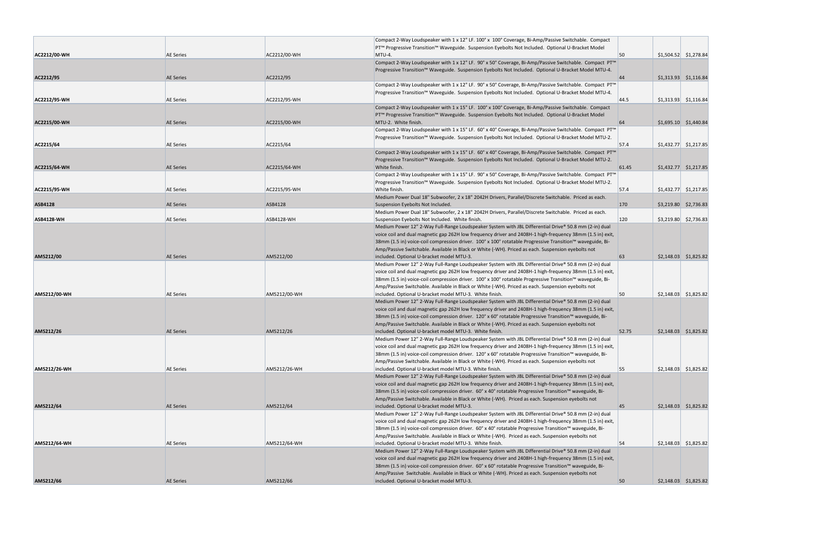|                     |                  |                   | Compact 2-Way Loudspeaker with 1 x 12" LF. 100° x 100° Coverage, Bi-Amp/Passive Switchable. Compact            |            |                         |
|---------------------|------------------|-------------------|----------------------------------------------------------------------------------------------------------------|------------|-------------------------|
|                     |                  |                   | PT™ Progressive Transition™ Waveguide. Suspension Eyebolts Not Included. Optional U-Bracket Model              |            |                         |
| AC2212/00-WH        | <b>AE Series</b> | AC2212/00-WH      | MTU-4.                                                                                                         | 50         | $$1,504.52$ $$1,278.84$ |
|                     |                  |                   | Compact 2-Way Loudspeaker with 1 x 12" LF. 90° x 50° Coverage, Bi-Amp/Passive Switchable. Compact PT™          |            |                         |
|                     |                  |                   | Progressive Transition™ Waveguide. Suspension Eyebolts Not Included. Optional U-Bracket Model MTU-4.           |            |                         |
| AC2212/95           | <b>AE Series</b> | AC2212/95         |                                                                                                                | 44         | $$1,313.93$ $$1,116.84$ |
|                     |                  |                   | Compact 2-Way Loudspeaker with 1 x 12" LF. 90° x 50° Coverage, Bi-Amp/Passive Switchable. Compact PT"          |            |                         |
|                     |                  |                   | Progressive Transition™ Waveguide. Suspension Eyebolts Not Included. Optional U-Bracket Model MTU-4.           |            |                         |
| <b>AC2212/95 WH</b> | <b>AE Series</b> | AC2212/95-WH      |                                                                                                                | 44.5       | $$1,313.93$ $$1,116.84$ |
|                     |                  |                   | Compact 2-Way Loudspeaker with 1 x 15" LF. 100° x 100° Coverage, Bi-Amp/Passive Switchable. Compact            |            |                         |
|                     |                  |                   | PT™ Progressive Transition™ Waveguide. Suspension Eyebolts Not Included. Optional U-Bracket Model              |            |                         |
| AC2215/00-WH        | <b>AE Series</b> | AC2215/00-WH      | MTU-2. White finish.                                                                                           | 64         | $$1,695.10$ $$1,440.84$ |
|                     |                  |                   | Compact 2-Way Loudspeaker with 1 x 15" LF. 60° x 40° Coverage, Bi-Amp/Passive Switchable. Compact PT™          |            |                         |
|                     |                  |                   | Progressive Transition™ Waveguide. Suspension Eyebolts Not Included. Optional U-Bracket Model MTU-2.           |            |                         |
| AC2215/64           | <b>AE Series</b> | AC2215/64         |                                                                                                                | 57.4       | $$1,432.77$ $$1,217.85$ |
|                     |                  |                   | Compact 2-Way Loudspeaker with 1 x 15" LF. $60^{\circ}$ x 40° Coverage, Bi-Amp/Passive Switchable. Compact PT™ |            |                         |
|                     |                  |                   | Progressive Transition™ Waveguide. Suspension Eyebolts Not Included. Optional U-Bracket Model MTU-2.           |            |                         |
| AC2215/64-WH        | <b>AE Series</b> | AC2215/64-WH      | White finish.                                                                                                  | 61.45      | $$1,432.77$ $$1,217.85$ |
|                     |                  |                   | Compact 2-Way Loudspeaker with 1 x 15" LF. 90° x 50° Coverage, Bi-Amp/Passive Switchable. Compact PT'          |            |                         |
|                     |                  |                   | Progressive Transition™ Waveguide. Suspension Eyebolts Not Included. Optional U-Bracket Model MTU-2.           |            |                         |
| AC2215/95-WH        | <b>AE Series</b> | AC2215/95-WH      | White finish.                                                                                                  | 57.4       | $$1,432.77$ $$1,217.85$ |
|                     |                  |                   | Medium Power Dual 18" Subwoofer, 2 x 18" 2042H Drivers, Parallel/Discrete Switchable. Priced as each.          |            |                         |
| <b>ASB4128</b>      | <b>AE Series</b> | ASB4128           | Suspension Eyebolts Not Included.                                                                              | <b>170</b> | $$3,219.80$ $$2,736.83$ |
|                     |                  |                   | Medium Power Dual 18" Subwoofer, 2 x 18" 2042H Drivers, Parallel/Discrete Switchable. Priced as each.          |            |                         |
| <b>ASB4128-WH</b>   | <b>AE Series</b> | <b>ASB4128-WH</b> | Suspension Eyebolts Not Included. White finish.                                                                | 120        | $$3,219.80$ $$2,736.83$ |
|                     |                  |                   | Medium Power 12" 2-Way Full-Range Loudspeaker System with JBL Differential Drive® 50.8 mm (2-in) dual          |            |                         |
|                     |                  |                   | voice coil and dual magnetic gap 262H low frequency driver and 2408H-1 high-frequency 38mm (1.5 in) exit,      |            |                         |
|                     |                  |                   | 38mm (1.5 in) voice-coil compression driver. 100° x 100° rotatable Progressive Transition™ waveguide, Bi-      |            |                         |
|                     |                  |                   | Amp/Passive Switchable. Available in Black or White (-WH). Priced as each. Suspension eyebolts not             |            |                         |
| AM5212/00           | <b>AE Series</b> | AM5212/00         | included. Optional U-bracket model MTU-3.                                                                      | 63         | $$2,148.03$ $$1,825.82$ |
|                     |                  |                   | Medium Power 12" 2-Way Full-Range Loudspeaker System with JBL Differential Drive® 50.8 mm (2-in) dual          |            |                         |
|                     |                  |                   | voice coil and dual magnetic gap 262H low frequency driver and 2408H-1 high-frequency 38mm (1.5 in) exit,      |            |                         |
|                     |                  |                   | 38mm (1.5 in) voice-coil compression driver. 100° x 100° rotatable Progressive Transition™ waveguide, Bi-      |            |                         |
|                     |                  |                   | Amp/Passive Switchable. Available in Black or White (-WH). Priced as each. Suspension eyebolts not             |            |                         |
| AM5212/00-WH        | <b>AE Series</b> | AM5212/00-WH      | included. Optional U-bracket model MTU-3. White finish.                                                        | 50         | $$2,148.03$ $$1,825.82$ |
|                     |                  |                   | Medium Power 12" 2-Way Full-Range Loudspeaker System with JBL Differential Drive® 50.8 mm (2-in) dual          |            |                         |
|                     |                  |                   | voice coil and dual magnetic gap 262H low frequency driver and 2408H-1 high-frequency 38mm (1.5 in) exit,      |            |                         |
|                     |                  |                   | 38mm (1.5 in) voice-coil compression driver. 120° x 60° rotatable Progressive Transition™ waveguide, Bi-       |            |                         |
|                     |                  |                   | Amp/Passive Switchable. Available in Black or White (-WH). Priced as each. Suspension eyebolts not             |            |                         |
| AM5212/26           | <b>AE Series</b> | AM5212/26         | included. Optional U-bracket model MTU-3. White finish.                                                        | 52.75      | $$2,148.03$ $$1,825.82$ |
|                     |                  |                   | Medium Power 12" 2-Way Full-Range Loudspeaker System with JBL Differential Drive® 50.8 mm (2-in) dual          |            |                         |
|                     |                  |                   | voice coil and dual magnetic gap 262H low frequency driver and 2408H-1 high-frequency 38mm (1.5 in) exit,      |            |                         |
|                     |                  |                   | 38mm (1.5 in) voice-coil compression driver. 120° x 60° rotatable Progressive Transition™ waveguide, Bi-       |            |                         |
|                     |                  |                   | Amp/Passive Switchable. Available in Black or White (-WH). Priced as each. Suspension eyebolts not             |            |                         |
| AM5212/26-WH        | <b>AE Series</b> | AM5212/26-WH      | included. Optional U-bracket model MTU-3. White finish.                                                        | 55         | $$2,148.03$ $$1,825.82$ |
|                     |                  |                   | Medium Power 12" 2-Way Full-Range Loudspeaker System with JBL Differential Drive® 50.8 mm (2-in) dual          |            |                         |
|                     |                  |                   | voice coil and dual magnetic gap 262H low frequency driver and 2408H-1 high-frequency 38mm (1.5 in) exit,      |            |                         |
|                     |                  |                   | 38mm (1.5 in) voice-coil compression driver. 60° x 40° rotatable Progressive Transition™ waveguide, Bi-        |            |                         |
|                     |                  |                   | Amp/Passive Switchable. Available in Black or White (-WH). Priced as each. Suspension eyebolts not             |            |                         |
| AM5212/64           | <b>AE Series</b> | AM5212/64         | included. Optional U-bracket model MTU-3.                                                                      | 45         | $$2,148.03$ $$1,825.82$ |
|                     |                  |                   | Medium Power 12" 2-Way Full-Range Loudspeaker System with JBL Differential Drive® 50.8 mm (2-in) dual          |            |                         |
|                     |                  |                   | voice coil and dual magnetic gap 262H low frequency driver and 2408H-1 high-frequency 38mm (1.5 in) exit,      |            |                         |
|                     |                  |                   | 38mm (1.5 in) voice-coil compression driver. 60° x 40° rotatable Progressive Transition™ waveguide, Bi-        |            |                         |
|                     |                  |                   | Amp/Passive Switchable. Available in Black or White (-WH). Priced as each. Suspension eyebolts not             |            |                         |
| AM5212/64-WH        | <b>AE Series</b> | AM5212/64-WH      | included. Optional U-bracket model MTU-3. White finish.                                                        | 54         | $$2,148.03$ $$1,825.82$ |
|                     |                  |                   | Medium Power 12" 2-Way Full-Range Loudspeaker System with JBL Differential Drive® 50.8 mm (2-in) dual          |            |                         |
|                     |                  |                   | voice coil and dual magnetic gap 262H low frequency driver and 2408H-1 high-frequency 38mm (1.5 in) exit,      |            |                         |
|                     |                  |                   | 38mm (1.5 in) voice-coil compression driver. 60° x 60° rotatable Progressive Transition™ waveguide, Bi-        |            |                         |
|                     |                  |                   | Amp/Passive Switchable. Available in Black or White (-WH). Priced as each. Suspension eyebolts not             |            |                         |
| AM5212/66           | <b>AE Series</b> | AM5212/66         | included. Optional U-bracket model MTU-3.                                                                      | 50         | $$2,148.03$ $$1,825.82$ |
|                     |                  |                   |                                                                                                                |            |                         |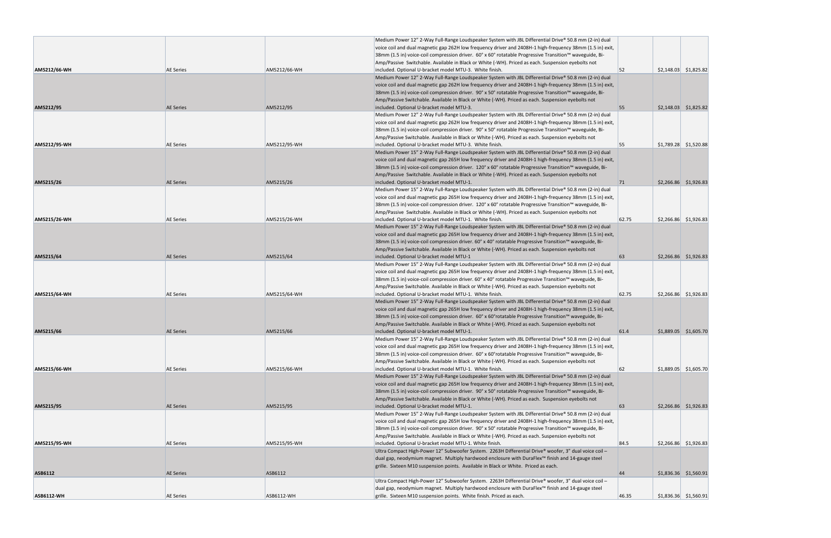| <b>ASB6112-WH</b> | <b>AE Series</b> | ASB6112-WH   | grille. Sixteen M10 suspension points. White finish. Priced as each.                                                                                                                                               | 46.35 | $$1,836.36$ $$1,560.91$ |
|-------------------|------------------|--------------|--------------------------------------------------------------------------------------------------------------------------------------------------------------------------------------------------------------------|-------|-------------------------|
|                   |                  |              | dual gap, neodymium magnet. Multiply hardwood enclosure with DuraFlex™ finish and 14-gauge steel                                                                                                                   |       |                         |
|                   |                  |              | Ultra Compact High-Power 12" Subwoofer System. 2263H Differential Drive® woofer, 3" dual voice coil -                                                                                                              |       |                         |
| ASB6112           | <b>AE Series</b> | ASB6112      | grille. Sixteen M10 suspension points. Available in Black or White. Priced as each.                                                                                                                                | 44    | $$1,836.36$ $$1,560.91$ |
|                   |                  |              | dual gap, neodymium magnet. Multiply hardwood enclosure with DuraFlex™ finish and 14-gauge steel                                                                                                                   |       |                         |
| AM5215/95-WH      | <b>AE Series</b> | AM5215/95-WH | included. Optional U-bracket model MTU-1. White finish.<br>Ultra Compact High-Power 12" Subwoofer System. 2263H Differential Drive® woofer, 3" dual voice coil -                                                   |       | $$2,266.86$ $$1,926.83$ |
|                   |                  |              | Amp/Passive Switchable. Available in Black or White (-WH). Priced as each. Suspension eyebolts not                                                                                                                 | 84.5  |                         |
|                   |                  |              | 38mm (1.5 in) voice-coil compression driver. 90° x 50° rotatable Progressive Transition™ waveguide, Bi-                                                                                                            |       |                         |
|                   |                  |              | voice coil and dual magnetic gap 265H low frequency driver and 2408H-1 high-frequency 38mm (1.5 in) exit,                                                                                                          |       |                         |
|                   |                  |              | Medium Power 15" 2-Way Full-Range Loudspeaker System with JBL Differential Drive® 50.8 mm (2-in) dual                                                                                                              |       |                         |
| AM5215/95         | <b>AE Series</b> | AM5215/95    | Amp/Passive Switchable. Available in Black or White (-WH). Priced as each. Suspension eyebolts not<br>included. Optional U-bracket model MTU-1.                                                                    | 63    | $$2,266.86$ $$1,926.83$ |
|                   |                  |              | 38mm (1.5 in) voice-coil compression driver. 90° x 50° rotatable Progressive Transition™ waveguide, Bi-                                                                                                            |       |                         |
|                   |                  |              | voice coil and dual magnetic gap 265H low frequency driver and 2408H-1 high-frequency 38mm (1.5 in) exit,                                                                                                          |       |                         |
|                   |                  |              | Medium Power 15" 2-Way Full-Range Loudspeaker System with JBL Differential Drive® 50.8 mm (2-in) dual                                                                                                              |       |                         |
| AM5215/66-WH      | <b>AE Series</b> | AM5215/66-WH | included. Optional U-bracket model MTU-1. White finish.                                                                                                                                                            | 62    | $$1,889.05$ $$1,605.70$ |
|                   |                  |              | Amp/Passive Switchable. Available in Black or White (-WH). Priced as each. Suspension eyebolts not                                                                                                                 |       |                         |
|                   |                  |              | 38mm (1.5 in) voice-coil compression driver. 60° x 60° rotatable Progressive Transition™ waveguide, Bi-                                                                                                            |       |                         |
|                   |                  |              | Medium Power 15" 2-Way Full-Range Loudspeaker System with JBL Differential Drive® 50.8 mm (2-in) dual<br>voice coil and dual magnetic gap 265H low frequency driver and 2408H-1 high-frequency 38mm (1.5 in) exit, |       |                         |
| AM5215/66         | <b>AE Series</b> | AM5215/66    | included. Optional U-bracket model MTU-1.                                                                                                                                                                          | 61.4  | $$1,889.05$ \$1,605.70  |
|                   |                  |              | Amp/Passive Switchable. Available in Black or White (-WH). Priced as each. Suspension eyebolts not                                                                                                                 |       |                         |
|                   |                  |              | 38mm (1.5 in) voice-coil compression driver. 60° x 60° rotatable Progressive Transition™ waveguide, Bi-                                                                                                            |       |                         |
|                   |                  |              | voice coil and dual magnetic gap 265H low frequency driver and 2408H-1 high-frequency 38mm (1.5 in) exit,                                                                                                          |       |                         |
|                   |                  |              | Medium Power 15" 2-Way Full-Range Loudspeaker System with JBL Differential Drive® 50.8 mm (2-in) dual                                                                                                              |       |                         |
| AM5215/64-WH      | <b>AE Series</b> | AM5215/64-WH | Amp/Passive Switchable. Available in Black or White (-WH). Priced as each. Suspension eyebolts not<br>included. Optional U-bracket model MTU-1. White finish.                                                      | 62.75 | $$2,266.86$ $$1,926.83$ |
|                   |                  |              | 38mm (1.5 in) voice-coil compression driver. 60° x 40° rotatable Progressive Transition™ waveguide, Bi-                                                                                                            |       |                         |
|                   |                  |              | voice coil and dual magnetic gap 265H low frequency driver and 2408H-1 high-frequency 38mm (1.5 in) exit,                                                                                                          |       |                         |
|                   |                  |              | Medium Power 15" 2-Way Full-Range Loudspeaker System with JBL Differential Drive® 50.8 mm (2-in) dual                                                                                                              |       |                         |
| AM5215/64         | <b>AE Series</b> | AM5215/64    | included. Optional U-bracket model MTU-1                                                                                                                                                                           | 63    | $$2,266.86$ $$1,926.83$ |
|                   |                  |              | Amp/Passive Switchable. Available in Black or White (-WH). Priced as each. Suspension eyebolts not                                                                                                                 |       |                         |
|                   |                  |              | 38mm (1.5 in) voice-coil compression driver. 60° x 40° rotatable Progressive Transition™ waveguide, Bi-                                                                                                            |       |                         |
|                   |                  |              | Medium Power 15" 2-Way Full-Range Loudspeaker System with JBL Differential Drive® 50.8 mm (2-in) dual<br>voice coil and dual magnetic gap 265H low frequency driver and 2408H-1 high-frequency 38mm (1.5 in) exit, |       |                         |
| AM5215/26-WH      | <b>AE Series</b> | AM5215/26-WH | included. Optional U-bracket model MTU-1. White finish.                                                                                                                                                            | 62.75 | $$2,266.86$ $$1,926.83$ |
|                   |                  |              | Amp/Passive Switchable. Available in Black or White (-WH). Priced as each. Suspension eyebolts not                                                                                                                 |       |                         |
|                   |                  |              | 38mm (1.5 in) voice-coil compression driver. 120° x 60° rotatable Progressive Transition™ waveguide, Bi-                                                                                                           |       |                         |
|                   |                  |              | voice coil and dual magnetic gap 265H low frequency driver and 2408H-1 high-frequency 38mm (1.5 in) exit,                                                                                                          |       |                         |
|                   |                  |              | Medium Power 15" 2-Way Full-Range Loudspeaker System with JBL Differential Drive® 50.8 mm (2-in) dual                                                                                                              |       |                         |
| AM5215/26         | <b>AE Series</b> | AM5215/26    | included. Optional U-bracket model MTU-1.                                                                                                                                                                          | 71    | \$2,266.86 \$1,926.83   |
|                   |                  |              | 38mm (1.5 in) voice-coil compression driver. 120° x 60° rotatable Progressive Transition™ waveguide, Bi-<br>Amp/Passive Switchable. Available in Black or White (-WH). Priced as each. Suspension eyebolts not     |       |                         |
|                   |                  |              | voice coil and dual magnetic gap 265H low frequency driver and 2408H-1 high-frequency 38mm (1.5 in) exit,                                                                                                          |       |                         |
|                   |                  |              | Medium Power 15" 2-Way Full-Range Loudspeaker System with JBL Differential Drive® 50.8 mm (2-in) dual                                                                                                              |       |                         |
| AM5212/95-WH      | <b>AE Series</b> | AM5212/95-WH | included. Optional U-bracket model MTU-3. White finish.                                                                                                                                                            | 55    | $$1,789.28$ $$1,520.88$ |
|                   |                  |              | Amp/Passive Switchable. Available in Black or White (-WH). Priced as each. Suspension eyebolts not                                                                                                                 |       |                         |
|                   |                  |              | 38mm (1.5 in) voice-coil compression driver. 90° x 50° rotatable Progressive Transition™ waveguide, Bi-                                                                                                            |       |                         |
|                   |                  |              | voice coil and dual magnetic gap 262H low frequency driver and 2408H-1 high-frequency 38mm (1.5 in) exit,                                                                                                          |       |                         |
| AM5212/95         | <b>AE Series</b> | AM5212/95    | included. Optional U-bracket model MTU-3.<br>Medium Power 12" 2-Way Full-Range Loudspeaker System with JBL Differential Drive® 50.8 mm (2-in) dual                                                                 | 55    | $$2,148.03$ $$1,825.82$ |
|                   |                  |              | Amp/Passive Switchable. Available in Black or White (-WH). Priced as each. Suspension eyebolts not                                                                                                                 |       |                         |
|                   |                  |              | 38mm (1.5 in) voice-coil compression driver. 90° x 50° rotatable Progressive Transition™ waveguide, Bi-                                                                                                            |       |                         |
|                   |                  |              | voice coil and dual magnetic gap 262H low frequency driver and 2408H-1 high-frequency 38mm (1.5 in) exit,                                                                                                          |       |                         |
|                   |                  |              | Medium Power 12" 2-Way Full-Range Loudspeaker System with JBL Differential Drive® 50.8 mm (2-in) dual                                                                                                              |       |                         |
| AM5212/66-WH      | <b>AE Series</b> | AM5212/66-WH | included. Optional U-bracket model MTU-3. White finish.                                                                                                                                                            | 52    | $$2,148.03$ $$1,825.82$ |
|                   |                  |              | 38mm (1.5 in) voice-coil compression driver. 60° x 60° rotatable Progressive Transition™ waveguide, Bi-<br>Amp/Passive Switchable. Available in Black or White (-WH). Priced as each. Suspension eyebolts not      |       |                         |
|                   |                  |              | voice coil and dual magnetic gap 262H low frequency driver and 2408H-1 high-frequency 38mm (1.5 in) exit,                                                                                                          |       |                         |
|                   |                  |              | Medium Power 12" 2-Way Full-Range Loudspeaker System with JBL Differential Drive® 50.8 mm (2-in) dual                                                                                                              |       |                         |
|                   |                  |              |                                                                                                                                                                                                                    |       |                         |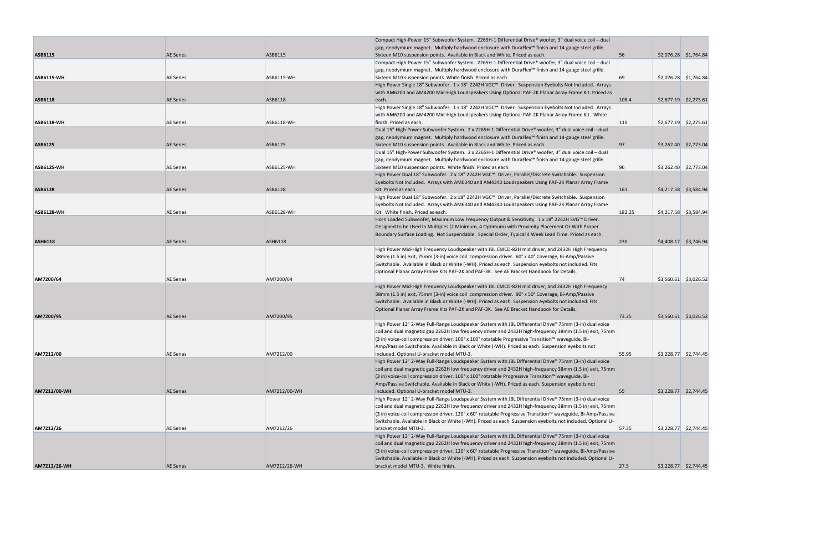|                   |                  |                   | Compact High-Power 15" Subwoofer System. 2265H-1 Differential Drive® woofer, 3" dual voice coil – dual                                |        |                         |
|-------------------|------------------|-------------------|---------------------------------------------------------------------------------------------------------------------------------------|--------|-------------------------|
|                   |                  |                   | gap, neodymium magnet. Multiply hardwood enclosure with DuraFlex™ finish and 14-gauge steel grille.                                   |        |                         |
| ASB6115           | <b>AE Series</b> | ASB6115           | Sixteen M10 suspension points. Available in Black and White. Priced as each.                                                          | 56     | \$2,076.28 \$1,764.84   |
|                   |                  |                   | Compact High-Power 15" Subwoofer System. 2265H-1 Differential Drive® woofer, 3" dual voice coil – dual                                |        |                         |
|                   |                  |                   | gap, neodymium magnet. Multiply hardwood enclosure with DuraFlex™ finish and 14-gauge steel grille.                                   |        |                         |
| <b>ASB6115-WH</b> | <b>AE Series</b> | <b>ASB6115-WH</b> | Sixteen M10 suspension points. White finish. Priced as each.                                                                          | 69     | $$2,076.28$ $$1,764.84$ |
|                   |                  |                   | High Power Single 18" Subwoofer. 1 x 18" 2242H VGC™ Driver. Suspension Eyebolts Not Included. Arrays                                  |        |                         |
|                   |                  |                   | with AM6200 and AM4200 Mid-High Loudspeakers Using Optional PAF-2K Planar Array Frame Kit. Priced as                                  |        |                         |
| <b>ASB6118</b>    | <b>AE Series</b> | ASB6118           | each.                                                                                                                                 | 108.4  | $$2,677.19$ $$2,275.61$ |
|                   |                  |                   | High Power Single 18" Subwoofer. 1 x 18" 2242H VGC™ Driver. Suspension Eyebolts Not Included. Arrays                                  |        |                         |
|                   |                  |                   | with AM6200 and AM4200 Mid-High Loudspeakers Using Optional PAF-2K Planar Array Frame Kit. White                                      |        |                         |
| <b>ASB6118-WH</b> | <b>AE Series</b> | <b>ASB6118-WH</b> | finish. Priced as each.                                                                                                               | 110    | $$2,677.19$ $$2,275.61$ |
|                   |                  |                   | Dual 15" High-Power Subwoofer System. 2 x 2265H-1 Differential Drive® woofer, 3" dual voice coil - dual                               |        |                         |
|                   |                  |                   | gap, neodymium magnet. Multiply hardwood enclosure with DuraFlex™ finish and 14-gauge steel grille.                                   |        |                         |
|                   |                  |                   |                                                                                                                                       |        |                         |
| ASB6125           | <b>AE Series</b> | ASB6125           | Sixteen M10 suspension points. Available in Black and White. Priced as each.                                                          | 97     | \$3,262.40 \$2,773.04   |
|                   |                  |                   | Dual 15" High-Power Subwoofer System. 2 x 2265H-1 Differential Drive® woofer, 3" dual voice coil – dual                               |        |                         |
|                   |                  |                   | gap, neodymium magnet. Multiply hardwood enclosure with DuraFlex™ finish and 14-gauge steel grille.                                   |        |                         |
| <b>ASB6125-WH</b> | <b>AE Series</b> | <b>ASB6125-WH</b> | Sixteen M10 suspension points. White finish. Priced as each.                                                                          | 96     | $$3,262.40$ $$2,773.04$ |
|                   |                  |                   | High Power Dual 18" Subwoofer. 2 x 18" 2242H VGC™ Driver, Parallel/Discrete Switchable. Suspension                                    |        |                         |
|                   |                  |                   | Eyebolts Not Included. Arrays with AM6340 and AM4340 Loudspeakers Using PAF-2K Planar Array Frame                                     |        |                         |
| <b>ASB6128</b>    | <b>AE Series</b> | ASB6128           | Kit. Priced as each.                                                                                                                  | 161    | \$4,217.58 \$3,584.94   |
|                   |                  |                   | High Power Dual 18" Subwoofer. 2 x 18" 2242H VGC™ Driver, Parallel/Discrete Switchable. Suspension                                    |        |                         |
|                   |                  |                   | Eyebolts Not Included. Arrays with AM6340 and AM4340 Loudspeakers Using PAF-2K Planar Array Frame                                     |        |                         |
| <b>ASB6128-WH</b> | <b>AE Series</b> | <b>ASB6128-WH</b> | Kit. White finish. Priced as each.                                                                                                    | 182.25 | $$4,217.58$ $$3,584.94$ |
|                   |                  |                   | Horn Loaded Subwoofer, Maximum Low Frequency Output & Sensitivity. 1 x 18" 2242H SVG™ Driver.                                         |        |                         |
|                   |                  |                   | Designed to be Used In Multiples (2 Minimum, 4 Optimum) with Proximity Placement Or With Proper                                       |        |                         |
|                   |                  |                   | Boundary Surface Loading. Not Suspendable. Special Order, Typical 4 Week Lead Time. Priced as each.                                   |        |                         |
| <b>ASH6118</b>    | <b>AE Series</b> | <b>ASH6118</b>    |                                                                                                                                       | 230    | $$4,408.17$ $$3,746.94$ |
|                   |                  |                   | High Power Mid-High Frequency Loudspeaker with JBL CMCD-82H mid driver, and 2432H High Frequency                                      |        |                         |
|                   |                  |                   | 38mm (1.5 in) exit, 75mm (3-in) voice coil compression driver. 60° x 40° Coverage, Bi-Amp/Passive                                     |        |                         |
|                   |                  |                   | Switchable. Available in Black or White (-WH). Priced as each. Suspension eyebolts not included. Fits                                 |        |                         |
|                   |                  |                   |                                                                                                                                       |        |                         |
|                   |                  |                   | Optional Planar Array Frame Kits PAF-2K and PAF-3K. See AE Bracket Handbook for Details.                                              |        |                         |
| AM7200/64         | <b>AE Series</b> | AM7200/64         |                                                                                                                                       | 74     | $$3,560.61$ $$3,026.52$ |
|                   |                  |                   | High Power Mid-High Frequency Loudspeaker with JBL CMCD-82H mid driver, and 2432H High Frequency                                      |        |                         |
|                   |                  |                   | 38mm (1.5 in) exit, 75mm (3-in) voice coil compression driver. 90° x 50° Coverage, Bi-Amp/Passive                                     |        |                         |
|                   |                  |                   | Switchable. Available in Black or White (-WH). Priced as each. Suspension eyebolts not included. Fits                                 |        |                         |
|                   |                  |                   | Optional Planar Array Frame Kits PAF-2K and PAF-3K. See AE Bracket Handbook for Details.                                              |        |                         |
| AM7200/95         | <b>AE Series</b> | AM7200/95         |                                                                                                                                       | 73.25  | $$3,560.61$ $$3,026.52$ |
|                   |                  |                   | High Power 12" 2-Way Full-Range Loudspeaker System with JBL Differential Drive® 75mm (3-in) dual voice                                |        |                         |
|                   |                  |                   | coil and dual magnetic gap 2262H low frequency driver and 2432H high-frequency 38mm (1.5 in) exit, 75mm                               |        |                         |
|                   |                  |                   | (3 in) voice-coil compression driver. 100° x 100° rotatable Progressive Transition™ waveguide, Bi-                                    |        |                         |
|                   |                  |                   | Amp/Passive Switchable. Available in Black or White (-WH). Priced as each. Suspension eyebolts not                                    |        |                         |
| AM7212/00         | <b>AE Series</b> | AM7212/00         | included. Optional U-bracket model MTU-3.                                                                                             | 55.95  | $$3,228.77$ $$2,744.45$ |
|                   |                  |                   | High Power 12" 2-Way Full-Range Loudspeaker System with JBL Differential Drive® 75mm (3-in) dual voice                                |        |                         |
|                   |                  |                   | coil and dual magnetic gap 2262H low frequency driver and 2432H high-frequency 38mm (1.5 in) exit, 75mm                               |        |                         |
|                   |                  |                   | $(3 \text{ in})$ voice-coil compression driver. 100° x 100° rotatable Progressive Transition <sup><math>m</math></sup> waveguide, Bi- |        |                         |
|                   |                  |                   | Amp/Passive Switchable. Available in Black or White (-WH). Priced as each. Suspension eyebolts not                                    |        |                         |
| AM7212/00-WH      | <b>AE Series</b> | AM7212/00-WH      | included. Optional U-bracket model MTU-3.                                                                                             | 55     | $$3,228.77$ $$2,744.45$ |
|                   |                  |                   | High Power 12" 2-Way Full-Range Loudspeaker System with JBL Differential Drive® 75mm (3-in) dual voice                                |        |                         |
|                   |                  |                   | coil and dual magnetic gap 2262H low frequency driver and 2432H high-frequency 38mm (1.5 in) exit, 75mm                               |        |                         |
|                   |                  |                   | (3 in) voice-coil compression driver. 120° x 60° rotatable Progressive Transition™ waveguide, Bi-Amp/Passive                          |        |                         |
|                   |                  |                   |                                                                                                                                       |        |                         |
|                   |                  |                   | Switchable. Available in Black or White (-WH). Priced as each. Suspension eyebolts not included. Optional U-                          |        |                         |
| AM7212/26         | <b>AE Series</b> | AM7212/26         | bracket model MTU-3.                                                                                                                  | 57.35  | $$3,228.77$ $$2,744.45$ |
|                   |                  |                   | High Power 12" 2-Way Full-Range Loudspeaker System with JBL Differential Drive® 75mm (3-in) dual voice                                |        |                         |
|                   |                  |                   | coil and dual magnetic gap 2262H low frequency driver and 2432H high-frequency 38mm (1.5 in) exit, 75mm                               |        |                         |
|                   |                  |                   | (3 in) voice-coil compression driver. 120° x 60° rotatable Progressive Transition™ waveguide, Bi-Amp/Passive                          |        |                         |
|                   |                  |                   | Switchable. Available in Black or White (-WH). Priced as each. Suspension eyebolts not included. Optional U-                          |        |                         |
| AM7212/26-WH      | <b>AE Series</b> | AM7212/26-WH      | bracket model MTU-3. White finish.                                                                                                    | 27.5   | $$3,228.77$ $$2,744.45$ |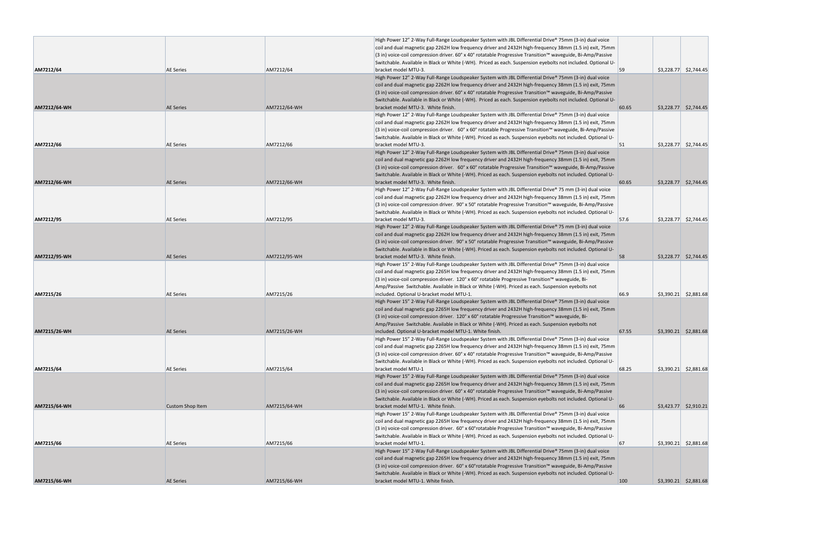|              |                         |              | High Power 12" 2-Way Full-Range Loudspeaker System with JBL Differential Drive® 75mm (3-in) dual voice<br>coil and dual magnetic gap 2262H low frequency driver and 2432H high-frequency 38mm (1.5 in) exit, 75mm                                              |       |                         |                         |
|--------------|-------------------------|--------------|----------------------------------------------------------------------------------------------------------------------------------------------------------------------------------------------------------------------------------------------------------------|-------|-------------------------|-------------------------|
|              |                         |              | (3 in) voice-coil compression driver. 60° x 40° rotatable Progressive Transition™ waveguide, Bi-Amp/Passive                                                                                                                                                    |       |                         |                         |
|              |                         |              | Switchable. Available in Black or White (-WH). Priced as each. Suspension eyebolts not included. Optional U-                                                                                                                                                   |       |                         |                         |
| AM7212/64    | <b>AE Series</b>        | AM7212/64    | bracket model MTU-3.<br>High Power 12" 2-Way Full-Range Loudspeaker System with JBL Differential Drive® 75mm (3-in) dual voice                                                                                                                                 | 59    | $$3,228.77$ $$2,744.45$ |                         |
|              |                         |              | coil and dual magnetic gap 2262H low frequency driver and 2432H high-frequency 38mm (1.5 in) exit, 75mm                                                                                                                                                        |       |                         |                         |
|              |                         |              | (3 in) voice-coil compression driver. 60° x 40° rotatable Progressive Transition™ waveguide, Bi-Amp/Passive                                                                                                                                                    |       |                         |                         |
|              |                         |              | Switchable. Available in Black or White (-WH). Priced as each. Suspension eyebolts not included. Optional U-                                                                                                                                                   |       |                         |                         |
| AM7212/64-WH | <b>AE Series</b>        | AM7212/64-WH | bracket model MTU-3. White finish.                                                                                                                                                                                                                             | 60.65 | \$3,228.77 \$2,744.45   |                         |
|              |                         |              | High Power 12" 2-Way Full-Range Loudspeaker System with JBL Differential Drive® 75mm (3-in) dual voice                                                                                                                                                         |       |                         |                         |
|              |                         |              | coil and dual magnetic gap 2262H low frequency driver and 2432H high-frequency 38mm (1.5 in) exit, 75mm                                                                                                                                                        |       |                         |                         |
|              |                         |              | (3 in) voice-coil compression driver. 60° x 60° rotatable Progressive Transition™ waveguide, Bi-Amp/Passive                                                                                                                                                    |       |                         |                         |
|              |                         |              | Switchable. Available in Black or White (-WH). Priced as each. Suspension eyebolts not included. Optional U-                                                                                                                                                   |       |                         |                         |
| AM7212/66    | <b>AE Series</b>        | AM7212/66    | bracket model MTU-3.                                                                                                                                                                                                                                           | 51    | $$3,228.77$ $$2,744.45$ |                         |
|              |                         |              | High Power 12" 2-Way Full-Range Loudspeaker System with JBL Differential Drive® 75mm (3-in) dual voice<br>coil and dual magnetic gap 2262H low frequency driver and 2432H high-frequency 38mm (1.5 in) exit, 75mm                                              |       |                         |                         |
|              |                         |              | (3 in) voice-coil compression driver. 60° x 60° rotatable Progressive Transition™ waveguide, Bi-Amp/Passive                                                                                                                                                    |       |                         |                         |
|              |                         |              | Switchable. Available in Black or White (-WH). Priced as each. Suspension eyebolts not included. Optional U-                                                                                                                                                   |       |                         |                         |
| AM7212/66-WH | <b>AE Series</b>        | AM7212/66-WH | bracket model MTU-3. White finish.                                                                                                                                                                                                                             | 60.65 | $$3,228.77$ $$2,744.45$ |                         |
|              |                         |              | High Power 12" 2-Way Full-Range Loudspeaker System with JBL Differential Drive® 75 mm (3-in) dual voice                                                                                                                                                        |       |                         |                         |
|              |                         |              | coil and dual magnetic gap 2262H low frequency driver and 2432H high-frequency 38mm (1.5 in) exit, 75mm                                                                                                                                                        |       |                         |                         |
|              |                         |              | (3 in) voice-coil compression driver. 90° x 50° rotatable Progressive Transition™ waveguide, Bi-Amp/Passive                                                                                                                                                    |       |                         |                         |
|              |                         |              | Switchable. Available in Black or White (-WH). Priced as each. Suspension eyebolts not included. Optional U-                                                                                                                                                   |       |                         |                         |
| AM7212/95    | <b>AE Series</b>        | AM7212/95    | bracket model MTU-3.                                                                                                                                                                                                                                           | 57.6  |                         | $$3,228.77$ $$2,744.45$ |
|              |                         |              | High Power 12" 2-Way Full-Range Loudspeaker System with JBL Differential Drive® 75 mm (3-in) dual voice                                                                                                                                                        |       |                         |                         |
|              |                         |              | coil and dual magnetic gap 2262H low frequency driver and 2432H high-frequency 38mm (1.5 in) exit, 75mm                                                                                                                                                        |       |                         |                         |
|              |                         |              | $(3 \text{ in})$ voice-coil compression driver. 90° x 50° rotatable Progressive Transition <sup><math>m</math></sup> waveguide, Bi-Amp/Passive<br>Switchable. Available in Black or White (-WH). Priced as each. Suspension eyebolts not included. Optional U- |       |                         |                         |
| AM7212/95-WH | <b>AE Series</b>        | AM7212/95-WH | bracket model MTU-3. White finish.                                                                                                                                                                                                                             | 58    | $$3,228.77$ $$2,744.45$ |                         |
|              |                         |              | High Power 15" 2-Way Full-Range Loudspeaker System with JBL Differential Drive® 75mm (3-in) dual voice                                                                                                                                                         |       |                         |                         |
|              |                         |              | coil and dual magnetic gap 2265H low frequency driver and 2432H high-frequency 38mm (1.5 in) exit, 75mm                                                                                                                                                        |       |                         |                         |
|              |                         |              | (3 in) voice-coil compression driver. 120° x 60° rotatable Progressive Transition™ waveguide, Bi-                                                                                                                                                              |       |                         |                         |
|              |                         |              | Amp/Passive Switchable. Available in Black or White (-WH). Priced as each. Suspension eyebolts not                                                                                                                                                             |       |                         |                         |
| AM7215/26    | <b>AE Series</b>        | AM7215/26    | included. Optional U-bracket model MTU-1.                                                                                                                                                                                                                      | 66.9  |                         | $$3,390.21$ $$2,881.68$ |
|              |                         |              | High Power 15" 2-Way Full-Range Loudspeaker System with JBL Differential Drive® 75mm (3-in) dual voice                                                                                                                                                         |       |                         |                         |
|              |                         |              | coil and dual magnetic gap 2265H low frequency driver and 2432H high-frequency 38mm (1.5 in) exit, 75mm                                                                                                                                                        |       |                         |                         |
|              |                         |              | (3 in) voice-coil compression driver. 120° x 60° rotatable Progressive Transition™ waveguide, Bi-                                                                                                                                                              |       |                         |                         |
| AM7215/26-WH | <b>AE Series</b>        | AM7215/26-WH | Amp/Passive Switchable. Available in Black or White (-WH). Priced as each. Suspension eyebolts not<br>included. Optional U-bracket model MTU-1. White finish.                                                                                                  | 67.55 | \$3,390.21 \$2,881.68   |                         |
|              |                         |              | High Power 15" 2-Way Full-Range Loudspeaker System with JBL Differential Drive® 75mm (3-in) dual voice                                                                                                                                                         |       |                         |                         |
|              |                         |              | coil and dual magnetic gap 2265H low frequency driver and 2432H high-frequency 38mm (1.5 in) exit, 75mm                                                                                                                                                        |       |                         |                         |
|              |                         |              | (3 in) voice-coil compression driver. 60° x 40° rotatable Progressive Transition™ waveguide, Bi-Amp/Passive                                                                                                                                                    |       |                         |                         |
|              |                         |              | Switchable. Available in Black or White (-WH). Priced as each. Suspension eyebolts not included. Optional U-                                                                                                                                                   |       |                         |                         |
| AM7215/64    | <b>AE Series</b>        | AM7215/64    | bracket model MTU-1                                                                                                                                                                                                                                            | 68.25 |                         | $$3,390.21$ $$2,881.68$ |
|              |                         |              | High Power 15" 2-Way Full-Range Loudspeaker System with JBL Differential Drive® 75mm (3-in) dual voice                                                                                                                                                         |       |                         |                         |
|              |                         |              | coil and dual magnetic gap 2265H low frequency driver and 2432H high-frequency 38mm (1.5 in) exit, 75mm                                                                                                                                                        |       |                         |                         |
|              |                         |              | (3 in) voice-coil compression driver. 60° x 40° rotatable Progressive Transition™ waveguide, Bi-Amp/Passive                                                                                                                                                    |       |                         |                         |
|              |                         |              | Switchable. Available in Black or White (-WH). Priced as each. Suspension eyebolts not included. Optional U-                                                                                                                                                   |       |                         |                         |
| AM7215/64-WH | <b>Custom Shop Item</b> | AM7215/64-WH | bracket model MTU-1. White finish.<br>High Power 15" 2-Way Full-Range Loudspeaker System with JBL Differential Drive® 75mm (3-in) dual voice                                                                                                                   | 66    | $$3,423.77$ $$2,910.21$ |                         |
|              |                         |              | coil and dual magnetic gap 2265H low frequency driver and 2432H high-frequency 38mm (1.5 in) exit, 75mm                                                                                                                                                        |       |                         |                         |
|              |                         |              | (3 in) voice-coil compression driver. 60° x 60° rotatable Progressive Transition™ waveguide, Bi-Amp/Passive                                                                                                                                                    |       |                         |                         |
|              |                         |              | Switchable. Available in Black or White (-WH). Priced as each. Suspension eyebolts not included. Optional U-                                                                                                                                                   |       |                         |                         |
| AM7215/66    | <b>AE Series</b>        | AM7215/66    | bracket model MTU-1.                                                                                                                                                                                                                                           | 67    |                         | $$3,390.21$ $$2,881.68$ |
|              |                         |              | High Power 15" 2-Way Full-Range Loudspeaker System with JBL Differential Drive® 75mm (3-in) dual voice                                                                                                                                                         |       |                         |                         |
|              |                         |              | coil and dual magnetic gap 2265H low frequency driver and 2432H high-frequency 38mm (1.5 in) exit, 75mm                                                                                                                                                        |       |                         |                         |
|              |                         |              | (3 in) voice-coil compression driver. 60° x 60° rotatable Progressive Transition™ waveguide, Bi-Amp/Passive                                                                                                                                                    |       |                         |                         |
|              |                         |              | Switchable. Available in Black or White (-WH). Priced as each. Suspension eyebolts not included. Optional U-                                                                                                                                                   |       |                         |                         |
| AM7215/66-WH | <b>AE Series</b>        | AM7215/66-WH | bracket model MTU-1. White finish.                                                                                                                                                                                                                             | 100   |                         | \$3,390.21 \$2,881.68   |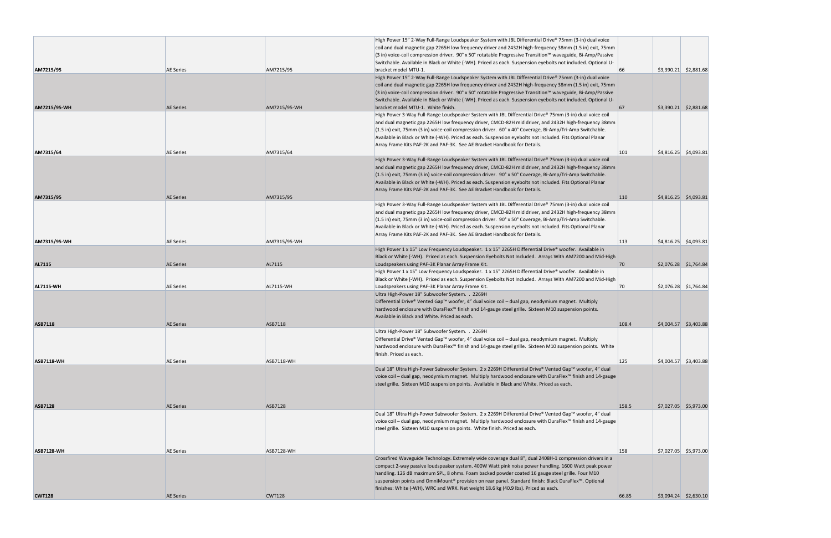|                   |                  |                   | High Power 15" 2-Way Full-Range Loudspeaker System with JBL Differential Drive® 75mm (3-in) dual voice       |              |                         |
|-------------------|------------------|-------------------|--------------------------------------------------------------------------------------------------------------|--------------|-------------------------|
|                   |                  |                   | coil and dual magnetic gap 2265H low frequency driver and 2432H high-frequency 38mm (1.5 in) exit, 75mm      |              |                         |
|                   |                  |                   | (3 in) voice-coil compression driver. 90° x 50° rotatable Progressive Transition™ waveguide, Bi-Amp/Passive  |              |                         |
|                   |                  |                   | Switchable. Available in Black or White (-WH). Priced as each. Suspension eyebolts not included. Optional U- |              |                         |
| AM7215/95         | <b>AE Series</b> | AM7215/95         | bracket model MTU-1.                                                                                         | 66           | $$3,390.21$ $$2,881.68$ |
|                   |                  |                   | High Power 15" 2-Way Full-Range Loudspeaker System with JBL Differential Drive® 75mm (3-in) dual voice       |              |                         |
|                   |                  |                   | coil and dual magnetic gap 2265H low frequency driver and 2432H high-frequency 38mm (1.5 in) exit, 75mm      |              |                         |
|                   |                  |                   | (3 in) voice-coil compression driver. 90° x 50° rotatable Progressive Transition™ waveguide, Bi-Amp/Passive  |              |                         |
|                   |                  |                   | Switchable. Available in Black or White (-WH). Priced as each. Suspension eyebolts not included. Optional U- |              |                         |
| AM7215/95-WH      | <b>AE Series</b> | AM7215/95-WH      | bracket model MTU-1. White finish.                                                                           | 67           | $$3,390.21$ $$2,881.68$ |
|                   |                  |                   | High Power 3-Way Full-Range Loudspeaker System with JBL Differential Drive® 75mm (3-in) dual voice coil      |              |                         |
|                   |                  |                   | and dual magnetic gap 2265H low frequency driver, CMCD-82H mid driver, and 2432H high-frequency 38mm         |              |                         |
|                   |                  |                   | (1.5 in) exit, 75mm (3 in) voice-coil compression driver. 60° x 40° Coverage, Bi-Amp/Tri-Amp Switchable.     |              |                         |
|                   |                  |                   | Available in Black or White (-WH). Priced as each. Suspension eyebolts not included. Fits Optional Planar    |              |                         |
|                   |                  |                   | Array Frame Kits PAF-2K and PAF-3K. See AE Bracket Handbook for Details.                                     |              |                         |
| AM7315/64         | <b>AE Series</b> | AM7315/64         |                                                                                                              | 101          | $$4,816.25$ $$4,093.81$ |
|                   |                  |                   | High Power 3-Way Full-Range Loudspeaker System with JBL Differential Drive® 75mm (3-in) dual voice coil      |              |                         |
|                   |                  |                   | and dual magnetic gap 2265H low frequency driver, CMCD-82H mid driver, and 2432H high-frequency 38mm         |              |                         |
|                   |                  |                   | (1.5 in) exit, 75mm (3 in) voice-coil compression driver. 90° x 50° Coverage, Bi-Amp/Tri-Amp Switchable.     |              |                         |
|                   |                  |                   | Available in Black or White (-WH). Priced as each. Suspension eyebolts not included. Fits Optional Planar    |              |                         |
|                   |                  |                   | Array Frame Kits PAF-2K and PAF-3K. See AE Bracket Handbook for Details.                                     |              |                         |
| AM7315/95         | <b>AE Series</b> | AM7315/95         |                                                                                                              | <b>110</b>   | $$4,816.25$ $$4,093.81$ |
|                   |                  |                   | High Power 3-Way Full-Range Loudspeaker System with JBL Differential Drive® 75mm (3-in) dual voice coil      |              |                         |
|                   |                  |                   | and dual magnetic gap 2265H low frequency driver, CMCD-82H mid driver, and 2432H high-frequency 38mm         |              |                         |
|                   |                  |                   | (1.5 in) exit, 75mm (3 in) voice-coil compression driver. 90° x 50° Coverage, Bi-Amp/Tri-Amp Switchable.     |              |                         |
|                   |                  |                   | Available in Black or White (-WH). Priced as each. Suspension eyebolts not included. Fits Optional Planar    |              |                         |
|                   |                  |                   | Array Frame Kits PAF-2K and PAF-3K. See AE Bracket Handbook for Details.                                     |              |                         |
| AM7315/95-WH      | <b>AE Series</b> | AM7315/95-WH      |                                                                                                              | 113          | $$4,816.25$ $$4,093.81$ |
|                   |                  |                   | High Power 1 x 15" Low Frequency Loudspeaker. 1 x 15" 2265H Differential Drive® woofer. Available in         |              |                         |
|                   |                  |                   | Black or White (-WH). Priced as each. Suspension Eyebolts Not Included. Arrays With AM7200 and Mid-High      |              |                         |
| AL7115            | <b>AE Series</b> | AL7115            | Loudspeakers using PAF-3K Planar Array Frame Kit.                                                            | $70^{\circ}$ | $$2,076.28$ $$1,764.84$ |
|                   |                  |                   | High Power 1 x 15" Low Frequency Loudspeaker. 1 x 15" 2265H Differential Drive® woofer. Available in         |              |                         |
|                   |                  |                   | Black or White (-WH). Priced as each. Suspension Eyebolts Not Included. Arrays With AM7200 and Mid-High      |              |                         |
| <b>AL7115 WH</b>  | <b>AE Series</b> | <b>AL7115-WH</b>  | Loudspeakers using PAF-3K Planar Array Frame Kit.                                                            | 70           | \$2,076.28 \$1,764.84   |
|                   |                  |                   | Ultra High-Power 18" Subwoofer System. . 2269H                                                               |              |                         |
|                   |                  |                   | Differential Drive® Vented Gap™ woofer, 4" dual voice coil – dual gap, neodymium magnet. Multiply            |              |                         |
|                   |                  |                   | hardwood enclosure with DuraFlex™ finish and 14-gauge steel grille. Sixteen M10 suspension points.           |              |                         |
|                   |                  |                   | Available in Black and White. Priced as each.                                                                |              |                         |
| <b>ASB7118</b>    | <b>AE Series</b> | ASB7118           |                                                                                                              | 108.4        | $$4,004.57$ $$3,403.88$ |
|                   |                  |                   | Ultra High-Power 18" Subwoofer System. . 2269H                                                               |              |                         |
|                   |                  |                   | Differential Drive® Vented Gap™ woofer, 4" dual voice coil - dual gap, neodymium magnet. Multiply            |              |                         |
|                   |                  |                   | hardwood enclosure with DuraFlex™ finish and 14-gauge steel grille. Sixteen M10 suspension points. White     |              |                         |
|                   |                  |                   | finish. Priced as each.                                                                                      |              |                         |
| <b>ASB7118-WH</b> | <b>AE Series</b> | <b>ASB7118-WH</b> |                                                                                                              | 125          | $$4,004.57$ $$3,403.88$ |
|                   |                  |                   | Dual 18" Ultra High-Power Subwoofer System. 2 x 2269H Differential Drive® Vented Gap™ woofer, 4" dual        |              |                         |
|                   |                  |                   | voice coil – dual gap, neodymium magnet. Multiply hardwood enclosure with DuraFlex™ finish and 14-gauge      |              |                         |
|                   |                  |                   | steel grille. Sixteen M10 suspension points. Available in Black and White. Priced as each.                   |              |                         |
|                   |                  |                   |                                                                                                              |              |                         |
|                   |                  |                   |                                                                                                              |              |                         |
| <b>ASB7128</b>    | <b>AE Series</b> | ASB7128           |                                                                                                              | 158.5        | $$7,027.05$ \$5,973.00  |
|                   |                  |                   | Dual 18" Ultra High-Power Subwoofer System. 2 x 2269H Differential Drive® Vented Gap™ woofer, 4" dual        |              |                         |
|                   |                  |                   | voice coil – dual gap, neodymium magnet. Multiply hardwood enclosure with DuraFlex™ finish and 14-gauge      |              |                         |
|                   |                  |                   | steel grille. Sixteen M10 suspension points. White finish. Priced as each.                                   |              |                         |
|                   |                  |                   |                                                                                                              |              |                         |
|                   |                  |                   |                                                                                                              |              |                         |
| <b>ASB7128-WH</b> | <b>AE Series</b> | <b>ASB7128-WH</b> |                                                                                                              | 158          | $$7,027.05$ $$5,973.00$ |
|                   |                  |                   | Crossfired Waveguide Technology. Extremely wide coverage dual 8", dual 2408H-1 compression drivers in a      |              |                         |
|                   |                  |                   | compact 2-way passive loudspeaker system. 400W Watt pink noise power handling. 1600 Watt peak power          |              |                         |
|                   |                  |                   | handling. 126 dB maximum SPL, 8 ohms. Foam backed powder coated 16 gauge steel grille. Four M10              |              |                         |
|                   |                  |                   | suspension points and OmniMount® provision on rear panel. Standard finish: Black DuraFlex™. Optional         |              |                         |
|                   |                  |                   | finishes: White (-WH), WRC and WRX. Net weight 18.6 kg (40.9 lbs). Priced as each.                           |              |                         |
| <b>CWT128</b>     | <b>AE Series</b> | <b>CWT128</b>     |                                                                                                              | 66.85        | $$3,094.24$ $$2,630.10$ |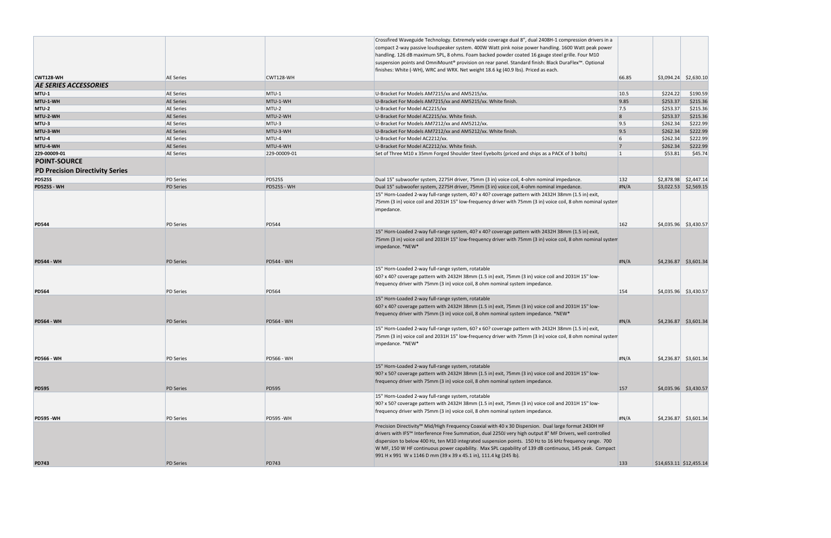|                                                               |                  |                    | Crossfired Waveguide Technology. Extremely wide coverage dual 8", dual 2408H-1 compression drivers in a<br>compact 2-way passive loudspeaker system. 400W Watt pink noise power handling. 1600 Watt peak power<br>handling. 126 dB maximum SPL, 8 ohms. Foam backed powder coated 16 gauge steel grille. Four M10<br>suspension points and OmniMount® provision on rear panel. Standard finish: Black DuraFlex™. Optional<br>finishes: White (-WH), WRC and WRX. Net weight 18.6 kg (40.9 lbs). Priced as each. |                |                         |                         |
|---------------------------------------------------------------|------------------|--------------------|-----------------------------------------------------------------------------------------------------------------------------------------------------------------------------------------------------------------------------------------------------------------------------------------------------------------------------------------------------------------------------------------------------------------------------------------------------------------------------------------------------------------|----------------|-------------------------|-------------------------|
| CWT128-WH                                                     | <b>AE Series</b> | CWT128-WH          |                                                                                                                                                                                                                                                                                                                                                                                                                                                                                                                 | 66.85          |                         | $$3,094.24$ $$2,630.10$ |
| <b>AE SERIES ACCESSORIES</b>                                  |                  |                    |                                                                                                                                                                                                                                                                                                                                                                                                                                                                                                                 |                |                         |                         |
| MTU-1                                                         | <b>AE Series</b> | MTU-1              | U-Bracket For Models AM7215/xx and AM5215/xx.                                                                                                                                                                                                                                                                                                                                                                                                                                                                   | 10.5           | \$224.22                | \$190.59                |
| MTU-1-WH                                                      | <b>AE Series</b> | MTU-1-WH           | U-Bracket For Models AM7215/xx and AM5215/xx. White finish.                                                                                                                                                                                                                                                                                                                                                                                                                                                     | 9.85           | \$253.37                | \$215.36                |
| MTU-2                                                         | <b>AE Series</b> | MTU-2              | U-Bracket For Model AC2215/xx                                                                                                                                                                                                                                                                                                                                                                                                                                                                                   | 7.5            | \$253.37                | \$215.36                |
| MTU-2-WH                                                      | <b>AE Series</b> | MTU-2-WH           | U-Bracket For Model AC2215/xx. White finish.                                                                                                                                                                                                                                                                                                                                                                                                                                                                    | 8              | \$253.37                | \$215.36                |
| MTU-3                                                         | <b>AE Series</b> | MTU-3              | U-Bracket For Models AM7212/xx and AM5212/xx.                                                                                                                                                                                                                                                                                                                                                                                                                                                                   | 9.5            | \$262.34                | \$222.99                |
| MTU-3-WH                                                      | <b>AE Series</b> | MTU-3-WH           | U-Bracket For Models AM7212/xx and AM5212/xx. White finish.                                                                                                                                                                                                                                                                                                                                                                                                                                                     | 9.5            | \$262.34                | \$222.99                |
| MTU-4                                                         | <b>AE Series</b> | MTU-4              | U-Bracket For Model AC2212/xx.                                                                                                                                                                                                                                                                                                                                                                                                                                                                                  | 6              | \$262.34                | \$222.99                |
| MTU-4-WH                                                      | <b>AE Series</b> | MTU-4-WH           | U-Bracket For Model AC2212/xx. White finish.                                                                                                                                                                                                                                                                                                                                                                                                                                                                    | $\overline{7}$ | \$262.34                | \$222.99                |
| 229-00009-01                                                  | <b>AE Series</b> | 229-00009-01       | Set of Three M10 x 35mm Forged Shoulder Steel Eyebolts (priced and ships as a PACK of 3 bolts)                                                                                                                                                                                                                                                                                                                                                                                                                  | 11             | \$53.81                 | \$45.74                 |
| <b>POINT-SOURCE</b><br><b>PD Precision Directivity Series</b> |                  |                    |                                                                                                                                                                                                                                                                                                                                                                                                                                                                                                                 |                |                         |                         |
| <b>PD525S</b>                                                 | <b>PD Series</b> | <b>PD525S</b>      | Dual 15" subwoofer system, 2275H driver, 75mm (3 in) voice coil, 4-ohm nominal impedance.                                                                                                                                                                                                                                                                                                                                                                                                                       | $132$          |                         | $$2,878.98$ $$2,447.14$ |
| <b>PD525S - WH</b>                                            | <b>PD Series</b> | <b>PD525S - WH</b> | Dual 15" subwoofer system, 2275H driver, 75mm (3 in) voice coil, 4-ohm nominal impedance.                                                                                                                                                                                                                                                                                                                                                                                                                       | H N/A          |                         | $$3,022.53$ $$2,569.15$ |
|                                                               |                  |                    | 15" Horn-Loaded 2-way full-range system, 40? x 40? coverage pattern with 2432H 38mm (1.5 in) exit,<br>75mm (3 in) voice coil and 2031H 15" low-frequency driver with 75mm (3 in) voice coil, 8 ohm nominal system<br>impedance.                                                                                                                                                                                                                                                                                 |                |                         |                         |
| <b>PD544</b>                                                  | <b>PD Series</b> | PD544              |                                                                                                                                                                                                                                                                                                                                                                                                                                                                                                                 | 162            |                         | $$4,035.96$ $$3,430.57$ |
|                                                               |                  |                    | 15" Horn-Loaded 2-way full-range system, 40? x 40? coverage pattern with 2432H 38mm (1.5 in) exit,<br>75mm (3 in) voice coil and 2031H 15" low-frequency driver with 75mm (3 in) voice coil, 8 ohm nominal system<br>impedance. *NEW*                                                                                                                                                                                                                                                                           |                |                         |                         |
| <b>PD544 - WH</b>                                             | <b>PD Series</b> | <b>PD544 - WH</b>  |                                                                                                                                                                                                                                                                                                                                                                                                                                                                                                                 | H N/A          |                         | $$4,236.87$ $$3,601.34$ |
|                                                               |                  |                    | 15" Horn-Loaded 2-way full-range system, rotatable<br>60? x 40? coverage pattern with 2432H 38mm (1.5 in) exit, 75mm (3 in) voice coil and 2031H 15" low-<br>frequency driver with 75mm (3 in) voice coil, 8 ohm nominal system impedance.                                                                                                                                                                                                                                                                      |                |                         |                         |
| <b>PD564</b>                                                  | <b>PD Series</b> | <b>PD564</b>       |                                                                                                                                                                                                                                                                                                                                                                                                                                                                                                                 | 154            |                         | $$4,035.96$ $$3,430.57$ |
| <b>PD564 - WH</b>                                             | <b>PD Series</b> | <b>PD564 - WH</b>  | 15" Horn-Loaded 2-way full-range system, rotatable<br>60? x 40? coverage pattern with 2432H 38mm (1.5 in) exit, 75mm (3 in) voice coil and 2031H 15" low-<br>frequency driver with 75mm (3 in) voice coil, 8 ohm nominal system impedance. *NEW*                                                                                                                                                                                                                                                                | H N/A          |                         | $$4,236.87$ $$3,601.34$ |
|                                                               |                  |                    | 15" Horn-Loaded 2-way full-range system, 60? x 60? coverage pattern with 2432H 38mm (1.5 in) exit,<br>75mm (3 in) voice coil and 2031H 15" low-frequency driver with 75mm (3 in) voice coil, 8 ohm nominal system<br>impedance. *NEW*                                                                                                                                                                                                                                                                           |                |                         |                         |
| <b>PD566 - WH</b>                                             | <b>PD Series</b> | <b>PD566 - WH</b>  |                                                                                                                                                                                                                                                                                                                                                                                                                                                                                                                 | #N/A           |                         | $$4,236.87$ $$3,601.34$ |
|                                                               |                  |                    | 15" Horn-Loaded 2-way full-range system, rotatable<br>90? x 50? coverage pattern with 2432H 38mm (1.5 in) exit, 75mm (3 in) voice coil and 2031H 15" low-<br>frequency driver with 75mm (3 in) voice coil, 8 ohm nominal system impedance.                                                                                                                                                                                                                                                                      |                |                         |                         |
| <b>PD595</b>                                                  | <b>PD Series</b> | <b>PD595</b>       |                                                                                                                                                                                                                                                                                                                                                                                                                                                                                                                 | <b>157</b>     |                         | \$4,035.96 \$3,430.57   |
|                                                               |                  |                    | 15" Horn-Loaded 2-way full-range system, rotatable<br>90? x 50? coverage pattern with 2432H 38mm (1.5 in) exit, 75mm (3 in) voice coil and 2031H 15" low-<br>frequency driver with 75mm (3 in) voice coil, 8 ohm nominal system impedance.                                                                                                                                                                                                                                                                      |                |                         |                         |
| <b>PD595 WH</b>                                               | <b>PD Series</b> | <b>PD595 -WH</b>   |                                                                                                                                                                                                                                                                                                                                                                                                                                                                                                                 | H N/A          |                         | $$4,236.87$ $$3,601.34$ |
| <b>PD743</b>                                                  | <b>PD Series</b> | PD743              | Precision Directivity™ Mid/High Frequency Coaxial with 40 x 30 Dispersion. Dual large format 2430H HF<br>drivers with IFS™ Interference Free Summation, dual 2250J very high output 8" MF Drivers, well controlled<br>dispersion to below 400 Hz, ten M10 integrated suspension points. 150 Hz to 16 kHz frequency range. 700<br>W MF, 150 W HF continuous power capability. Max SPL capability of 139 dB continuous, 145 peak. Compact<br>991 H x 991 W x 1146 D mm (39 x 39 x 45.1 in), 111.4 kg (245 lb).    | 133            | \$14,653.11 \$12,455.14 |                         |
|                                                               |                  |                    |                                                                                                                                                                                                                                                                                                                                                                                                                                                                                                                 |                |                         |                         |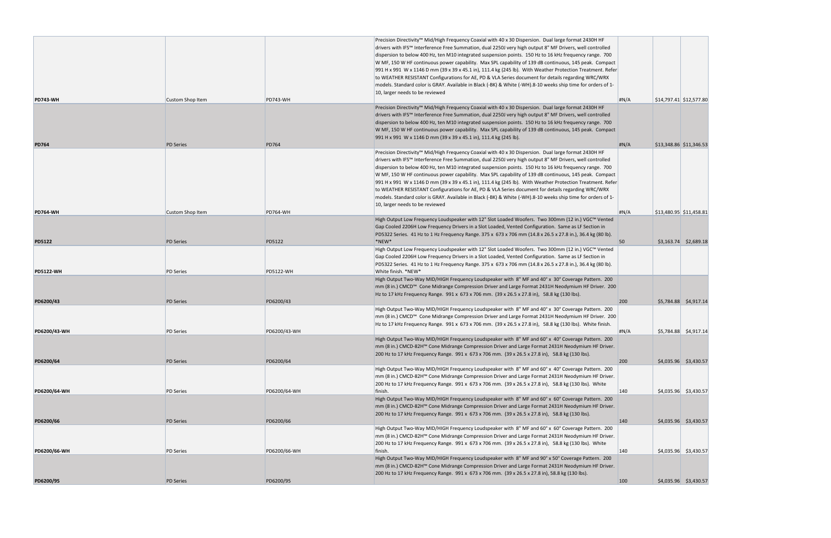| <b>PD743-WH</b>  | <b>Custom Shop Item</b> | <b>PD743-WH</b>  | Precision Directivity <sup>™</sup> Mid/High Frequency Coaxial with 40 x 30 Dispersion. Dual large format 2430H HF<br>drivers with IFS™ Interference Free Summation, dual 2250J very high output 8" MF Drivers, well controlled<br>dispersion to below 400 Hz, ten M10 integrated suspension points. 150 Hz to 16 kHz frequency range. 700<br>W MF, 150 W HF continuous power capability. Max SPL capability of 139 dB continuous, 145 peak. Compact<br>991 H x 991 W x 1146 D mm (39 x 39 x 45.1 in), 111.4 kg (245 lb). With Weather Protection Treatment. Refer<br>to WEATHER RESISTANT Configurations for AE, PD & VLA Series document for details regarding WRC/WRX<br>models. Standard color is GRAY. Available in Black (-BK) & White (-WH).8-10 weeks ship time for orders of 1-<br>10, larger needs to be reviewed | H N/A | \$14,797.41 \$12,577.80 |
|------------------|-------------------------|------------------|----------------------------------------------------------------------------------------------------------------------------------------------------------------------------------------------------------------------------------------------------------------------------------------------------------------------------------------------------------------------------------------------------------------------------------------------------------------------------------------------------------------------------------------------------------------------------------------------------------------------------------------------------------------------------------------------------------------------------------------------------------------------------------------------------------------------------|-------|-------------------------|
|                  |                         |                  | Precision Directivity™ Mid/High Frequency Coaxial with 40 x 30 Dispersion. Dual large format 2430H HF                                                                                                                                                                                                                                                                                                                                                                                                                                                                                                                                                                                                                                                                                                                      |       |                         |
| <b>PD764</b>     | <b>PD Series</b>        | <b>PD764</b>     | drivers with IFS™ Interference Free Summation, dual 2250J very high output 8" MF Drivers, well controlled<br>dispersion to below 400 Hz, ten M10 integrated suspension points. 150 Hz to 16 kHz frequency range. 700<br>W MF, 150 W HF continuous power capability. Max SPL capability of 139 dB continuous, 145 peak. Compact<br>991 H x 991 W x 1146 D mm (39 x 39 x 45.1 in), 111.4 kg (245 lb).                                                                                                                                                                                                                                                                                                                                                                                                                        | H N/A | \$13,348.86 \$11,346.53 |
|                  |                         |                  |                                                                                                                                                                                                                                                                                                                                                                                                                                                                                                                                                                                                                                                                                                                                                                                                                            |       |                         |
|                  |                         |                  | Precision Directivity™ Mid/High Frequency Coaxial with 40 x 30 Dispersion. Dual large format 2430H HF<br>drivers with IFS™ Interference Free Summation, dual 2250J very high output 8" MF Drivers, well controlled<br>dispersion to below 400 Hz, ten M10 integrated suspension points. 150 Hz to 16 kHz frequency range. 700<br>W MF, 150 W HF continuous power capability. Max SPL capability of 139 dB continuous, 145 peak. Compact<br>991 H x 991 W x 1146 D mm (39 x 39 x 45.1 in), 111.4 kg (245 lb). With Weather Protection Treatment. Refer<br>to WEATHER RESISTANT Configurations for AE, PD & VLA Series document for details regarding WRC/WRX<br>models. Standard color is GRAY. Available in Black (-BK) & White (-WH).8-10 weeks ship time for orders of 1-<br>10, larger needs to be reviewed             |       |                         |
| <b>PD764-WH</b>  | <b>Custom Shop Item</b> | <b>PD764-WH</b>  |                                                                                                                                                                                                                                                                                                                                                                                                                                                                                                                                                                                                                                                                                                                                                                                                                            | H N/A | \$13,480.95 \$11,458.81 |
| <b>PD5122</b>    | <b>PD Series</b>        | <b>PD5122</b>    | High Output Low Frequency Loudspeaker with 12" Slot Loaded Woofers. Two 300mm (12 in.) VGC™ Vented<br>Gap Cooled 2206H Low Frequency Drivers in a Slot Loaded, Vented Configuration. Same as LF Section in<br>PD5322 Series. 41 Hz to 1 Hz Frequency Range. 375 x 673 x 706 mm (14.8 x 26.5 x 27.8 in.), 36.4 kg (80 lb).<br>*NEW*                                                                                                                                                                                                                                                                                                                                                                                                                                                                                         | 50    | $$3,163.74$ $$2,689.18$ |
|                  |                         |                  | High Output Low Frequency Loudspeaker with 12" Slot Loaded Woofers. Two 300mm (12 in.) VGC™ Vented<br>Gap Cooled 2206H Low Frequency Drivers in a Slot Loaded, Vented Configuration. Same as LF Section in<br>PD5322 Series. 41 Hz to 1 Hz Frequency Range. 375 x 673 x 706 mm (14.8 x 26.5 x 27.8 in.), 36.4 kg (80 lb).                                                                                                                                                                                                                                                                                                                                                                                                                                                                                                  |       |                         |
| <b>PD5122-WH</b> | <b>PD Series</b>        | <b>PD5122-WH</b> | White finish. *NEW*                                                                                                                                                                                                                                                                                                                                                                                                                                                                                                                                                                                                                                                                                                                                                                                                        |       |                         |
|                  |                         |                  | High Output Two-Way MID/HIGH Frequency Loudspeaker with 8" MF and 40° x 30° Coverage Pattern. 200<br>mm (8 in.) CMCD™ Cone Midrange Compression Driver and Large Format 2431H Neodymium HF Driver. 200<br>Hz to 17 kHz Frequency Range. 991 x 673 x 706 mm. (39 x 26.5 x 27.8 in), 58.8 kg (130 lbs).                                                                                                                                                                                                                                                                                                                                                                                                                                                                                                                      |       |                         |
| PD6200/43        | <b>PD Series</b>        | PD6200/43        |                                                                                                                                                                                                                                                                                                                                                                                                                                                                                                                                                                                                                                                                                                                                                                                                                            | 200   | \$5,784.88 \$4,917.14   |
|                  |                         |                  | High Output Two-Way MID/HIGH Frequency Loudspeaker with 8" MF and 40° x 30° Coverage Pattern. 200<br>mm (8 in.) CMCD <sup>™</sup> Cone Midrange Compression Driver and Large Format 2431H Neodymium HF Driver. 200<br>Hz to 17 kHz Frequency Range. 991 x 673 x 706 mm. (39 x 26.5 x 27.8 in), 58.8 kg (130 lbs). White finish.                                                                                                                                                                                                                                                                                                                                                                                                                                                                                            |       |                         |
| PD6200/43-WH     | <b>PD Series</b>        | PD6200/43-WH     |                                                                                                                                                                                                                                                                                                                                                                                                                                                                                                                                                                                                                                                                                                                                                                                                                            | #N/A  | $$5,784.88$ $$4,917.14$ |
|                  |                         |                  | High Output Two-Way MID/HIGH Frequency Loudspeaker with 8" MF and 60° x 40° Coverage Pattern. 200<br>mm (8 in.) CMCD-82H™ Cone Midrange Compression Driver and Large Format 2431H Neodymium HF Driver.<br>200 Hz to 17 kHz Frequency Range. 991 x 673 x 706 mm. (39 x 26.5 x 27.8 in), 58.8 kg (130 lbs).                                                                                                                                                                                                                                                                                                                                                                                                                                                                                                                  |       |                         |
| PD6200/64        | <b>PD Series</b>        | PD6200/64        |                                                                                                                                                                                                                                                                                                                                                                                                                                                                                                                                                                                                                                                                                                                                                                                                                            | 200   | \$4,035.96 \$3,430.57   |
|                  |                         |                  | High Output Two-Way MID/HIGH Frequency Loudspeaker with 8" MF and 60° x 40° Coverage Pattern. 200<br>mm (8 in.) CMCD-82H™ Cone Midrange Compression Driver and Large Format 2431H Neodymium HF Driver.<br>200 Hz to 17 kHz Frequency Range. 991 x 673 x 706 mm. (39 x 26.5 x 27.8 in), 58.8 kg (130 lbs). White                                                                                                                                                                                                                                                                                                                                                                                                                                                                                                            |       |                         |
| PD6200/64-WH     | <b>PD Series</b>        | PD6200/64-WH     | finish.<br>High Output Two-Way MID/HIGH Frequency Loudspeaker with 8" MF and 60° x 60° Coverage Pattern. 200                                                                                                                                                                                                                                                                                                                                                                                                                                                                                                                                                                                                                                                                                                               | 140   | $$4,035.96$ $$3,430.57$ |
|                  |                         |                  | mm (8 in.) CMCD-82H™ Cone Midrange Compression Driver and Large Format 2431H Neodymium HF Driver.<br>200 Hz to 17 kHz Frequency Range. 991 x 673 x 706 mm. (39 x 26.5 x 27.8 in), 58.8 kg (130 lbs).                                                                                                                                                                                                                                                                                                                                                                                                                                                                                                                                                                                                                       |       |                         |
| PD6200/66        | <b>PD Series</b>        | PD6200/66        | High Output Two-Way MID/HIGH Frequency Loudspeaker with 8" MF and 60° x 60° Coverage Pattern. 200                                                                                                                                                                                                                                                                                                                                                                                                                                                                                                                                                                                                                                                                                                                          | 140   | $$4,035.96$ $$3,430.57$ |
|                  |                         |                  | mm (8 in.) CMCD-82H™ Cone Midrange Compression Driver and Large Format 2431H Neodymium HF Driver.<br>200 Hz to 17 kHz Frequency Range. 991 x 673 x 706 mm. (39 x 26.5 x 27.8 in), 58.8 kg (130 lbs). White                                                                                                                                                                                                                                                                                                                                                                                                                                                                                                                                                                                                                 |       |                         |
| PD6200/66-WH     | <b>PD Series</b>        | PD6200/66-WH     | finish.<br>High Output Two-Way MID/HIGH Frequency Loudspeaker with 8" MF and 90° x 50° Coverage Pattern. 200<br>mm (8 in.) CMCD-82H™ Cone Midrange Compression Driver and Large Format 2431H Neodymium HF Driver.                                                                                                                                                                                                                                                                                                                                                                                                                                                                                                                                                                                                          | 140   | $$4,035.96$ $$3,430.57$ |
|                  |                         |                  | 200 Hz to 17 kHz Frequency Range. 991 x 673 x 706 mm. (39 x 26.5 x 27.8 in), 58.8 kg (130 lbs).                                                                                                                                                                                                                                                                                                                                                                                                                                                                                                                                                                                                                                                                                                                            |       |                         |
| PD6200/95        | <b>PD Series</b>        | PD6200/95        |                                                                                                                                                                                                                                                                                                                                                                                                                                                                                                                                                                                                                                                                                                                                                                                                                            | 100   | $$4,035.96$ $$3,430.57$ |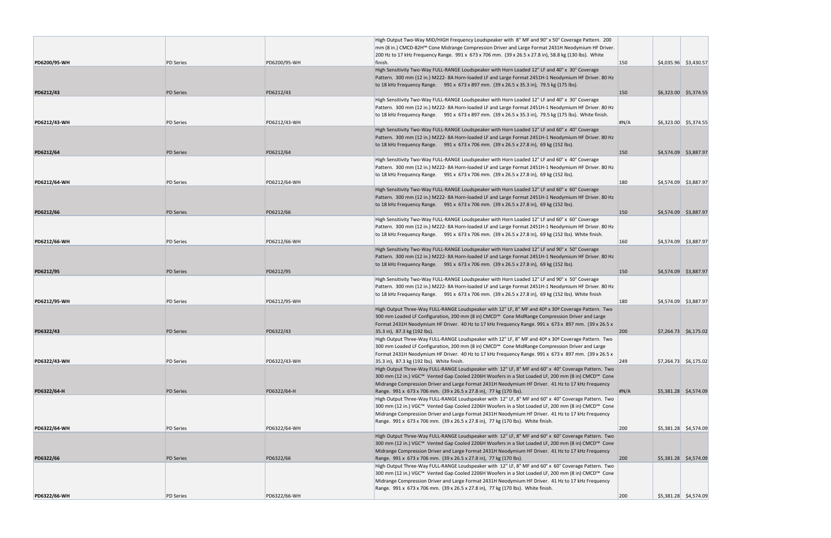|              |                  |              | High Output Two-Way MID/HIGH Frequency Loudspeaker with 8" MF and 90° x 50° Coverage Pattern. 200                                                                                                     |       |                         |
|--------------|------------------|--------------|-------------------------------------------------------------------------------------------------------------------------------------------------------------------------------------------------------|-------|-------------------------|
|              |                  |              | mm (8 in.) CMCD-82H™ Cone Midrange Compression Driver and Large Format 2431H Neodymium HF Driver.                                                                                                     |       |                         |
|              |                  |              | 200 Hz to 17 kHz Frequency Range. 991 x 673 x 706 mm. (39 x 26.5 x 27.8 in), 58.8 kg (130 lbs). White                                                                                                 |       |                         |
| PD6200/95-WH | <b>PD Series</b> | PD6200/95-WH | finish.                                                                                                                                                                                               | 150   | \$4,035.96 \$3,430.57   |
|              |                  |              | High Sensitivity Two-Way FULL-RANGE Loudspeaker with Horn Loaded 12" LF and 40° x 30° Coverage<br>Pattern. 300 mm (12 in.) M222-8A Horn-loaded LF and Large Format 2451H-1 Neodymium HF Driver. 80 Hz |       |                         |
|              |                  |              | to 18 kHz Frequency Range. 991 x 673 x 897 mm. (39 x 26.5 x 35.3 in), 79.5 kg (175 lbs).                                                                                                              |       |                         |
| PD6212/43    | <b>PD Series</b> | PD6212/43    |                                                                                                                                                                                                       | 150   | \$6,323.00 \$5,374.55   |
|              |                  |              | High Sensitivity Two-Way FULL-RANGE Loudspeaker with Horn Loaded 12" LF and 40° x 30° Coverage                                                                                                        |       |                         |
|              |                  |              | Pattern. 300 mm (12 in.) M222-8A Horn-loaded LF and Large Format 2451H-1 Neodymium HF Driver. 80 Hz                                                                                                   |       |                         |
|              |                  |              | to 18 kHz Frequency Range. 991 x 673 x 897 mm. (39 x 26.5 x 35.3 in), 79.5 kg (175 lbs). White finish.                                                                                                |       |                         |
| PD6212/43-WH | <b>PD</b> Series | PD6212/43-WH |                                                                                                                                                                                                       | H N/A | $$6,323.00$ $$5,374.55$ |
|              |                  |              | High Sensitivity Two-Way FULL-RANGE Loudspeaker with Horn Loaded 12" LF and 60° x 40° Coverage                                                                                                        |       |                         |
|              |                  |              | Pattern. 300 mm (12 in.) M222-8A Horn-loaded LF and Large Format 2451H-1 Neodymium HF Driver. 80 Hz<br>to 18 kHz Frequency Range. 991 x 673 x 706 mm. (39 x 26.5 x 27.8 in), 69 kg (152 lbs).         |       |                         |
| PD6212/64    | <b>PD Series</b> | PD6212/64    |                                                                                                                                                                                                       | 150   | \$4,574.09 \$3,887.97   |
|              |                  |              | High Sensitivity Two-Way FULL-RANGE Loudspeaker with Horn Loaded 12" LF and 60° x 40° Coverage                                                                                                        |       |                         |
|              |                  |              | Pattern. 300 mm (12 in.) M222-8A Horn-loaded LF and Large Format 2451H-1 Neodymium HF Driver. 80 Hz                                                                                                   |       |                         |
|              |                  |              | to 18 kHz Frequency Range. 991 x 673 x 706 mm. (39 x 26.5 x 27.8 in), 69 kg (152 lbs).                                                                                                                |       |                         |
| PD6212/64-WH | <b>PD</b> Series | PD6212/64-WH |                                                                                                                                                                                                       | 180   | $$4,574.09$ $$3,887.97$ |
|              |                  |              | High Sensitivity Two-Way FULL-RANGE Loudspeaker with Horn Loaded 12" LF and 60° x 60° Coverage                                                                                                        |       |                         |
|              |                  |              | Pattern. 300 mm (12 in.) M222-8A Horn-loaded LF and Large Format 2451H-1 Neodymium HF Driver. 80 Hz                                                                                                   |       |                         |
| PD6212/66    | <b>PD Series</b> | PD6212/66    | to 18 kHz Frequency Range. 991 x 673 x 706 mm. (39 x 26.5 x 27.8 in), 69 kg (152 lbs).                                                                                                                | 150   | \$4,574.09 \$3,887.97   |
|              |                  |              | High Sensitivity Two-Way FULL-RANGE Loudspeaker with Horn Loaded 12" LF and 60° x 60° Coverage                                                                                                        |       |                         |
|              |                  |              | Pattern. 300 mm (12 in.) M222-8A Horn-loaded LF and Large Format 2451H-1 Neodymium HF Driver. 80 Hz                                                                                                   |       |                         |
|              |                  |              | to 18 kHz Frequency Range. 991 x 673 x 706 mm. (39 x 26.5 x 27.8 in), 69 kg (152 lbs). White finish.                                                                                                  |       |                         |
| PD6212/66-WH | <b>PD</b> Series | PD6212/66-WH |                                                                                                                                                                                                       | 160   | \$4,574.09 \$3,887.97   |
|              |                  |              | High Sensitivity Two-Way FULL-RANGE Loudspeaker with Horn Loaded 12" LF and 90° x 50° Coverage                                                                                                        |       |                         |
|              |                  |              | Pattern. 300 mm (12 in.) M222-8A Horn-loaded LF and Large Format 2451H-1 Neodymium HF Driver. 80 Hz                                                                                                   |       |                         |
|              |                  |              | to 18 kHz Frequency Range. 991 x 673 x 706 mm. (39 x 26.5 x 27.8 in), 69 kg (152 lbs).                                                                                                                |       |                         |
| PD6212/95    | <b>PD Series</b> | PD6212/95    | High Sensitivity Two-Way FULL-RANGE Loudspeaker with Horn Loaded 12" LF and 90° x 50° Coverage                                                                                                        | 150   | \$4,574.09 \$3,887.97   |
|              |                  |              | Pattern. 300 mm (12 in.) M222-8A Horn-loaded LF and Large Format 2451H-1 Neodymium HF Driver. 80 Hz                                                                                                   |       |                         |
|              |                  |              | to 18 kHz Frequency Range. 991 x 673 x 706 mm. (39 x 26.5 x 27.8 in), 69 kg (152 lbs). White finish                                                                                                   |       |                         |
| PD6212/95-WH | <b>PD</b> Series | PD6212/95-WH |                                                                                                                                                                                                       | 180   | $$4,574.09$ $$3,887.97$ |
|              |                  |              | High Output Three-Way FULL-RANGE Loudspeaker with 12" LF, 8" MF and 40º x 30º Coverage Pattern. Two                                                                                                   |       |                         |
|              |                  |              | 300 mm Loaded LF Configuration, 200 mm (8 in) CMCD™ Cone MidRange Compression Driver and Large                                                                                                        |       |                         |
|              |                  |              | Format 2431H Neodymium HF Driver. 40 Hz to 17 kHz Frequency Range. 991 x 673 x 897 mm. (39 x 26.5 x                                                                                                   |       |                         |
| PD6322/43    | <b>PD Series</b> | PD6322/43    | 35.3 in), 87.3 kg (192 lbs).<br>High Output Three-Way FULL-RANGE Loudspeaker with 12" LF, 8" MF and 40º x 30º Coverage Pattern. Two                                                                   | 200   | $$7,264.73$ $$6,175.02$ |
|              |                  |              | 300 mm Loaded LF Configuration, 200 mm (8 in) CMCD™ Cone MidRange Compression Driver and Large                                                                                                        |       |                         |
|              |                  |              | Format 2431H Neodymium HF Driver. 40 Hz to 17 kHz Frequency Range. 991 x 673 x 897 mm. (39 x 26.5 x                                                                                                   |       |                         |
| PD6322/43-WH | <b>PD</b> Series | PD6322/43-WH | 35.3 in), 87.3 kg (192 lbs). White finish.                                                                                                                                                            | 249   | $$7,264.73$ $$6,175.02$ |
|              |                  |              | High Output Three-Way FULL-RANGE Loudspeaker with 12" LF, 8" MF and 60° x 40° Coverage Pattern. Two                                                                                                   |       |                         |
|              |                  |              | 300 mm (12 in.) VGC™ Vented Gap Cooled 2206H Woofers in a Slot Loaded LF, 200 mm (8 in) CMCD™ Cone                                                                                                    |       |                         |
|              |                  |              | Midrange Compression Driver and Large Format 2431H Neodymium HF Driver. 41 Hz to 17 kHz Frequency                                                                                                     |       |                         |
| PD6322/64-H  | <b>PD Series</b> | PD6322/64-H  | Range. 991 x 673 x 706 mm. (39 x 26.5 x 27.8 in), 77 kg (170 lbs).<br>High Output Three-Way FULL-RANGE Loudspeaker with 12" LF, 8" MF and 60° x 40° Coverage Pattern. Two                             | H N/A | \$5,381.28 \$4,574.09   |
|              |                  |              | 300 mm (12 in.) VGC™ Vented Gap Cooled 2206H Woofers in a Slot Loaded LF, 200 mm (8 in) CMCD™ Cone                                                                                                    |       |                         |
|              |                  |              | Midrange Compression Driver and Large Format 2431H Neodymium HF Driver. 41 Hz to 17 kHz Frequency                                                                                                     |       |                         |
|              |                  |              | Range. 991 x 673 x 706 mm. (39 x 26.5 x 27.8 in), 77 kg (170 lbs). White finish.                                                                                                                      |       |                         |
| PD6322/64-WH | <b>PD Series</b> | PD6322/64-WH |                                                                                                                                                                                                       | 200   | $$5,381.28$ $$4,574.09$ |
|              |                  |              | High Output Three-Way FULL-RANGE Loudspeaker with 12" LF, 8" MF and 60° x 60° Coverage Pattern. Two                                                                                                   |       |                         |
|              |                  |              | 300 mm (12 in.) VGC™ Vented Gap Cooled 2206H Woofers in a Slot Loaded LF, 200 mm (8 in) CMCD™ Cone                                                                                                    |       |                         |
|              |                  |              | Midrange Compression Driver and Large Format 2431H Neodymium HF Driver. 41 Hz to 17 kHz Frequency                                                                                                     | 200   |                         |
| PD6322/66    | <b>PD Series</b> | PD6322/66    | Range. 991 x 673 x 706 mm. (39 x 26.5 x 27.8 in), 77 kg (170 lbs).<br>High Output Three-Way FULL-RANGE Loudspeaker with 12" LF, 8" MF and 60° x 60° Coverage Pattern. Two                             |       | \$5,381.28 \$4,574.09   |
|              |                  |              | 300 mm (12 in.) VGC™ Vented Gap Cooled 2206H Woofers in a Slot Loaded LF, 200 mm (8 in) CMCD™ Cone                                                                                                    |       |                         |
|              |                  |              | Midrange Compression Driver and Large Format 2431H Neodymium HF Driver. 41 Hz to 17 kHz Frequency                                                                                                     |       |                         |
|              |                  |              | Range. 991 x 673 x 706 mm. (39 x 26.5 x 27.8 in), 77 kg (170 lbs). White finish.                                                                                                                      |       |                         |
| PD6322/66-WH | <b>PD Series</b> | PD6322/66-WH |                                                                                                                                                                                                       | 200   | $$5,381.28$ $$4,574.09$ |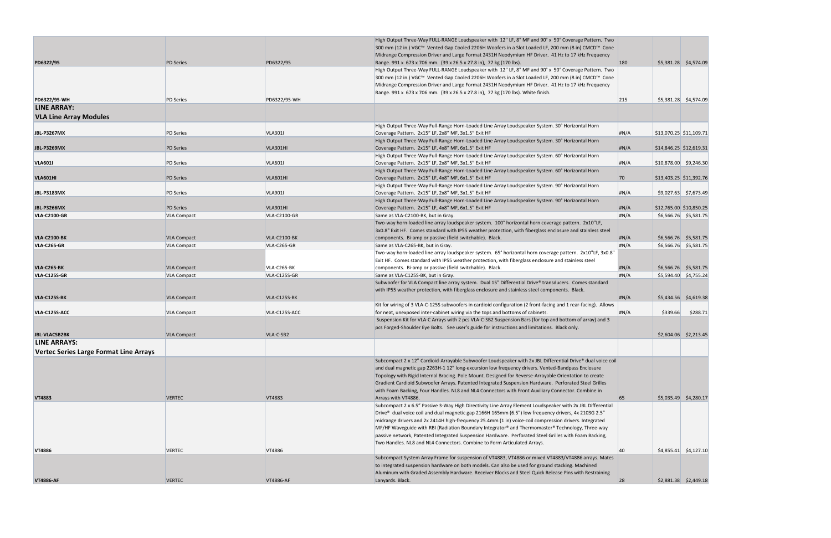|                                        |                    |                     | High Output Three-Way FULL-RANGE Loudspeaker with 12" LF, 8" MF and 90° x 50° Coverage Pattern. Two<br>300 mm (12 in.) VGC™ Vented Gap Cooled 2206H Woofers in a Slot Loaded LF, 200 mm (8 in) CMCD™ Cone                                                                                                                                                                                          |       |                         |                         |
|----------------------------------------|--------------------|---------------------|----------------------------------------------------------------------------------------------------------------------------------------------------------------------------------------------------------------------------------------------------------------------------------------------------------------------------------------------------------------------------------------------------|-------|-------------------------|-------------------------|
| PD6322/95                              | <b>PD Series</b>   | PD6322/95           | Midrange Compression Driver and Large Format 2431H Neodymium HF Driver. 41 Hz to 17 kHz Frequency<br>Range. 991 x 673 x 706 mm. (39 x 26.5 x 27.8 in), 77 kg (170 lbs).                                                                                                                                                                                                                            | 180   |                         | \$5,381.28 \$4,574.09   |
| PD6322/95-WH                           | <b>PD Series</b>   | PD6322/95-WH        | High Output Three-Way FULL-RANGE Loudspeaker with 12" LF, 8" MF and 90° x 50° Coverage Pattern. Two<br>300 mm (12 in.) VGC™ Vented Gap Cooled 2206H Woofers in a Slot Loaded LF, 200 mm (8 in) CMCD™ Cone<br>Midrange Compression Driver and Large Format 2431H Neodymium HF Driver. 41 Hz to 17 kHz Frequency<br>Range. 991 x 673 x 706 mm. (39 x 26.5 x 27.8 in), 77 kg (170 lbs). White finish. | 215   |                         | $$5,381.28$ $$4,574.09$ |
| <b>LINE ARRAY:</b>                     |                    |                     |                                                                                                                                                                                                                                                                                                                                                                                                    |       |                         |                         |
|                                        |                    |                     |                                                                                                                                                                                                                                                                                                                                                                                                    |       |                         |                         |
| <b>VLA Line Array Modules</b>          |                    |                     |                                                                                                                                                                                                                                                                                                                                                                                                    |       |                         |                         |
|                                        |                    |                     | High Output Three-Way Full-Range Horn-Loaded Line Array Loudspeaker System. 30° Horizontal Horn                                                                                                                                                                                                                                                                                                    |       |                         |                         |
| <b>JBL-P3267MX</b>                     | <b>PD Series</b>   | <b>VLA301I</b>      | Coverage Pattern. 2x15" LF, 2x8" MF, 3x1.5" Exit HF                                                                                                                                                                                                                                                                                                                                                | #N/A  | \$13,070.25 \$11,109.71 |                         |
| <b>JBL-P3269MX</b>                     | <b>PD Series</b>   | VLA301HI            | High Output Three-Way Full-Range Horn-Loaded Line Array Loudspeaker System. 30° Horizontal Horn                                                                                                                                                                                                                                                                                                    | H N/A |                         |                         |
|                                        |                    |                     | Coverage Pattern. 2x15" LF, 4x8" MF, 6x1.5" Exit HF<br>High Output Three-Way Full-Range Horn-Loaded Line Array Loudspeaker System. 60° Horizontal Horn                                                                                                                                                                                                                                             |       | \$14,846.25 \$12,619.31 |                         |
| <b>VLA6011</b>                         | <b>PD Series</b>   | <b>VLA601I</b>      | Coverage Pattern. 2x15" LF, 2x8" MF, 3x1.5" Exit HF                                                                                                                                                                                                                                                                                                                                                | #N/A  | $$10,878.00$ \$9,246.30 |                         |
|                                        |                    |                     | High Output Three-Way Full-Range Horn-Loaded Line Array Loudspeaker System. 60° Horizontal Horn                                                                                                                                                                                                                                                                                                    |       |                         |                         |
| VLA601HI                               | <b>PD Series</b>   | VLA601HI            | Coverage Pattern. 2x15" LF, 4x8" MF, 6x1.5" Exit HF                                                                                                                                                                                                                                                                                                                                                | 70    |                         | \$13,403.25 \$11,392.76 |
|                                        |                    |                     | High Output Three-Way Full-Range Horn-Loaded Line Array Loudspeaker System. 90° Horizontal Horn                                                                                                                                                                                                                                                                                                    |       |                         |                         |
| <b>JBL-P3183MX</b>                     | <b>PD Series</b>   | <b>VLA901I</b>      | Coverage Pattern. 2x15" LF, 2x8" MF, 3x1.5" Exit HF                                                                                                                                                                                                                                                                                                                                                | #N/A  |                         | $$9,027.63$ $$7,673.49$ |
|                                        |                    |                     | High Output Three-Way Full-Range Horn-Loaded Line Array Loudspeaker System. 90° Horizontal Horn                                                                                                                                                                                                                                                                                                    |       |                         |                         |
| <b>JBL-P3266MX</b>                     | <b>PD Series</b>   | VLA901HI            | Coverage Pattern. 2x15" LF, 4x8" MF, 6x1.5" Exit HF                                                                                                                                                                                                                                                                                                                                                | H N/A | \$12,765.00 \$10,850.25 |                         |
| <b>VLA-C2100-GR</b>                    | <b>VLA Compact</b> | <b>VLA-C2100-GR</b> | Same as VLA-C2100-BK, but in Gray.                                                                                                                                                                                                                                                                                                                                                                 | #N/A  |                         | $$6,566.76$ $$5,581.75$ |
|                                        |                    |                     | Two-way horn-loaded line array loudspeaker system. 100° horizontal horn coverage pattern. 2x10"LF,                                                                                                                                                                                                                                                                                                 |       |                         |                         |
|                                        |                    |                     | 3x0.8" Exit HF. Comes standard with IP55 weather protection, with fiberglass enclosure and stainless steel                                                                                                                                                                                                                                                                                         |       |                         |                         |
| <b>VLA-C2100-BK</b>                    | <b>VLA Compact</b> | <b>VLA-C2100-BK</b> | components. Bi-amp or passive (field switchable). Black.                                                                                                                                                                                                                                                                                                                                           | #N/A  |                         | $$6,566.76$ $$5,581.75$ |
| <b>VLA-C265-GR</b>                     | <b>VLA Compact</b> | VLA-C265-GR         | Same as VLA-C265-BK, but in Gray.                                                                                                                                                                                                                                                                                                                                                                  | #N/A  |                         | $$6,566.76$ $$5,581.75$ |
|                                        |                    |                     | Two-way horn-loaded line array loudspeaker system. 65° horizontal horn coverage pattern. 2x10"LF, 3x0.8"<br>Exit HF. Comes standard with IP55 weather protection, with fiberglass enclosure and stainless steel                                                                                                                                                                                    |       |                         |                         |
| <b>VLA-C265-BK</b>                     | <b>VLA Compact</b> | VLA-C265-BK         | components. Bi-amp or passive (field switchable). Black.                                                                                                                                                                                                                                                                                                                                           | H N/A |                         | $$6,566.76$ $$5,581.75$ |
| <b>VLA-C125S-GR</b>                    | <b>VLA Compact</b> | VLA-C125S-GR        | Same as VLA-C125S-BK, but in Gray.                                                                                                                                                                                                                                                                                                                                                                 | #N/A  |                         | $$5,594.40$ $$4,755.24$ |
|                                        |                    |                     | Subwoofer for VLA Compact line array system. Dual 15" Differential Drive® transducers. Comes standard                                                                                                                                                                                                                                                                                              |       |                         |                         |
|                                        |                    |                     | with IP55 weather protection, with fiberglass enclosure and stainless steel components. Black.                                                                                                                                                                                                                                                                                                     |       |                         |                         |
| <b>VLA-C125S-BK</b>                    | <b>VLA Compact</b> | VLA-C125S-BK        |                                                                                                                                                                                                                                                                                                                                                                                                    | H N/A |                         | \$5,434.56 \$4,619.38   |
|                                        |                    |                     | Kit for wiring of 3 VLA-C-125S subwoofers in cardioid configuration (2 front-facing and 1 rear-facing). Allows                                                                                                                                                                                                                                                                                     |       |                         |                         |
| VLA-C125S-ACC                          | <b>VLA Compact</b> | VLA-C125S-ACC       | for neat, unexposed inter-cabinet wiring via the tops and bottoms of cabinets.<br>Suspension Kit for VLA-C Arrays with 2 pcs VLA-C-SB2 Suspension Bars (for top and bottom of array) and 3                                                                                                                                                                                                         | #N/A  | \$339.66                | \$288.71                |
|                                        |                    |                     | pcs Forged-Shoulder Eye Bolts. See user's guide for instructions and limitations. Black only.                                                                                                                                                                                                                                                                                                      |       |                         |                         |
| <b>JBL-VLACSB2BK</b>                   | <b>VLA Compact</b> | VLA-C-SB2           |                                                                                                                                                                                                                                                                                                                                                                                                    |       |                         | $$2,604.06$ $$2,213.45$ |
| <b>LINE ARRAYS:</b>                    |                    |                     |                                                                                                                                                                                                                                                                                                                                                                                                    |       |                         |                         |
| Vertec Series Large Format Line Arrays |                    |                     |                                                                                                                                                                                                                                                                                                                                                                                                    |       |                         |                         |
|                                        |                    |                     |                                                                                                                                                                                                                                                                                                                                                                                                    |       |                         |                         |
|                                        |                    |                     | Subcompact 2 x 12" Cardioid-Arrayable Subwoofer Loudspeaker with 2x JBL Differential Drive® dual voice coil                                                                                                                                                                                                                                                                                        |       |                         |                         |
|                                        |                    |                     | and dual magnetic gap 2263H-1 12" long-excursion low frequency drivers. Vented-Bandpass Enclosure                                                                                                                                                                                                                                                                                                  |       |                         |                         |
|                                        |                    |                     | Topology with Rigid Internal Bracing. Pole Mount. Designed for Reverse-Arrayable Orientation to create<br>Gradient Cardioid Subwoofer Arrays. Patented Integrated Suspension Hardware. Perforated Steel Grilles                                                                                                                                                                                    |       |                         |                         |
|                                        |                    |                     | with Foam Backing, Four Handles. NL8 and NL4 Connectors with Front Auxiliary Connector. Combine in                                                                                                                                                                                                                                                                                                 |       |                         |                         |
| <b>VT4883</b>                          | <b>VERTEC</b>      | VT4883              | Arrays with VT4886.                                                                                                                                                                                                                                                                                                                                                                                | 65    |                         | $$5,035.49$ $$4,280.17$ |
|                                        |                    |                     | Subcompact 2 x 6.5" Passive 3-Way High Directivity Line Array Element Loudspeaker with 2x JBL Differential                                                                                                                                                                                                                                                                                         |       |                         |                         |
|                                        |                    |                     | Drive® dual voice coil and dual magnetic gap 2166H 165mm (6.5") low frequency drivers, 4x 2103G 2.5"                                                                                                                                                                                                                                                                                               |       |                         |                         |
|                                        |                    |                     | midrange drivers and 2x 2414H high-frequency 25.4mm (1 in) voice-coil compression drivers. Integrated                                                                                                                                                                                                                                                                                              |       |                         |                         |
|                                        |                    |                     | MF/HF Waveguide with RBI (Radiation Boundary Integrator® and Thermomaster® Technology, Three-way                                                                                                                                                                                                                                                                                                   |       |                         |                         |
|                                        |                    |                     | passive network, Patented Integrated Suspension Hardware. Perforated Steel Grilles with Foam Backing,                                                                                                                                                                                                                                                                                              |       |                         |                         |
|                                        |                    |                     | Two Handles. NL8 and NL4 Connectors. Combine to Form Articulated Arrays.                                                                                                                                                                                                                                                                                                                           |       |                         |                         |
| <b>VT4886</b>                          | <b>VERTEC</b>      | VT4886              |                                                                                                                                                                                                                                                                                                                                                                                                    | 40    |                         | $$4,855.41$ $$4,127.10$ |
|                                        |                    |                     | Subcompact System Array Frame for suspension of VT4883, VT4886 or mixed VT4883/VT4886 arrays. Mates                                                                                                                                                                                                                                                                                                |       |                         |                         |
|                                        |                    |                     | to integrated suspension hardware on both models. Can also be used for ground stacking. Machined                                                                                                                                                                                                                                                                                                   |       |                         |                         |
|                                        |                    |                     | Aluminum with Graded Assembly Hardware. Receiver Blocks and Steel Quick Release Pins with Restraining                                                                                                                                                                                                                                                                                              |       |                         |                         |
| <b>VT4886-AF</b>                       | <b>VERTEC</b>      | <b>VT4886-AF</b>    | Lanyards. Black.                                                                                                                                                                                                                                                                                                                                                                                   | 28    |                         | $$2,881.38$ $$2,449.18$ |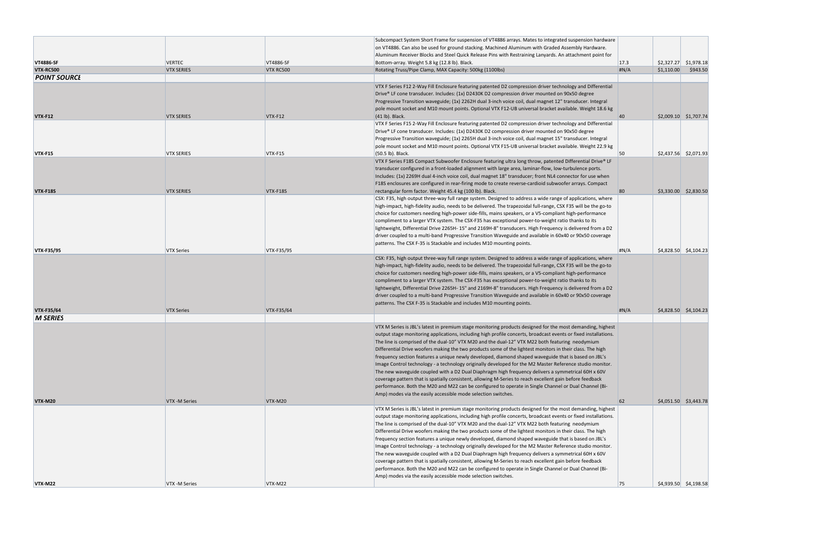|                     |                   |            | Subcompact System Short Frame for suspension of VT4886 arrays. Mates to integrated suspension hardware          |       |                         |                         |
|---------------------|-------------------|------------|-----------------------------------------------------------------------------------------------------------------|-------|-------------------------|-------------------------|
|                     |                   |            | on VT4886. Can also be used for ground stacking. Machined Aluminum with Graded Assembly Hardware.               |       |                         |                         |
|                     |                   |            | Aluminum Receiver Blocks and Steel Quick Release Pins with Restraining Lanyards. An attachment point for        |       |                         |                         |
| <b>VT4886-SF</b>    | <b>VERTEC</b>     | VT4886-SF  | Bottom-array. Weight 5.8 kg (12.8 lb). Black.                                                                   | 17.3  | $$2,327.27$ $$1,978.18$ |                         |
| <b>VTX-RC500</b>    | <b>VTX SERIES</b> | VTX RC500  |                                                                                                                 | H N/A |                         | \$943.50                |
|                     |                   |            | Rotating Truss/Pipe Clamp, MAX Capacity: 500kg (1100lbs)                                                        |       | \$1,110.00              |                         |
| <i>POINT SOURCL</i> |                   |            |                                                                                                                 |       |                         |                         |
|                     |                   |            | VTX F Series F12 2-Way Fill Enclosure featuring patented D2 compression driver technology and Differential      |       |                         |                         |
|                     |                   |            | Drive® LF cone transducer. Includes: (1x) D2430K D2 compression driver mounted on 90x50 degree                  |       |                         |                         |
|                     |                   |            | Progressive Transition waveguide; (1x) 2262H dual 3-inch voice coil, dual magnet 12" transducer. Integral       |       |                         |                         |
|                     |                   |            | pole mount socket and M10 mount points. Optional VTX F12-UB universal bracket available. Weight 18.6 kg         |       |                         |                         |
| <b>VTX-F12</b>      | <b>VTX SERIES</b> | VTX-F12    | $(41 lb)$ . Black.                                                                                              | 40    | \$2,009.10 \$1,707.74   |                         |
|                     |                   |            | VTX F Series F15 2-Way Fill Enclosure featuring patented D2 compression driver technology and Differential      |       |                         |                         |
|                     |                   |            |                                                                                                                 |       |                         |                         |
|                     |                   |            | Drive® LF cone transducer. Includes: (1x) D2430K D2 compression driver mounted on 90x50 degree                  |       |                         |                         |
|                     |                   |            | Progressive Transition waveguide; (1x) 2265H dual 3-inch voice coil, dual magnet 15" transducer. Integral       |       |                         |                         |
|                     |                   |            | pole mount socket and M10 mount points. Optional VTX F15-UB universal bracket available. Weight 22.9 kg         |       |                         |                         |
| <b>VTX-F15</b>      | <b>VTX SERIES</b> | VTX-F15    | (50.5 lb). Black.                                                                                               | 50    | $$2,437.56$ $$2,071.93$ |                         |
|                     |                   |            | VTX F Series F18S Compact Subwoofer Enclosure featuring ultra long throw, patented Differential Drive® LF       |       |                         |                         |
|                     |                   |            | transducer configured in a front-loaded alignment with large area, laminar-flow, low-turbulence ports.          |       |                         |                         |
|                     |                   |            | Includes: (1x) 2269H dual 4-inch voice coil, dual magnet 18" transducer; front NL4 connector for use when       |       |                         |                         |
|                     |                   |            |                                                                                                                 |       |                         |                         |
|                     |                   |            | F18S enclosures are configured in rear-firing mode to create reverse-cardioid subwoofer arrays. Compact         |       |                         |                         |
| <b>VTX-F18S</b>     | <b>VTX SERIES</b> | VTX-F18S   | rectangular form factor. Weight 45.4 kg (100 lb). Black.                                                        | 80    | \$3,330.00 \$2,830.50   |                         |
|                     |                   |            | CSX: F35, high output three-way full range system. Designed to address a wide range of applications, where      |       |                         |                         |
|                     |                   |            | high-impact, high-fidelity audio, needs to be delivered. The trapezoidal full-range, CSX F35 will be the go-to  |       |                         |                         |
|                     |                   |            | choice for customers needing high-power side-fills, mains speakers, or a V5-compliant high-performance          |       |                         |                         |
|                     |                   |            | compliment to a larger VTX system. The CSX-F35 has exceptional power-to-weight ratio thanks to its              |       |                         |                         |
|                     |                   |            | lightweight, Differential Drive 2265H-15" and 2169H-8" transducers. High Frequency is delivered from a D2       |       |                         |                         |
|                     |                   |            | driver coupled to a multi-band Progressive Transition Waveguide and available in 60x40 or 90x50 coverage        |       |                         |                         |
|                     |                   |            |                                                                                                                 |       |                         |                         |
|                     |                   |            | patterns. The CSX F-35 is Stackable and includes M10 mounting points.                                           |       |                         |                         |
| <b>VTX F35/95</b>   | <b>VTX Series</b> | VTX-F35/95 |                                                                                                                 | #N/A  |                         | $$4,828.50$ $$4,104.23$ |
|                     |                   |            | CSX: F35, high output three-way full range system. Designed to address a wide range of applications, where      |       |                         |                         |
|                     |                   |            | high-impact, high-fidelity audio, needs to be delivered. The trapezoidal full-range, CSX F35 will be the go-to  |       |                         |                         |
|                     |                   |            | choice for customers needing high-power side-fills, mains speakers, or a V5-compliant high-performance          |       |                         |                         |
|                     |                   |            | compliment to a larger VTX system. The CSX-F35 has exceptional power-to-weight ratio thanks to its              |       |                         |                         |
|                     |                   |            | lightweight, Differential Drive 2265H-15" and 2169H-8" transducers. High Frequency is delivered from a D2       |       |                         |                         |
|                     |                   |            | driver coupled to a multi-band Progressive Transition Waveguide and available in 60x40 or 90x50 coverage        |       |                         |                         |
|                     |                   |            |                                                                                                                 |       |                         |                         |
|                     |                   |            | patterns. The CSX F-35 is Stackable and includes M10 mounting points.                                           |       |                         |                         |
| <b>VTX-F35/64</b>   | <b>VTX Series</b> | VTX-F35/64 |                                                                                                                 | H N/A |                         | $$4,828.50$ $$4,104.23$ |
| <b>M SERIES</b>     |                   |            |                                                                                                                 |       |                         |                         |
|                     |                   |            | VTX M Series is JBL's latest in premium stage monitoring products designed for the most demanding, highest      |       |                         |                         |
|                     |                   |            | output stage monitoring applications, including high profile concerts, broadcast events or fixed installations. |       |                         |                         |
|                     |                   |            | The line is comprised of the dual-10" VTX M20 and the dual-12" VTX M22 both featuring neodymium                 |       |                         |                         |
|                     |                   |            |                                                                                                                 |       |                         |                         |
|                     |                   |            | Differential Drive woofers making the two products some of the lightest monitors in their class. The high       |       |                         |                         |
|                     |                   |            | frequency section features a unique newly developed, diamond shaped waveguide that is based on JBL's            |       |                         |                         |
|                     |                   |            | Image Control technology - a technology originally developed for the M2 Master Reference studio monitor.        |       |                         |                         |
|                     |                   |            | The new waveguide coupled with a D2 Dual Diaphragm high frequency delivers a symmetrical 60H x 60V              |       |                         |                         |
|                     |                   |            | coverage pattern that is spatially consistent, allowing M-Series to reach excellent gain before feedback        |       |                         |                         |
|                     |                   |            | performance. Both the M20 and M22 can be configured to operate in Single Channel or Dual Channel (Bi-           |       |                         |                         |
|                     |                   |            | Amp) modes via the easily accessible mode selection switches.                                                   |       |                         |                         |
|                     |                   |            |                                                                                                                 | 62    |                         |                         |
| <b>VTX-M20</b>      | VTX -M Series     | VTX-M20    |                                                                                                                 |       |                         | $$4,051.50$ $$3,443.78$ |
|                     |                   |            | VTX M Series is JBL's latest in premium stage monitoring products designed for the most demanding, highest      |       |                         |                         |
|                     |                   |            | output stage monitoring applications, including high profile concerts, broadcast events or fixed installations. |       |                         |                         |
|                     |                   |            | The line is comprised of the dual-10" VTX M20 and the dual-12" VTX M22 both featuring neodymium                 |       |                         |                         |
|                     |                   |            | Differential Drive woofers making the two products some of the lightest monitors in their class. The high       |       |                         |                         |
|                     |                   |            | frequency section features a unique newly developed, diamond shaped waveguide that is based on JBL's            |       |                         |                         |
|                     |                   |            | Image Control technology - a technology originally developed for the M2 Master Reference studio monitor.        |       |                         |                         |
|                     |                   |            | The new waveguide coupled with a D2 Dual Diaphragm high frequency delivers a symmetrical 60H x 60V              |       |                         |                         |
|                     |                   |            |                                                                                                                 |       |                         |                         |
|                     |                   |            | coverage pattern that is spatially consistent, allowing M-Series to reach excellent gain before feedback        |       |                         |                         |
|                     |                   |            | performance. Both the M20 and M22 can be configured to operate in Single Channel or Dual Channel (Bi-           |       |                         |                         |
|                     |                   |            | Amp) modes via the easily accessible mode selection switches.                                                   |       |                         |                         |
| <b>VTX-M22</b>      | VTX -M Series     | VTX-M22    |                                                                                                                 | 75    |                         | $$4,939.50$ $$4,198.58$ |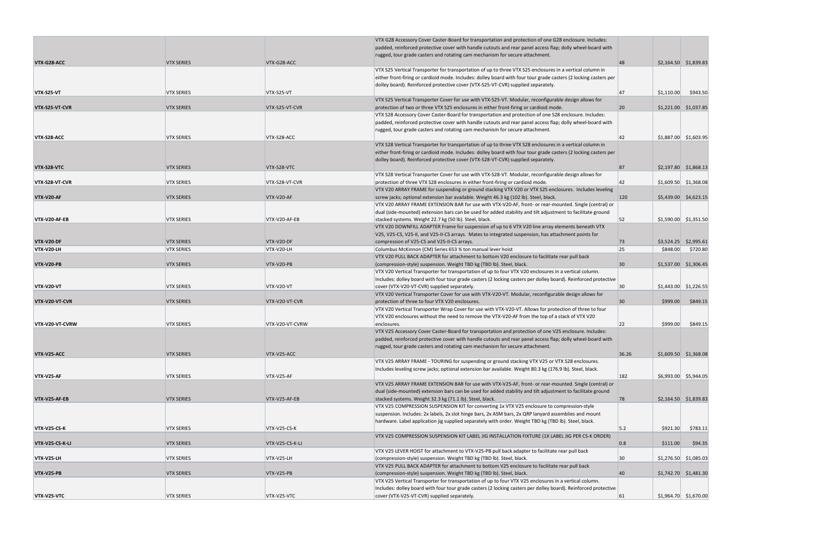|                     |                   |                 | VTX G28 Accessory Cover Caster-Board for transportation and protection of one G28 enclosure. Includes:           |              |            |                         |
|---------------------|-------------------|-----------------|------------------------------------------------------------------------------------------------------------------|--------------|------------|-------------------------|
|                     |                   |                 | padded, reinforced protective cover with handle cutouts and rear panel access flap; dolly wheel-board with       |              |            |                         |
|                     |                   |                 | rugged, tour grade casters and rotating cam mechanism for secure attachment.                                     |              |            |                         |
| VTX-G28-ACC         | <b>VTX SERIES</b> | VTX-G28-ACC     |                                                                                                                  | 48           |            | $$2,164.50$ $$1,839.83$ |
|                     |                   |                 | VTX S25 Vertical Transporter for transportation of up to three VTX S25 enclosures in a vertical column in        |              |            |                         |
|                     |                   |                 | either front-firing or cardioid mode. Includes: dolley board with four tour grade casters (2 locking casters per |              |            |                         |
|                     |                   |                 |                                                                                                                  |              |            |                         |
|                     |                   |                 | dolley board). Reinforced protective cover (VTX-S25-VT-CVR) supplied separately.                                 |              |            |                         |
| VTX-S25-VT          | <b>VTX SERIES</b> | VTX-S25-VT      |                                                                                                                  | 47           | \$1,110.00 | \$943.50                |
|                     |                   |                 | VTX S25 Vertical Transporter Cover for use with VTX-S25-VT. Modular, reconfigurable design allows for            |              |            |                         |
| VTX-S25-VT-CVR      | <b>VTX SERIES</b> | VTX-S25-VT-CVR  | protection of two or three VTX S25 enclosures in either front-firing or cardioid mode.                           | 20           |            | $$1,221.00$ $$1,037.85$ |
|                     |                   |                 | VTX S28 Accessory Cover Caster-Board for transportation and protection of one S28 enclosure. Includes:           |              |            |                         |
|                     |                   |                 | padded, reinforced protective cover with handle cutouts and rear panel access flap; dolly wheel-board with       |              |            |                         |
|                     |                   |                 |                                                                                                                  |              |            |                         |
|                     |                   |                 | rugged, tour grade casters and rotating cam mechanism for secure attachment.                                     |              |            |                         |
| VTX-S28-ACC         | <b>VTX SERIES</b> | VTX-S28-ACC     |                                                                                                                  | 42           |            | $$1,887.00$ $$1,603.95$ |
|                     |                   |                 | VTX S28 Vertical Transporter for transportation of up to three VTX S28 enclosures in a vertical column in        |              |            |                         |
|                     |                   |                 | either front-firing or cardioid mode. Includes: dolley board with four tour grade casters (2 locking casters per |              |            |                         |
|                     |                   |                 | dolley board). Reinforced protective cover (VTX-S28-VT-CVR) supplied separately.                                 |              |            |                         |
| VTX-S28-VTC         | <b>VTX SERIES</b> | VTX-S28-VTC     |                                                                                                                  | 87           |            | \$2,197.80 \$1,868.13   |
|                     |                   |                 |                                                                                                                  |              |            |                         |
|                     |                   |                 | VTX S28 Vertical Transporter Cover for use with VTX-S28-VT. Modular, reconfigurable design allows for            |              |            |                         |
| VTX-S28-VT-CVR      | <b>VTX SERIES</b> | VTX-S28-VT-CVR  | protection of three VTX S28 enclosures in either front-firing or cardioid mode.                                  | 42           |            | $$1,609.50$ $$1,368.08$ |
|                     |                   |                 | VTX V20 ARRAY FRAME for suspending or ground stacking VTX V20 or VTX S25 enclosures. Includes leveling           |              |            |                         |
| VTX-V20-AF          | <b>VTX SERIES</b> | VTX-V20-AF      | screw jacks; optional extension bar available. Weight 46.3 kg (102 lb). Steel, black.                            | 120          |            | $$5,439.00$ $$4,623.15$ |
|                     |                   |                 | VTX V20 ARRAY FRAME EXTENSION BAR for use with VTX-V20-AF, front- or rear-mounted. Single (central) or           |              |            |                         |
|                     |                   |                 | dual (side-mounted) extension bars can be used for added stability and tilt adjustment to facilitate ground      |              |            |                         |
|                     |                   | VTX-V20-AF-EB   |                                                                                                                  | 52           |            | $$1,590.00$ $$1,351.50$ |
| VTX-V20-AF-EB       | <b>VTX SERIES</b> |                 | stacked systems. Weight 22.7 kg (50 lb). Steel, black.                                                           |              |            |                         |
|                     |                   |                 | VTX V20 DOWNFILL ADAPTER Frame for suspension of up to 6 VTX V20 line array elements beneath VTX                 |              |            |                         |
|                     |                   |                 | V25, V25-CS, V25-II, and V25-II-CS arrays. Mates to integrated suspension, has attachment points for             |              |            |                         |
| <b>VTX-V20-DF</b>   | <b>VTX SERIES</b> | VTX-V20-DF      | compression of V25-CS and V25-II-CS arrays.                                                                      | 73           |            | $$3,524.25$ $$2,995.61$ |
| VTX-V20-LH          | <b>VTX SERIES</b> | VTX-V20-LH      | Columbus McKinnon (CM) Series 653 % ton manual lever hoist                                                       | 25           | \$848.00   | \$720.80                |
|                     |                   |                 | VTX V20 PULL BACK ADAPTER for attachment to bottom V20 enclosure to facilitate rear pull back                    |              |            |                         |
| VTX-V20-PB          | <b>VTX SERIES</b> | VTX-V20-PB      | (compression-style) suspension. Weight TBD kg (TBD lb). Steel, black.                                            | $ 30\rangle$ |            | $$1,537.00$ $$1,306.45$ |
|                     |                   |                 |                                                                                                                  |              |            |                         |
|                     |                   |                 | VTX V20 Vertical Transporter for transportation of up to four VTX V20 enclosures in a vertical column.           |              |            |                         |
|                     |                   |                 | Includes: dolley board with four tour grade casters (2 locking casters per dolley board). Reinforced protective  |              |            |                         |
| <b>VTX-V20-VT</b>   | <b>VTX SERIES</b> | VTX-V20-VT      | cover (VTX-V20-VT-CVR) supplied separately.                                                                      | 30           |            | $$1,443.00$ $$1,226.55$ |
|                     |                   |                 | VTX V20 Vertical Transporter Cover for use with VTX-V20-VT. Modular, reconfigurable design allows for            |              |            |                         |
| VTX-V20-VT-CVR      | <b>VTX SERIES</b> | VTX-V20-VT-CVR  | protection of three to four VTX V20 enclosures.                                                                  | 30           | \$999.00   | \$849.15                |
|                     |                   |                 | VTX V20 Vertical Transporter Wrap Cover for use with VTX-V20-VT. Allows for protection of three to four          |              |            |                         |
|                     |                   |                 | VTX V20 enclosures without the need to remove the VTX-V20-AF from the top of a stack of VTX V20                  |              |            |                         |
|                     |                   |                 |                                                                                                                  |              |            |                         |
| VTX-V20-VT-CVRW     | <b>VTX SERIES</b> | VTX-V20-VT-CVRW | enclosures.                                                                                                      | 22           | \$999.00   | \$849.15                |
|                     |                   |                 | VTX V25 Accessory Cover Caster-Board for transportation and protection of one V25 enclosure. Includes:           |              |            |                         |
|                     |                   |                 | padded, reinforced protective cover with handle cutouts and rear panel access flap; dolly wheel-board with       |              |            |                         |
|                     |                   |                 | rugged, tour grade casters and rotating cam mechanism for secure attachment.                                     |              |            |                         |
| VTX-V25-ACC         | <b>VTX SERIES</b> | VTX-V25-ACC     |                                                                                                                  | 36.26        |            | $$1,609.50$ $$1,368.08$ |
|                     |                   |                 | VTX V25 ARRAY FRAME - TOURING for suspending or ground stacking VTX V25 or VTX S28 enclosures.                   |              |            |                         |
|                     |                   |                 |                                                                                                                  |              |            |                         |
|                     |                   |                 | Includes leveling screw jacks; optional extension bar available. Weight 80.3 kg (176.9 lb). Steel, black.        |              |            |                         |
| <b>VTX-V25-AF</b>   | <b>VTX SERIES</b> | VTX-V25-AF      |                                                                                                                  | 182          |            | $$6,993.00$ $$5,944.05$ |
|                     |                   |                 | VTX V25 ARRAY FRAME EXTENSION BAR for use with VTX-V25-AF, front- or rear-mounted. Single (central) or           |              |            |                         |
|                     |                   |                 | dual (side-mounted) extension bars can be used for added stability and tilt adjustment to facilitate ground      |              |            |                         |
| VTX-V25-AF-EB       | <b>VTX SERIES</b> | VTX-V25-AF-EB   | stacked systems. Weight 32.3 kg (71.1 lb). Steel, black.                                                         | 78           |            | $$2,164.50$ $$1,839.83$ |
|                     |                   |                 | VTX V25 COMPRESSION SUSPENSION KIT for converting 1x VTX V25 enclosure to compression-style                      |              |            |                         |
|                     |                   |                 | suspension. Includes: 2x labels, 2x slot hinge bars, 2x ASM bars, 2x QRP lanyard assemblies and mount            |              |            |                         |
|                     |                   |                 | hardware. Label application jig supplied separately with order. Weight TBD kg (TBD lb). Steel, black.            |              |            |                         |
|                     |                   |                 |                                                                                                                  |              |            |                         |
| <b>VTX-V25-CS-K</b> | <b>VTX SERIES</b> | VTX-V25-CS-K    |                                                                                                                  | 5.2          | \$921.30   | \$783.11                |
|                     |                   |                 | VTX V25 COMPRESSION SUSPENSION KIT LABEL JIG INSTALLATION FIXTURE (1X LABEL JIG PER CS-K ORDER)                  |              |            |                         |
| VTX-V25-CS-K-LJ     | <b>VTX SERIES</b> | VTX-V25-CS-K-LJ |                                                                                                                  | 0.8          | \$111.00   | \$94.35                 |
|                     |                   |                 | VTX V25 LEVER HOIST for attachment to VTX-V25-PB pull back adapter to facilitate rear pull back                  |              |            |                         |
| VTX-V25-LH          | <b>VTX SERIES</b> | VTX-V25-LH      | (compression-style) suspension. Weight TBD kg (TBD lb). Steel, black.                                            | 30           |            | $$1,276.50$ $$1,085.03$ |
|                     |                   |                 | VTX V25 PULL BACK ADAPTER for attachment to bottom V25 enclosure to facilitate rear pull back                    |              |            |                         |
|                     |                   |                 |                                                                                                                  |              |            |                         |
| <b>VTX-V25-PB</b>   | <b>VTX SERIES</b> | VTX-V25-PB      | (compression-style) suspension. Weight TBD kg (TBD lb). Steel, black.                                            | 40           |            | $$1,742.70$ $$1,481.30$ |
|                     |                   |                 | VTX V25 Vertical Transporter for transportation of up to four VTX V25 enclosures in a vertical column.           |              |            |                         |
|                     |                   |                 | Includes: dolley board with four tour grade casters (2 locking casters per dolley board). Reinforced protective  |              |            |                         |
| VTX-V25-VTC         | <b>VTX SERIES</b> | VTX-V25-VTC     | cover (VTX-V25-VT-CVR) supplied separately.                                                                      | 61           |            | $$1,964.70$ $$1,670.00$ |
|                     |                   |                 |                                                                                                                  |              |            |                         |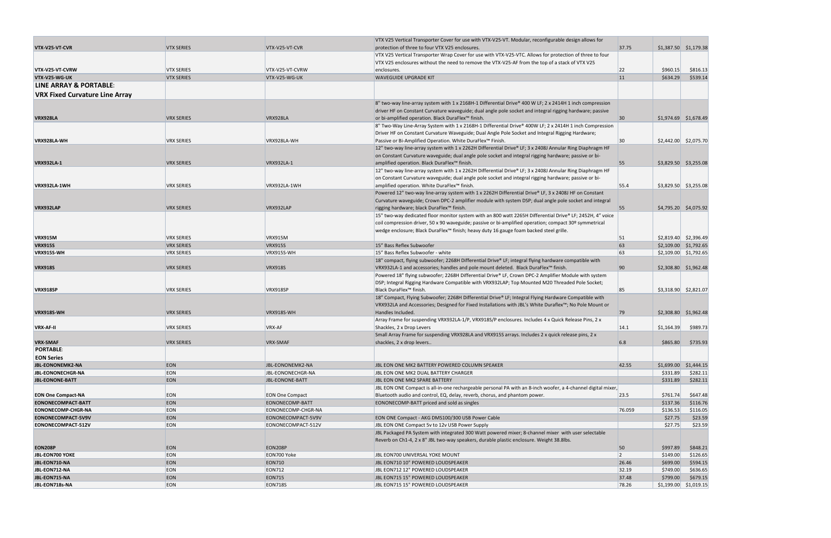|                                       |                   |                        | VTX V25 Vertical Transporter Cover for use with VTX-V25-VT. Modular, reconfigurable design allows for                                        |                 |                         |          |
|---------------------------------------|-------------------|------------------------|----------------------------------------------------------------------------------------------------------------------------------------------|-----------------|-------------------------|----------|
| VTX-V25-VT-CVR                        | <b>VTX SERIES</b> | VTX-V25-VT-CVR         | protection of three to four VTX V25 enclosures.                                                                                              | 37.75           | $$1,387.50$ $$1,179.38$ |          |
|                                       |                   |                        | VTX V25 Vertical Transporter Wrap Cover for use with VTX-V25-VTC. Allows for protection of three to four                                     |                 |                         |          |
|                                       |                   |                        | VTX V25 enclosures without the need to remove the VTX-V25-AF from the top of a stack of VTX V25                                              |                 |                         |          |
| VTX-V25-VT-CVRW                       | <b>VTX SERIES</b> | VTX-V25-VT-CVRW        | enclosures.                                                                                                                                  | 22              | \$960.15                | \$816.13 |
| VTX-V25-WG-UK                         | <b>VTX SERIES</b> | VTX-V25-WG-UK          | <b>WAVEGUIDE UPGRADE KIT</b>                                                                                                                 | 11              | \$634.29                | \$539.14 |
| LINE ARRAY & PORTABLE:                |                   |                        |                                                                                                                                              |                 |                         |          |
| <b>VRX Fixed Curvature Line Array</b> |                   |                        |                                                                                                                                              |                 |                         |          |
|                                       |                   |                        | 8" two-way line-array system with 1 x 2168H-1 Differential Drive® 400 W LF; 2 x 2414H 1 inch compression                                     |                 |                         |          |
|                                       |                   |                        | driver HF on Constant Curvature waveguide; dual angle pole socket and integral rigging hardware; passive                                     |                 |                         |          |
| <b>VRX928LA</b>                       | <b>VRX SERIES</b> | VRX928LA               | or bi-amplified operation. Black DuraFlex™ finish.                                                                                           | $ 30\rangle$    | $$1,974.69$ $$1,678.49$ |          |
|                                       |                   |                        | 8" Two-Way Line-Array System with 1 x 2168H-1 Differential Drive® 400W LF; 2 x 2414H 1 inch Compression                                      |                 |                         |          |
|                                       |                   |                        | Driver HF on Constant Curvature Waveguide; Dual Angle Pole Socket and Integral Rigging Hardware;                                             |                 |                         |          |
| VRX928LA-WH                           | <b>VRX SERIES</b> | VRX928LA-WH            | Passive or Bi-Amplified Operation. White DuraFlex™ Finish.                                                                                   | 30 <sup>°</sup> | $$2,442.00$ $$2,075.70$ |          |
|                                       |                   |                        | 12" two-way line-array system with 1 x 2262H Differential Drive® LF; 3 x 2408J Annular Ring Diaphragm HF                                     |                 |                         |          |
|                                       |                   |                        | on Constant Curvature waveguide; dual angle pole socket and integral rigging hardware; passive or bi-                                        |                 |                         |          |
| <b>VRX932LA-1</b>                     | <b>VRX SERIES</b> | VRX932LA-1             | amplified operation. Black DuraFlex™ finish.                                                                                                 | 55              | $$3,829.50$ $$3,255.08$ |          |
|                                       |                   |                        | 12" two-way line-array system with 1 x 2262H Differential Drive® LF; 3 x 2408J Annular Ring Diaphragm HF                                     |                 |                         |          |
|                                       |                   |                        | on Constant Curvature waveguide; dual angle pole socket and integral rigging hardware; passive or bi-                                        |                 |                         |          |
| <b>VRX932LA-1WH</b>                   | <b>VRX SERIES</b> | VRX932LA-1WH           | amplified operation. White DuraFlex™ finish.                                                                                                 | 55.4            | $$3,829.50$ $$3,255.08$ |          |
|                                       |                   |                        | Powered 12" two-way line-array system with 1 x 2262H Differential Drive® LF, 3 x 2408J HF on Constant                                        |                 |                         |          |
|                                       |                   |                        | Curvature waveguide; Crown DPC-2 amplifier module with system DSP; dual angle pole socket and integral                                       |                 |                         |          |
| VRX932LAP                             | <b>VRX SERIES</b> | VRX932LAP              | rigging hardware; black DuraFlex™ finish.                                                                                                    | 55              | $$4,795.20$ $$4,075.92$ |          |
|                                       |                   |                        | 15" two-way dedicated floor monitor system with an 800 watt 2265H Differential Drive® LF; 2452H, 4" voice                                    |                 |                         |          |
|                                       |                   |                        | coil compression driver, 50 x 90 waveguide; passive or bi-amplified operation; compact 30º symmetrical                                       |                 |                         |          |
|                                       |                   |                        | wedge enclosure; Black DuraFlex™ finish; heavy duty 16 gauge foam backed steel grille.                                                       |                 |                         |          |
| <b>VRX915M</b>                        | <b>VRX SERIES</b> | <b>VRX915M</b>         |                                                                                                                                              | 51              | $$2,819.40$ $$2,396.49$ |          |
| <b>VRX915S</b>                        | <b>VRX SERIES</b> | <b>VRX915S</b>         | 15" Bass Reflex Subwoofer                                                                                                                    | 63              | $$2,109.00$ $$1,792.65$ |          |
| <b>VRX915S-WH</b>                     | <b>VRX SERIES</b> | VRX915S-WH             | 15" Bass Reflex Subwoofer - white                                                                                                            | 63              | $$2,109.00$ $$1,792.65$ |          |
|                                       |                   |                        | 18" compact, flying subwoofer; 2268H Differential Drive® LF; integral flying hardware compatible with                                        |                 |                         |          |
| <b>VRX918S</b>                        | <b>VRX SERIES</b> | <b>VRX918S</b>         | VRX932LA-1 and accessories; handles and pole mount deleted. Black DuraFlex™ finish.                                                          | 90              | $$2,308.80$ $$1,962.48$ |          |
|                                       |                   |                        | Powered 18" flying subwoofer; 2268H Differential Drive® LF, Crown DPC-2 Amplifier Module with system                                         |                 |                         |          |
|                                       |                   |                        | DSP; Integral Rigging Hardware Compatible with VRX932LAP; Top Mounted M20 Threaded Pole Socket;                                              | 85              |                         |          |
| <b>VRX918SP</b>                       | <b>VRX SERIES</b> | VRX918SP               | Black DuraFlex <sup>™</sup> finish.<br>18" Compact, Flying Subwoofer; 2268H Differential Drive® LF; Integral Flying Hardware Compatible with |                 | $$3,318.90$ $$2,821.07$ |          |
|                                       |                   |                        | VRX932LA and Accessories; Designed for Fixed Installations with JBL's White Duraflex™; No Pole Mount or                                      |                 |                         |          |
| <b>VRX918S-WH</b>                     | <b>VRX SERIES</b> | VRX918S-WH             | Handles Included.                                                                                                                            | 79              | \$2,308.80 \$1,962.48   |          |
|                                       |                   |                        | Array Frame for suspending VRX932LA-1/P, VRX918S/P enclosures. Includes 4 x Quick Release Pins, 2 x                                          |                 |                         |          |
| <b>VRX AF II</b>                      | <b>VRX SERIES</b> | VRX-AF                 | Shackles, 2 x Drop Levers                                                                                                                    | 14.1            | \$1,164.39              | \$989.73 |
|                                       |                   |                        | Small Array Frame for suspending VRX928LA and VRX915S arrays. Includes 2 x quick release pins, 2 x                                           |                 |                         |          |
| <b>VRX-SMAF</b>                       | <b>VRX SERIES</b> | VRX-SMAF               | shackles, 2 x drop levers                                                                                                                    | 6.8             | \$865.80                | \$735.93 |
| <b>PORTABLE:</b>                      |                   |                        |                                                                                                                                              |                 |                         |          |
| <b>EON Series</b>                     |                   |                        |                                                                                                                                              |                 |                         |          |
| <b>JBL-EONONEMK2-NA</b>               | <b>EON</b>        | JBL-EONONEMK2-NA       | JBL EON ONE MK2 BATTERY POWERED COLUMN SPEAKER                                                                                               | 42.55           | $$1,699.00$ $$1,444.15$ |          |
| <b>JBL-EONONECHGR-NA</b>              | EON               | JBL-EONONECHGR-NA      | JBL EON ONE MK2 DUAL BATTERY CHARGER                                                                                                         |                 | \$331.89                | \$282.11 |
| <b>JBL-EONONE-BATT</b>                | <b>EON</b>        | <b>JBL-EONONE-BATT</b> | JBL EON ONE MK2 SPARE BATTERY                                                                                                                |                 | \$331.89                | \$282.11 |
|                                       |                   |                        | JBL EON ONE Compact is all-in-one rechargeable personal PA with an 8-inch woofer, a 4-channel digital mixer,                                 |                 |                         |          |
| <b>EON One Compact-NA</b>             | <b>EON</b>        | <b>EON One Compact</b> | Bluetooth audio and control, EQ, delay, reverb, chorus, and phantom power.                                                                   | 23.5            | \$761.74                | \$647.48 |
| EONONECOMPACT-BATT                    | <b>EON</b>        | EONONECOMP-BATT        | EONONECOMP-BATT priced and sold as singles                                                                                                   |                 | \$137.36                | \$116.76 |
| <b>EONONECOMP-CHGR-NA</b>             | EON               | EONONECOMP-CHGR-NA     |                                                                                                                                              | 76.059          | \$136.53                | \$116.05 |
| EONONECOMPACT-5V9V                    | <b>EON</b>        | EONONECOMPACT-5V9V     | EON ONE Compact - AKG DMS100/300 USB Power Cable                                                                                             |                 | \$27.75                 | \$23.59  |
| EONONECOMPACT-512V                    | EON               | EONONECOMPACT-512V     | JBL EON ONE Compact 5v to 12v USB Power Supply                                                                                               |                 | \$27.75                 | \$23.59  |
|                                       |                   |                        | JBL Packaged PA System with integrated 300 Watt powered mixer; 8-channel mixer with user selectable                                          |                 |                         |          |
|                                       |                   |                        | Reverb on Ch1-4, 2 x 8" JBL two-way speakers, durable plastic enclosure. Weight 38.8lbs.                                                     |                 |                         |          |
| <b>EON208P</b>                        | <b>EON</b>        | <b>EON208P</b>         |                                                                                                                                              | 50              | \$997.89                | \$848.21 |
| JBL-EON700 YOKE                       | EON               | EON700 Yoke            | JBL EON700 UNIVERSAL YOKE MOUNT                                                                                                              | $\vert$ 2       | \$149.00                | \$126.65 |
| JBL-EON710-NA                         | <b>EON</b>        | <b>EON710</b>          | JBL EON710 10" POWERED LOUDSPEAKER                                                                                                           | 26.46           | \$699.00                | \$594.15 |
| JBL-EON712-NA                         | EON               | <b>EON712</b>          | JBL EON712 12" POWERED LOUDSPEAKER                                                                                                           | 32.19           | \$749.00                | \$636.65 |
| JBL-EON715-NA                         | EON               | <b>EON715</b>          | JBL EON715 15" POWERED LOUDSPEAKER                                                                                                           | 37.48           | \$799.00                | \$679.15 |
| JBL-EON718s-NA                        | EON               | EON718S                | JBL EON715 15" POWERED LOUDSPEAKER                                                                                                           | 78.26           | $$1,199.00$ $$1,019.15$ |          |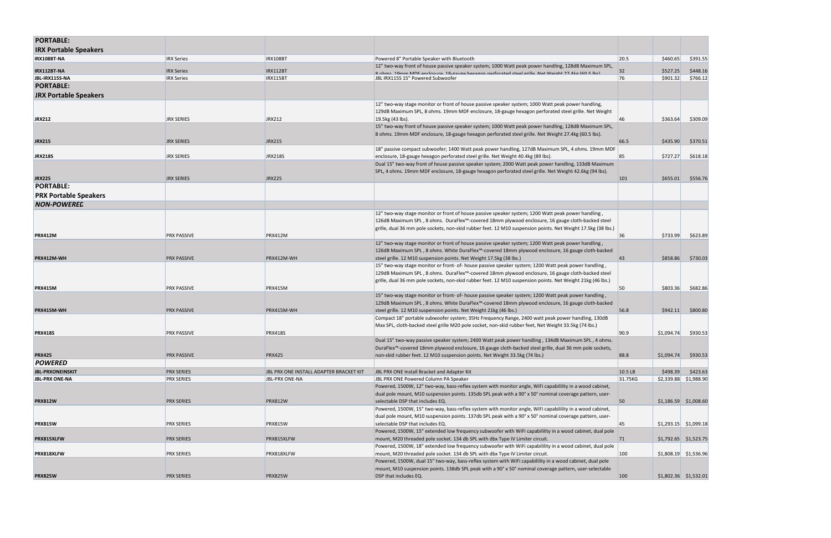| <b>PORTABLE:</b>             |                    |                                         |                                                                                                                                                                                                                     |         |                         |          |
|------------------------------|--------------------|-----------------------------------------|---------------------------------------------------------------------------------------------------------------------------------------------------------------------------------------------------------------------|---------|-------------------------|----------|
| <b>IRX Portable Speakers</b> |                    |                                         |                                                                                                                                                                                                                     |         |                         |          |
| IRX108BT-NA                  | <b>IRX Series</b>  | <b>IRX108BT</b>                         | Powered 8" Portable Speaker with Bluetooth                                                                                                                                                                          | 20.5    | \$460.65                | \$391.55 |
| IRX112BT-NA                  | <b>IRX Series</b>  | <b>IRX112BT</b>                         | 12" two-way front of house passive speaker system; 1000 Watt peak power handling, 128dB Maximum SPL,<br>Rohme 10mm MDE anclosure 18-gauge havagon nerforsted steel grille Net Weight 27 Akg (60 5 lhs)              | 32      | \$527.25                | \$448.16 |
| JBL-IRX115S-NA               | <b>IRX Series</b>  | IRX115BT                                | JBL IRX115S 15" Powered Subwoofer                                                                                                                                                                                   | 76      | \$901.32                | \$766.12 |
| <b>PORTABLE:</b>             |                    |                                         |                                                                                                                                                                                                                     |         |                         |          |
| <b>JRX Portable Speakers</b> |                    |                                         |                                                                                                                                                                                                                     |         |                         |          |
|                              |                    |                                         | 12" two-way stage monitor or front of house passive speaker system; 1000 Watt peak power handling,                                                                                                                  |         |                         |          |
|                              |                    |                                         | 129dB Maximum SPL, 8 ohms. 19mm MDF enclosure, 18-gauge hexagon perforated steel grille. Net Weight                                                                                                                 |         |                         |          |
| <b>JRX212</b>                | <b>JRX SERIES</b>  | <b>JRX212</b>                           | 19.5kg (43 lbs).                                                                                                                                                                                                    | 46      | \$363.64                | \$309.09 |
|                              |                    |                                         | 15" two-way front of house passive speaker system; 1000 Watt peak power handling, 128dB Maximum SPL,                                                                                                                |         |                         |          |
|                              |                    |                                         | 8 ohms. 19mm MDF enclosure, 18-gauge hexagon perforated steel grille. Net Weight 27.4kg (60.5 lbs).                                                                                                                 |         |                         |          |
| <b>JRX215</b>                | <b>JRX SERIES</b>  | <b>JRX215</b>                           |                                                                                                                                                                                                                     | 66.5    | \$435.90                | \$370.51 |
|                              |                    |                                         | 18" passive compact subwoofer; 1400 Watt peak power handling, 127dB Maximum SPL, 4 ohms. 19mm MDF                                                                                                                   |         |                         |          |
| <b>JRX218S</b>               | <b>JRX SERIES</b>  | <b>JRX218S</b>                          | enclosure, 18-gauge hexagon perforated steel grille. Net Weight 40.4kg (89 lbs).                                                                                                                                    | 85      | \$727.27                | \$618.18 |
|                              |                    |                                         | Dual 15" two-way front of house passive speaker system; 2000 Watt peak power handling, 133dB Maximum                                                                                                                |         |                         |          |
|                              |                    |                                         | SPL, 4 ohms. 19mm MDF enclosure, 18-gauge hexagon perforated steel grille. Net Weight 42.6kg (94 lbs).                                                                                                              |         |                         |          |
| <b>JRX225</b>                | <b>JRX SERIES</b>  | <b>JRX225</b>                           |                                                                                                                                                                                                                     | 101     | \$655.01                | \$556.76 |
| <b>PORTABLE:</b>             |                    |                                         |                                                                                                                                                                                                                     |         |                         |          |
| <b>PRX Portable Speakers</b> |                    |                                         |                                                                                                                                                                                                                     |         |                         |          |
| <b>NON-POWEREL</b>           |                    |                                         |                                                                                                                                                                                                                     |         |                         |          |
|                              |                    |                                         | 12" two-way stage monitor or front of house passive speaker system; 1200 Watt peak power handling,                                                                                                                  |         |                         |          |
|                              |                    |                                         | 126dB Maximum SPL, 8 ohms. DuraFlex™-covered 18mm plywood enclosure, 16 gauge cloth-backed steel                                                                                                                    |         |                         |          |
|                              |                    |                                         | grille, dual 36 mm pole sockets, non-skid rubber feet. 12 M10 suspension points. Net Weight 17.5kg (38 lbs.)                                                                                                        |         |                         |          |
| <b>PRX412M</b>               | <b>PRX PASSIVE</b> | <b>PRX412M</b>                          |                                                                                                                                                                                                                     | 36      | \$733.99                | \$623.89 |
|                              |                    |                                         | 12" two-way stage monitor or front of house passive speaker system; 1200 Watt peak power handling,                                                                                                                  |         |                         |          |
|                              |                    |                                         | 126dB Maximum SPL, 8 ohms. White DuraFlex™-covered 18mm plywood enclosure, 16 gauge cloth-backed                                                                                                                    |         |                         |          |
| PRX412M-WH                   | <b>PRX PASSIVE</b> | PRX412M-WH                              | steel grille. 12 M10 suspension points. Net Weight 17.5kg (38 lbs.)                                                                                                                                                 | 43      | \$858.86                | \$730.03 |
|                              |                    |                                         | 15" two-way stage monitor or front- of- house passive speaker system; 1200 Watt peak power handling,                                                                                                                |         |                         |          |
|                              |                    |                                         | 129dB Maximum SPL, 8 ohms. DuraFlex™-covered 18mm plywood enclosure, 16 gauge cloth-backed steel<br>grille, dual 36 mm pole sockets, non-skid rubber feet. 12 M10 suspension points. Net Weight 21kg (46 lbs.)      |         |                         |          |
| <b>PRX415M</b>               | <b>PRX PASSIVE</b> | <b>PRX415M</b>                          |                                                                                                                                                                                                                     | 50      | \$803.36                | \$682.86 |
|                              |                    |                                         | 15" two-way stage monitor or front- of- house passive speaker system; 1200 Watt peak power handling,                                                                                                                |         |                         |          |
|                              |                    |                                         | 129dB Maximum SPL, 8 ohms. White DuraFlex™-covered 18mm plywood enclosure, 16 gauge cloth-backed                                                                                                                    |         |                         |          |
| PRX415M-WH                   | <b>PRX PASSIVE</b> | PRX415M-WH                              | steel grille. 12 M10 suspension points. Net Weight 21kg (46 lbs.)                                                                                                                                                   | 56.8    | \$942.11                | \$800.80 |
|                              |                    |                                         | Compact 18" portable subwoofer system; 35Hz Frequency Range, 2400 watt peak power handling, 130dB                                                                                                                   |         |                         |          |
|                              |                    |                                         | Max SPL, cloth-backed steel grille M20 pole socket, non-skid rubber feet, Net Weight 33.5kg (74 lbs.)                                                                                                               |         |                         |          |
| <b>PRX418S</b>               | <b>PRX PASSIVE</b> | <b>PRX418S</b>                          |                                                                                                                                                                                                                     | 90.9    | \$1,094.74              | \$930.53 |
|                              |                    |                                         | Dual 15" two-way passive speaker system; 2400 Watt peak power handling, 134dB Maximum SPL, 4 ohms.                                                                                                                  |         |                         |          |
|                              |                    |                                         | DuraFlex <sup>™</sup> -covered 18mm plywood enclosure, 16 gauge cloth-backed steel grille, dual 36 mm pole sockets,                                                                                                 |         |                         |          |
| <b>PRX425</b>                | <b>PRX PASSIVE</b> | <b>PRX425</b>                           | non-skid rubber feet. 12 M10 suspension points. Net Weight 33.5kg (74 lbs.)                                                                                                                                         | 88.8    | \$1,094.74              | \$930.53 |
| <b>POWERED</b>               |                    |                                         |                                                                                                                                                                                                                     |         |                         |          |
| <b>JBL-PRXONEINSKIT</b>      | <b>PRX SERIES</b>  | JBL PRX ONE INSTALL ADAPTER BRACKET KIT | JBL PRX ONE Install Bracket and Adapter Kit                                                                                                                                                                         | 10.5 LB | \$498.39                | \$423.63 |
| <b>JBL-PRX ONE-NA</b>        | <b>PRX SERIES</b>  | <b>JBL-PRX ONE-NA</b>                   | JBL PRX ONE Powered Column PA Speaker                                                                                                                                                                               | 31.75KG | $$2,339.88$ $$1,988.90$ |          |
|                              |                    |                                         | Powered, 1500W, 12" two-way, bass-reflex system with monitor angle, WiFi capabilility in a wood cabinet,<br>dual pole mount, M10 suspension points. 135db SPL peak with a 90° x 50° nominal coverage pattern, user- |         |                         |          |
| <b>PRX812W</b>               | <b>PRX SERIES</b>  | <b>PRX812W</b>                          | selectable DSP that includes EQ.                                                                                                                                                                                    | 50      | $$1,186.59$ $$1,008.60$ |          |
|                              |                    |                                         | Powered, 1500W, 15" two-way, bass-reflex system with monitor angle, WiFi capabilility in a wood cabinet,                                                                                                            |         |                         |          |
|                              |                    |                                         | dual pole mount, M10 suspension points. 137db SPL peak with a 90° x 50° nominal coverage pattern, user-                                                                                                             |         |                         |          |
| <b>PRX815W</b>               | PRX SERIES         | <b>PRX815W</b>                          | selectable DSP that includes EQ.                                                                                                                                                                                    | 45      | $$1,293.15$ $$1,099.18$ |          |
|                              |                    |                                         | Powered, 1500W, 15" extended low frequency subwoofer with WiFi capabilility in a wood cabinet, dual pole                                                                                                            |         |                         |          |
| PRX815XLFW                   | <b>PRX SERIES</b>  | PRX815XLFW                              | mount, M20 threaded pole socket. 134 db SPL with dbx Type IV Limiter circuit.                                                                                                                                       | 71      | $$1,792.65$ $$1,523.75$ |          |
|                              |                    |                                         | Powered, 1500W, 18" extended low frequency subwoofer with WiFi capabilility in a wood cabinet, dual pole                                                                                                            |         |                         |          |
| PRX818XLFW                   | PRX SERIES         | PRX818XLFW                              | mount, M20 threaded pole socket. 134 db SPL with dbx Type IV Limiter circuit.                                                                                                                                       | 100     | $$1,808.19$ $$1,536.96$ |          |
|                              |                    |                                         | Powered, 1500W, dual 15" two-way, bass-reflex system with WiFi capabilility in a wood cabinet, dual pole                                                                                                            |         |                         |          |
|                              |                    |                                         | mount, M10 suspension points. 138db SPL peak with a 90° x 50° nominal coverage pattern, user-selectable                                                                                                             |         |                         |          |
| <b>PRX825W</b>               | <b>PRX SERIES</b>  | <b>PRX825W</b>                          | DSP that includes EQ.                                                                                                                                                                                               | 100     | $$1,802.36$ $$1,532.01$ |          |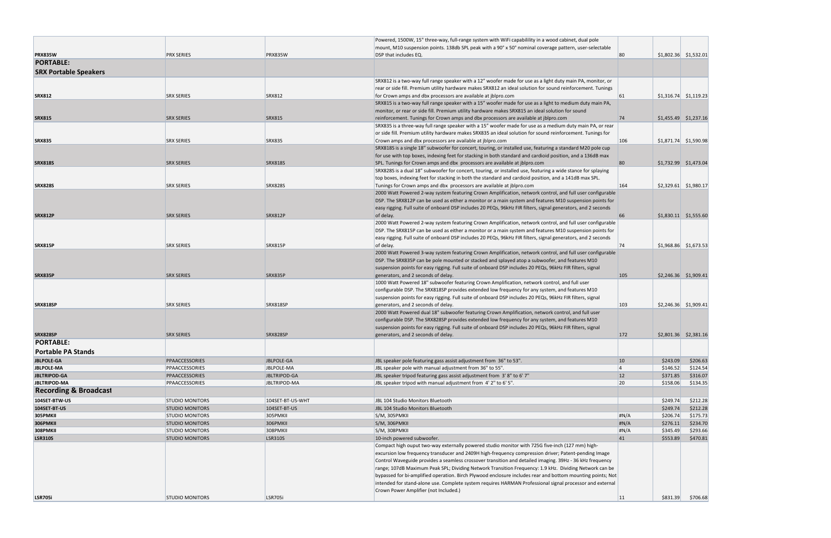|                                  |                        |                     | Powered, 1500W, 15" three-way, full-range system with WiFi capabilility in a wood cabinet, dual pole                                                                                       |           |                         |          |
|----------------------------------|------------------------|---------------------|--------------------------------------------------------------------------------------------------------------------------------------------------------------------------------------------|-----------|-------------------------|----------|
|                                  |                        |                     | mount, M10 suspension points. 138db SPL peak with a 90° x 50° nominal coverage pattern, user-selectable                                                                                    |           |                         |          |
| <b>PRX835W</b>                   | <b>PRX SERIES</b>      | <b>PRX835W</b>      | DSP that includes EQ.                                                                                                                                                                      | 80        | $$1,802.36$ $$1,532.01$ |          |
| <b>PORTABLE:</b>                 |                        |                     |                                                                                                                                                                                            |           |                         |          |
| <b>SRX Portable Speakers</b>     |                        |                     |                                                                                                                                                                                            |           |                         |          |
|                                  |                        |                     | SRX812 is a two-way full range speaker with a 12" woofer made for use as a light duty main PA, monitor, or                                                                                 |           |                         |          |
|                                  |                        |                     | rear or side fill. Premium utility hardware makes SRX812 an ideal solution for sound reinforcement. Tunings                                                                                |           |                         |          |
| <b>SRX812</b>                    | <b>SRX SERIES</b>      | <b>SRX812</b>       | for Crown amps and dbx processors are available at jblpro.com                                                                                                                              | 61        | $$1,316.74$ $$1,119.23$ |          |
|                                  |                        |                     | SRX815 is a two-way full range speaker with a 15" woofer made for use as a light to medium duty main PA,                                                                                   |           |                         |          |
|                                  |                        |                     | monitor, or rear or side fill. Premium utility hardware makes SRX815 an ideal solution for sound                                                                                           |           |                         |          |
| <b>SRX815</b>                    | <b>SRX SERIES</b>      | <b>SRX815</b>       | reinforcement. Tunings for Crown amps and dbx processors are available at jblpro.com                                                                                                       | 74        | $$1,455.49$ $$1,237.16$ |          |
|                                  |                        |                     | SRX835 is a three-way full range speaker with a 15" woofer made for use as a medium duty main PA, or rear                                                                                  |           |                         |          |
|                                  |                        |                     | or side fill. Premium utility hardware makes SRX835 an ideal solution for sound reinforcement. Tunings for                                                                                 |           |                         |          |
| <b>SRX835</b>                    | <b>SRX SERIES</b>      | <b>SRX835</b>       | Crown amps and dbx processors are available at jblpro.com                                                                                                                                  | 106       | $$1,871.74$ $$1,590.98$ |          |
|                                  |                        |                     | SRX818S is a single 18" subwoofer for concert, touring, or installed use, featuring a standard M20 pole cup                                                                                |           |                         |          |
|                                  |                        |                     | for use with top boxes, indexing feet for stacking in both standard and cardioid position, and a 136dB max                                                                                 |           |                         |          |
| <b>SRX818S</b>                   | <b>SRX SERIES</b>      | <b>SRX818S</b>      | SPL. Tunings for Crown amps and dbx processors are available at jblpro.com<br>SRX828S is a dual 18" subwoofer for concert, touring, or installed use, featuring a wide stance for splaying | 80        | \$1,732.99 \$1,473.04   |          |
|                                  |                        |                     | top boxes, indexing feet for stacking in both the standard and cardioid position, and a 141dB max SPL.                                                                                     |           |                         |          |
| <b>SRX828S</b>                   | <b>SRX SERIES</b>      | <b>SRX828S</b>      | Tunings for Crown amps and dbx processors are available at jblpro.com                                                                                                                      | 164       | $$2,329.61$ $$1,980.17$ |          |
|                                  |                        |                     | 2000 Watt Powered 2-way system featuring Crown Amplification, network control, and full user configurable                                                                                  |           |                         |          |
|                                  |                        |                     | DSP. The SRX812P can be used as either a monitor or a main system and features M10 suspension points for                                                                                   |           |                         |          |
|                                  |                        |                     | easy rigging. Full suite of onboard DSP includes 20 PEQs, 96kHz FIR filters, signal generators, and 2 seconds                                                                              |           |                         |          |
| <b>SRX812P</b>                   | <b>SRX SERIES</b>      | <b>SRX812P</b>      | of delay.                                                                                                                                                                                  | 66        | $$1,830.11$ $$1,555.60$ |          |
|                                  |                        |                     | 2000 Watt Powered 2-way system featuring Crown Amplification, network control, and full user configurable                                                                                  |           |                         |          |
|                                  |                        |                     | DSP. The SRX815P can be used as either a monitor or a main system and features M10 suspension points for                                                                                   |           |                         |          |
|                                  |                        |                     | easy rigging. Full suite of onboard DSP includes 20 PEQs, 96kHz FIR filters, signal generators, and 2 seconds                                                                              |           |                         |          |
| <b>SRX815P</b>                   | <b>SRX SERIES</b>      | <b>SRX815P</b>      | of delay.                                                                                                                                                                                  | 74        | $$1,968.86$ $$1,673.53$ |          |
|                                  |                        |                     | 2000 Watt Powered 3-way system featuring Crown Amplification, network control, and full user configurable                                                                                  |           |                         |          |
|                                  |                        |                     | DSP. The SRX835P can be pole mounted or stacked and splayed atop a subwoofer, and features M10                                                                                             |           |                         |          |
|                                  |                        |                     | suspension points for easy rigging. Full suite of onboard DSP includes 20 PEQs, 96kHz FIR filters, signal                                                                                  |           |                         |          |
| SRX835P                          | <b>SRX SERIES</b>      | SRX835P             | generators, and 2 seconds of delay.                                                                                                                                                        | 105       | $$2,246.36$ $$1,909.41$ |          |
|                                  |                        |                     | 1000 Watt Powered 18" subwoofer featuring Crown Amplification, network control, and full user                                                                                              |           |                         |          |
|                                  |                        |                     | configurable DSP. The SRX818SP provides extended low frequency for any system, and features M10                                                                                            |           |                         |          |
|                                  |                        |                     | suspension points for easy rigging. Full suite of onboard DSP includes 20 PEQs, 96kHz FIR filters, signal                                                                                  |           |                         |          |
| <b>SRX818SP</b>                  | <b>SRX SERIES</b>      | SRX818SP            | generators, and 2 seconds of delay.                                                                                                                                                        | 103       | $$2,246.36$ $$1,909.41$ |          |
|                                  |                        |                     | 2000 Watt Powered dual 18" subwoofer featuring Crown Amplification, network control, and full user                                                                                         |           |                         |          |
|                                  |                        |                     | configurable DSP. The SRX828SP provides extended low frequency for any system, and features M10                                                                                            |           |                         |          |
|                                  |                        |                     | suspension points for easy rigging. Full suite of onboard DSP includes 20 PEQs, 96kHz FIR filters, signal                                                                                  |           |                         |          |
| SRX828SP                         | <b>SRX SERIES</b>      | SRX828SP            | generators, and 2 seconds of delay.                                                                                                                                                        | 172       | $$2,801.36$ $$2,381.16$ |          |
| <b>PORTABLE:</b>                 |                        |                     |                                                                                                                                                                                            |           |                         |          |
| <b>Portable PA Stands</b>        |                        |                     |                                                                                                                                                                                            |           |                         |          |
| <b>JBLPOLE-GA</b>                | PPAACCESSORIES         | JBLPOLE-GA          | JBL speaker pole featuring gass assist adjustment from 36" to 53".                                                                                                                         | 10        | \$243.09                | \$206.63 |
| <b>JBLPOLE-MA</b>                | PPAACCESSORIES         | JBLPOLE-MA          | JBL speaker pole with manual adjustment from 36" to 55".                                                                                                                                   | 4         | \$146.52                | \$124.54 |
| <b>JBLTRIPOD-GA</b>              | PPAACCESSORIES         | JBLTRIPOD-GA        | JBL speaker tripod featuring gass assist adjustment from 3'8" to 6'7"                                                                                                                      | 12        | \$371.85                | \$316.07 |
| <b>JBLTRIPOD-MA</b>              | PPAACCESSORIES         | <b>JBLTRIPOD-MA</b> | JBL speaker tripod with manual adjustment from 4' 2" to 6' 5".                                                                                                                             | 20        | \$158.06                | \$134.35 |
| <b>Recording &amp; Broadcast</b> |                        |                     |                                                                                                                                                                                            |           |                         |          |
| 104SET-BTW-US                    | <b>STUDIO MONITORS</b> | 104SET-BT-US-WHT    | JBL 104 Studio Monitors Bluetooth                                                                                                                                                          |           | \$249.74                | \$212.28 |
| 104SET-BT-US                     | <b>STUDIO MONITORS</b> | 104SET-BT-US        | JBL 104 Studio Monitors Bluetooth                                                                                                                                                          |           | \$249.74                | \$212.28 |
| <b>305PMKII</b>                  | <b>STUDIO MONITORS</b> | 305PMKII            | S/M, 305PMKII                                                                                                                                                                              | H N/A     | \$206.74                | \$175.73 |
| 306PMKII                         | <b>STUDIO MONITORS</b> | 306PMKII            | S/M, 306PMKII                                                                                                                                                                              | H N/A     | \$276.11                | \$234.70 |
| <b>308PMKII</b>                  | <b>STUDIO MONITORS</b> | <b>308PMKII</b>     | S/M, 308PMKII                                                                                                                                                                              | H N/A     | \$345.49                | \$293.66 |
| <b>LSR310S</b>                   | <b>STUDIO MONITORS</b> | <b>LSR310S</b>      | 10-inch powered subwoofer.                                                                                                                                                                 | 41        | \$553.89                | \$470.81 |
|                                  |                        |                     | Compact high ouput two-way externally powered studio monitor with 725G five-inch (127 mm) high-                                                                                            |           |                         |          |
|                                  |                        |                     | excursion low frequency transducer and 2409H high-frequency compression driver; Patent-pending Image                                                                                       |           |                         |          |
|                                  |                        |                     | Control Waveguide provides a seamless crossover transition and detailed imaging. 39Hz - 36 kHz frequency                                                                                   |           |                         |          |
|                                  |                        |                     | range; 107dB Maximum Peak SPL; Dividing Network Transition Frequency: 1.9 kHz. Dividing Network can be                                                                                     |           |                         |          |
|                                  |                        |                     | bypassed for bi-amplified operation. Birch Plywood enclosure includes rear and bottom mounting points; Not                                                                                 |           |                         |          |
|                                  |                        |                     | intended for stand-alone use. Complete system requires HARMAN Professional signal processor and external                                                                                   |           |                         |          |
|                                  |                        |                     | Crown Power Amplifier (not Included.)                                                                                                                                                      |           |                         |          |
| <b>LSR705i</b>                   | <b>STUDIO MONITORS</b> | <b>LSR705i</b>      |                                                                                                                                                                                            | <b>11</b> | \$831.39                | \$706.68 |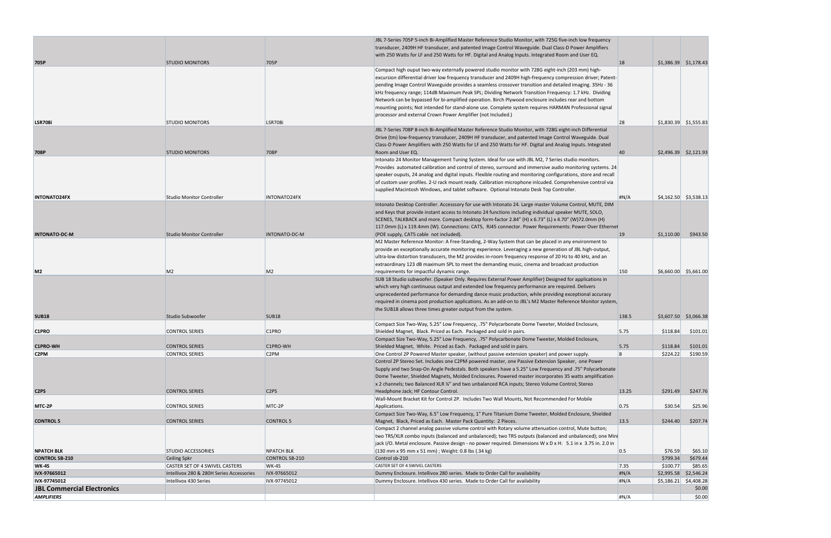| <b>AMPLIFIERS</b>                 |                                          |                               |                                                                                                                                                                                                             | H N/A         |            | \$0.00                  |
|-----------------------------------|------------------------------------------|-------------------------------|-------------------------------------------------------------------------------------------------------------------------------------------------------------------------------------------------------------|---------------|------------|-------------------------|
| <b>JBL Commercial Electronics</b> |                                          |                               |                                                                                                                                                                                                             |               |            | \$0.00                  |
| IVX-97745012                      | Intellivox 430 Series                    | IVX-97745012                  | Dummy Enclosure. Intellivox 430 series. Made to Order Call for availability                                                                                                                                 | H N/A         |            | $$5,186.21$ $$4,408.28$ |
| IVX-97665012                      | Intellivox 280 & 280H Series Accessories | IVX-97665012                  | Dummy Enclosure. Intellivox 280 series. Made to Order Call for availability                                                                                                                                 | H N/A         |            | \$2,995.58 \$2,546.24   |
| <b>WK-4S</b>                      | CASTER SET OF 4 SWIVEL CASTERS           | WK-4S                         | CASTER SET OF 4 SWIVEL CASTERS                                                                                                                                                                              | 7.35          | \$100.77   | \$85.65                 |
| <b>CONTROL SB-210</b>             | <b>Ceiling Spkr</b>                      | <b>CONTROL SB-210</b>         | Control sb-210                                                                                                                                                                                              |               | \$799.34   | \$679.44                |
| <b>NPATCH BLK</b>                 | <b>STUDIO ACCESSORIES</b>                | <b>NPATCH BLK</b>             | jack I/O. Metal enclosure. Passive design - no power required. Dimensions W x D x H: 5.1 in x 3.75 in. 2.0 in<br>$(130 \text{ mm} \times 95 \text{ mm} \times 51 \text{ mm})$ ; Weight: 0.8 lbs (.34 kg)    | 0.5           | \$76.59    | \$65.10                 |
|                                   |                                          |                               | two TRS/XLR combo inputs (balanced and unbalanced); two TRS outputs (balanced and unbalanced); one Mini                                                                                                     |               |            |                         |
|                                   |                                          |                               | Compact 2 channel analog passive volume control with Rotary volume attenuation control, Mute button;                                                                                                        |               |            |                         |
| <b>CONTROL 5</b>                  | <b>CONTROL SERIES</b>                    | <b>CONTROL 5</b>              | Magnet, Black, Priced as Each. Master Pack Quantity: 2 Pieces.                                                                                                                                              | 13.5          | \$244.40   | \$207.74                |
|                                   |                                          |                               | Compact Size Two-Way, 6.5" Low Frequency, 1" Pure Titanium Dome Tweeter, Molded Enclosure, Shielded                                                                                                         |               |            |                         |
| MTC 2P                            | <b>CONTROL SERIES</b>                    | MTC-2P                        | Wall-Mount Bracket Kit for Control 2P. Includes Two Wall Mounts, Not Recommended For Mobile<br>Applications.                                                                                                | 0.75          | \$30.54    | \$25.96                 |
| C <sub>2</sub> P <sub>S</sub>     | <b>CONTROL SERIES</b>                    | C <sub>2</sub> P <sub>S</sub> | Headphone Jack; HF Contour Control.                                                                                                                                                                         | 13.25         | \$291.49   | \$247.76                |
|                                   |                                          |                               | x 2 channels; two Balanced XLR ¼" and two unbalanced RCA inputs; Stereo Volume Control; Stereo                                                                                                              |               |            |                         |
|                                   |                                          |                               | Dome Tweeter, Shielded Magnets, Molded Enclosures. Powered master incorporates 35 watts amplification                                                                                                       |               |            |                         |
|                                   |                                          |                               | Supply and two Snap-On Angle Pedestals. Both speakers have a 5.25" Low Frequency and .75" Polycarbonate                                                                                                     |               |            |                         |
|                                   |                                          |                               | Control 2P Stereo Set. Includes one C2PM powered master, one Passive Extension Speaker, one Power                                                                                                           |               |            |                         |
| C <sub>2</sub> PM                 | <b>CONTROL SERIES</b>                    | C <sub>2</sub> PM             | One Control 2P Powered Master speaker, (without passive extension speaker) and power supply.                                                                                                                |               | \$224.22   | \$190.59                |
| <b>C1PRO-WH</b>                   | <b>CONTROL SERIES</b>                    | C1PRO-WH                      | Shielded Magnet, White. Priced as Each. Packaged and sold in pairs.                                                                                                                                         | 5.75          | \$118.84   | \$101.01                |
|                                   |                                          |                               | Compact Size Two-Way, 5.25" Low Frequency, .75" Polycarbonate Dome Tweeter, Molded Enclosure,                                                                                                               |               |            |                         |
| C <sub>1</sub> PRO                | <b>CONTROL SERIES</b>                    | C1PRO                         | Compact Size Two-Way, 5.25" Low Frequency, .75" Polycarbonate Dome Tweeter, Molded Enclosure,<br>Shielded Magnet, Black. Priced as Each. Packaged and sold in pairs.                                        | 5.75          | \$118.84   | \$101.01                |
| <b>SUB18</b>                      | Studio Subwoofer                         | <b>SUB18</b>                  |                                                                                                                                                                                                             | 138.5         |            | $$3,607.50$ $$3,066.38$ |
|                                   |                                          |                               | required in cinema post production applications. As an add-on to JBL's M2 Master Reference Monitor system,<br>the SUB18 allows three times greater output from the system.                                  |               |            |                         |
|                                   |                                          |                               | unprecedented performance for demanding dance music production, while providing exceptional accuracy                                                                                                        |               |            |                         |
|                                   |                                          |                               | which very high continuous output and extended low frequency performance are required. Delivers                                                                                                             |               |            |                         |
|                                   |                                          |                               | SUB 18 Studio subwoofer. (Speaker Only. Requires External Power Amplifier) Designed for applications in                                                                                                     |               |            |                         |
| M <sub>2</sub>                    | M <sub>2</sub>                           | M <sub>2</sub>                | requirements for impactful dynamic range.                                                                                                                                                                   | 150           |            | $$6,660.00$ \$5,661.00  |
|                                   |                                          |                               | extraordinary 123 dB maximum SPL to meet the demanding music, cinema and broadcast production                                                                                                               |               |            |                         |
|                                   |                                          |                               | ultra-low distortion transducers, the M2 provides in-room frequency response of 20 Hz to 40 kHz, and an                                                                                                     |               |            |                         |
|                                   |                                          |                               | provide an exceptionally accurate monitoring experience. Leveraging a new generation of JBL high-output,                                                                                                    |               |            |                         |
|                                   |                                          |                               | M2 Master Reference Monitor: A Free-Standing, 2-Way System that can be placed in any environment to                                                                                                         |               |            |                         |
| <b>INTONATO-DC-M</b>              | <b>Studio Monitor Controller</b>         | INTONATO-DC-M                 | (POE supply, CAT5 cable not included).                                                                                                                                                                      | <sup>19</sup> | \$1,110.00 | \$943.50                |
|                                   |                                          |                               | SCENES, TALKBACK and more. Compact desktop form-factor 2.84" (H) x 6.73" (L) x 4.70" (W)72.0mm (H)<br>117.0mm (L) x 119.4mm (W). Connections: CAT5, RJ45 connector. Power Requirements: Power Over Ethernet |               |            |                         |
|                                   |                                          |                               | and Keys that provide instant access to Intonato 24 functions including individual speaker MUTE, SOLO,                                                                                                      |               |            |                         |
|                                   |                                          |                               | Intonato Desktop Controller. Accesssory for use with Intonato 24. Large master Volume Control, MUTE, DIM                                                                                                    |               |            |                         |
| <b>INTONATO24FX</b>               | <b>Studio Monitor Controller</b>         | INTONATO24FX                  |                                                                                                                                                                                                             | H N/A         |            | $$4,162.50$ $$3,538.13$ |
|                                   |                                          |                               | supplied Macintosh Windows, and tablet software. Optional Intonato Desk Top Controller.                                                                                                                     |               |            |                         |
|                                   |                                          |                               | of custom user profiles. 2-U rack mount ready. Calibration microphone inlcuded. Comprehensive control via                                                                                                   |               |            |                         |
|                                   |                                          |                               | speaker ouputs, 24 analog and digital inputs. Flexible routing and monitoring configurations, store and recall                                                                                              |               |            |                         |
|                                   |                                          |                               | Provides automated calibration and control of stereo, surround and immersive audio monitoring systems. 24                                                                                                   |               |            |                         |
|                                   |                                          |                               | Intonato 24 Monitor Management Tuning System. Ideal for use with JBL M2, 7 Series studio monitors.                                                                                                          |               |            |                         |
| <b>708P</b>                       | <b>STUDIO MONITORS</b>                   | 708P                          | Room and User EQ.                                                                                                                                                                                           | 40            |            | $$2,496.39$ $$2,121.93$ |
|                                   |                                          |                               | Class-D Power Amplifiers with 250 Watts for LF and 250 Watts for HF. Digital and Analog Inputs. Integrated                                                                                                  |               |            |                         |
|                                   |                                          |                               | Drive (tm) low-frequency transducer, 2409H HF transducer, and patented Image Control Waveguide. Dual                                                                                                        |               |            |                         |
| <b>LSR708i</b>                    | <b>STUDIO MONITORS</b>                   | <b>LSR708i</b>                | JBL 7-Series 708P 8-inch Bi-Amplified Master Reference Studio Monitor, with 728G eight-inch Differential                                                                                                    | 28            |            | $$1,830.39$ $$1,555.83$ |
|                                   |                                          |                               | processor and external Crown Power Amplifier (not Included.)                                                                                                                                                |               |            |                         |
|                                   |                                          |                               | mounting points; Not intended for stand-alone use. Complete system requires HARMAN Professional signal                                                                                                      |               |            |                         |
|                                   |                                          |                               | Network can be bypassed for bi-amplified operation. Birch Plywood enclosure includes rear and bottom                                                                                                        |               |            |                         |
|                                   |                                          |                               | kHz frequency range; 114dB Maximum Peak SPL; Dividing Network Transition Frequency: 1.7 kHz. Dividing                                                                                                       |               |            |                         |
|                                   |                                          |                               | pending Image Control Waveguide provides a seamless crossover transition and detailed imaging. 35Hz - 36                                                                                                    |               |            |                         |
|                                   |                                          |                               | excursion differential driver low frequency transducer and 2409H high-frequency compression driver; Patent-                                                                                                 |               |            |                         |
|                                   |                                          |                               | Compact high ouput two-way externally powered studio monitor with 728G eight-inch (203 mm) high-                                                                                                            |               |            |                         |
| 705P                              | <b>STUDIO MONITORS</b>                   | 705P                          |                                                                                                                                                                                                             | <sup>18</sup> |            | $$1,386.39$ $$1,178.43$ |
|                                   |                                          |                               | with 250 Watts for LF and 250 Watts for HF. Digital and Analog Inputs. Integrated Room and User EQ.                                                                                                         |               |            |                         |
|                                   |                                          |                               | transducer, 2409H HF transducer, and patented Image Control Waveguide. Dual Class-D Power Amplifiers                                                                                                        |               |            |                         |
|                                   |                                          |                               | JBL 7-Series 705P 5-inch Bi-Amplified Master Reference Studio Monitor, with 725G five-inch low frequency                                                                                                    |               |            |                         |